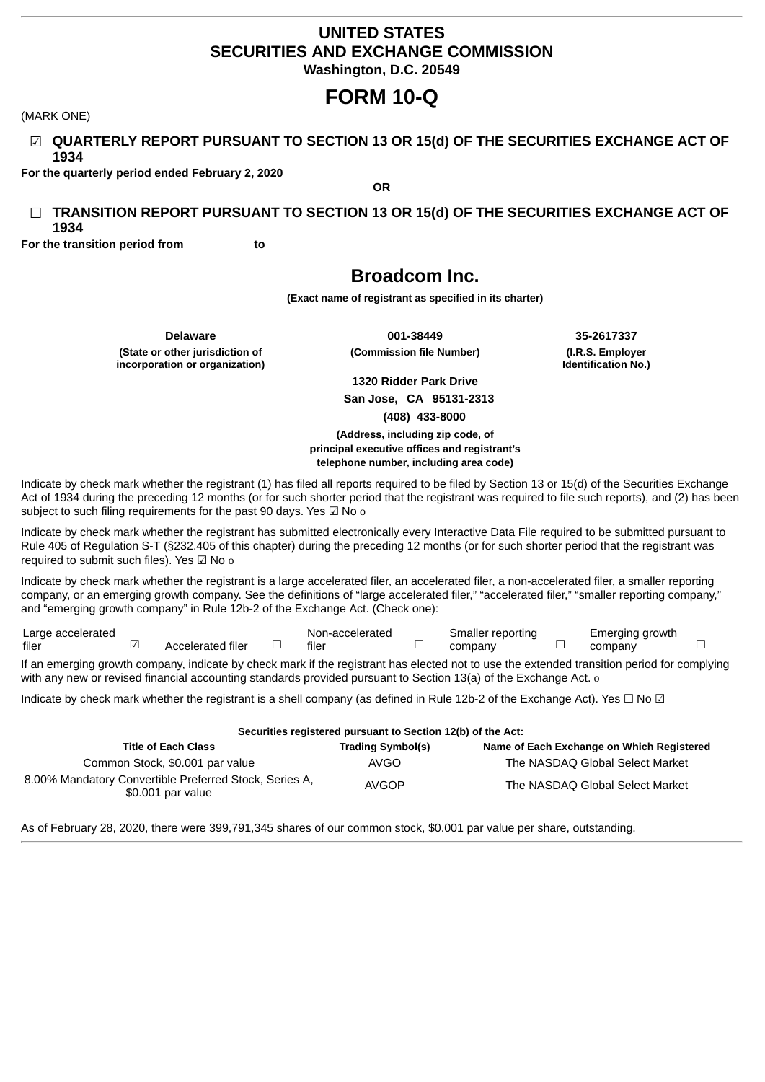## **UNITED STATES SECURITIES AND EXCHANGE COMMISSION Washington, D.C. 20549**

# **FORM 10-Q**

(MARK ONE)

☑ **QUARTERLY REPORT PURSUANT TO SECTION 13 OR 15(d) OF THE SECURITIES EXCHANGE ACT OF 1934**

**OR**

**For the quarterly period ended February 2, 2020**

☐ **TRANSITION REPORT PURSUANT TO SECTION 13 OR 15(d) OF THE SECURITIES EXCHANGE ACT OF 1934**

**For the transition period from to**

# **Broadcom Inc.**

**(Exact name of registrant as specified in its charter)**

**(State or other jurisdiction of incorporation or organization)**

**Delaware 001-38449 35-2617337 (Commission file Number) (I.R.S. Employer**

**Identification No.)**

**1320 Ridder Park Drive San Jose, CA 95131-2313**

**(408) 433-8000**

**(Address, including zip code, of principal executive offices and registrant's telephone number, including area code)**

Indicate by check mark whether the registrant (1) has filed all reports required to be filed by Section 13 or 15(d) of the Securities Exchange Act of 1934 during the preceding 12 months (or for such shorter period that the registrant was required to file such reports), and (2) has been subject to such filing requirements for the past 90 days. Yes  $\boxtimes$  No o

Indicate by check mark whether the registrant has submitted electronically every Interactive Data File required to be submitted pursuant to Rule 405 of Regulation S-T (§232.405 of this chapter) during the preceding 12 months (or for such shorter period that the registrant was required to submit such files). Yes ☑ No o

Indicate by check mark whether the registrant is a large accelerated filer, an accelerated filer, a non-accelerated filer, a smaller reporting company, or an emerging growth company. See the definitions of "large accelerated filer," "accelerated filer," "smaller reporting company," and "emerging growth company" in Rule 12b-2 of the Exchange Act. (Check one):

| Large accelerated<br>filer                                                                                       | ✓ | Accelerated filer | Non-accelerated<br>filer                                                                                                                    | Smaller reporting<br>company | Emerging growth<br>company |  |
|------------------------------------------------------------------------------------------------------------------|---|-------------------|---------------------------------------------------------------------------------------------------------------------------------------------|------------------------------|----------------------------|--|
| with any new or revised financial accounting standards provided pursuant to Section 13(a) of the Exchange Act. o |   |                   | If an emerging growth company, indicate by check mark if the registrant has elected not to use the extended transition period for complying |                              |                            |  |

Indicate by check mark whether the registrant is a shell company (as defined in Rule 12b-2 of the Exchange Act). Yes  $\Box$  No  $\Box$ 

|                                                                             | Securities registered pursuant to Section 12(b) of the Act: |                                           |
|-----------------------------------------------------------------------------|-------------------------------------------------------------|-------------------------------------------|
| <b>Title of Each Class</b>                                                  | <b>Trading Symbol(s)</b>                                    | Name of Each Exchange on Which Registered |
| Common Stock, \$0.001 par value                                             | AVGO                                                        | The NASDAO Global Select Market           |
| 8.00% Mandatory Convertible Preferred Stock, Series A,<br>\$0.001 par value | <b>AVGOP</b>                                                | The NASDAO Global Select Market           |

As of February 28, 2020, there were 399,791,345 shares of our common stock, \$0.001 par value per share, outstanding.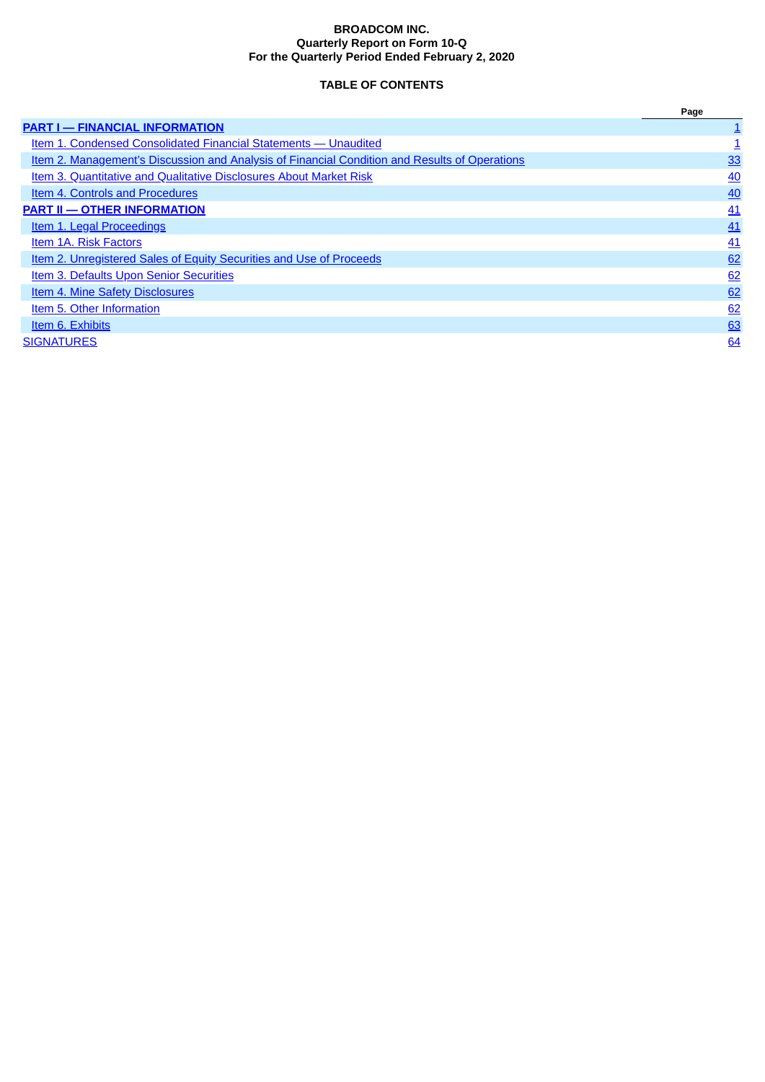#### **BROADCOM INC. Quarterly Report on Form 10-Q For the Quarterly Period Ended February 2, 2020**

## **TABLE OF CONTENTS**

<span id="page-1-0"></span>

|                                                                                                      | Page |
|------------------------------------------------------------------------------------------------------|------|
| <b>PART I - FINANCIAL INFORMATION</b>                                                                |      |
| Item 1. Condensed Consolidated Financial Statements - Unaudited                                      |      |
| <u>Item 2. Management's Discussion and Analysis of Financial Condition and Results of Operations</u> | 33   |
| <b>Item 3. Quantitative and Qualitative Disclosures About Market Risk</b>                            | 40   |
| Item 4. Controls and Procedures                                                                      | 40   |
| <b>PART II - OTHER INFORMATION</b>                                                                   | 41   |
| <b>Item 1. Legal Proceedings</b>                                                                     | 41   |
| Item 1A. Risk Factors                                                                                | 41   |
| Item 2. Unregistered Sales of Equity Securities and Use of Proceeds                                  | 62   |
| <b>Item 3. Defaults Upon Senior Securities</b>                                                       | 62   |
| <b>Item 4. Mine Safety Disclosures</b>                                                               | 62   |
| Item 5. Other Information                                                                            | 62   |
| Item 6. Exhibits                                                                                     | 63   |
| <b>SIGNATURES</b>                                                                                    | 64   |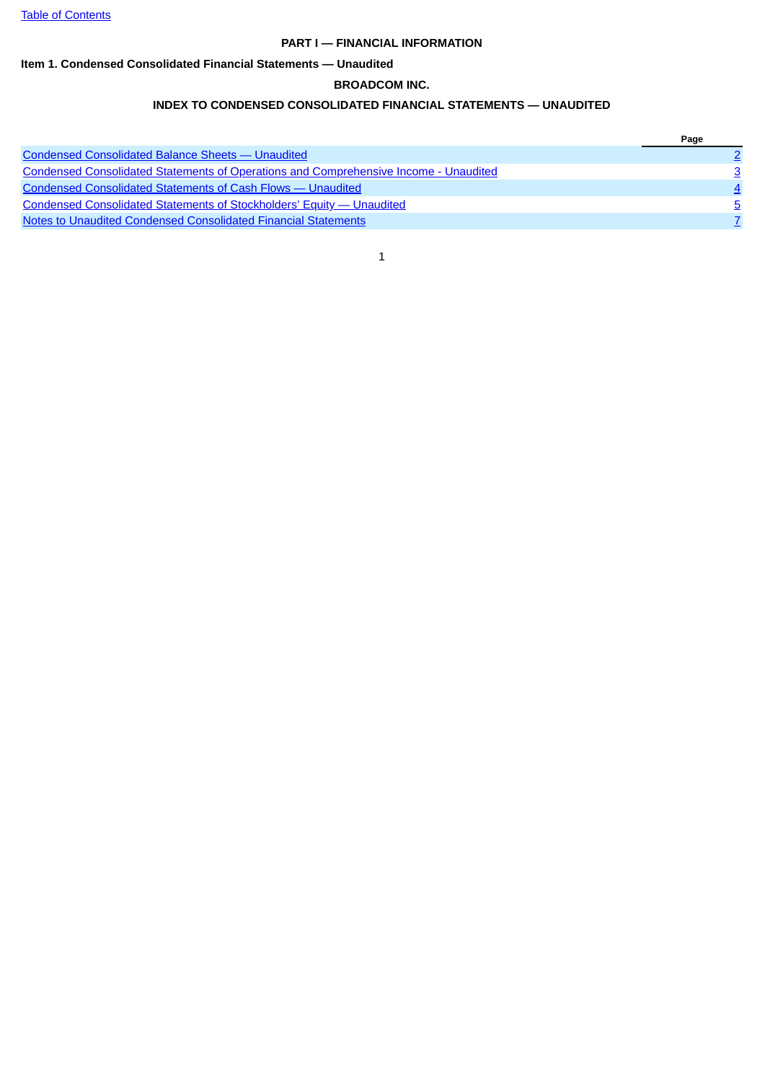## **PART I — FINANCIAL INFORMATION**

<span id="page-2-1"></span><span id="page-2-0"></span>**Item 1. Condensed Consolidated Financial Statements — Unaudited**

**BROADCOM INC.**

## **INDEX TO CONDENSED CONSOLIDATED FINANCIAL STATEMENTS — UNAUDITED**

|                                                                                             | Page |
|---------------------------------------------------------------------------------------------|------|
| Condensed Consolidated Balance Sheets — Unaudited                                           |      |
| <b>Condensed Consolidated Statements of Operations and Comprehensive Income - Unaudited</b> |      |
| Condensed Consolidated Statements of Cash Flows — Unaudited                                 |      |
| Condensed Consolidated Statements of Stockholders' Equity — Unaudited                       | 5    |
| Notes to Unaudited Condensed Consolidated Financial Statements                              |      |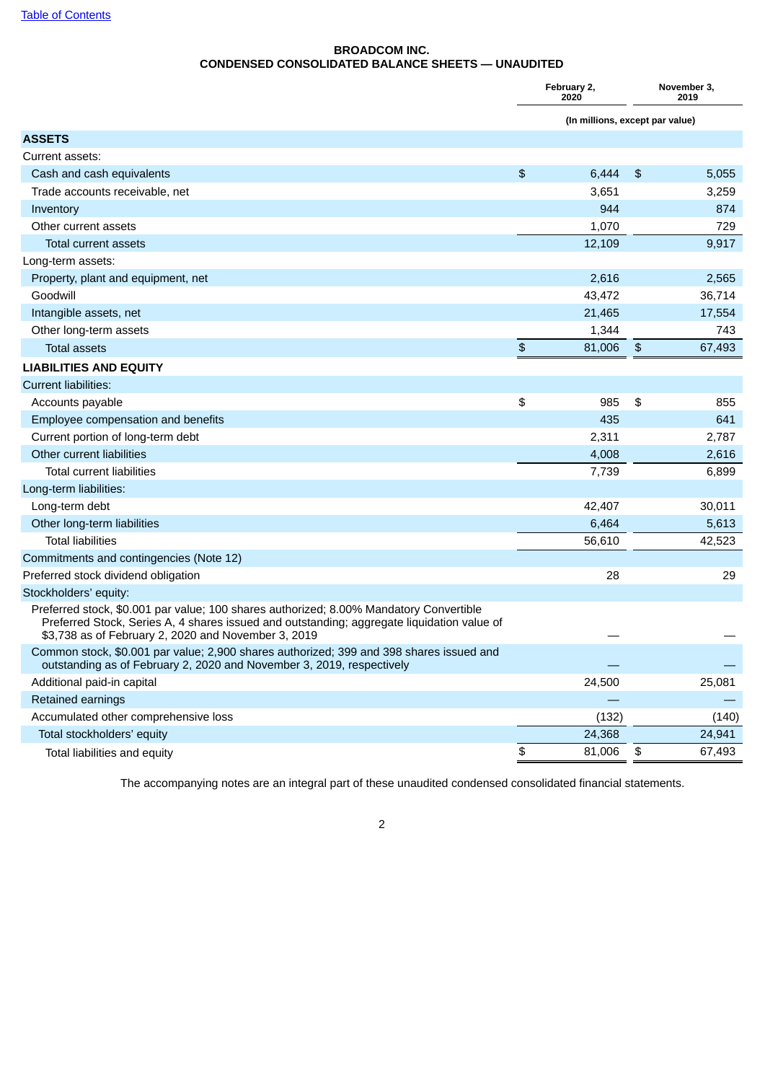## **BROADCOM INC. CONDENSED CONSOLIDATED BALANCE SHEETS — UNAUDITED**

<span id="page-3-0"></span>

|                                                                                                                                                                                                                                             | February 2,<br>2020 |                                 |               | November 3,<br>2019 |
|---------------------------------------------------------------------------------------------------------------------------------------------------------------------------------------------------------------------------------------------|---------------------|---------------------------------|---------------|---------------------|
|                                                                                                                                                                                                                                             |                     | (In millions, except par value) |               |                     |
| <b>ASSETS</b>                                                                                                                                                                                                                               |                     |                                 |               |                     |
| Current assets:                                                                                                                                                                                                                             |                     |                                 |               |                     |
| Cash and cash equivalents                                                                                                                                                                                                                   | \$                  | 6.444                           | $\frac{1}{2}$ | 5,055               |
| Trade accounts receivable, net                                                                                                                                                                                                              |                     | 3,651                           |               | 3,259               |
| Inventory                                                                                                                                                                                                                                   |                     | 944                             |               | 874                 |
| Other current assets                                                                                                                                                                                                                        |                     | 1,070                           |               | 729                 |
| <b>Total current assets</b>                                                                                                                                                                                                                 |                     | 12,109                          |               | 9,917               |
| Long-term assets:                                                                                                                                                                                                                           |                     |                                 |               |                     |
| Property, plant and equipment, net                                                                                                                                                                                                          |                     | 2,616                           |               | 2,565               |
| Goodwill                                                                                                                                                                                                                                    |                     | 43,472                          |               | 36,714              |
| Intangible assets, net                                                                                                                                                                                                                      |                     | 21,465                          |               | 17,554              |
| Other long-term assets                                                                                                                                                                                                                      |                     | 1,344                           |               | 743                 |
| <b>Total assets</b>                                                                                                                                                                                                                         | $\pmb{\$}$          | 81,006                          | $\frac{1}{2}$ | 67,493              |
| <b>LIABILITIES AND EQUITY</b>                                                                                                                                                                                                               |                     |                                 |               |                     |
| <b>Current liabilities:</b>                                                                                                                                                                                                                 |                     |                                 |               |                     |
| Accounts payable                                                                                                                                                                                                                            | \$                  | 985                             | \$            | 855                 |
| Employee compensation and benefits                                                                                                                                                                                                          |                     | 435                             |               | 641                 |
| Current portion of long-term debt                                                                                                                                                                                                           |                     | 2,311                           |               | 2,787               |
| Other current liabilities                                                                                                                                                                                                                   |                     | 4,008                           |               | 2,616               |
| Total current liabilities                                                                                                                                                                                                                   |                     | 7,739                           |               | 6,899               |
| Long-term liabilities:                                                                                                                                                                                                                      |                     |                                 |               |                     |
| Long-term debt                                                                                                                                                                                                                              |                     | 42,407                          |               | 30,011              |
| Other long-term liabilities                                                                                                                                                                                                                 |                     | 6,464                           |               | 5,613               |
| <b>Total liabilities</b>                                                                                                                                                                                                                    |                     | 56,610                          |               | 42,523              |
| Commitments and contingencies (Note 12)                                                                                                                                                                                                     |                     |                                 |               |                     |
| Preferred stock dividend obligation                                                                                                                                                                                                         |                     | 28                              |               | 29                  |
| Stockholders' equity:                                                                                                                                                                                                                       |                     |                                 |               |                     |
| Preferred stock, \$0.001 par value; 100 shares authorized; 8.00% Mandatory Convertible<br>Preferred Stock, Series A, 4 shares issued and outstanding; aggregate liquidation value of<br>\$3,738 as of February 2, 2020 and November 3, 2019 |                     |                                 |               |                     |
| Common stock, \$0.001 par value; 2,900 shares authorized; 399 and 398 shares issued and<br>outstanding as of February 2, 2020 and November 3, 2019, respectively                                                                            |                     |                                 |               |                     |
| Additional paid-in capital                                                                                                                                                                                                                  |                     | 24,500                          |               | 25,081              |
| Retained earnings                                                                                                                                                                                                                           |                     |                                 |               |                     |
| Accumulated other comprehensive loss                                                                                                                                                                                                        |                     | (132)                           |               | (140)               |
| Total stockholders' equity                                                                                                                                                                                                                  |                     | 24,368                          |               | 24,941              |
| Total liabilities and equity                                                                                                                                                                                                                | \$                  | 81,006                          | \$            | 67,493              |

The accompanying notes are an integral part of these unaudited condensed consolidated financial statements.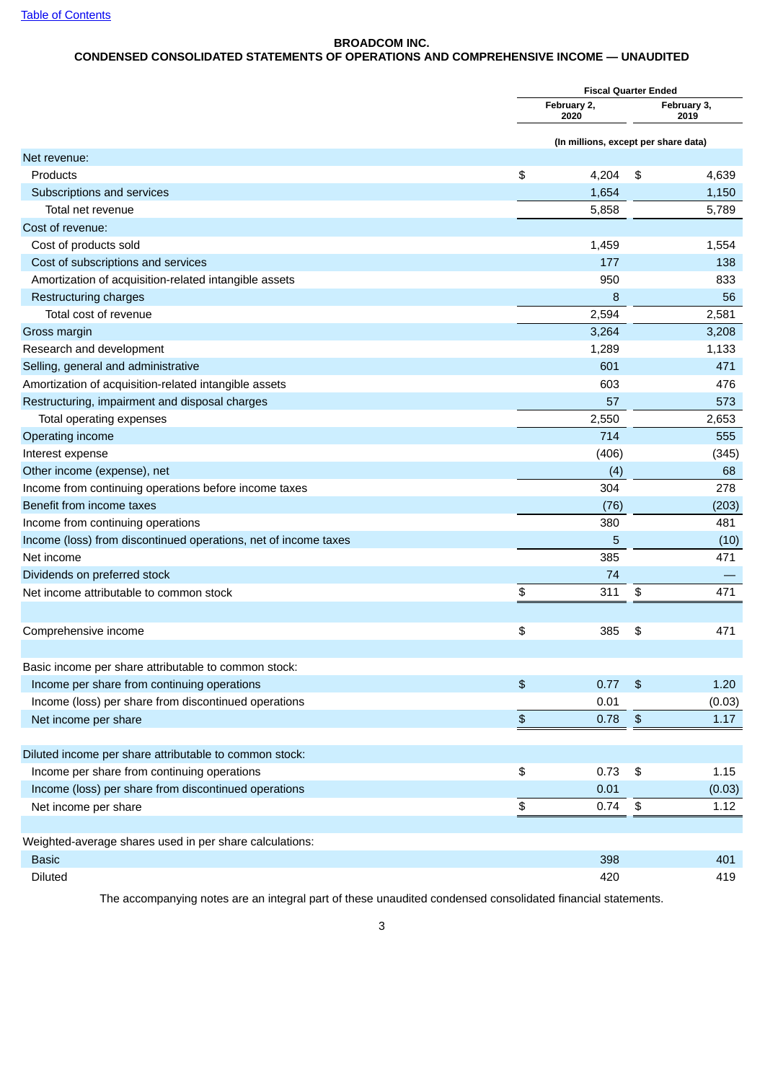## **BROADCOM INC.**

## <span id="page-4-0"></span>**CONDENSED CONSOLIDATED STATEMENTS OF OPERATIONS AND COMPREHENSIVE INCOME — UNAUDITED**

|                                                                 | <b>Fiscal Quarter Ended</b>          |      |                     |  |  |
|-----------------------------------------------------------------|--------------------------------------|------|---------------------|--|--|
|                                                                 | February 2,<br>2020                  |      | February 3,<br>2019 |  |  |
|                                                                 | (In millions, except per share data) |      |                     |  |  |
| Net revenue:                                                    |                                      |      |                     |  |  |
| Products                                                        | \$<br>4,204                          | \$   | 4,639               |  |  |
| Subscriptions and services                                      | 1,654                                |      | 1,150               |  |  |
| Total net revenue                                               | 5,858                                |      | 5,789               |  |  |
| Cost of revenue:                                                |                                      |      |                     |  |  |
| Cost of products sold                                           | 1,459                                |      | 1,554               |  |  |
| Cost of subscriptions and services                              | 177                                  |      | 138                 |  |  |
| Amortization of acquisition-related intangible assets           | 950                                  |      | 833                 |  |  |
| Restructuring charges                                           | 8                                    |      | 56                  |  |  |
| Total cost of revenue                                           | 2,594                                |      | 2,581               |  |  |
| Gross margin                                                    | 3,264                                |      | 3,208               |  |  |
| Research and development                                        | 1,289                                |      | 1,133               |  |  |
| Selling, general and administrative                             | 601                                  |      | 471                 |  |  |
| Amortization of acquisition-related intangible assets           | 603                                  |      | 476                 |  |  |
| Restructuring, impairment and disposal charges                  | 57                                   |      | 573                 |  |  |
| Total operating expenses                                        | 2,550                                |      | 2,653               |  |  |
| Operating income                                                | 714                                  |      | 555                 |  |  |
| Interest expense                                                | (406)                                |      | (345)               |  |  |
| Other income (expense), net                                     | (4)                                  |      | 68                  |  |  |
| Income from continuing operations before income taxes           | 304                                  |      | 278                 |  |  |
| Benefit from income taxes                                       | (76)                                 |      | (203)               |  |  |
| Income from continuing operations                               | 380                                  |      | 481                 |  |  |
| Income (loss) from discontinued operations, net of income taxes | 5                                    |      | (10)                |  |  |
| Net income                                                      | 385                                  |      | 471                 |  |  |
| Dividends on preferred stock                                    | 74                                   |      |                     |  |  |
| Net income attributable to common stock                         | \$<br>311                            | \$   | 471                 |  |  |
|                                                                 |                                      |      |                     |  |  |
| Comprehensive income                                            | \$<br>385                            | \$   | 471                 |  |  |
|                                                                 |                                      |      |                     |  |  |
| Basic income per share attributable to common stock:            |                                      |      |                     |  |  |
| Income per share from continuing operations                     | \$<br>0.77                           | \$   | 1.20                |  |  |
| Income (loss) per share from discontinued operations            | 0.01                                 |      | (0.03)              |  |  |
| Net income per share                                            | \$<br>0.78                           | $\,$ | 1.17                |  |  |
|                                                                 |                                      |      |                     |  |  |
| Diluted income per share attributable to common stock:          |                                      |      |                     |  |  |
| Income per share from continuing operations                     | \$<br>0.73                           | \$   | 1.15                |  |  |
| Income (loss) per share from discontinued operations            | 0.01                                 |      | (0.03)              |  |  |
| Net income per share                                            | \$<br>0.74                           | \$   | 1.12                |  |  |
|                                                                 |                                      |      |                     |  |  |
| Weighted-average shares used in per share calculations:         |                                      |      |                     |  |  |
| <b>Basic</b>                                                    | 398                                  |      | 401                 |  |  |
| Diluted                                                         | 420                                  |      | 419                 |  |  |
|                                                                 |                                      |      |                     |  |  |

The accompanying notes are an integral part of these unaudited condensed consolidated financial statements.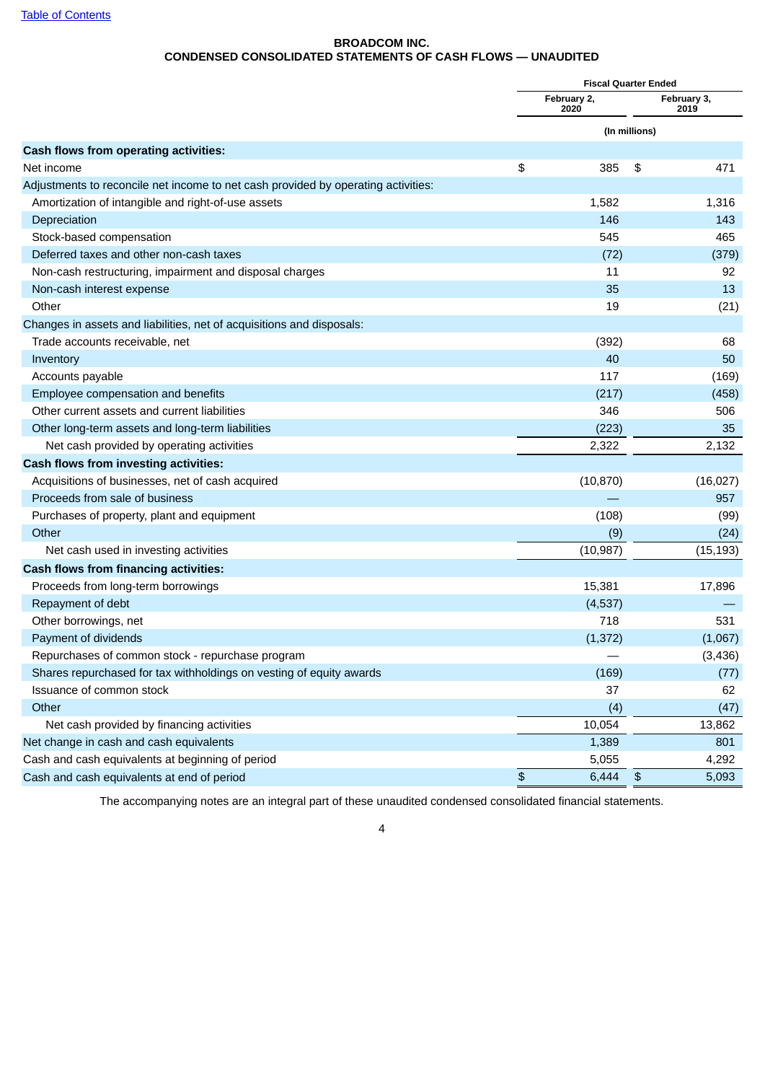## **BROADCOM INC. CONDENSED CONSOLIDATED STATEMENTS OF CASH FLOWS — UNAUDITED**

<span id="page-5-0"></span>

|                                                                                   | <b>Fiscal Quarter Ended</b> |                     |               |           |  |
|-----------------------------------------------------------------------------------|-----------------------------|---------------------|---------------|-----------|--|
|                                                                                   |                             | February 2,<br>2020 |               |           |  |
|                                                                                   |                             |                     | (In millions) |           |  |
| Cash flows from operating activities:                                             |                             |                     |               |           |  |
| Net income                                                                        | \$                          | 385                 | \$            | 471       |  |
| Adjustments to reconcile net income to net cash provided by operating activities: |                             |                     |               |           |  |
| Amortization of intangible and right-of-use assets                                |                             | 1,582               |               | 1,316     |  |
| Depreciation                                                                      |                             | 146                 |               | 143       |  |
| Stock-based compensation                                                          |                             | 545                 |               | 465       |  |
| Deferred taxes and other non-cash taxes                                           |                             | (72)                |               | (379)     |  |
| Non-cash restructuring, impairment and disposal charges                           |                             | 11                  |               | 92        |  |
| Non-cash interest expense                                                         |                             | 35                  |               | 13        |  |
| Other                                                                             |                             | 19                  |               | (21)      |  |
| Changes in assets and liabilities, net of acquisitions and disposals:             |                             |                     |               |           |  |
| Trade accounts receivable, net                                                    |                             | (392)               |               | 68        |  |
| Inventory                                                                         |                             | 40                  |               | 50        |  |
| Accounts payable                                                                  |                             | 117                 |               | (169)     |  |
| Employee compensation and benefits                                                |                             | (217)               |               | (458)     |  |
| Other current assets and current liabilities                                      |                             | 346                 |               | 506       |  |
| Other long-term assets and long-term liabilities                                  |                             | (223)               |               | 35        |  |
| Net cash provided by operating activities                                         |                             | 2,322               |               | 2,132     |  |
| Cash flows from investing activities:                                             |                             |                     |               |           |  |
| Acquisitions of businesses, net of cash acquired                                  |                             | (10, 870)           |               | (16, 027) |  |
| Proceeds from sale of business                                                    |                             |                     |               | 957       |  |
| Purchases of property, plant and equipment                                        |                             | (108)               |               | (99)      |  |
| Other                                                                             |                             | (9)                 |               | (24)      |  |
| Net cash used in investing activities                                             |                             | (10, 987)           |               | (15, 193) |  |
| Cash flows from financing activities:                                             |                             |                     |               |           |  |
| Proceeds from long-term borrowings                                                |                             | 15,381              |               | 17,896    |  |
| Repayment of debt                                                                 |                             | (4,537)             |               |           |  |
| Other borrowings, net                                                             |                             | 718                 |               | 531       |  |
| Payment of dividends                                                              |                             | (1, 372)            |               | (1,067)   |  |
| Repurchases of common stock - repurchase program                                  |                             |                     |               | (3, 436)  |  |
| Shares repurchased for tax withholdings on vesting of equity awards               |                             | (169)               |               | (77)      |  |
| Issuance of common stock                                                          |                             | 37                  |               | 62        |  |
| Other                                                                             |                             | (4)                 |               | (47)      |  |
| Net cash provided by financing activities                                         |                             | 10,054              |               | 13,862    |  |
| Net change in cash and cash equivalents                                           |                             | 1,389               |               | 801       |  |
| Cash and cash equivalents at beginning of period                                  |                             | 5,055               |               | 4,292     |  |
| Cash and cash equivalents at end of period                                        | $\,$                        | 6,444               | $\pmb{\$}$    | 5,093     |  |

The accompanying notes are an integral part of these unaudited condensed consolidated financial statements.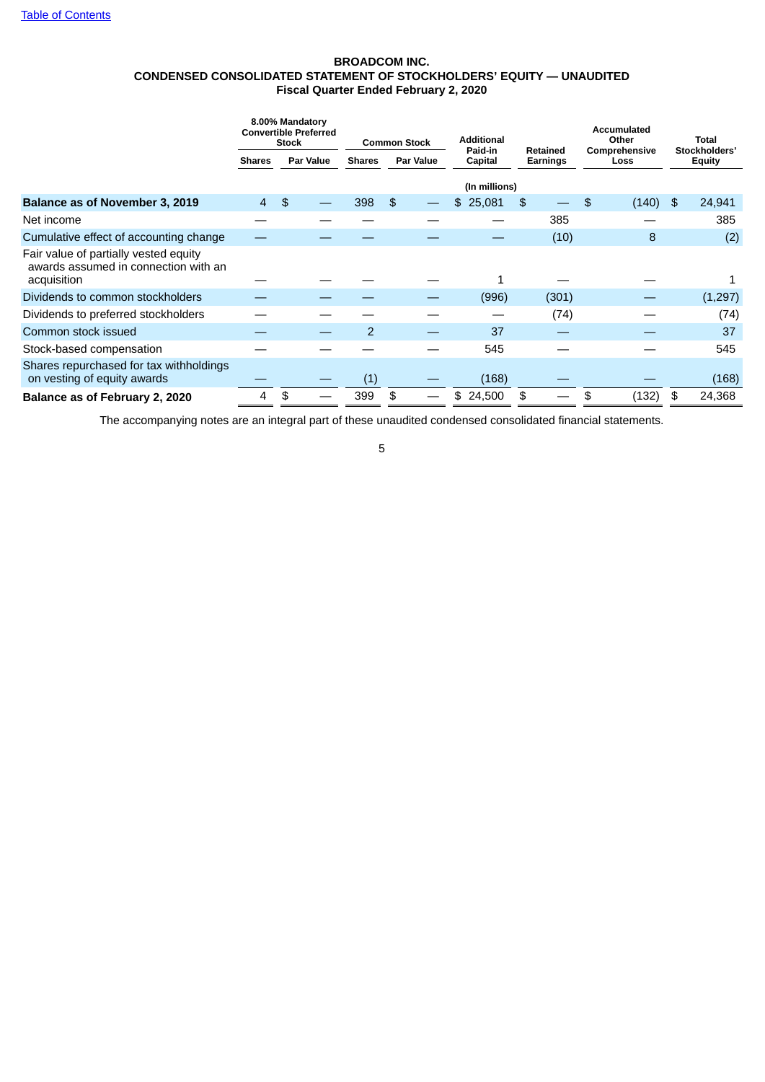## **BROADCOM INC. CONDENSED CONSOLIDATED STATEMENT OF STOCKHOLDERS' EQUITY — UNAUDITED Fiscal Quarter Ended February 2, 2020**

<span id="page-6-0"></span>

|                                                                                              | 8.00% Mandatory<br><b>Convertible Preferred</b><br><b>Stock</b> |                  | <b>Common Stock</b> |                | <b>Additional</b><br>Paid-in |                  | Retained            |    | <b>Accumulated</b><br>Other<br>Comprehensive |      | Total<br>Stockholders' |               |          |
|----------------------------------------------------------------------------------------------|-----------------------------------------------------------------|------------------|---------------------|----------------|------------------------------|------------------|---------------------|----|----------------------------------------------|------|------------------------|---------------|----------|
|                                                                                              | <b>Shares</b>                                                   | <b>Par Value</b> |                     | <b>Shares</b>  |                              | <b>Par Value</b> | Capital<br>Earnings |    |                                              | Loss |                        | <b>Equity</b> |          |
|                                                                                              |                                                                 |                  |                     |                |                              |                  | (In millions)       |    |                                              |      |                        |               |          |
| Balance as of November 3, 2019                                                               | $\overline{4}$                                                  | $\mathfrak{L}$   |                     | 398            | \$                           |                  | 25,081<br>\$        | \$ |                                              | \$.  | (140)                  | \$            | 24,941   |
| Net income                                                                                   |                                                                 |                  |                     |                |                              |                  |                     |    | 385                                          |      |                        |               | 385      |
| Cumulative effect of accounting change                                                       |                                                                 |                  |                     |                |                              |                  |                     |    | (10)                                         |      | 8                      |               | (2)      |
| Fair value of partially vested equity<br>awards assumed in connection with an<br>acquisition |                                                                 |                  |                     |                |                              |                  | 1                   |    |                                              |      |                        |               |          |
| Dividends to common stockholders                                                             |                                                                 |                  |                     |                |                              |                  | (996)               |    | (301)                                        |      |                        |               | (1, 297) |
| Dividends to preferred stockholders                                                          |                                                                 |                  |                     |                |                              |                  |                     |    | (74)                                         |      |                        |               | (74)     |
| Common stock issued                                                                          |                                                                 |                  |                     | $\overline{2}$ |                              |                  | 37                  |    |                                              |      |                        |               | 37       |
| Stock-based compensation                                                                     |                                                                 |                  |                     |                |                              |                  | 545                 |    |                                              |      |                        |               | 545      |
| Shares repurchased for tax withholdings<br>on vesting of equity awards                       |                                                                 |                  |                     | (1)            |                              |                  | (168)               |    |                                              |      |                        |               | (168)    |
| Balance as of February 2, 2020                                                               | 4                                                               | \$               |                     | 399            | \$                           |                  | 24,500<br>\$        | \$ |                                              |      | (132)                  | \$            | 24,368   |

The accompanying notes are an integral part of these unaudited condensed consolidated financial statements.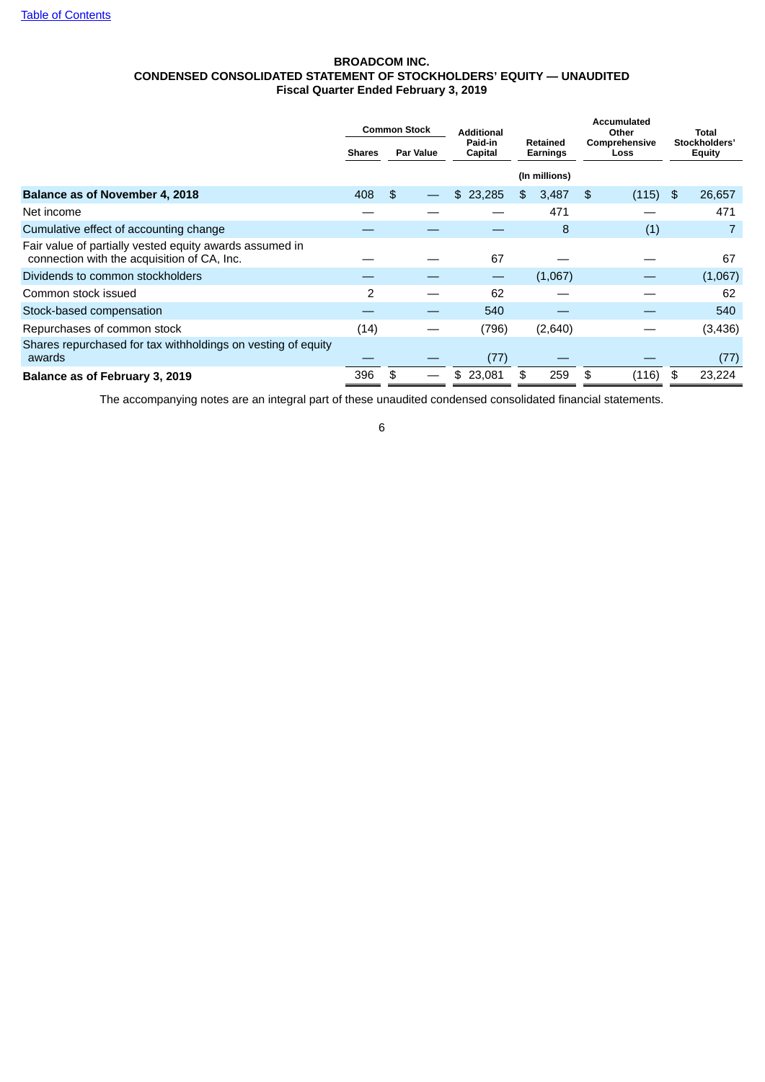## **BROADCOM INC. CONDENSED CONSOLIDATED STATEMENT OF STOCKHOLDERS' EQUITY — UNAUDITED Fiscal Quarter Ended February 3, 2019**

|                                                                                                        | <b>Common Stock</b> |                  |  | <b>Additional</b>  |          |                             |               | <b>Accumulated</b><br>Other |       | Total |                                |
|--------------------------------------------------------------------------------------------------------|---------------------|------------------|--|--------------------|----------|-----------------------------|---------------|-----------------------------|-------|-------|--------------------------------|
|                                                                                                        | <b>Shares</b>       | <b>Par Value</b> |  | Paid-in<br>Capital |          | Retained<br><b>Earnings</b> |               | Comprehensive<br>Loss       |       |       | Stockholders'<br><b>Equity</b> |
|                                                                                                        |                     |                  |  |                    |          |                             | (In millions) |                             |       |       |                                |
| Balance as of November 4, 2018                                                                         | 408                 | \$               |  | £                  | 23,285   | \$.                         | 3,487         | \$                          | (115) | -\$   | 26,657                         |
| Net income                                                                                             |                     |                  |  |                    |          |                             | 471           |                             |       |       | 471                            |
| Cumulative effect of accounting change                                                                 |                     |                  |  |                    |          |                             | 8             |                             | (1)   |       |                                |
| Fair value of partially vested equity awards assumed in<br>connection with the acquisition of CA, Inc. |                     |                  |  |                    | 67       |                             |               |                             |       |       | 67                             |
| Dividends to common stockholders                                                                       |                     |                  |  |                    | —        |                             | (1,067)       |                             |       |       | (1,067)                        |
| Common stock issued                                                                                    | 2                   |                  |  |                    | 62       |                             |               |                             |       |       | 62                             |
| Stock-based compensation                                                                               |                     |                  |  |                    | 540      |                             |               |                             |       |       | 540                            |
| Repurchases of common stock                                                                            | (14)                |                  |  |                    | (796)    |                             | (2,640)       |                             |       |       | (3,436)                        |
| Shares repurchased for tax withholdings on vesting of equity<br>awards                                 |                     |                  |  |                    | (77)     |                             |               |                             |       |       | (77)                           |
| Balance as of February 3, 2019                                                                         | 396                 | \$               |  |                    | \$23,081 | \$                          | 259           | \$                          | (116) | -SG   | 23,224                         |

The accompanying notes are an integral part of these unaudited condensed consolidated financial statements.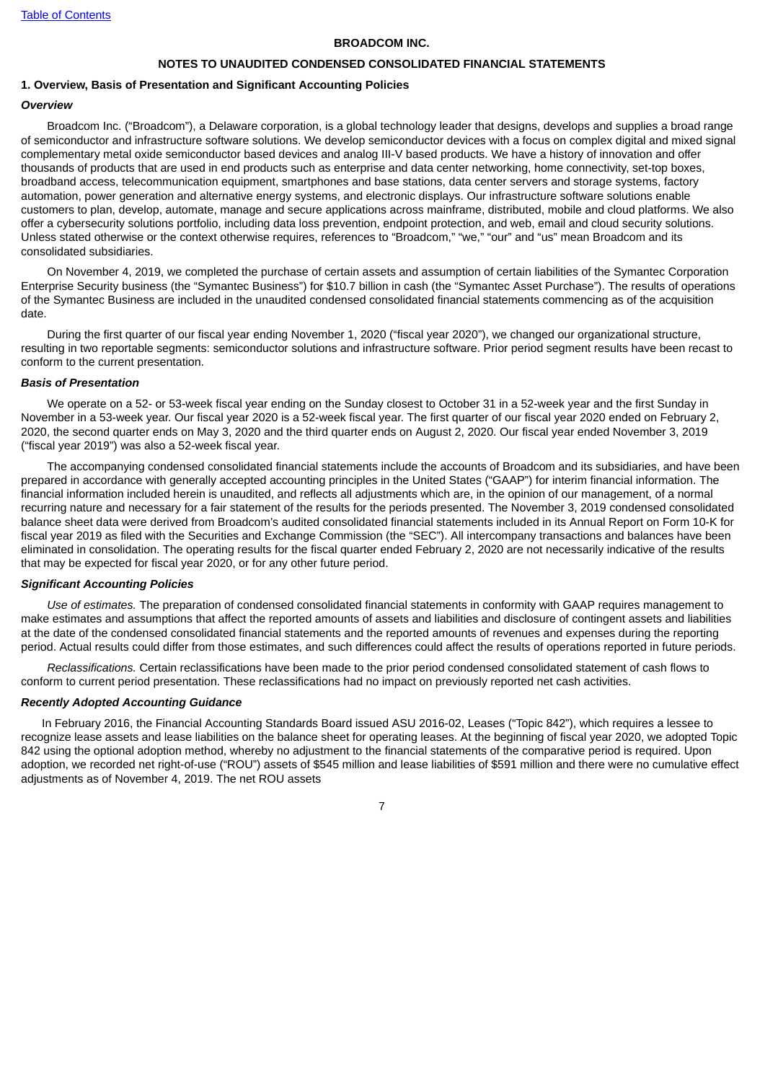#### **BROADCOM INC.**

#### **NOTES TO UNAUDITED CONDENSED CONSOLIDATED FINANCIAL STATEMENTS**

## <span id="page-8-0"></span>**1. Overview, Basis of Presentation and Significant Accounting Policies**

#### *Overview*

Broadcom Inc. ("Broadcom"), a Delaware corporation, is a global technology leader that designs, develops and supplies a broad range of semiconductor and infrastructure software solutions. We develop semiconductor devices with a focus on complex digital and mixed signal complementary metal oxide semiconductor based devices and analog III-V based products. We have a history of innovation and offer thousands of products that are used in end products such as enterprise and data center networking, home connectivity, set-top boxes, broadband access, telecommunication equipment, smartphones and base stations, data center servers and storage systems, factory automation, power generation and alternative energy systems, and electronic displays. Our infrastructure software solutions enable customers to plan, develop, automate, manage and secure applications across mainframe, distributed, mobile and cloud platforms. We also offer a cybersecurity solutions portfolio, including data loss prevention, endpoint protection, and web, email and cloud security solutions. Unless stated otherwise or the context otherwise requires, references to "Broadcom," "we," "our" and "us" mean Broadcom and its consolidated subsidiaries.

On November 4, 2019, we completed the purchase of certain assets and assumption of certain liabilities of the Symantec Corporation Enterprise Security business (the "Symantec Business") for \$10.7 billion in cash (the "Symantec Asset Purchase"). The results of operations of the Symantec Business are included in the unaudited condensed consolidated financial statements commencing as of the acquisition date.

During the first quarter of our fiscal year ending November 1, 2020 ("fiscal year 2020"), we changed our organizational structure, resulting in two reportable segments: semiconductor solutions and infrastructure software. Prior period segment results have been recast to conform to the current presentation.

#### *Basis of Presentation*

We operate on a 52- or 53-week fiscal year ending on the Sunday closest to October 31 in a 52-week year and the first Sunday in November in a 53-week year. Our fiscal year 2020 is a 52-week fiscal year. The first quarter of our fiscal year 2020 ended on February 2, 2020, the second quarter ends on May 3, 2020 and the third quarter ends on August 2, 2020. Our fiscal year ended November 3, 2019 ("fiscal year 2019") was also a 52-week fiscal year.

The accompanying condensed consolidated financial statements include the accounts of Broadcom and its subsidiaries, and have been prepared in accordance with generally accepted accounting principles in the United States ("GAAP") for interim financial information. The financial information included herein is unaudited, and reflects all adjustments which are, in the opinion of our management, of a normal recurring nature and necessary for a fair statement of the results for the periods presented. The November 3, 2019 condensed consolidated balance sheet data were derived from Broadcom's audited consolidated financial statements included in its Annual Report on Form 10-K for fiscal year 2019 as filed with the Securities and Exchange Commission (the "SEC"). All intercompany transactions and balances have been eliminated in consolidation. The operating results for the fiscal quarter ended February 2, 2020 are not necessarily indicative of the results that may be expected for fiscal year 2020, or for any other future period.

## *Significant Accounting Policies*

*Use of estimates.* The preparation of condensed consolidated financial statements in conformity with GAAP requires management to make estimates and assumptions that affect the reported amounts of assets and liabilities and disclosure of contingent assets and liabilities at the date of the condensed consolidated financial statements and the reported amounts of revenues and expenses during the reporting period. Actual results could differ from those estimates, and such differences could affect the results of operations reported in future periods.

*Reclassifications.* Certain reclassifications have been made to the prior period condensed consolidated statement of cash flows to conform to current period presentation. These reclassifications had no impact on previously reported net cash activities.

#### *Recently Adopted Accounting Guidance*

In February 2016, the Financial Accounting Standards Board issued ASU 2016-02, Leases ("Topic 842"), which requires a lessee to recognize lease assets and lease liabilities on the balance sheet for operating leases. At the beginning of fiscal year 2020, we adopted Topic 842 using the optional adoption method, whereby no adjustment to the financial statements of the comparative period is required. Upon adoption, we recorded net right-of-use ("ROU") assets of \$545 million and lease liabilities of \$591 million and there were no cumulative effect adjustments as of November 4, 2019. The net ROU assets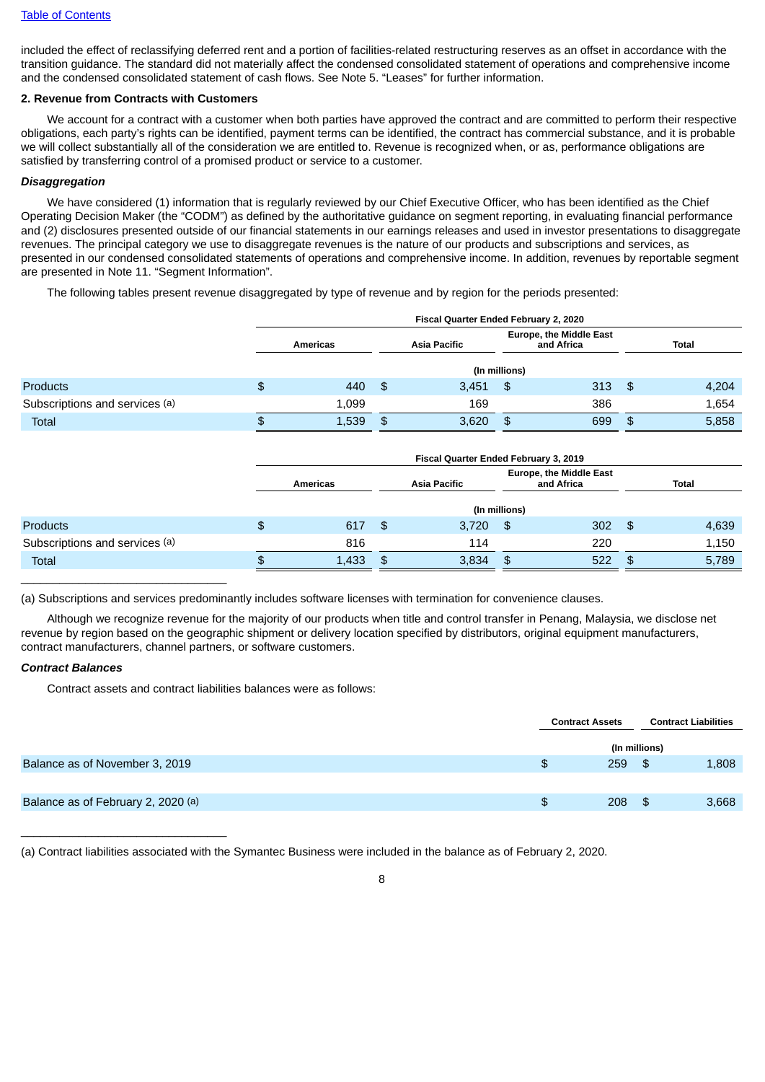included the effect of reclassifying deferred rent and a portion of facilities-related restructuring reserves as an offset in accordance with the transition guidance. The standard did not materially affect the condensed consolidated statement of operations and comprehensive income and the condensed consolidated statement of cash flows. See Note 5. "Leases" for further information.

#### **2. Revenue from Contracts with Customers**

We account for a contract with a customer when both parties have approved the contract and are committed to perform their respective obligations, each party's rights can be identified, payment terms can be identified, the contract has commercial substance, and it is probable we will collect substantially all of the consideration we are entitled to. Revenue is recognized when, or as, performance obligations are satisfied by transferring control of a promised product or service to a customer.

#### *Disaggregation*

We have considered (1) information that is regularly reviewed by our Chief Executive Officer, who has been identified as the Chief Operating Decision Maker (the "CODM") as defined by the authoritative guidance on segment reporting, in evaluating financial performance and (2) disclosures presented outside of our financial statements in our earnings releases and used in investor presentations to disaggregate revenues. The principal category we use to disaggregate revenues is the nature of our products and subscriptions and services, as presented in our condensed consolidated statements of operations and comprehensive income. In addition, revenues by reportable segment are presented in Note 11. "Segment Information".

The following tables present revenue disaggregated by type of revenue and by region for the periods presented:

|                                |               |      | Fiscal Quarter Ended February 2, 2020 |               |                                              |    |              |  |  |  |
|--------------------------------|---------------|------|---------------------------------------|---------------|----------------------------------------------|----|--------------|--|--|--|
|                                | Americas      |      | <b>Asia Pacific</b>                   |               | <b>Europe, the Middle East</b><br>and Africa |    | Total        |  |  |  |
|                                | (In millions) |      |                                       |               |                                              |    |              |  |  |  |
| <b>Products</b>                | \$<br>440     | - \$ | 3,451                                 | -\$           | $313 - $$                                    |    | 4,204        |  |  |  |
| Subscriptions and services (a) | 1,099         |      | 169                                   |               | 386                                          |    | 1,654        |  |  |  |
| <b>Total</b>                   | \$<br>1,539   | \$   | 3,620                                 | \$            | 699                                          | \$ | 5,858        |  |  |  |
|                                |               |      |                                       |               |                                              |    |              |  |  |  |
|                                |               |      | Fiscal Quarter Ended February 3, 2019 |               |                                              |    |              |  |  |  |
|                                | Americas      |      | Asia Pacific                          |               | <b>Europe, the Middle East</b><br>and Africa |    | <b>Total</b> |  |  |  |
|                                |               |      |                                       | (In millions) |                                              |    |              |  |  |  |
| <b>Products</b>                | \$<br>617     | \$   | 3,720                                 | -\$           | $302 - $$                                    |    | 4,639        |  |  |  |
| Subscriptions and services (a) | 816           |      | 114                                   |               | 220                                          |    | 1.150        |  |  |  |

(a) Subscriptions and services predominantly includes software licenses with termination for convenience clauses.

Although we recognize revenue for the majority of our products when title and control transfer in Penang, Malaysia, we disclose net revenue by region based on the geographic shipment or delivery location specified by distributors, original equipment manufacturers, contract manufacturers, channel partners, or software customers.

Total \$ 1,433 \$ 3,834 \$ 522 \$ 5,789

#### *Contract Balances*

\_\_\_\_\_\_\_\_\_\_\_\_\_\_\_\_\_\_\_\_\_\_\_\_\_\_\_\_\_\_\_\_

\_\_\_\_\_\_\_\_\_\_\_\_\_\_\_\_\_\_\_\_\_\_\_\_\_\_\_\_\_\_\_\_

Contract assets and contract liabilities balances were as follows:

|                                    |              | <b>Contract Assets</b> |               | <b>Contract Liabilities</b> |
|------------------------------------|--------------|------------------------|---------------|-----------------------------|
|                                    |              |                        | (In millions) |                             |
| Balance as of November 3, 2019     | \$           | 259                    | -\$           | 1,808                       |
|                                    |              |                        |               |                             |
| Balance as of February 2, 2020 (a) | $\mathbf{f}$ | 208                    | -\$           | 3,668                       |

(a) Contract liabilities associated with the Symantec Business were included in the balance as of February 2, 2020.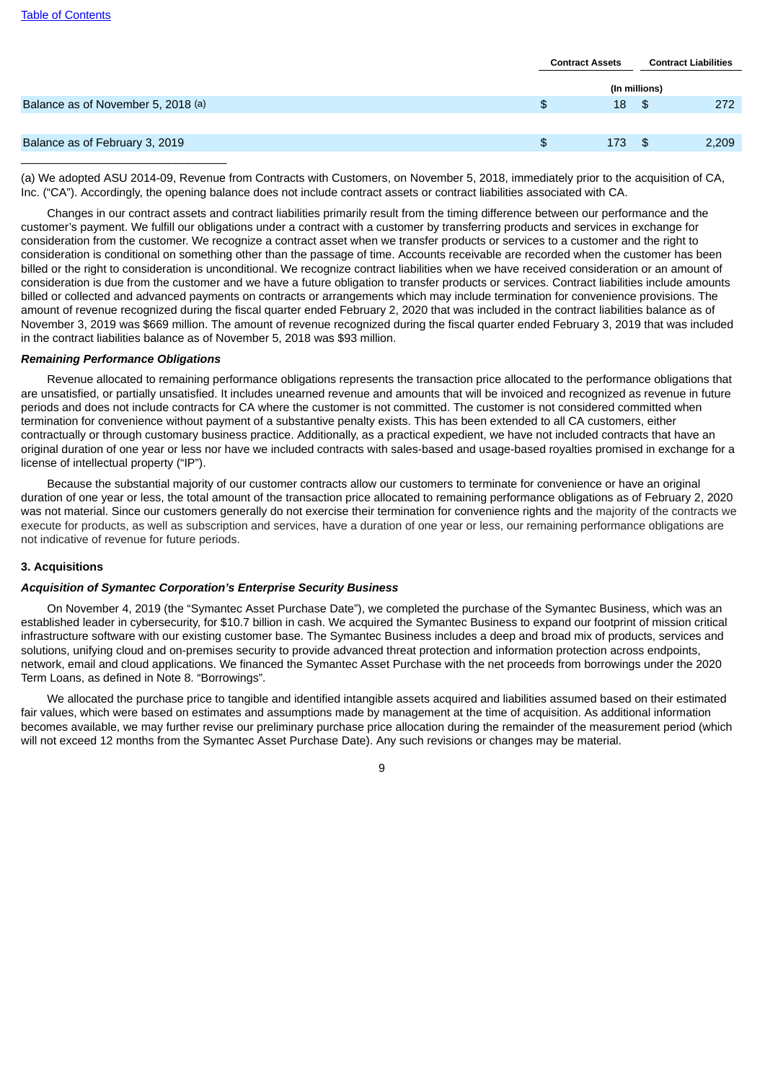|                                    | <b>Contract Assets</b> |               | <b>Contract Liabilities</b> |
|------------------------------------|------------------------|---------------|-----------------------------|
|                                    |                        | (In millions) |                             |
| Balance as of November 5, 2018 (a) | \$<br>18               | - \$          | 272                         |
|                                    |                        |               |                             |
| Balance as of February 3, 2019     | \$<br>173              | - \$          | 2,209                       |
|                                    |                        |               |                             |

(a) We adopted ASU 2014-09, Revenue from Contracts with Customers, on November 5, 2018, immediately prior to the acquisition of CA, Inc. ("CA"). Accordingly, the opening balance does not include contract assets or contract liabilities associated with CA.

Changes in our contract assets and contract liabilities primarily result from the timing difference between our performance and the customer's payment. We fulfill our obligations under a contract with a customer by transferring products and services in exchange for consideration from the customer. We recognize a contract asset when we transfer products or services to a customer and the right to consideration is conditional on something other than the passage of time. Accounts receivable are recorded when the customer has been billed or the right to consideration is unconditional. We recognize contract liabilities when we have received consideration or an amount of consideration is due from the customer and we have a future obligation to transfer products or services. Contract liabilities include amounts billed or collected and advanced payments on contracts or arrangements which may include termination for convenience provisions. The amount of revenue recognized during the fiscal quarter ended February 2, 2020 that was included in the contract liabilities balance as of November 3, 2019 was \$669 million. The amount of revenue recognized during the fiscal quarter ended February 3, 2019 that was included in the contract liabilities balance as of November 5, 2018 was \$93 million.

## *Remaining Performance Obligations*

Revenue allocated to remaining performance obligations represents the transaction price allocated to the performance obligations that are unsatisfied, or partially unsatisfied. It includes unearned revenue and amounts that will be invoiced and recognized as revenue in future periods and does not include contracts for CA where the customer is not committed. The customer is not considered committed when termination for convenience without payment of a substantive penalty exists. This has been extended to all CA customers, either contractually or through customary business practice. Additionally, as a practical expedient, we have not included contracts that have an original duration of one year or less nor have we included contracts with sales-based and usage-based royalties promised in exchange for a license of intellectual property ("IP").

Because the substantial majority of our customer contracts allow our customers to terminate for convenience or have an original duration of one year or less, the total amount of the transaction price allocated to remaining performance obligations as of February 2, 2020 was not material. Since our customers generally do not exercise their termination for convenience rights and the majority of the contracts we execute for products, as well as subscription and services, have a duration of one year or less, our remaining performance obligations are not indicative of revenue for future periods.

#### **3. Acquisitions**

#### *Acquisition of Symantec Corporation's Enterprise Security Business*

On November 4, 2019 (the "Symantec Asset Purchase Date"), we completed the purchase of the Symantec Business, which was an established leader in cybersecurity, for \$10.7 billion in cash. We acquired the Symantec Business to expand our footprint of mission critical infrastructure software with our existing customer base. The Symantec Business includes a deep and broad mix of products, services and solutions, unifying cloud and on-premises security to provide advanced threat protection and information protection across endpoints, network, email and cloud applications. We financed the Symantec Asset Purchase with the net proceeds from borrowings under the 2020 Term Loans, as defined in Note 8. "Borrowings".

We allocated the purchase price to tangible and identified intangible assets acquired and liabilities assumed based on their estimated fair values, which were based on estimates and assumptions made by management at the time of acquisition. As additional information becomes available, we may further revise our preliminary purchase price allocation during the remainder of the measurement period (which will not exceed 12 months from the Symantec Asset Purchase Date). Any such revisions or changes may be material.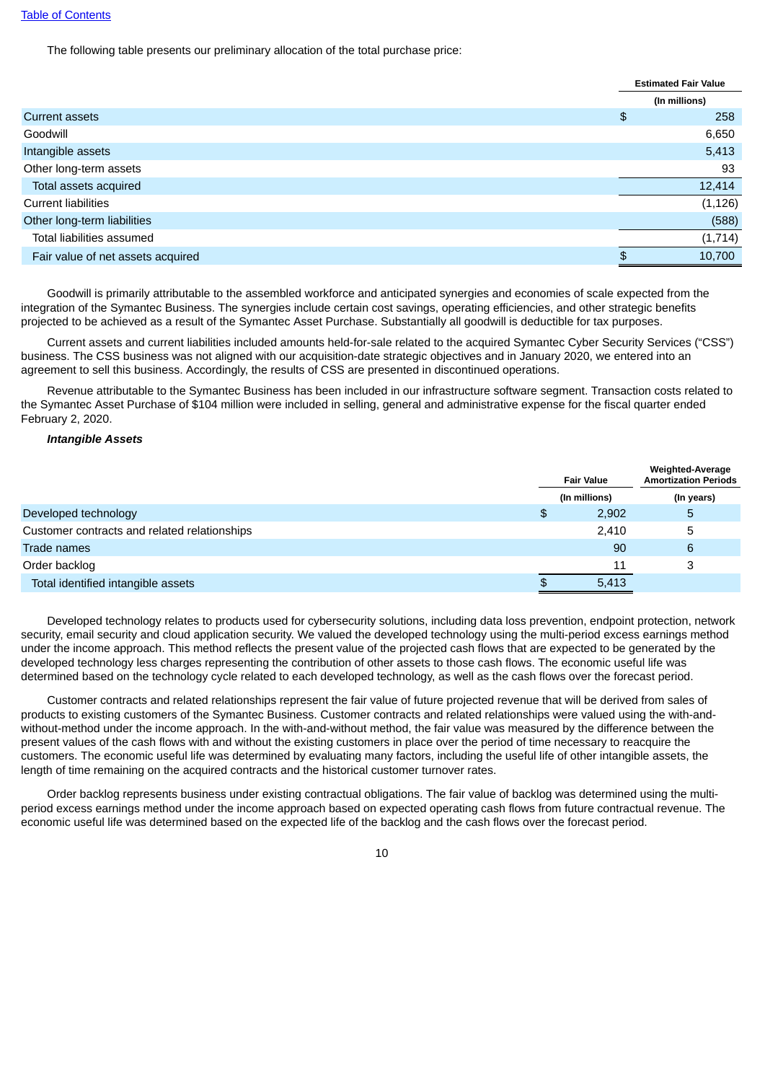The following table presents our preliminary allocation of the total purchase price:

|                                   | <b>Estimated Fair Value</b> |          |
|-----------------------------------|-----------------------------|----------|
|                                   | (In millions)               |          |
| <b>Current assets</b>             | \$                          | 258      |
| Goodwill                          |                             | 6,650    |
| Intangible assets                 |                             | 5,413    |
| Other long-term assets            |                             | 93       |
| Total assets acquired             |                             | 12,414   |
| <b>Current liabilities</b>        |                             | (1, 126) |
| Other long-term liabilities       |                             | (588)    |
| Total liabilities assumed         |                             | (1,714)  |
| Fair value of net assets acquired | \$                          | 10,700   |

Goodwill is primarily attributable to the assembled workforce and anticipated synergies and economies of scale expected from the integration of the Symantec Business. The synergies include certain cost savings, operating efficiencies, and other strategic benefits projected to be achieved as a result of the Symantec Asset Purchase. Substantially all goodwill is deductible for tax purposes.

Current assets and current liabilities included amounts held-for-sale related to the acquired Symantec Cyber Security Services ("CSS") business. The CSS business was not aligned with our acquisition-date strategic objectives and in January 2020, we entered into an agreement to sell this business. Accordingly, the results of CSS are presented in discontinued operations.

Revenue attributable to the Symantec Business has been included in our infrastructure software segment. Transaction costs related to the Symantec Asset Purchase of \$104 million were included in selling, general and administrative expense for the fiscal quarter ended February 2, 2020.

#### *Intangible Assets*

|                                              | <b>Fair Value</b> | <b>Weighted-Average</b><br><b>Amortization Periods</b> |  |
|----------------------------------------------|-------------------|--------------------------------------------------------|--|
|                                              | (In millions)     | (In years)                                             |  |
| Developed technology                         | \$<br>2,902       | 5                                                      |  |
| Customer contracts and related relationships | 2.410             | 5                                                      |  |
| Trade names                                  | 90                | 6                                                      |  |
| Order backlog                                | 11                |                                                        |  |
| Total identified intangible assets           | \$<br>5,413       |                                                        |  |

Developed technology relates to products used for cybersecurity solutions, including data loss prevention, endpoint protection, network security, email security and cloud application security. We valued the developed technology using the multi-period excess earnings method under the income approach. This method reflects the present value of the projected cash flows that are expected to be generated by the developed technology less charges representing the contribution of other assets to those cash flows. The economic useful life was determined based on the technology cycle related to each developed technology, as well as the cash flows over the forecast period.

Customer contracts and related relationships represent the fair value of future projected revenue that will be derived from sales of products to existing customers of the Symantec Business. Customer contracts and related relationships were valued using the with-andwithout-method under the income approach. In the with-and-without method, the fair value was measured by the difference between the present values of the cash flows with and without the existing customers in place over the period of time necessary to reacquire the customers. The economic useful life was determined by evaluating many factors, including the useful life of other intangible assets, the length of time remaining on the acquired contracts and the historical customer turnover rates.

Order backlog represents business under existing contractual obligations. The fair value of backlog was determined using the multiperiod excess earnings method under the income approach based on expected operating cash flows from future contractual revenue. The economic useful life was determined based on the expected life of the backlog and the cash flows over the forecast period.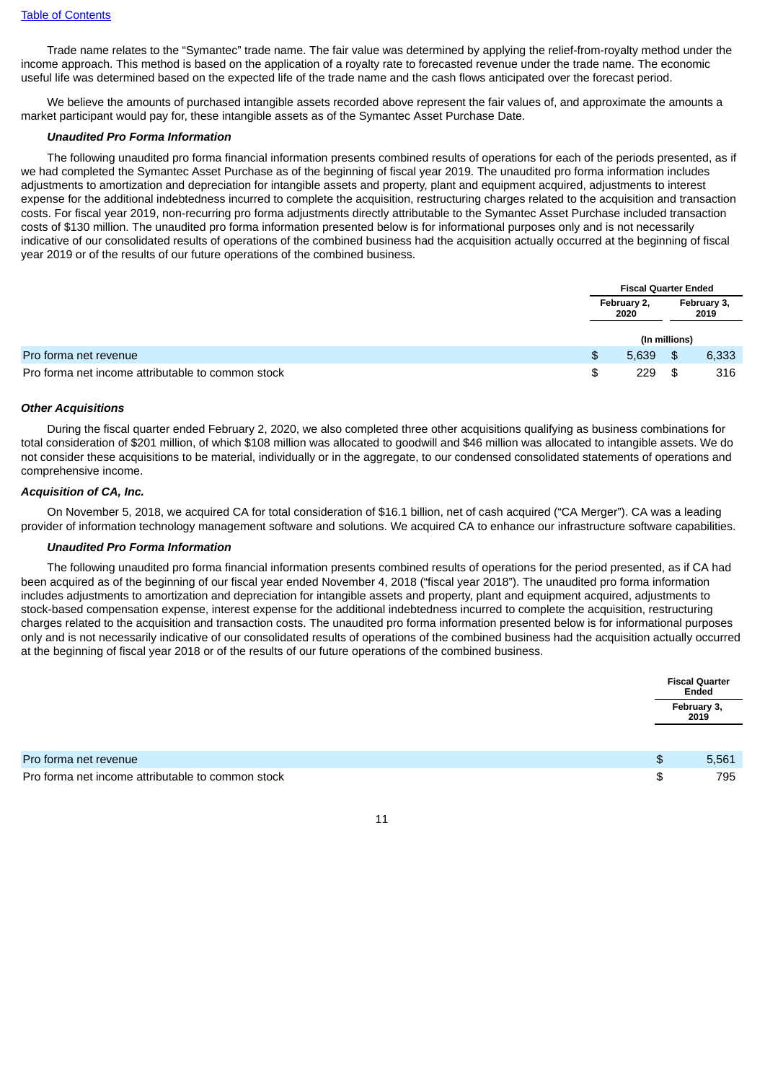Trade name relates to the "Symantec" trade name. The fair value was determined by applying the relief-from-royalty method under the income approach. This method is based on the application of a royalty rate to forecasted revenue under the trade name. The economic useful life was determined based on the expected life of the trade name and the cash flows anticipated over the forecast period.

We believe the amounts of purchased intangible assets recorded above represent the fair values of, and approximate the amounts a market participant would pay for, these intangible assets as of the Symantec Asset Purchase Date.

#### *Unaudited Pro Forma Information*

The following unaudited pro forma financial information presents combined results of operations for each of the periods presented, as if we had completed the Symantec Asset Purchase as of the beginning of fiscal year 2019. The unaudited pro forma information includes adjustments to amortization and depreciation for intangible assets and property, plant and equipment acquired, adjustments to interest expense for the additional indebtedness incurred to complete the acquisition, restructuring charges related to the acquisition and transaction costs. For fiscal year 2019, non-recurring pro forma adjustments directly attributable to the Symantec Asset Purchase included transaction costs of \$130 million. The unaudited pro forma information presented below is for informational purposes only and is not necessarily indicative of our consolidated results of operations of the combined business had the acquisition actually occurred at the beginning of fiscal year 2019 or of the results of our future operations of the combined business.

|                                                   | <b>Fiscal Quarter Ended</b> |               |                     |  |
|---------------------------------------------------|-----------------------------|---------------|---------------------|--|
|                                                   | February 2,<br>2020         |               | February 3,<br>2019 |  |
|                                                   |                             | (In millions) |                     |  |
| Pro forma net revenue                             | \$<br>5,639                 | \$            | 6,333               |  |
| Pro forma net income attributable to common stock | \$<br>229                   | \$            | 316                 |  |

#### *Other Acquisitions*

During the fiscal quarter ended February 2, 2020, we also completed three other acquisitions qualifying as business combinations for total consideration of \$201 million, of which \$108 million was allocated to goodwill and \$46 million was allocated to intangible assets. We do not consider these acquisitions to be material, individually or in the aggregate, to our condensed consolidated statements of operations and comprehensive income.

#### *Acquisition of CA, Inc.*

On November 5, 2018, we acquired CA for total consideration of \$16.1 billion, net of cash acquired ("CA Merger"). CA was a leading provider of information technology management software and solutions. We acquired CA to enhance our infrastructure software capabilities.

#### *Unaudited Pro Forma Information*

The following unaudited pro forma financial information presents combined results of operations for the period presented, as if CA had been acquired as of the beginning of our fiscal year ended November 4, 2018 ("fiscal year 2018"). The unaudited pro forma information includes adjustments to amortization and depreciation for intangible assets and property, plant and equipment acquired, adjustments to stock-based compensation expense, interest expense for the additional indebtedness incurred to complete the acquisition, restructuring charges related to the acquisition and transaction costs. The unaudited pro forma information presented below is for informational purposes only and is not necessarily indicative of our consolidated results of operations of the combined business had the acquisition actually occurred at the beginning of fiscal year 2018 or of the results of our future operations of the combined business.

|                                                   | <b>Fiscal Quarter</b><br>Ended |
|---------------------------------------------------|--------------------------------|
|                                                   | February 3,<br>2019            |
|                                                   |                                |
| Pro forma net revenue                             | \$<br>5,561                    |
| Pro forma net income attributable to common stock | \$<br>795                      |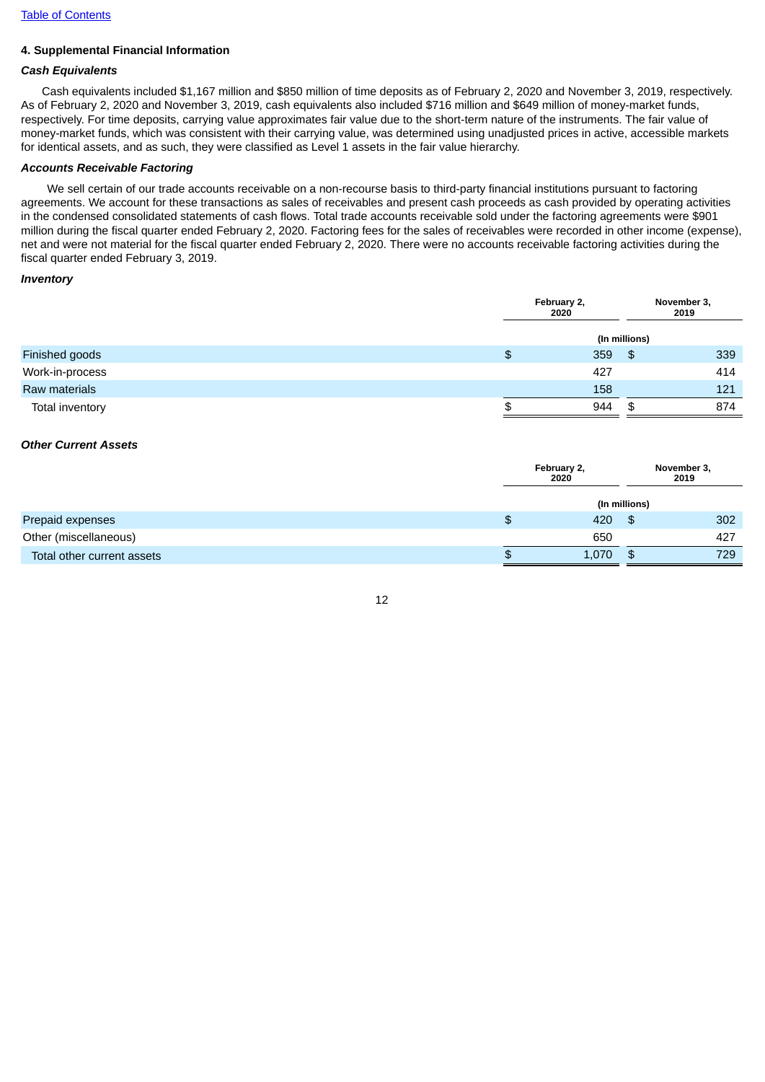## **4. Supplemental Financial Information**

### *Cash Equivalents*

Cash equivalents included \$1,167 million and \$850 million of time deposits as of February 2, 2020 and November 3, 2019, respectively. As of February 2, 2020 and November 3, 2019, cash equivalents also included \$716 million and \$649 million of money-market funds, respectively. For time deposits, carrying value approximates fair value due to the short-term nature of the instruments. The fair value of money-market funds, which was consistent with their carrying value, was determined using unadjusted prices in active, accessible markets for identical assets, and as such, they were classified as Level 1 assets in the fair value hierarchy.

#### *Accounts Receivable Factoring*

We sell certain of our trade accounts receivable on a non-recourse basis to third-party financial institutions pursuant to factoring agreements. We account for these transactions as sales of receivables and present cash proceeds as cash provided by operating activities in the condensed consolidated statements of cash flows. Total trade accounts receivable sold under the factoring agreements were \$901 million during the fiscal quarter ended February 2, 2020. Factoring fees for the sales of receivables were recorded in other income (expense), net and were not material for the fiscal quarter ended February 2, 2020. There were no accounts receivable factoring activities during the fiscal quarter ended February 3, 2019.

*Inventory*

|                 | February 2,<br>2020 |               | November 3,<br>2019 |
|-----------------|---------------------|---------------|---------------------|
|                 |                     | (In millions) |                     |
| Finished goods  | \$<br>359           | \$            | 339                 |
| Work-in-process | 427                 |               | 414                 |
| Raw materials   | 158                 |               | 121                 |
| Total inventory | \$<br>944           | \$            | 874                 |

#### *Other Current Assets*

|                            | February 2,<br>2020 |               | November 3,<br>2019 |
|----------------------------|---------------------|---------------|---------------------|
|                            |                     | (In millions) |                     |
| Prepaid expenses           | \$<br>420           | \$            | 302                 |
| Other (miscellaneous)      | 650                 |               | 427                 |
| Total other current assets | \$<br>1,070         | \$            | 729.                |

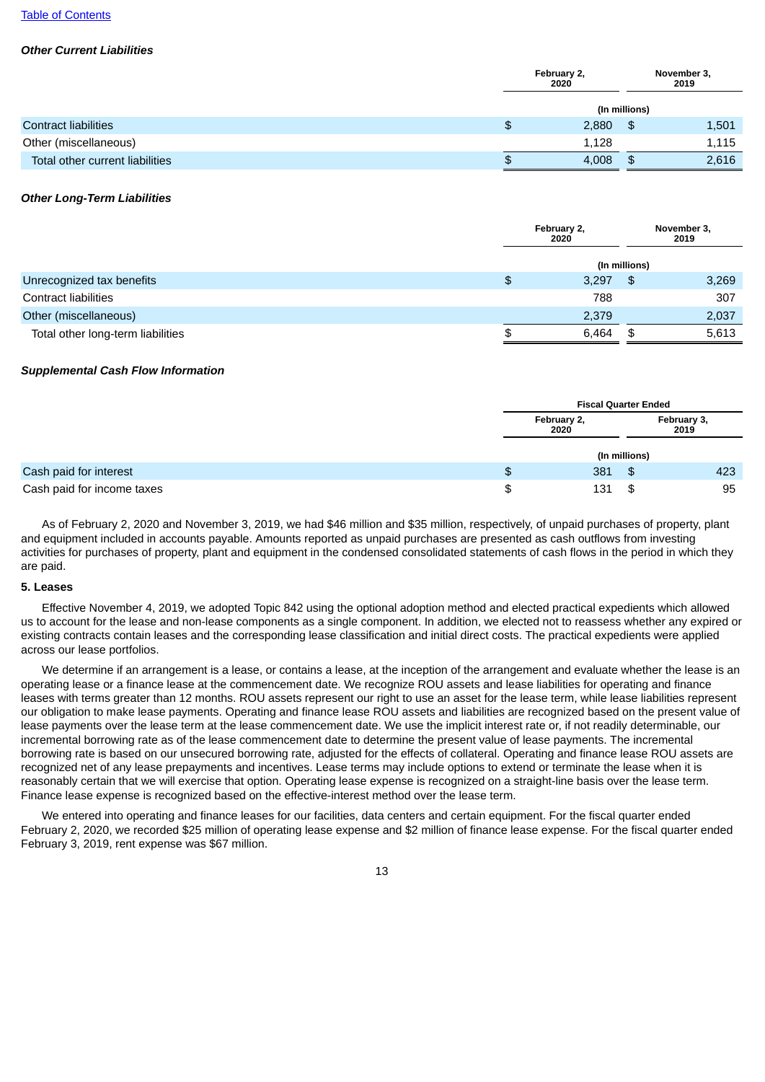## *Other Current Liabilities*

|                                 | February 2,<br>2020 |               | November 3,<br>2019 |
|---------------------------------|---------------------|---------------|---------------------|
|                                 |                     | (In millions) |                     |
| <b>Contract liabilities</b>     | \$<br>2,880         | \$            | 1,501               |
| Other (miscellaneous)           | 1,128               |               | 1,115               |
| Total other current liabilities | \$<br>4,008         | \$            | 2,616               |

#### *Other Long-Term Liabilities*

|                                   | February 2,<br>2020 |               | November 3,<br>2019 |
|-----------------------------------|---------------------|---------------|---------------------|
|                                   |                     | (In millions) |                     |
| Unrecognized tax benefits         | \$<br>3,297         | \$            | 3,269               |
| <b>Contract liabilities</b>       | 788                 |               | 307                 |
| Other (miscellaneous)             | 2,379               |               | 2,037               |
| Total other long-term liabilities | \$<br>6,464         |               | 5,613               |

#### *Supplemental Cash Flow Information*

|                            | <b>Fiscal Quarter Ended</b> |               |                     |  |
|----------------------------|-----------------------------|---------------|---------------------|--|
|                            | February 2,<br>2020         |               | February 3,<br>2019 |  |
|                            |                             | (In millions) |                     |  |
| Cash paid for interest     | \$<br>381                   | \$            | 423                 |  |
| Cash paid for income taxes | \$<br>131                   | \$            | 95                  |  |

As of February 2, 2020 and November 3, 2019, we had \$46 million and \$35 million, respectively, of unpaid purchases of property, plant and equipment included in accounts payable. Amounts reported as unpaid purchases are presented as cash outflows from investing activities for purchases of property, plant and equipment in the condensed consolidated statements of cash flows in the period in which they are paid.

#### **5. Leases**

Effective November 4, 2019, we adopted Topic 842 using the optional adoption method and elected practical expedients which allowed us to account for the lease and non-lease components as a single component. In addition, we elected not to reassess whether any expired or existing contracts contain leases and the corresponding lease classification and initial direct costs. The practical expedients were applied across our lease portfolios.

We determine if an arrangement is a lease, or contains a lease, at the inception of the arrangement and evaluate whether the lease is an operating lease or a finance lease at the commencement date. We recognize ROU assets and lease liabilities for operating and finance leases with terms greater than 12 months. ROU assets represent our right to use an asset for the lease term, while lease liabilities represent our obligation to make lease payments. Operating and finance lease ROU assets and liabilities are recognized based on the present value of lease payments over the lease term at the lease commencement date. We use the implicit interest rate or, if not readily determinable, our incremental borrowing rate as of the lease commencement date to determine the present value of lease payments. The incremental borrowing rate is based on our unsecured borrowing rate, adjusted for the effects of collateral. Operating and finance lease ROU assets are recognized net of any lease prepayments and incentives. Lease terms may include options to extend or terminate the lease when it is reasonably certain that we will exercise that option. Operating lease expense is recognized on a straight-line basis over the lease term. Finance lease expense is recognized based on the effective-interest method over the lease term.

We entered into operating and finance leases for our facilities, data centers and certain equipment. For the fiscal quarter ended February 2, 2020, we recorded \$25 million of operating lease expense and \$2 million of finance lease expense. For the fiscal quarter ended February 3, 2019, rent expense was \$67 million.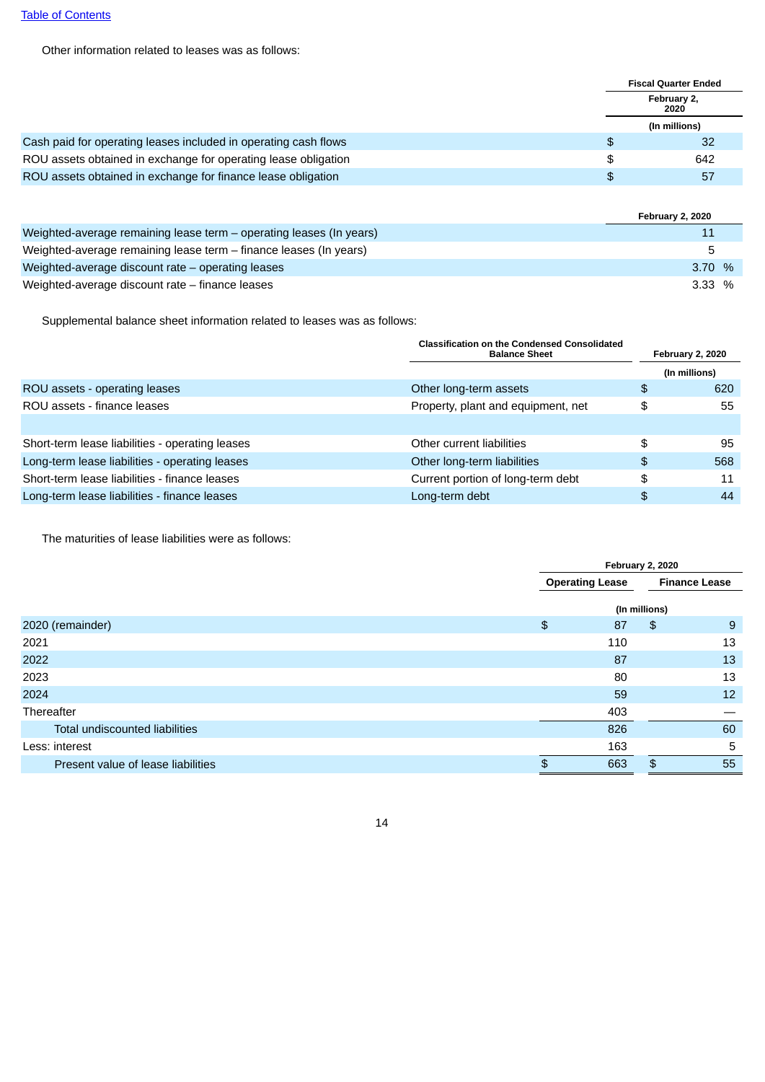Other information related to leases was as follows:

|                                                                 |     | <b>Fiscal Quarter Ended</b> |
|-----------------------------------------------------------------|-----|-----------------------------|
|                                                                 |     | February 2,<br>2020         |
|                                                                 |     | (In millions)               |
| Cash paid for operating leases included in operating cash flows |     | 32                          |
| ROU assets obtained in exchange for operating lease obligation  | \$. | 642                         |
| ROU assets obtained in exchange for finance lease obligation    | \$  | 57                          |
|                                                                 |     |                             |

|                                                                     | February 2, 2020 |
|---------------------------------------------------------------------|------------------|
| Weighted-average remaining lease term – operating leases (In years) |                  |
| Weighted-average remaining lease term – finance leases (In years)   | h                |
| Weighted-average discount rate – operating leases                   | 3.70%            |
| Weighted-average discount rate – finance leases                     | $3.33\%$         |

Supplemental balance sheet information related to leases was as follows:

|                                                 | <b>Classification on the Condensed Consolidated</b><br><b>Balance Sheet</b> | <b>February 2, 2020</b> |
|-------------------------------------------------|-----------------------------------------------------------------------------|-------------------------|
|                                                 |                                                                             | (In millions)           |
| ROU assets - operating leases                   | Other long-term assets                                                      | \$<br>620               |
| ROU assets - finance leases                     | Property, plant and equipment, net                                          | \$<br>55                |
|                                                 |                                                                             |                         |
| Short-term lease liabilities - operating leases | Other current liabilities                                                   | \$<br>95                |
| Long-term lease liabilities - operating leases  | Other long-term liabilities                                                 | \$<br>568               |
| Short-term lease liabilities - finance leases   | Current portion of long-term debt                                           | \$<br>11                |
| Long-term lease liabilities - finance leases    | Long-term debt                                                              | \$<br>44                |

The maturities of lease liabilities were as follows:

|                                       | <b>February 2, 2020</b> |               |                      |  |
|---------------------------------------|-------------------------|---------------|----------------------|--|
|                                       | <b>Operating Lease</b>  |               | <b>Finance Lease</b> |  |
|                                       |                         | (In millions) |                      |  |
| 2020 (remainder)                      | \$<br>87                | \$            | 9                    |  |
| 2021                                  | 110                     |               | 13                   |  |
| 2022                                  | 87                      |               | 13                   |  |
| 2023                                  | 80                      |               | 13                   |  |
| 2024                                  | 59                      |               | 12                   |  |
| Thereafter                            | 403                     |               |                      |  |
| <b>Total undiscounted liabilities</b> | 826                     |               | 60                   |  |
| Less: interest                        | 163                     |               | 5                    |  |
| Present value of lease liabilities    | \$<br>663               | \$            | 55                   |  |
|                                       |                         |               |                      |  |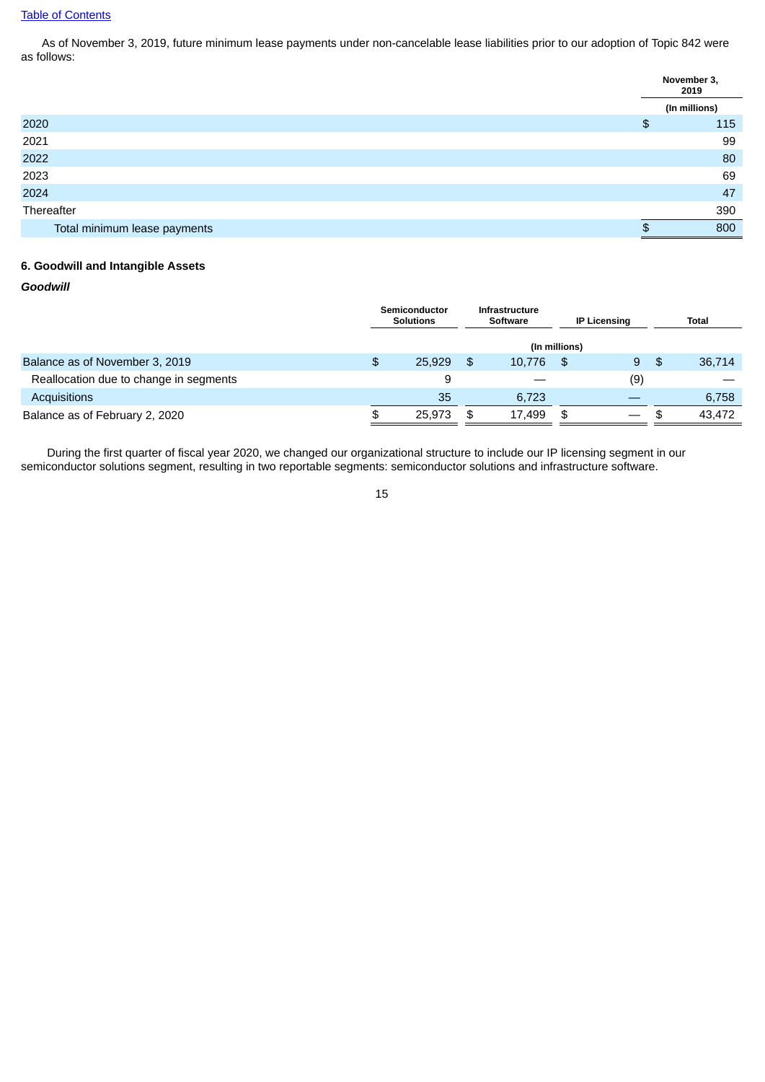## Table of [Contents](#page-1-0)

As of November 3, 2019, future minimum lease payments under non-cancelable lease liabilities prior to our adoption of Topic 842 were as follows:

|                              | November 3,<br>2019 |     |
|------------------------------|---------------------|-----|
|                              | (In millions)       |     |
| 2020                         | \$                  | 115 |
| 2021                         |                     | 99  |
| 2022                         |                     | 80  |
| 2023                         |                     | 69  |
| 2024                         |                     | 47  |
| Thereafter                   |                     | 390 |
| Total minimum lease payments | £                   | 800 |

## **6. Goodwill and Intangible Assets**

*Goodwill*

|                                        | Semiconductor<br><b>Solutions</b> | <b>Infrastructure</b><br>Software |        |               | <b>IP Licensing</b> |     | <b>Total</b> |
|----------------------------------------|-----------------------------------|-----------------------------------|--------|---------------|---------------------|-----|--------------|
|                                        |                                   |                                   |        | (In millions) |                     |     |              |
| Balance as of November 3, 2019         | \$<br>25,929                      | -\$                               | 10.776 | \$.           | 9.                  | -\$ | 36,714       |
| Reallocation due to change in segments | 9                                 |                                   |        |               | (9)                 |     |              |
| Acquisitions                           | 35                                |                                   | 6,723  |               |                     |     | 6,758        |
| Balance as of February 2, 2020         | \$<br>25.973                      | \$                                | 17,499 | \$            |                     | -\$ | 43.472       |

During the first quarter of fiscal year 2020, we changed our organizational structure to include our IP licensing segment in our semiconductor solutions segment, resulting in two reportable segments: semiconductor solutions and infrastructure software.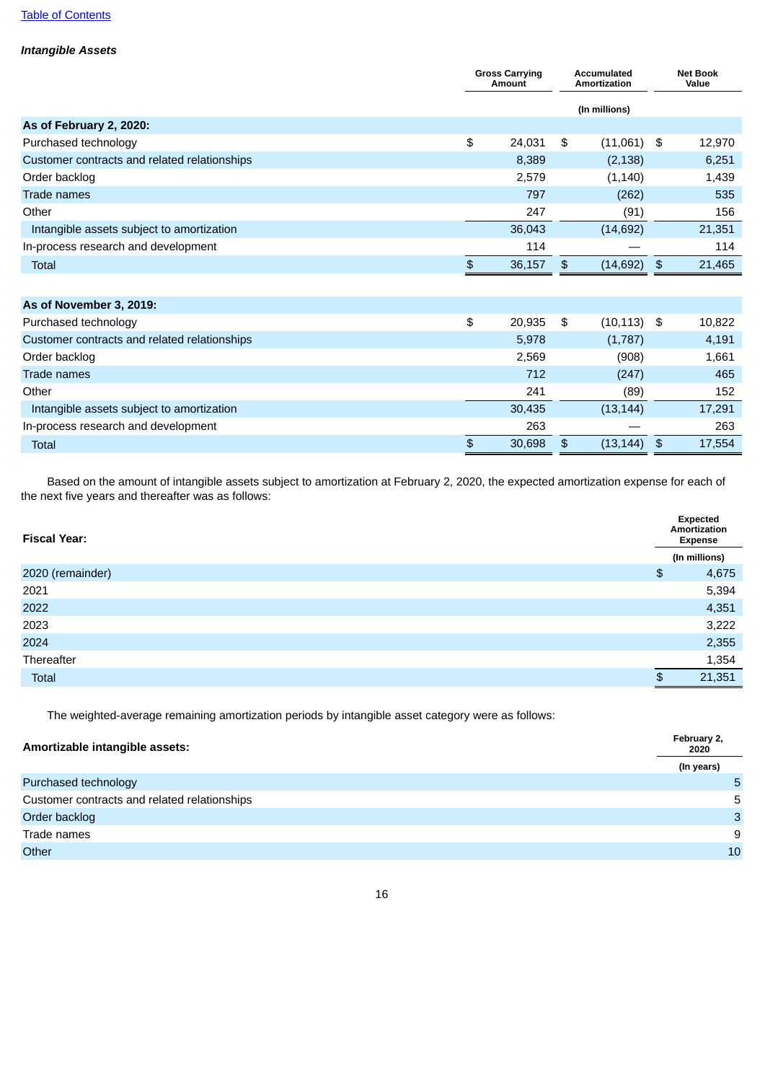## Table of [Contents](#page-1-0)

## *Intangible Assets*

|                                              | <b>Gross Carrying</b><br>Accumulated<br>Amortization<br>Amount |    |                |                | <b>Net Book</b><br>Value |  |
|----------------------------------------------|----------------------------------------------------------------|----|----------------|----------------|--------------------------|--|
|                                              |                                                                |    | (In millions)  |                |                          |  |
| As of February 2, 2020:                      |                                                                |    |                |                |                          |  |
| Purchased technology                         | \$<br>24,031                                                   | \$ | (11,061)       | \$             | 12,970                   |  |
| Customer contracts and related relationships | 8,389                                                          |    | (2, 138)       |                | 6,251                    |  |
| Order backlog                                | 2,579                                                          |    | (1, 140)       |                | 1,439                    |  |
| <b>Trade names</b>                           | 797                                                            |    | (262)          |                | 535                      |  |
| Other                                        | 247                                                            |    | (91)           |                | 156                      |  |
| Intangible assets subject to amortization    | 36,043                                                         |    | (14, 692)      |                | 21,351                   |  |
| In-process research and development          | 114                                                            |    |                |                | 114                      |  |
| <b>Total</b>                                 | \$<br>36,157                                                   | \$ | (14, 692)      | $\mathfrak{F}$ | 21,465                   |  |
|                                              |                                                                |    |                |                |                          |  |
| As of November 3, 2019:                      |                                                                |    |                |                |                          |  |
| Purchased technology                         | \$<br>20,935                                                   | \$ | $(10, 113)$ \$ |                | 10,822                   |  |
| Customer contracts and related relationships | 5,978                                                          |    | (1,787)        |                | 4,191                    |  |

| Castoliter contracts and related relationships |                  | (1, 101)        | ᆠᆞᅩ고         |
|------------------------------------------------|------------------|-----------------|--------------|
| Order backlog                                  | 2,569            | (908)           | 1,661        |
| Trade names                                    | 712              | (247)           | 465          |
| Other                                          | 241              | (89)            | 152          |
| Intangible assets subject to amortization      | 30,435           | (13, 144)       | 17,291       |
| In-process research and development            | 263              | _               | 263          |
| Total                                          | 30.698<br>ഹ<br>Ф | (13, 144)<br>\$ | 17,554<br>\$ |

Based on the amount of intangible assets subject to amortization at February 2, 2020, the expected amortization expense for each of the next five years and thereafter was as follows:

| <b>Fiscal Year:</b> |      | Expected<br>Amortization<br>Expense |
|---------------------|------|-------------------------------------|
|                     |      | (In millions)                       |
| 2020 (remainder)    | $\,$ | 4,675                               |
| 2021                |      | 5,394                               |
| 2022                |      | 4,351                               |
| 2023                |      | 3,222                               |
| 2024                |      | 2,355                               |
| Thereafter          |      | 1,354                               |
| Total               | \$.  | 21,351                              |

The weighted-average remaining amortization periods by intangible asset category were as follows:

| Amortizable intangible assets:               | February 2,<br>2020 |
|----------------------------------------------|---------------------|
|                                              | (In years)          |
| Purchased technology                         | 5                   |
| Customer contracts and related relationships | 5                   |
| Order backlog                                | 3                   |
| Trade names                                  | 9                   |
| Other                                        | 10                  |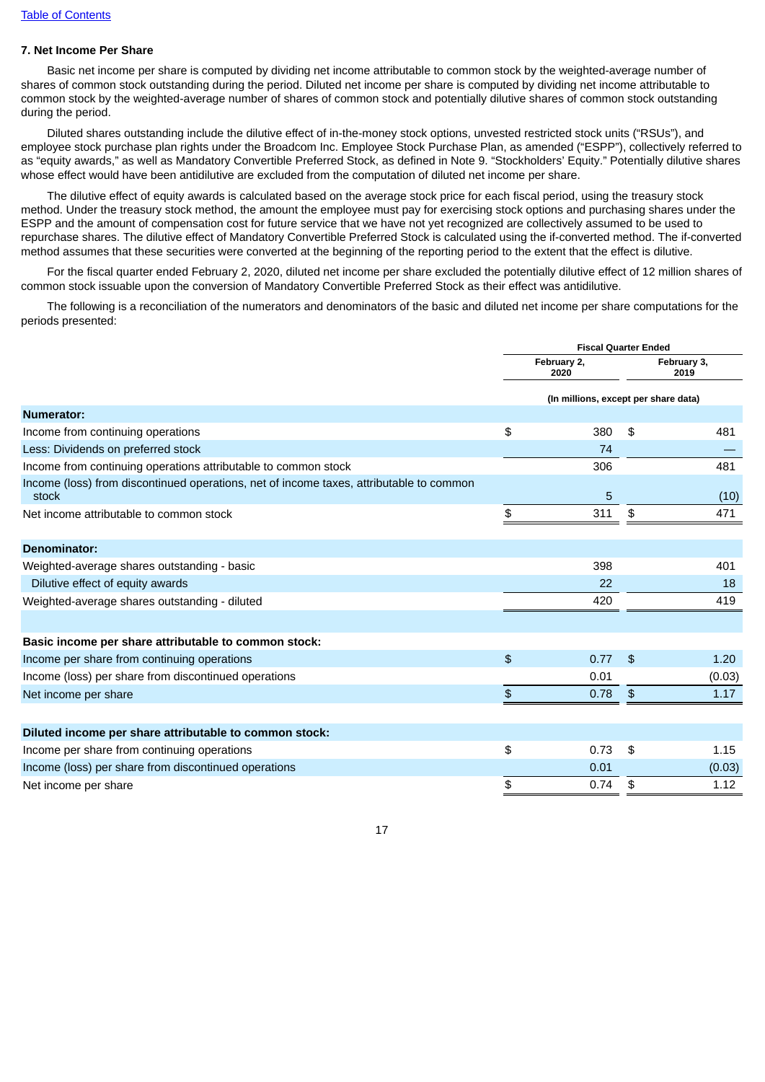#### **7. Net Income Per Share**

Basic net income per share is computed by dividing net income attributable to common stock by the weighted-average number of shares of common stock outstanding during the period. Diluted net income per share is computed by dividing net income attributable to common stock by the weighted-average number of shares of common stock and potentially dilutive shares of common stock outstanding during the period.

Diluted shares outstanding include the dilutive effect of in-the-money stock options, unvested restricted stock units ("RSUs"), and employee stock purchase plan rights under the Broadcom Inc. Employee Stock Purchase Plan, as amended ("ESPP"), collectively referred to as "equity awards," as well as Mandatory Convertible Preferred Stock, as defined in Note 9. "Stockholders' Equity." Potentially dilutive shares whose effect would have been antidilutive are excluded from the computation of diluted net income per share.

The dilutive effect of equity awards is calculated based on the average stock price for each fiscal period, using the treasury stock method. Under the treasury stock method, the amount the employee must pay for exercising stock options and purchasing shares under the ESPP and the amount of compensation cost for future service that we have not yet recognized are collectively assumed to be used to repurchase shares. The dilutive effect of Mandatory Convertible Preferred Stock is calculated using the if-converted method. The if-converted method assumes that these securities were converted at the beginning of the reporting period to the extent that the effect is dilutive.

For the fiscal quarter ended February 2, 2020, diluted net income per share excluded the potentially dilutive effect of 12 million shares of common stock issuable upon the conversion of Mandatory Convertible Preferred Stock as their effect was antidilutive.

The following is a reconciliation of the numerators and denominators of the basic and diluted net income per share computations for the periods presented:

|                                                                                                  | <b>Fiscal Quarter Ended</b>          |      |                     |        |
|--------------------------------------------------------------------------------------------------|--------------------------------------|------|---------------------|--------|
|                                                                                                  | February 2,<br>2020                  |      | February 3,<br>2019 |        |
|                                                                                                  | (In millions, except per share data) |      |                     |        |
| <b>Numerator:</b>                                                                                |                                      |      |                     |        |
| Income from continuing operations                                                                | \$                                   | 380  | \$                  | 481    |
| Less: Dividends on preferred stock                                                               |                                      | 74   |                     |        |
| Income from continuing operations attributable to common stock                                   |                                      | 306  |                     | 481    |
| Income (loss) from discontinued operations, net of income taxes, attributable to common<br>stock |                                      | 5    |                     | (10)   |
| Net income attributable to common stock                                                          | \$                                   | 311  | \$                  | 471    |
| <b>Denominator:</b>                                                                              |                                      |      |                     |        |
| Weighted-average shares outstanding - basic                                                      |                                      | 398  |                     | 401    |
| Dilutive effect of equity awards                                                                 |                                      | 22   |                     | 18     |
| Weighted-average shares outstanding - diluted                                                    |                                      | 420  |                     | 419    |
| Basic income per share attributable to common stock:                                             |                                      |      |                     |        |
| Income per share from continuing operations                                                      | \$                                   | 0.77 | $\mathfrak{F}$      | 1.20   |
| Income (loss) per share from discontinued operations                                             |                                      | 0.01 |                     | (0.03) |
| Net income per share                                                                             | \$                                   | 0.78 | $\frac{3}{2}$       | 1.17   |
| Diluted income per share attributable to common stock:                                           |                                      |      |                     |        |
| Income per share from continuing operations                                                      | \$                                   | 0.73 | \$                  | 1.15   |
| Income (loss) per share from discontinued operations                                             |                                      | 0.01 |                     | (0.03) |
| Net income per share                                                                             | \$                                   | 0.74 | \$                  | 1.12   |

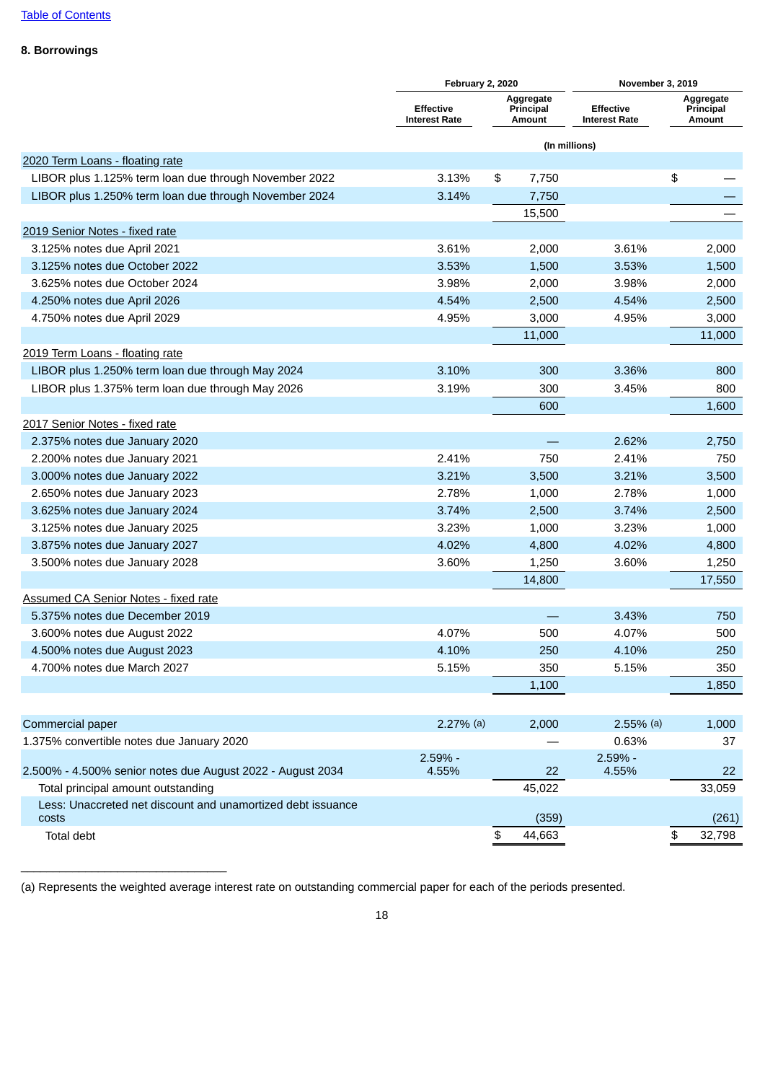## **8. Borrowings**

|                                                                      | February 2, 2020                         |                                         | <b>November 3, 2019</b>                  |                                  |  |  |
|----------------------------------------------------------------------|------------------------------------------|-----------------------------------------|------------------------------------------|----------------------------------|--|--|
|                                                                      | <b>Effective</b><br><b>Interest Rate</b> | Aggregate<br><b>Principal</b><br>Amount | <b>Effective</b><br><b>Interest Rate</b> | Aggregate<br>Principal<br>Amount |  |  |
|                                                                      |                                          | (In millions)                           |                                          |                                  |  |  |
| 2020 Term Loans - floating rate                                      |                                          |                                         |                                          |                                  |  |  |
| LIBOR plus 1.125% term loan due through November 2022                | 3.13%                                    | \$<br>7,750                             |                                          | \$                               |  |  |
| LIBOR plus 1.250% term loan due through November 2024                | 3.14%                                    | 7,750                                   |                                          |                                  |  |  |
|                                                                      |                                          | 15,500                                  |                                          |                                  |  |  |
| 2019 Senior Notes - fixed rate                                       |                                          |                                         |                                          |                                  |  |  |
| 3.125% notes due April 2021                                          | 3.61%                                    | 2,000                                   | 3.61%                                    | 2,000                            |  |  |
| 3.125% notes due October 2022                                        | 3.53%                                    | 1,500                                   | 3.53%                                    | 1,500                            |  |  |
| 3.625% notes due October 2024                                        | 3.98%                                    | 2,000                                   | 3.98%                                    | 2,000                            |  |  |
| 4.250% notes due April 2026                                          | 4.54%                                    | 2,500                                   | 4.54%                                    | 2,500                            |  |  |
| 4.750% notes due April 2029                                          | 4.95%                                    | 3,000                                   | 4.95%                                    | 3,000                            |  |  |
|                                                                      |                                          | 11,000                                  |                                          | 11,000                           |  |  |
| 2019 Term Loans - floating rate                                      |                                          |                                         |                                          |                                  |  |  |
| LIBOR plus 1.250% term loan due through May 2024                     | 3.10%                                    | 300                                     | 3.36%                                    | 800                              |  |  |
| LIBOR plus 1.375% term loan due through May 2026                     | 3.19%                                    | 300                                     | 3.45%                                    | 800                              |  |  |
|                                                                      |                                          | 600                                     |                                          | 1,600                            |  |  |
| 2017 Senior Notes - fixed rate                                       |                                          |                                         |                                          |                                  |  |  |
| 2.375% notes due January 2020                                        |                                          |                                         | 2.62%                                    | 2,750                            |  |  |
| 2.200% notes due January 2021                                        | 2.41%                                    | 750                                     | 2.41%                                    | 750                              |  |  |
| 3.000% notes due January 2022                                        | 3.21%                                    | 3,500                                   | 3.21%                                    | 3,500                            |  |  |
| 2.650% notes due January 2023                                        | 2.78%                                    | 1,000                                   | 2.78%                                    | 1,000                            |  |  |
| 3.625% notes due January 2024                                        | 3.74%                                    | 2,500                                   | 3.74%                                    | 2,500                            |  |  |
| 3.125% notes due January 2025                                        | 3.23%                                    | 1,000                                   | 3.23%                                    | 1,000                            |  |  |
| 3.875% notes due January 2027                                        | 4.02%                                    | 4,800                                   | 4.02%                                    | 4,800                            |  |  |
| 3.500% notes due January 2028                                        | 3.60%                                    | 1,250                                   | 3.60%                                    | 1,250                            |  |  |
|                                                                      |                                          | 14,800                                  |                                          | 17,550                           |  |  |
| <b>Assumed CA Senior Notes - fixed rate</b>                          |                                          |                                         |                                          |                                  |  |  |
| 5.375% notes due December 2019                                       |                                          |                                         | 3.43%                                    | 750                              |  |  |
| 3.600% notes due August 2022                                         | 4.07%                                    | 500                                     | 4.07%                                    | 500                              |  |  |
| 4.500% notes due August 2023                                         | 4.10%                                    | 250                                     | 4.10%                                    | 250                              |  |  |
| 4.700% notes due March 2027                                          | 5.15%                                    | 350                                     | 5.15%                                    | 350                              |  |  |
|                                                                      |                                          | 1,100                                   |                                          | 1,850                            |  |  |
|                                                                      |                                          |                                         |                                          |                                  |  |  |
| Commercial paper                                                     | $2.27%$ (a)                              | 2,000                                   | $2.55%$ (a)                              | 1,000                            |  |  |
| 1.375% convertible notes due January 2020                            |                                          |                                         | 0.63%                                    | 37                               |  |  |
|                                                                      | $2.59%$ -                                |                                         | $2.59%$ -                                |                                  |  |  |
| 2.500% - 4.500% senior notes due August 2022 - August 2034           | 4.55%                                    | 22                                      | 4.55%                                    | 22                               |  |  |
| Total principal amount outstanding                                   |                                          | 45,022                                  |                                          | 33,059                           |  |  |
| Less: Unaccreted net discount and unamortized debt issuance<br>costs |                                          | (359)                                   |                                          | (261)                            |  |  |
| Total debt                                                           |                                          | 44,663<br>\$                            |                                          | 32,798<br>\$                     |  |  |
|                                                                      |                                          |                                         |                                          |                                  |  |  |

<sup>(</sup>a) Represents the weighted average interest rate on outstanding commercial paper for each of the periods presented.

\_\_\_\_\_\_\_\_\_\_\_\_\_\_\_\_\_\_\_\_\_\_\_\_\_\_\_\_\_\_\_\_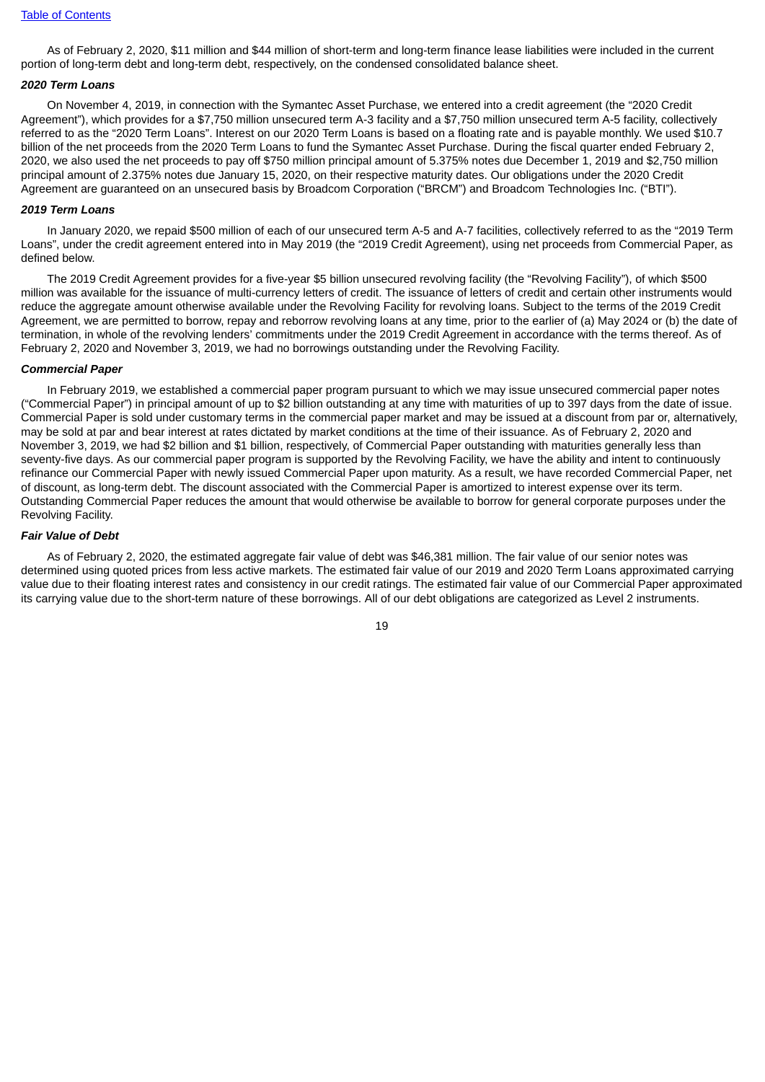As of February 2, 2020, \$11 million and \$44 million of short-term and long-term finance lease liabilities were included in the current portion of long-term debt and long-term debt, respectively, on the condensed consolidated balance sheet.

#### *2020 Term Loans*

On November 4, 2019, in connection with the Symantec Asset Purchase, we entered into a credit agreement (the "2020 Credit Agreement"), which provides for a \$7,750 million unsecured term A-3 facility and a \$7,750 million unsecured term A-5 facility, collectively referred to as the "2020 Term Loans". Interest on our 2020 Term Loans is based on a floating rate and is payable monthly. We used \$10.7 billion of the net proceeds from the 2020 Term Loans to fund the Symantec Asset Purchase. During the fiscal quarter ended February 2, 2020, we also used the net proceeds to pay off \$750 million principal amount of 5.375% notes due December 1, 2019 and \$2,750 million principal amount of 2.375% notes due January 15, 2020, on their respective maturity dates. Our obligations under the 2020 Credit Agreement are guaranteed on an unsecured basis by Broadcom Corporation ("BRCM") and Broadcom Technologies Inc. ("BTI").

#### *2019 Term Loans*

In January 2020, we repaid \$500 million of each of our unsecured term A-5 and A-7 facilities, collectively referred to as the "2019 Term Loans", under the credit agreement entered into in May 2019 (the "2019 Credit Agreement), using net proceeds from Commercial Paper, as defined below.

The 2019 Credit Agreement provides for a five-year \$5 billion unsecured revolving facility (the "Revolving Facility"), of which \$500 million was available for the issuance of multi-currency letters of credit. The issuance of letters of credit and certain other instruments would reduce the aggregate amount otherwise available under the Revolving Facility for revolving loans. Subject to the terms of the 2019 Credit Agreement, we are permitted to borrow, repay and reborrow revolving loans at any time, prior to the earlier of (a) May 2024 or (b) the date of termination, in whole of the revolving lenders' commitments under the 2019 Credit Agreement in accordance with the terms thereof. As of February 2, 2020 and November 3, 2019, we had no borrowings outstanding under the Revolving Facility.

#### *Commercial Paper*

In February 2019, we established a commercial paper program pursuant to which we may issue unsecured commercial paper notes ("Commercial Paper") in principal amount of up to \$2 billion outstanding at any time with maturities of up to 397 days from the date of issue. Commercial Paper is sold under customary terms in the commercial paper market and may be issued at a discount from par or, alternatively, may be sold at par and bear interest at rates dictated by market conditions at the time of their issuance. As of February 2, 2020 and November 3, 2019, we had \$2 billion and \$1 billion, respectively, of Commercial Paper outstanding with maturities generally less than seventy-five days. As our commercial paper program is supported by the Revolving Facility, we have the ability and intent to continuously refinance our Commercial Paper with newly issued Commercial Paper upon maturity. As a result, we have recorded Commercial Paper, net of discount, as long-term debt. The discount associated with the Commercial Paper is amortized to interest expense over its term. Outstanding Commercial Paper reduces the amount that would otherwise be available to borrow for general corporate purposes under the Revolving Facility.

#### *Fair Value of Debt*

As of February 2, 2020, the estimated aggregate fair value of debt was \$46,381 million. The fair value of our senior notes was determined using quoted prices from less active markets. The estimated fair value of our 2019 and 2020 Term Loans approximated carrying value due to their floating interest rates and consistency in our credit ratings. The estimated fair value of our Commercial Paper approximated its carrying value due to the short-term nature of these borrowings. All of our debt obligations are categorized as Level 2 instruments.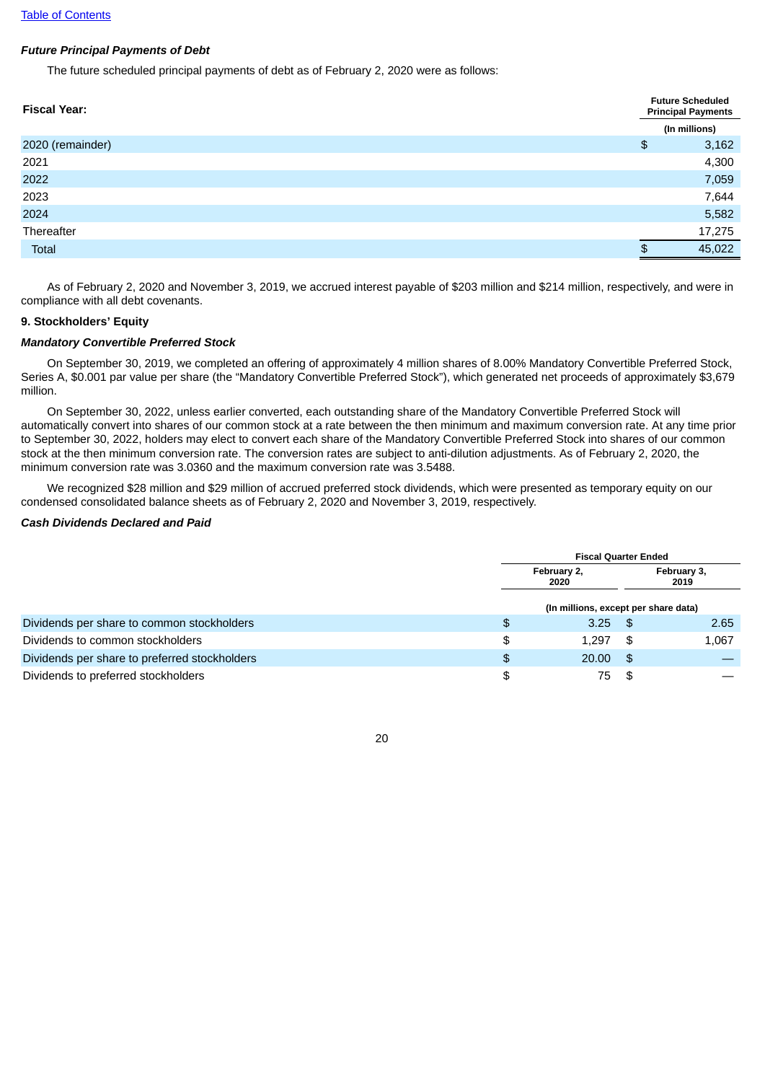## *Future Principal Payments of Debt*

The future scheduled principal payments of debt as of February 2, 2020 were as follows:

| <b>Future Scheduled</b><br><b>Principal Payments</b> |               |  |
|------------------------------------------------------|---------------|--|
|                                                      | (In millions) |  |
| $\frac{1}{2}$                                        | 3,162         |  |
|                                                      | 4,300         |  |
|                                                      | 7,059         |  |
|                                                      | 7,644         |  |
|                                                      | 5,582         |  |
|                                                      | 17,275        |  |
| $\mathcal{F}$                                        | 45,022        |  |
|                                                      |               |  |

As of February 2, 2020 and November 3, 2019, we accrued interest payable of \$203 million and \$214 million, respectively, and were in compliance with all debt covenants.

#### **9. Stockholders' Equity**

#### *Mandatory Convertible Preferred Stock*

On September 30, 2019, we completed an offering of approximately 4 million shares of 8.00% Mandatory Convertible Preferred Stock, Series A, \$0.001 par value per share (the "Mandatory Convertible Preferred Stock"), which generated net proceeds of approximately \$3,679 million.

On September 30, 2022, unless earlier converted, each outstanding share of the Mandatory Convertible Preferred Stock will automatically convert into shares of our common stock at a rate between the then minimum and maximum conversion rate. At any time prior to September 30, 2022, holders may elect to convert each share of the Mandatory Convertible Preferred Stock into shares of our common stock at the then minimum conversion rate. The conversion rates are subject to anti-dilution adjustments. As of February 2, 2020, the minimum conversion rate was 3.0360 and the maximum conversion rate was 3.5488.

We recognized \$28 million and \$29 million of accrued preferred stock dividends, which were presented as temporary equity on our condensed consolidated balance sheets as of February 2, 2020 and November 3, 2019, respectively.

#### *Cash Dividends Declared and Paid*

|                                               | <b>Fiscal Quarter Ended</b>          |      |                     |  |  |
|-----------------------------------------------|--------------------------------------|------|---------------------|--|--|
|                                               | February 2,<br>2020                  |      | February 3,<br>2019 |  |  |
|                                               | (In millions, except per share data) |      |                     |  |  |
| Dividends per share to common stockholders    | \$<br>$3.25$ \$                      |      | 2.65                |  |  |
| Dividends to common stockholders              | \$<br>1.297                          |      | 1,067               |  |  |
| Dividends per share to preferred stockholders | \$<br>20.00                          | - SS |                     |  |  |
| Dividends to preferred stockholders           | \$<br>75                             | - \$ |                     |  |  |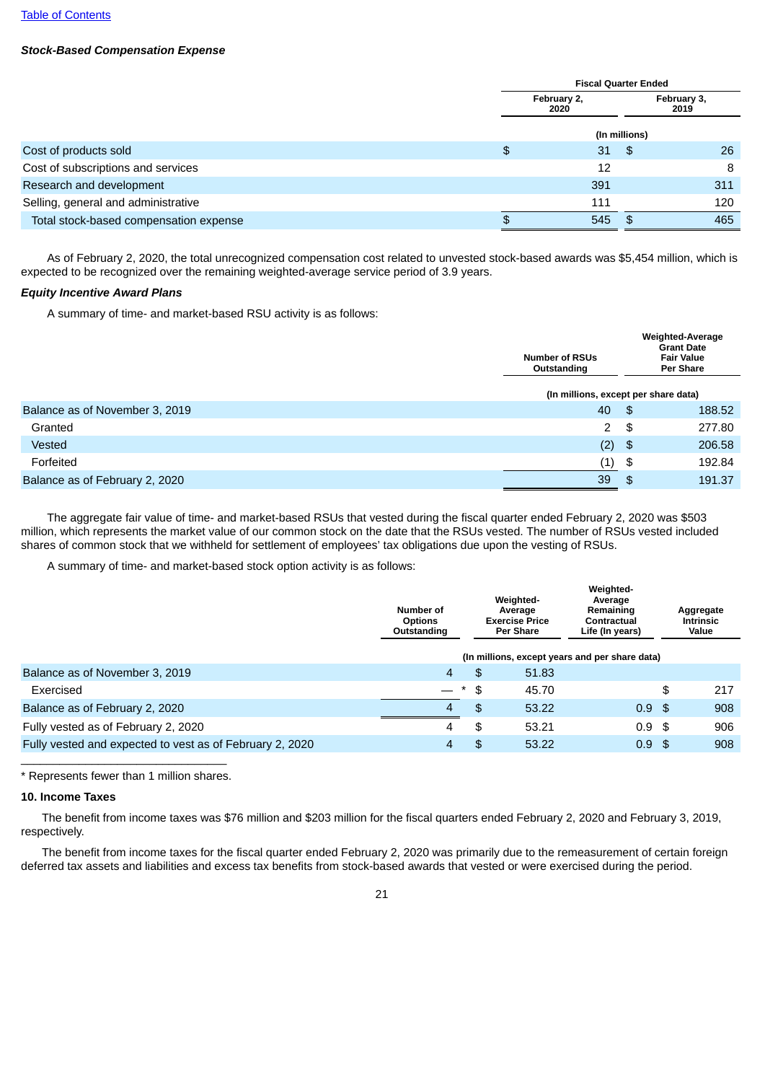## *Stock-Based Compensation Expense*

|                                        |                     | <b>Fiscal Quarter Ended</b> |      |                     |  |
|----------------------------------------|---------------------|-----------------------------|------|---------------------|--|
|                                        | February 2,<br>2020 |                             |      | February 3,<br>2019 |  |
|                                        |                     |                             |      |                     |  |
| Cost of products sold                  | \$                  | 31                          | - \$ | 26                  |  |
| Cost of subscriptions and services     |                     | 12                          |      | 8                   |  |
| Research and development               |                     | 391                         |      | 311                 |  |
| Selling, general and administrative    |                     | 111                         |      | 120                 |  |
| Total stock-based compensation expense | \$                  | 545                         | -S   | 465                 |  |

As of February 2, 2020, the total unrecognized compensation cost related to unvested stock-based awards was \$5,454 million, which is expected to be recognized over the remaining weighted-average service period of 3.9 years.

## *Equity Incentive Award Plans*

A summary of time- and market-based RSU activity is as follows:

|                                | <b>Number of RSUs</b><br>Outstanding |      | <b>Weighted-Average</b><br><b>Grant Date</b><br><b>Fair Value</b><br>Per Share |
|--------------------------------|--------------------------------------|------|--------------------------------------------------------------------------------|
|                                | (In millions, except per share data) |      |                                                                                |
| Balance as of November 3, 2019 | 40                                   | - \$ | 188.52                                                                         |
| Granted                        | 2                                    | -\$  | 277.80                                                                         |
| Vested                         | (2)                                  | - \$ | 206.58                                                                         |
| Forfeited                      | (1)                                  | -\$  | 192.84                                                                         |
| Balance as of February 2, 2020 | 39                                   | - \$ | 191.37                                                                         |

The aggregate fair value of time- and market-based RSUs that vested during the fiscal quarter ended February 2, 2020 was \$503 million, which represents the market value of our common stock on the date that the RSUs vested. The number of RSUs vested included shares of common stock that we withheld for settlement of employees' tax obligations due upon the vesting of RSUs.

A summary of time- and market-based stock option activity is as follows:

|                                                          | Number of<br><b>Options</b><br>Outstanding |    | Weighted-<br>Average<br><b>Exercise Price</b><br><b>Per Share</b> | Weighted-<br>Average<br>Remaining<br>Contractual<br>Life (In years) | Aggregate<br><b>Intrinsic</b><br>Value |
|----------------------------------------------------------|--------------------------------------------|----|-------------------------------------------------------------------|---------------------------------------------------------------------|----------------------------------------|
|                                                          |                                            |    |                                                                   | (In millions, except years and per share data)                      |                                        |
| Balance as of November 3, 2019                           | $\overline{4}$                             | \$ | 51.83                                                             |                                                                     |                                        |
| Exercised                                                | $-$ *                                      | \$ | 45.70                                                             |                                                                     | \$<br>217                              |
| Balance as of February 2, 2020                           | 4                                          | \$ | 53.22                                                             | $0.9 \text{ }$ \$                                                   | 908                                    |
| Fully vested as of February 2, 2020                      | 4                                          | \$ | 53.21                                                             | $0.9 \text{ } $$                                                    | 906                                    |
| Fully vested and expected to vest as of February 2, 2020 | 4                                          | \$ | 53.22                                                             | 0.9 <sup>5</sup>                                                    | 908                                    |
|                                                          |                                            |    |                                                                   |                                                                     |                                        |

\* Represents fewer than 1 million shares.

#### **10. Income Taxes**

The benefit from income taxes was \$76 million and \$203 million for the fiscal quarters ended February 2, 2020 and February 3, 2019, respectively.

The benefit from income taxes for the fiscal quarter ended February 2, 2020 was primarily due to the remeasurement of certain foreign deferred tax assets and liabilities and excess tax benefits from stock-based awards that vested or were exercised during the period.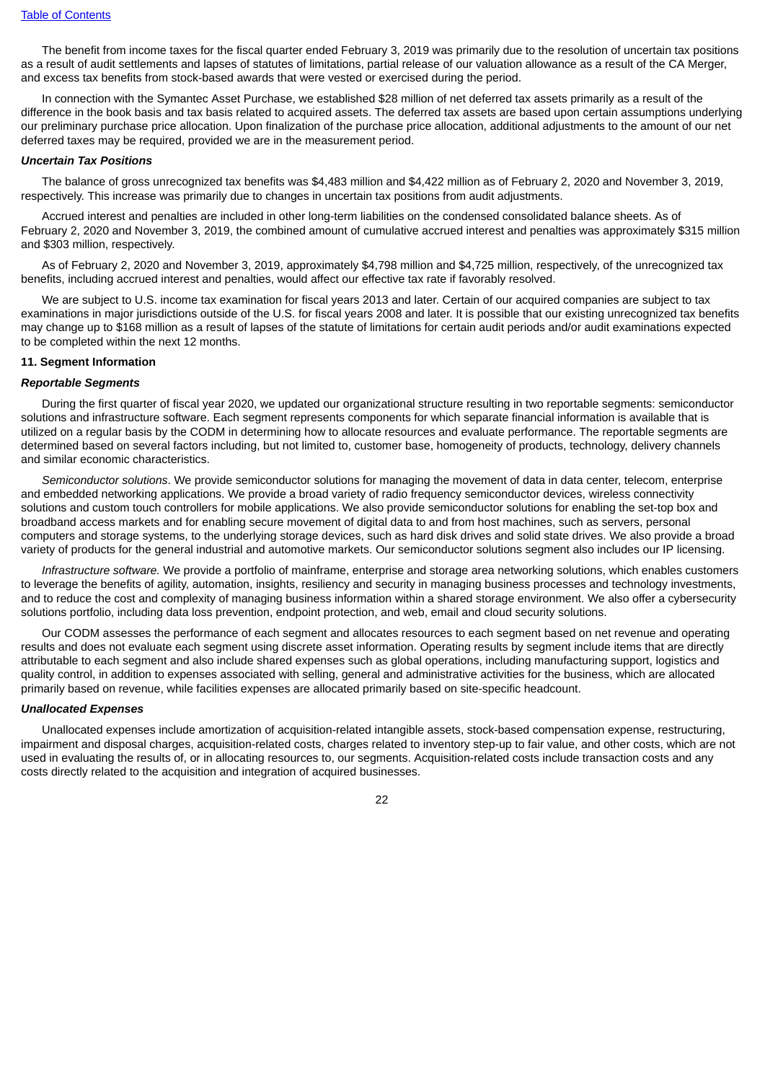The benefit from income taxes for the fiscal quarter ended February 3, 2019 was primarily due to the resolution of uncertain tax positions as a result of audit settlements and lapses of statutes of limitations, partial release of our valuation allowance as a result of the CA Merger, and excess tax benefits from stock-based awards that were vested or exercised during the period.

In connection with the Symantec Asset Purchase, we established \$28 million of net deferred tax assets primarily as a result of the difference in the book basis and tax basis related to acquired assets. The deferred tax assets are based upon certain assumptions underlying our preliminary purchase price allocation. Upon finalization of the purchase price allocation, additional adjustments to the amount of our net deferred taxes may be required, provided we are in the measurement period.

#### *Uncertain Tax Positions*

The balance of gross unrecognized tax benefits was \$4,483 million and \$4,422 million as of February 2, 2020 and November 3, 2019, respectively. This increase was primarily due to changes in uncertain tax positions from audit adjustments.

Accrued interest and penalties are included in other long-term liabilities on the condensed consolidated balance sheets. As of February 2, 2020 and November 3, 2019, the combined amount of cumulative accrued interest and penalties was approximately \$315 million and \$303 million, respectively.

As of February 2, 2020 and November 3, 2019, approximately \$4,798 million and \$4,725 million, respectively, of the unrecognized tax benefits, including accrued interest and penalties, would affect our effective tax rate if favorably resolved.

We are subject to U.S. income tax examination for fiscal years 2013 and later. Certain of our acquired companies are subject to tax examinations in major jurisdictions outside of the U.S. for fiscal years 2008 and later. It is possible that our existing unrecognized tax benefits may change up to \$168 million as a result of lapses of the statute of limitations for certain audit periods and/or audit examinations expected to be completed within the next 12 months.

## **11. Segment Information**

#### *Reportable Segments*

During the first quarter of fiscal year 2020, we updated our organizational structure resulting in two reportable segments: semiconductor solutions and infrastructure software. Each segment represents components for which separate financial information is available that is utilized on a regular basis by the CODM in determining how to allocate resources and evaluate performance. The reportable segments are determined based on several factors including, but not limited to, customer base, homogeneity of products, technology, delivery channels and similar economic characteristics.

*Semiconductor solutions*. We provide semiconductor solutions for managing the movement of data in data center, telecom, enterprise and embedded networking applications. We provide a broad variety of radio frequency semiconductor devices, wireless connectivity solutions and custom touch controllers for mobile applications. We also provide semiconductor solutions for enabling the set-top box and broadband access markets and for enabling secure movement of digital data to and from host machines, such as servers, personal computers and storage systems, to the underlying storage devices, such as hard disk drives and solid state drives. We also provide a broad variety of products for the general industrial and automotive markets. Our semiconductor solutions segment also includes our IP licensing.

*Infrastructure software.* We provide a portfolio of mainframe, enterprise and storage area networking solutions, which enables customers to leverage the benefits of agility, automation, insights, resiliency and security in managing business processes and technology investments, and to reduce the cost and complexity of managing business information within a shared storage environment. We also offer a cybersecurity solutions portfolio, including data loss prevention, endpoint protection, and web, email and cloud security solutions.

Our CODM assesses the performance of each segment and allocates resources to each segment based on net revenue and operating results and does not evaluate each segment using discrete asset information. Operating results by segment include items that are directly attributable to each segment and also include shared expenses such as global operations, including manufacturing support, logistics and quality control, in addition to expenses associated with selling, general and administrative activities for the business, which are allocated primarily based on revenue, while facilities expenses are allocated primarily based on site-specific headcount.

#### *Unallocated Expenses*

Unallocated expenses include amortization of acquisition-related intangible assets, stock-based compensation expense, restructuring, impairment and disposal charges, acquisition-related costs, charges related to inventory step-up to fair value, and other costs, which are not used in evaluating the results of, or in allocating resources to, our segments. Acquisition-related costs include transaction costs and any costs directly related to the acquisition and integration of acquired businesses.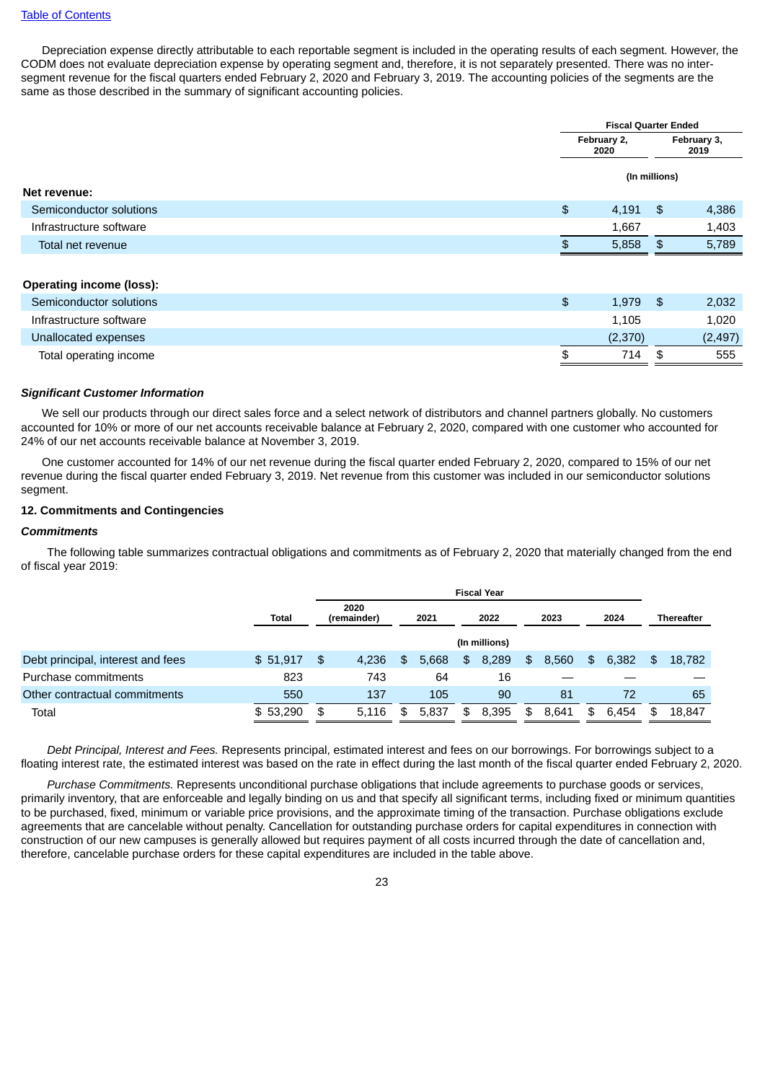Depreciation expense directly attributable to each reportable segment is included in the operating results of each segment. However, the CODM does not evaluate depreciation expense by operating segment and, therefore, it is not separately presented. There was no intersegment revenue for the fiscal quarters ended February 2, 2020 and February 3, 2019. The accounting policies of the segments are the same as those described in the summary of significant accounting policies.

|                                 |               | <b>Fiscal Quarter Ended</b> |               |                     |  |
|---------------------------------|---------------|-----------------------------|---------------|---------------------|--|
|                                 |               | February 2,<br>2020         |               | February 3,<br>2019 |  |
|                                 |               |                             | (In millions) |                     |  |
| Net revenue:                    |               |                             |               |                     |  |
| Semiconductor solutions         | $\pmb{\$}$    | $4,191$ \$                  |               | 4,386               |  |
| Infrastructure software         |               | 1,667                       |               | 1,403               |  |
| Total net revenue               | $\frac{1}{2}$ | 5,858                       | $\frac{3}{2}$ | 5,789               |  |
|                                 |               |                             |               |                     |  |
| <b>Operating income (loss):</b> |               |                             |               |                     |  |
| Semiconductor solutions         | \$            | $1,979$ \$                  |               | 2,032               |  |
| Infrastructure software         |               | 1,105                       |               | 1,020               |  |
| Unallocated expenses            |               | (2,370)                     |               | (2, 497)            |  |
| Total operating income          | \$            | 714                         | \$            | 555                 |  |
|                                 |               |                             |               |                     |  |

#### *Significant Customer Information*

We sell our products through our direct sales force and a select network of distributors and channel partners globally. No customers accounted for 10% or more of our net accounts receivable balance at February 2, 2020, compared with one customer who accounted for 24% of our net accounts receivable balance at November 3, 2019.

One customer accounted for 14% of our net revenue during the fiscal quarter ended February 2, 2020, compared to 15% of our net revenue during the fiscal quarter ended February 3, 2019. Net revenue from this customer was included in our semiconductor solutions segment.

#### **12. Commitments and Contingencies**

#### *Commitments*

The following table summarizes contractual obligations and commitments as of February 2, 2020 that materially changed from the end of fiscal year 2019:

|                                   |          |                     |     |       | <b>Fiscal Year</b> |                |       |     |       |    |                   |
|-----------------------------------|----------|---------------------|-----|-------|--------------------|----------------|-------|-----|-------|----|-------------------|
|                                   | Total    | 2020<br>(remainder) |     | 2021  | 2022               |                | 2023  |     | 2024  |    | <b>Thereafter</b> |
|                                   |          |                     |     |       | (In millions)      |                |       |     |       |    |                   |
| Debt principal, interest and fees | \$51,917 | \$<br>4,236         | \$. | 5.668 | \$<br>8,289        | $\mathfrak{L}$ | 8,560 | \$. | 6,382 | \$ | 18,782            |
| Purchase commitments              | 823      | 743                 |     | 64    | 16                 |                |       |     |       |    |                   |
| Other contractual commitments     | 550      | 137                 |     | 105   | 90                 |                | 81    |     | 72    |    | 65                |
| Total                             | \$53,290 | \$<br>5.116         | \$  | 5.837 | \$<br>8,395        | \$             | 8,641 | \$  | 6.454 | S  | 18,847            |

*Debt Principal, Interest and Fees.* Represents principal, estimated interest and fees on our borrowings. For borrowings subject to a floating interest rate, the estimated interest was based on the rate in effect during the last month of the fiscal quarter ended February 2, 2020.

*Purchase Commitments.* Represents unconditional purchase obligations that include agreements to purchase goods or services, primarily inventory, that are enforceable and legally binding on us and that specify all significant terms, including fixed or minimum quantities to be purchased, fixed, minimum or variable price provisions, and the approximate timing of the transaction. Purchase obligations exclude agreements that are cancelable without penalty. Cancellation for outstanding purchase orders for capital expenditures in connection with construction of our new campuses is generally allowed but requires payment of all costs incurred through the date of cancellation and, therefore, cancelable purchase orders for these capital expenditures are included in the table above.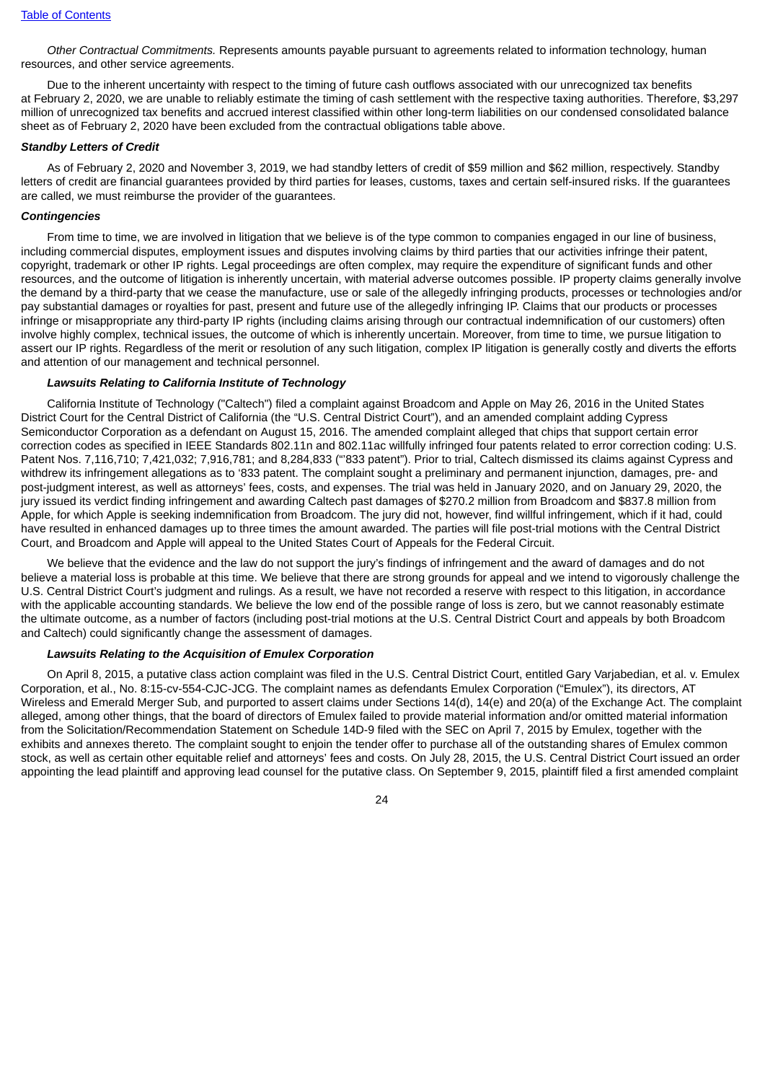*Other Contractual Commitments.* Represents amounts payable pursuant to agreements related to information technology, human resources, and other service agreements.

Due to the inherent uncertainty with respect to the timing of future cash outflows associated with our unrecognized tax benefits at February 2, 2020, we are unable to reliably estimate the timing of cash settlement with the respective taxing authorities. Therefore, \$3,297 million of unrecognized tax benefits and accrued interest classified within other long-term liabilities on our condensed consolidated balance sheet as of February 2, 2020 have been excluded from the contractual obligations table above.

#### *Standby Letters of Credit*

As of February 2, 2020 and November 3, 2019, we had standby letters of credit of \$59 million and \$62 million, respectively. Standby letters of credit are financial guarantees provided by third parties for leases, customs, taxes and certain self-insured risks. If the guarantees are called, we must reimburse the provider of the guarantees.

## *Contingencies*

From time to time, we are involved in litigation that we believe is of the type common to companies engaged in our line of business, including commercial disputes, employment issues and disputes involving claims by third parties that our activities infringe their patent, copyright, trademark or other IP rights. Legal proceedings are often complex, may require the expenditure of significant funds and other resources, and the outcome of litigation is inherently uncertain, with material adverse outcomes possible. IP property claims generally involve the demand by a third-party that we cease the manufacture, use or sale of the allegedly infringing products, processes or technologies and/or pay substantial damages or royalties for past, present and future use of the allegedly infringing IP. Claims that our products or processes infringe or misappropriate any third-party IP rights (including claims arising through our contractual indemnification of our customers) often involve highly complex, technical issues, the outcome of which is inherently uncertain. Moreover, from time to time, we pursue litigation to assert our IP rights. Regardless of the merit or resolution of any such litigation, complex IP litigation is generally costly and diverts the efforts and attention of our management and technical personnel.

#### *Lawsuits Relating to California Institute of Technology*

California Institute of Technology ("Caltech") filed a complaint against Broadcom and Apple on May 26, 2016 in the United States District Court for the Central District of California (the "U.S. Central District Court"), and an amended complaint adding Cypress Semiconductor Corporation as a defendant on August 15, 2016. The amended complaint alleged that chips that support certain error correction codes as specified in IEEE Standards 802.11n and 802.11ac willfully infringed four patents related to error correction coding: U.S. Patent Nos. 7,116,710; 7,421,032; 7,916,781; and 8,284,833 ("833 patent"). Prior to trial, Caltech dismissed its claims against Cypress and withdrew its infringement allegations as to '833 patent. The complaint sought a preliminary and permanent injunction, damages, pre- and post-judgment interest, as well as attorneys' fees, costs, and expenses. The trial was held in January 2020, and on January 29, 2020, the jury issued its verdict finding infringement and awarding Caltech past damages of \$270.2 million from Broadcom and \$837.8 million from Apple, for which Apple is seeking indemnification from Broadcom. The jury did not, however, find willful infringement, which if it had, could have resulted in enhanced damages up to three times the amount awarded. The parties will file post-trial motions with the Central District Court, and Broadcom and Apple will appeal to the United States Court of Appeals for the Federal Circuit.

We believe that the evidence and the law do not support the jury's findings of infringement and the award of damages and do not believe a material loss is probable at this time. We believe that there are strong grounds for appeal and we intend to vigorously challenge the U.S. Central District Court's judgment and rulings. As a result, we have not recorded a reserve with respect to this litigation, in accordance with the applicable accounting standards. We believe the low end of the possible range of loss is zero, but we cannot reasonably estimate the ultimate outcome, as a number of factors (including post-trial motions at the U.S. Central District Court and appeals by both Broadcom and Caltech) could significantly change the assessment of damages.

## *Lawsuits Relating to the Acquisition of Emulex Corporation*

On April 8, 2015, a putative class action complaint was filed in the U.S. Central District Court, entitled Gary Varjabedian, et al. v. Emulex Corporation, et al., No. 8:15-cv-554-CJC-JCG. The complaint names as defendants Emulex Corporation ("Emulex"), its directors, AT Wireless and Emerald Merger Sub, and purported to assert claims under Sections 14(d), 14(e) and 20(a) of the Exchange Act. The complaint alleged, among other things, that the board of directors of Emulex failed to provide material information and/or omitted material information from the Solicitation/Recommendation Statement on Schedule 14D-9 filed with the SEC on April 7, 2015 by Emulex, together with the exhibits and annexes thereto. The complaint sought to enjoin the tender offer to purchase all of the outstanding shares of Emulex common stock, as well as certain other equitable relief and attorneys' fees and costs. On July 28, 2015, the U.S. Central District Court issued an order appointing the lead plaintiff and approving lead counsel for the putative class. On September 9, 2015, plaintiff filed a first amended complaint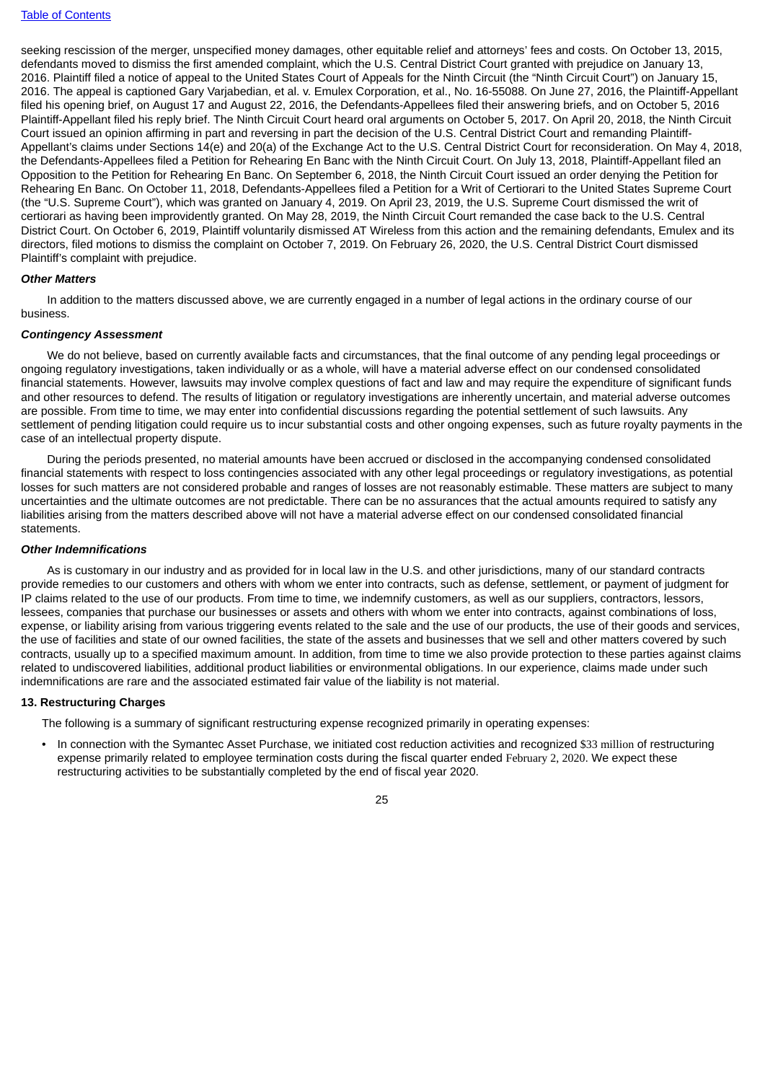seeking rescission of the merger, unspecified money damages, other equitable relief and attorneys' fees and costs. On October 13, 2015, defendants moved to dismiss the first amended complaint, which the U.S. Central District Court granted with prejudice on January 13, 2016. Plaintiff filed a notice of appeal to the United States Court of Appeals for the Ninth Circuit (the "Ninth Circuit Court") on January 15, 2016. The appeal is captioned Gary Varjabedian, et al. v. Emulex Corporation, et al., No. 16-55088. On June 27, 2016, the Plaintiff-Appellant filed his opening brief, on August 17 and August 22, 2016, the Defendants-Appellees filed their answering briefs, and on October 5, 2016 Plaintiff-Appellant filed his reply brief. The Ninth Circuit Court heard oral arguments on October 5, 2017. On April 20, 2018, the Ninth Circuit Court issued an opinion affirming in part and reversing in part the decision of the U.S. Central District Court and remanding Plaintiff-Appellant's claims under Sections 14(e) and 20(a) of the Exchange Act to the U.S. Central District Court for reconsideration. On May 4, 2018, the Defendants-Appellees filed a Petition for Rehearing En Banc with the Ninth Circuit Court. On July 13, 2018, Plaintiff-Appellant filed an Opposition to the Petition for Rehearing En Banc. On September 6, 2018, the Ninth Circuit Court issued an order denying the Petition for Rehearing En Banc. On October 11, 2018, Defendants-Appellees filed a Petition for a Writ of Certiorari to the United States Supreme Court (the "U.S. Supreme Court"), which was granted on January 4, 2019. On April 23, 2019, the U.S. Supreme Court dismissed the writ of certiorari as having been improvidently granted. On May 28, 2019, the Ninth Circuit Court remanded the case back to the U.S. Central District Court. On October 6, 2019, Plaintiff voluntarily dismissed AT Wireless from this action and the remaining defendants, Emulex and its directors, filed motions to dismiss the complaint on October 7, 2019. On February 26, 2020, the U.S. Central District Court dismissed Plaintiff's complaint with prejudice.

#### *Other Matters*

In addition to the matters discussed above, we are currently engaged in a number of legal actions in the ordinary course of our business.

#### *Contingency Assessment*

We do not believe, based on currently available facts and circumstances, that the final outcome of any pending legal proceedings or ongoing regulatory investigations, taken individually or as a whole, will have a material adverse effect on our condensed consolidated financial statements. However, lawsuits may involve complex questions of fact and law and may require the expenditure of significant funds and other resources to defend. The results of litigation or regulatory investigations are inherently uncertain, and material adverse outcomes are possible. From time to time, we may enter into confidential discussions regarding the potential settlement of such lawsuits. Any settlement of pending litigation could require us to incur substantial costs and other ongoing expenses, such as future royalty payments in the case of an intellectual property dispute.

During the periods presented, no material amounts have been accrued or disclosed in the accompanying condensed consolidated financial statements with respect to loss contingencies associated with any other legal proceedings or regulatory investigations, as potential losses for such matters are not considered probable and ranges of losses are not reasonably estimable. These matters are subject to many uncertainties and the ultimate outcomes are not predictable. There can be no assurances that the actual amounts required to satisfy any liabilities arising from the matters described above will not have a material adverse effect on our condensed consolidated financial statements.

#### *Other Indemnifications*

As is customary in our industry and as provided for in local law in the U.S. and other jurisdictions, many of our standard contracts provide remedies to our customers and others with whom we enter into contracts, such as defense, settlement, or payment of judgment for IP claims related to the use of our products. From time to time, we indemnify customers, as well as our suppliers, contractors, lessors, lessees, companies that purchase our businesses or assets and others with whom we enter into contracts, against combinations of loss, expense, or liability arising from various triggering events related to the sale and the use of our products, the use of their goods and services, the use of facilities and state of our owned facilities, the state of the assets and businesses that we sell and other matters covered by such contracts, usually up to a specified maximum amount. In addition, from time to time we also provide protection to these parties against claims related to undiscovered liabilities, additional product liabilities or environmental obligations. In our experience, claims made under such indemnifications are rare and the associated estimated fair value of the liability is not material.

#### **13. Restructuring Charges**

The following is a summary of significant restructuring expense recognized primarily in operating expenses:

• In connection with the Symantec Asset Purchase, we initiated cost reduction activities and recognized \$33 million of restructuring expense primarily related to employee termination costs during the fiscal quarter ended February 2, 2020. We expect these restructuring activities to be substantially completed by the end of fiscal year 2020.

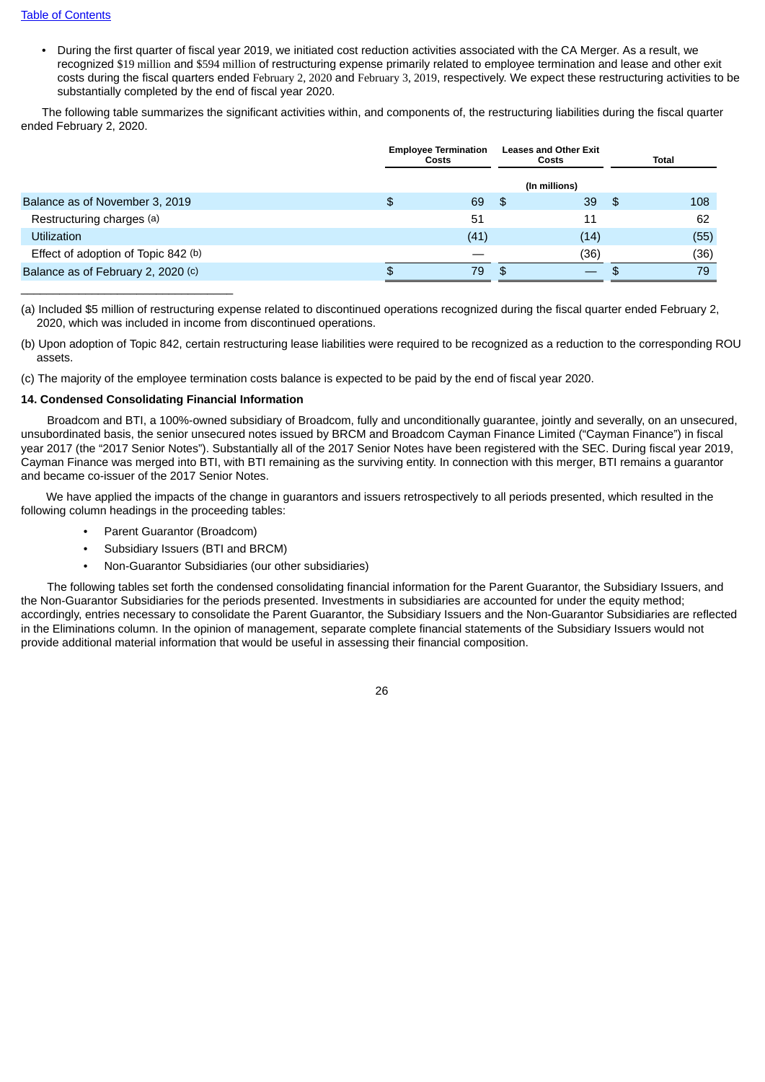• During the first quarter of fiscal year 2019, we initiated cost reduction activities associated with the CA Merger. As a result, we recognized \$19 million and \$594 million of restructuring expense primarily related to employee termination and lease and other exit costs during the fiscal quarters ended February 2, 2020 and February 3, 2019, respectively. We expect these restructuring activities to be substantially completed by the end of fiscal year 2020.

The following table summarizes the significant activities within, and components of, the restructuring liabilities during the fiscal quarter ended February 2, 2020.

|                                     | <b>Employee Termination</b><br>Costs |      | <b>Leases and Other Exit</b><br>Costs |     | <b>Total</b> |
|-------------------------------------|--------------------------------------|------|---------------------------------------|-----|--------------|
|                                     |                                      |      | (In millions)                         |     |              |
| Balance as of November 3, 2019      | \$<br>69                             | - \$ | 39                                    | -\$ | 108          |
| Restructuring charges (a)           | 51                                   |      | 11                                    |     | 62           |
| <b>Utilization</b>                  | (41)                                 |      | (14)                                  |     | (55)         |
| Effect of adoption of Topic 842 (b) |                                      |      | (36)                                  |     | (36)         |
| Balance as of February 2, 2020 (c)  | 79                                   | -\$  | $-$                                   | £.  | 79           |
|                                     |                                      |      |                                       |     |              |

(a) Included \$5 million of restructuring expense related to discontinued operations recognized during the fiscal quarter ended February 2, 2020, which was included in income from discontinued operations.

(b) Upon adoption of Topic 842, certain restructuring lease liabilities were required to be recognized as a reduction to the corresponding ROU assets.

(c) The majority of the employee termination costs balance is expected to be paid by the end of fiscal year 2020.

## **14. Condensed Consolidating Financial Information**

Broadcom and BTI, a 100%-owned subsidiary of Broadcom, fully and unconditionally guarantee, jointly and severally, on an unsecured, unsubordinated basis, the senior unsecured notes issued by BRCM and Broadcom Cayman Finance Limited ("Cayman Finance") in fiscal year 2017 (the "2017 Senior Notes"). Substantially all of the 2017 Senior Notes have been registered with the SEC. During fiscal year 2019, Cayman Finance was merged into BTI, with BTI remaining as the surviving entity. In connection with this merger, BTI remains a guarantor and became co-issuer of the 2017 Senior Notes.

We have applied the impacts of the change in guarantors and issuers retrospectively to all periods presented, which resulted in the following column headings in the proceeding tables:

- Parent Guarantor (Broadcom)
- Subsidiary Issuers (BTI and BRCM)
- Non-Guarantor Subsidiaries (our other subsidiaries)

The following tables set forth the condensed consolidating financial information for the Parent Guarantor, the Subsidiary Issuers, and the Non-Guarantor Subsidiaries for the periods presented. Investments in subsidiaries are accounted for under the equity method; accordingly, entries necessary to consolidate the Parent Guarantor, the Subsidiary Issuers and the Non-Guarantor Subsidiaries are reflected in the Eliminations column. In the opinion of management, separate complete financial statements of the Subsidiary Issuers would not provide additional material information that would be useful in assessing their financial composition.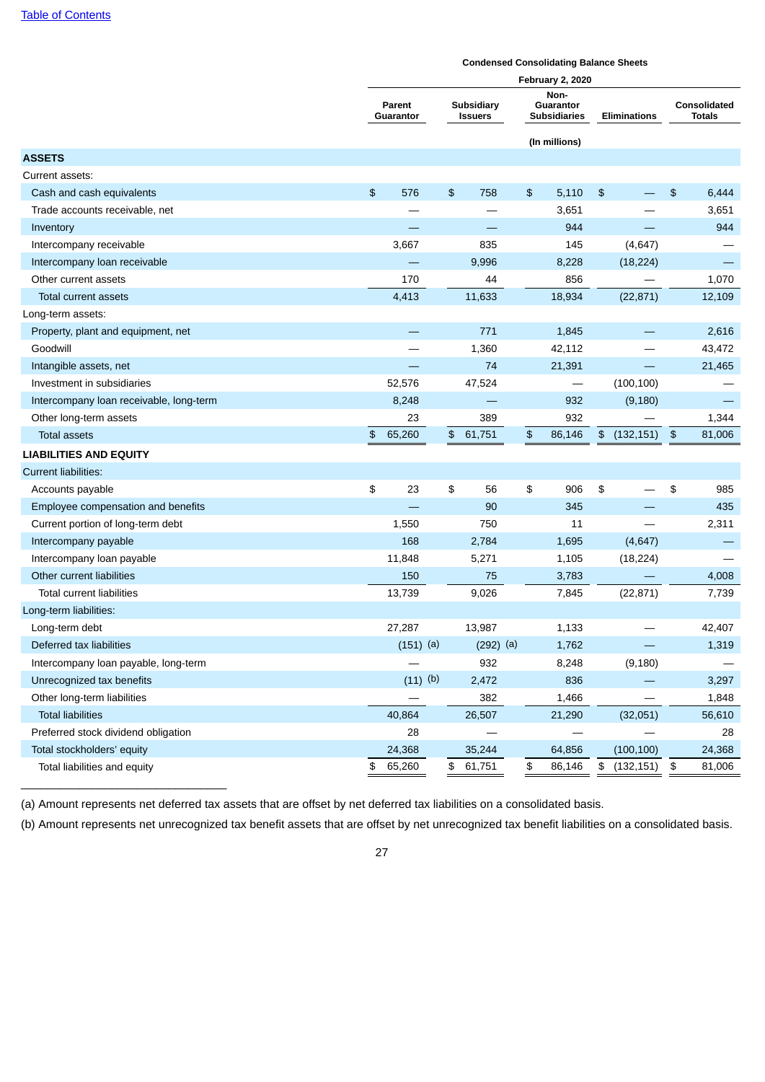|                                         |               |                            |                              | <b>Condensed Consolidating Balance Sheets</b> |                     |                          |                      |                                      |
|-----------------------------------------|---------------|----------------------------|------------------------------|-----------------------------------------------|---------------------|--------------------------|----------------------|--------------------------------------|
|                                         |               |                            |                              | <b>February 2, 2020</b>                       |                     |                          |                      |                                      |
|                                         |               | <b>Parent</b><br>Guarantor | Subsidiary<br><b>Issuers</b> | Non-<br>Guarantor<br><b>Subsidiaries</b>      | <b>Eliminations</b> |                          |                      | <b>Consolidated</b><br><b>Totals</b> |
|                                         |               |                            |                              | (In millions)                                 |                     |                          |                      |                                      |
| <b>ASSETS</b>                           |               |                            |                              |                                               |                     |                          |                      |                                      |
| Current assets:                         |               |                            |                              |                                               |                     |                          |                      |                                      |
| Cash and cash equivalents               | $\frac{1}{2}$ | 576                        | \$<br>758                    | \$<br>5,110                                   | $\frac{1}{2}$       |                          | $\frac{1}{2}$        | 6,444                                |
| Trade accounts receivable, net          |               |                            |                              | 3,651                                         |                     |                          |                      | 3,651                                |
| Inventory                               |               |                            |                              | 944                                           |                     |                          |                      | 944                                  |
| Intercompany receivable                 |               | 3,667                      | 835                          | 145                                           |                     | (4, 647)                 |                      |                                      |
| Intercompany loan receivable            |               |                            | 9,996                        | 8,228                                         |                     | (18, 224)                |                      |                                      |
| Other current assets                    |               | 170                        | 44                           | 856                                           |                     | —                        |                      | 1,070                                |
| Total current assets                    |               | 4,413                      | 11,633                       | 18,934                                        |                     | (22, 871)                |                      | 12,109                               |
| Long-term assets:                       |               |                            |                              |                                               |                     |                          |                      |                                      |
| Property, plant and equipment, net      |               |                            | 771                          | 1,845                                         |                     |                          |                      | 2,616                                |
| Goodwill                                |               |                            | 1,360                        | 42,112                                        |                     |                          |                      | 43,472                               |
| Intangible assets, net                  |               |                            | 74                           | 21,391                                        |                     |                          |                      | 21,465                               |
| Investment in subsidiaries              |               | 52,576                     | 47,524                       | $\overline{\phantom{0}}$                      |                     | (100, 100)               |                      |                                      |
| Intercompany loan receivable, long-term |               | 8,248                      |                              | 932                                           |                     | (9,180)                  |                      |                                      |
| Other long-term assets                  |               | 23                         | 389                          | 932                                           |                     |                          |                      | 1,344                                |
| <b>Total assets</b>                     | $\frac{1}{2}$ | 65,260                     | \$<br>61,751                 | \$<br>86,146                                  | \$                  | (132, 151)               | $\pmb{\mathfrak{P}}$ | 81,006                               |
| <b>LIABILITIES AND EQUITY</b>           |               |                            |                              |                                               |                     |                          |                      |                                      |
| <b>Current liabilities:</b>             |               |                            |                              |                                               |                     |                          |                      |                                      |
| Accounts payable                        | \$            | 23                         | \$<br>56                     | \$<br>906                                     | \$                  |                          | \$                   | 985                                  |
| Employee compensation and benefits      |               |                            | 90                           | 345                                           |                     |                          |                      | 435                                  |
| Current portion of long-term debt       |               | 1,550                      | 750                          | 11                                            |                     | $\overline{\phantom{0}}$ |                      | 2,311                                |
| Intercompany payable                    |               | 168                        | 2,784                        | 1,695                                         |                     | (4, 647)                 |                      |                                      |
| Intercompany loan payable               |               | 11,848                     | 5,271                        | 1,105                                         |                     | (18, 224)                |                      |                                      |
| Other current liabilities               |               | 150                        | 75                           | 3,783                                         |                     |                          |                      | 4,008                                |
| <b>Total current liabilities</b>        |               | 13,739                     | 9,026                        | 7,845                                         |                     | (22, 871)                |                      | 7,739                                |
| Long-term liabilities:                  |               |                            |                              |                                               |                     |                          |                      |                                      |
| Long-term debt                          |               | 27.287                     | 13,987                       | 1,133                                         |                     |                          |                      | 42,407                               |
| Deferred tax liabilities                |               | $(151)$ (a)                | $(292)$ (a)                  | 1,762                                         |                     |                          |                      | 1,319                                |
| Intercompany loan payable, long-term    |               |                            | 932                          | 8,248                                         |                     | (9, 180)                 |                      |                                      |
| Unrecognized tax benefits               |               | $(11)$ (b)                 | 2,472                        | 836                                           |                     | $\overline{\phantom{0}}$ |                      | 3,297                                |
| Other long-term liabilities             |               |                            | 382                          | 1,466                                         |                     |                          |                      | 1,848                                |
| <b>Total liabilities</b>                |               | 40,864                     | 26,507                       | 21,290                                        |                     | (32,051)                 |                      | 56,610                               |
| Preferred stock dividend obligation     |               | 28                         |                              |                                               |                     |                          |                      | 28                                   |
| Total stockholders' equity              |               | 24,368                     | 35,244                       | 64,856                                        |                     | (100, 100)               |                      | 24,368                               |
| Total liabilities and equity            | \$            | 65,260                     | \$61,751                     | \$<br>86,146                                  |                     | \$ (132, 151)            | \$                   | 81,006                               |

(a) Amount represents net deferred tax assets that are offset by net deferred tax liabilities on a consolidated basis.

\_\_\_\_\_\_\_\_\_\_\_\_\_\_\_\_\_\_\_\_\_\_\_\_\_\_\_\_\_\_\_\_

(b) Amount represents net unrecognized tax benefit assets that are offset by net unrecognized tax benefit liabilities on a consolidated basis.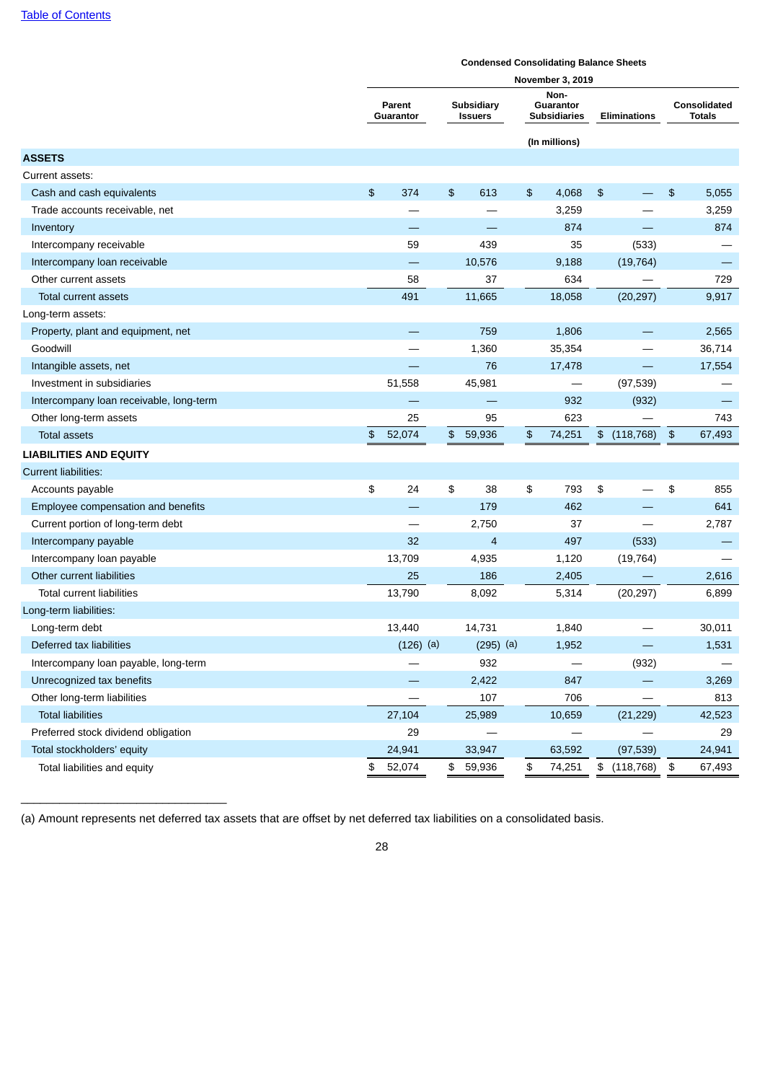|                                         | <b>Condensed Consolidating Balance Sheets</b> |             |  |                              |             |               |                                          |    |                          |                               |        |
|-----------------------------------------|-----------------------------------------------|-------------|--|------------------------------|-------------|---------------|------------------------------------------|----|--------------------------|-------------------------------|--------|
|                                         | <b>November 3, 2019</b>                       |             |  |                              |             |               |                                          |    |                          |                               |        |
|                                         | Parent<br>Guarantor                           |             |  | Subsidiary<br><b>Issuers</b> |             |               | Non-<br>Guarantor<br><b>Subsidiaries</b> |    | <b>Eliminations</b>      | Consolidated<br><b>Totals</b> |        |
|                                         |                                               |             |  |                              |             |               | (In millions)                            |    |                          |                               |        |
| <b>ASSETS</b>                           |                                               |             |  |                              |             |               |                                          |    |                          |                               |        |
| Current assets:                         |                                               |             |  |                              |             |               |                                          |    |                          |                               |        |
| Cash and cash equivalents               | \$                                            | 374         |  | \$                           | 613         | $\frac{1}{2}$ | 4,068                                    | \$ |                          | $\frac{1}{2}$                 | 5,055  |
| Trade accounts receivable, net          |                                               |             |  |                              |             |               | 3,259                                    |    |                          |                               | 3,259  |
| Inventory                               |                                               |             |  |                              |             |               | 874                                      |    |                          |                               | 874    |
| Intercompany receivable                 |                                               | 59          |  |                              | 439         |               | 35                                       |    | (533)                    |                               |        |
| Intercompany loan receivable            |                                               |             |  |                              | 10,576      |               | 9,188                                    |    | (19, 764)                |                               | -      |
| Other current assets                    |                                               | 58          |  |                              | 37          |               | 634                                      |    |                          |                               | 729    |
| Total current assets                    |                                               | 491         |  |                              | 11,665      |               | 18,058                                   |    | (20, 297)                |                               | 9,917  |
| Long-term assets:                       |                                               |             |  |                              |             |               |                                          |    |                          |                               |        |
| Property, plant and equipment, net      |                                               |             |  |                              | 759         |               | 1,806                                    |    |                          |                               | 2,565  |
| Goodwill                                |                                               |             |  |                              | 1,360       |               | 35,354                                   |    |                          |                               | 36,714 |
| Intangible assets, net                  |                                               |             |  |                              | 76          |               | 17,478                                   |    |                          |                               | 17,554 |
| Investment in subsidiaries              |                                               | 51,558      |  |                              | 45,981      |               | $\overline{\phantom{0}}$                 |    | (97, 539)                |                               |        |
| Intercompany loan receivable, long-term |                                               |             |  |                              |             |               | 932                                      |    | (932)                    |                               |        |
| Other long-term assets                  |                                               | 25          |  |                              | 95          |               | 623                                      |    |                          |                               | 743    |
| <b>Total assets</b>                     | $\frac{2}{3}$                                 | 52,074      |  | \$                           | 59,936      | $\frac{1}{2}$ | 74,251                                   | \$ | (118, 768)               | $\pmb{\mathfrak{P}}$          | 67,493 |
| <b>LIABILITIES AND EQUITY</b>           |                                               |             |  |                              |             |               |                                          |    |                          |                               |        |
| <b>Current liabilities:</b>             |                                               |             |  |                              |             |               |                                          |    |                          |                               |        |
| Accounts payable                        | \$                                            | 24          |  | \$                           | 38          | \$            | 793                                      | \$ |                          | \$                            | 855    |
| Employee compensation and benefits      |                                               |             |  |                              | 179         |               | 462                                      |    |                          |                               | 641    |
| Current portion of long-term debt       |                                               |             |  |                              | 2,750       |               | 37                                       |    |                          |                               | 2,787  |
| Intercompany payable                    |                                               | 32          |  |                              | 4           |               | 497                                      |    | (533)                    |                               |        |
| Intercompany loan payable               |                                               | 13,709      |  |                              | 4,935       |               | 1,120                                    |    | (19, 764)                |                               |        |
| Other current liabilities               |                                               | 25          |  |                              | 186         |               | 2,405                                    |    |                          |                               | 2,616  |
| <b>Total current liabilities</b>        |                                               | 13,790      |  |                              | 8,092       |               | 5,314                                    |    | (20, 297)                |                               | 6,899  |
| Long-term liabilities:                  |                                               |             |  |                              |             |               |                                          |    |                          |                               |        |
| Long-term debt                          |                                               | 13,440      |  |                              | 14,731      |               | 1,840                                    |    |                          |                               | 30,011 |
| Deferred tax liabilities                |                                               | $(126)$ (a) |  |                              | $(295)$ (a) |               | 1,952                                    |    |                          |                               | 1,531  |
| Intercompany loan payable, long-term    |                                               |             |  |                              | 932         |               |                                          |    | (932)                    |                               |        |
| Unrecognized tax benefits               |                                               |             |  |                              | 2,422       |               | 847                                      |    | $\overline{\phantom{0}}$ |                               | 3,269  |
| Other long-term liabilities             |                                               |             |  |                              | 107         |               | 706                                      |    |                          |                               | 813    |
| <b>Total liabilities</b>                |                                               | 27,104      |  |                              | 25,989      |               | 10,659                                   |    | (21, 229)                |                               | 42,523 |
| Preferred stock dividend obligation     |                                               | 29          |  |                              |             |               |                                          |    |                          |                               | 29     |
| Total stockholders' equity              |                                               | 24,941      |  |                              | 33,947      |               | 63,592                                   |    | (97, 539)                |                               | 24,941 |
| Total liabilities and equity            | \$                                            | 52,074      |  | \$ 59,936                    |             | \$            | 74,251                                   |    | \$ (118, 768)            | \$                            | 67,493 |

(a) Amount represents net deferred tax assets that are offset by net deferred tax liabilities on a consolidated basis.

\_\_\_\_\_\_\_\_\_\_\_\_\_\_\_\_\_\_\_\_\_\_\_\_\_\_\_\_\_\_\_\_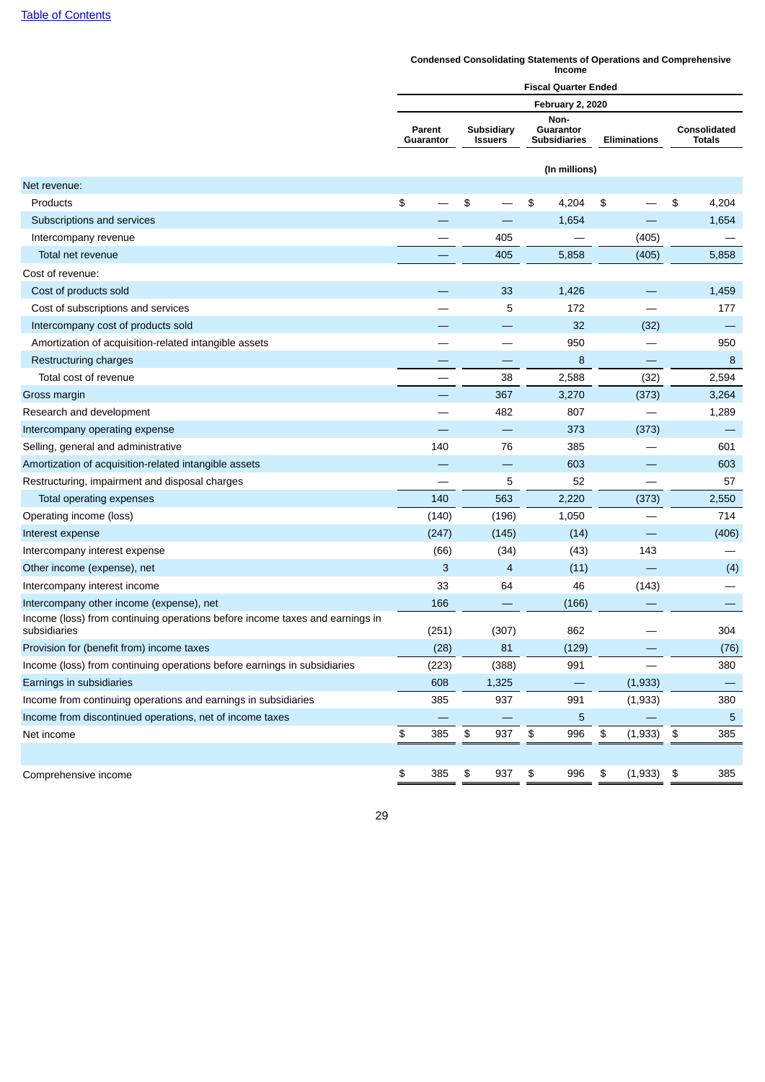#### **Condensed Consolidating Statements of Operations and Comprehensive Income**

|                                                                                              | <b>Fiscal Quarter Ended</b> |                     |    |                                     |                                          |               |                     |         |            |                               |
|----------------------------------------------------------------------------------------------|-----------------------------|---------------------|----|-------------------------------------|------------------------------------------|---------------|---------------------|---------|------------|-------------------------------|
|                                                                                              | <b>February 2, 2020</b>     |                     |    |                                     |                                          |               |                     |         |            |                               |
|                                                                                              |                             | Parent<br>Guarantor |    | <b>Subsidiary</b><br><b>Issuers</b> | Non-<br>Guarantor<br><b>Subsidiaries</b> |               | <b>Eliminations</b> |         |            | Consolidated<br><b>Totals</b> |
|                                                                                              |                             |                     |    |                                     |                                          | (In millions) |                     |         |            |                               |
| Net revenue:                                                                                 |                             |                     |    |                                     |                                          |               |                     |         |            |                               |
| Products                                                                                     | \$                          |                     | \$ |                                     | \$                                       | 4,204         | \$                  |         | \$         | 4,204                         |
| Subscriptions and services                                                                   |                             |                     |    |                                     |                                          | 1,654         |                     |         |            | 1,654                         |
| Intercompany revenue                                                                         |                             |                     |    | 405                                 |                                          |               |                     | (405)   |            |                               |
| Total net revenue                                                                            |                             |                     |    | 405                                 |                                          | 5,858         |                     | (405)   |            | 5,858                         |
| Cost of revenue:                                                                             |                             |                     |    |                                     |                                          |               |                     |         |            |                               |
| Cost of products sold                                                                        |                             |                     |    | 33                                  |                                          | 1,426         |                     |         |            | 1,459                         |
| Cost of subscriptions and services                                                           |                             |                     |    | 5                                   |                                          | 172           |                     |         |            | 177                           |
| Intercompany cost of products sold                                                           |                             |                     |    |                                     |                                          | 32            |                     | (32)    |            |                               |
| Amortization of acquisition-related intangible assets                                        |                             |                     |    |                                     |                                          | 950           |                     |         |            | 950                           |
| Restructuring charges                                                                        |                             |                     |    | —                                   |                                          | 8             |                     | —       |            | 8                             |
| Total cost of revenue                                                                        |                             |                     |    | 38                                  |                                          | 2,588         |                     | (32)    |            | 2,594                         |
| Gross margin                                                                                 |                             |                     |    | 367                                 |                                          | 3,270         |                     | (373)   |            | 3,264                         |
| Research and development                                                                     |                             |                     |    | 482                                 |                                          | 807           |                     |         |            | 1,289                         |
| Intercompany operating expense                                                               |                             |                     |    |                                     |                                          | 373           |                     | (373)   |            |                               |
| Selling, general and administrative                                                          |                             | 140                 |    | 76                                  |                                          | 385           |                     |         |            | 601                           |
| Amortization of acquisition-related intangible assets                                        |                             |                     |    |                                     |                                          | 603           |                     |         |            | 603                           |
| Restructuring, impairment and disposal charges                                               |                             |                     |    | 5                                   |                                          | 52            |                     |         |            | 57                            |
| Total operating expenses                                                                     |                             | 140                 |    | 563                                 |                                          | 2,220         |                     | (373)   |            | 2,550                         |
| Operating income (loss)                                                                      |                             | (140)               |    | (196)                               |                                          | 1,050         |                     |         |            | 714                           |
| Interest expense                                                                             |                             | (247)               |    | (145)                               |                                          | (14)          |                     |         |            | (406)                         |
| Intercompany interest expense                                                                |                             | (66)                |    | (34)                                |                                          | (43)          |                     | 143     |            |                               |
| Other income (expense), net                                                                  |                             | 3                   |    | $\overline{4}$                      |                                          | (11)          |                     |         |            | (4)                           |
| Intercompany interest income                                                                 |                             | 33                  |    | 64                                  |                                          | 46            |                     | (143)   |            |                               |
| Intercompany other income (expense), net                                                     |                             | 166                 |    |                                     |                                          | (166)         |                     |         |            |                               |
| Income (loss) from continuing operations before income taxes and earnings in<br>subsidiaries |                             | (251)               |    | (307)                               |                                          | 862           |                     |         |            | 304                           |
| Provision for (benefit from) income taxes                                                    |                             | (28)                |    | 81                                  |                                          | (129)         |                     |         |            | (76)                          |
| Income (loss) from continuing operations before earnings in subsidiaries                     |                             | (223)               |    | (388)                               |                                          | 991           |                     |         |            | 380                           |
| Earnings in subsidiaries                                                                     |                             | 608                 |    | 1,325                               |                                          |               |                     | (1,933) |            |                               |
| Income from continuing operations and earnings in subsidiaries                               |                             | 385                 |    | 937                                 |                                          | 991           |                     | (1,933) |            | 380                           |
| Income from discontinued operations, net of income taxes                                     |                             |                     |    |                                     |                                          | 5             |                     |         |            | $\sqrt{5}$                    |
| Net income                                                                                   | \$                          | 385                 | \$ | 937                                 | \$                                       | 996           | \$                  | (1,933) | $\, \, \$$ | 385                           |
|                                                                                              |                             |                     |    |                                     |                                          |               |                     |         |            |                               |
| Comprehensive income                                                                         | \$                          | 385                 | \$ | 937                                 | \$                                       | 996           | \$                  | (1,933) | \$         | 385                           |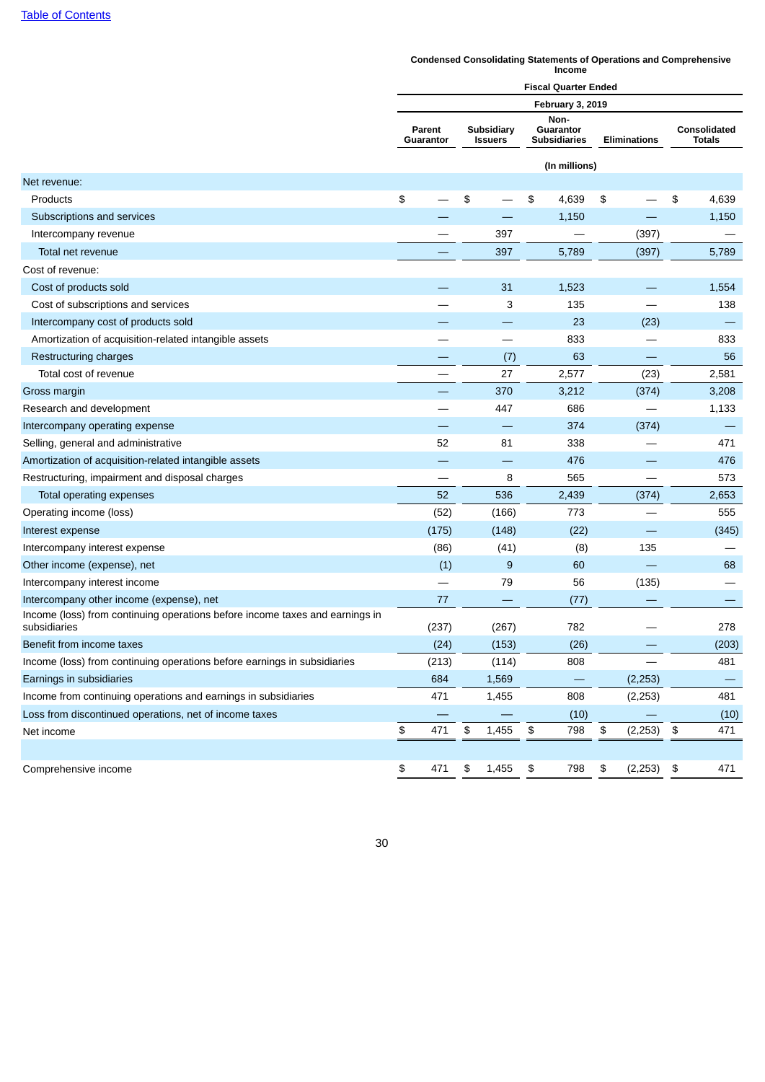#### **Condensed Consolidating Statements of Operations and Comprehensive Income**

|                                                                                              |                         |                     |    |                                     |                                          | <b>Fiscal Quarter Ended</b> |                     |          |      |                               |
|----------------------------------------------------------------------------------------------|-------------------------|---------------------|----|-------------------------------------|------------------------------------------|-----------------------------|---------------------|----------|------|-------------------------------|
|                                                                                              | <b>February 3, 2019</b> |                     |    |                                     |                                          |                             |                     |          |      |                               |
|                                                                                              |                         | Parent<br>Guarantor |    | <b>Subsidiary</b><br><b>Issuers</b> | Non-<br>Guarantor<br><b>Subsidiaries</b> |                             | <b>Eliminations</b> |          |      | Consolidated<br><b>Totals</b> |
|                                                                                              |                         |                     |    |                                     |                                          | (In millions)               |                     |          |      |                               |
| Net revenue:                                                                                 |                         |                     |    |                                     |                                          |                             |                     |          |      |                               |
| Products                                                                                     | \$                      |                     | \$ |                                     | \$                                       | 4,639                       | \$                  |          | \$   | 4,639                         |
| Subscriptions and services                                                                   |                         |                     |    |                                     |                                          | 1,150                       |                     |          |      | 1,150                         |
| Intercompany revenue                                                                         |                         |                     |    | 397                                 |                                          |                             |                     | (397)    |      |                               |
| Total net revenue                                                                            |                         |                     |    | 397                                 |                                          | 5,789                       |                     | (397)    |      | 5,789                         |
| Cost of revenue:                                                                             |                         |                     |    |                                     |                                          |                             |                     |          |      |                               |
| Cost of products sold                                                                        |                         |                     |    | 31                                  |                                          | 1,523                       |                     |          |      | 1,554                         |
| Cost of subscriptions and services                                                           |                         |                     |    | 3                                   |                                          | 135                         |                     |          |      | 138                           |
| Intercompany cost of products sold                                                           |                         |                     |    |                                     |                                          | 23                          |                     | (23)     |      |                               |
| Amortization of acquisition-related intangible assets                                        |                         |                     |    |                                     |                                          | 833                         |                     |          |      | 833                           |
| Restructuring charges                                                                        |                         |                     |    | (7)                                 |                                          | 63                          |                     |          |      | 56                            |
| Total cost of revenue                                                                        |                         |                     |    | 27                                  |                                          | 2,577                       |                     | (23)     |      | 2,581                         |
| Gross margin                                                                                 |                         |                     |    | 370                                 |                                          | 3,212                       |                     | (374)    |      | 3,208                         |
| Research and development                                                                     |                         |                     |    | 447                                 |                                          | 686                         |                     |          |      | 1,133                         |
| Intercompany operating expense                                                               |                         |                     |    |                                     |                                          | 374                         |                     | (374)    |      |                               |
| Selling, general and administrative                                                          |                         | 52                  |    | 81                                  |                                          | 338                         |                     |          |      | 471                           |
| Amortization of acquisition-related intangible assets                                        |                         |                     |    |                                     |                                          | 476                         |                     |          |      | 476                           |
| Restructuring, impairment and disposal charges                                               |                         |                     |    | 8                                   |                                          | 565                         |                     |          |      | 573                           |
| Total operating expenses                                                                     |                         | 52                  |    | 536                                 |                                          | 2,439                       |                     | (374)    |      | 2,653                         |
| Operating income (loss)                                                                      |                         | (52)                |    | (166)                               |                                          | 773                         |                     |          |      | 555                           |
| Interest expense                                                                             |                         | (175)               |    | (148)                               |                                          | (22)                        |                     |          |      | (345)                         |
| Intercompany interest expense                                                                |                         | (86)                |    | (41)                                |                                          | (8)                         |                     | 135      |      |                               |
| Other income (expense), net                                                                  |                         | (1)                 |    | 9                                   |                                          | 60                          |                     |          |      | 68                            |
| Intercompany interest income                                                                 |                         |                     |    | 79                                  |                                          | 56                          |                     | (135)    |      |                               |
| Intercompany other income (expense), net                                                     |                         | 77                  |    |                                     |                                          | (77)                        |                     |          |      |                               |
| Income (loss) from continuing operations before income taxes and earnings in<br>subsidiaries |                         | (237)               |    | (267)                               |                                          | 782                         |                     |          |      | 278                           |
| Benefit from income taxes                                                                    |                         | (24)                |    | (153)                               |                                          | (26)                        |                     |          |      | (203)                         |
| Income (loss) from continuing operations before earnings in subsidiaries                     |                         | (213)               |    | (114)                               |                                          | 808                         |                     |          |      | 481                           |
| Earnings in subsidiaries                                                                     |                         | 684                 |    | 1,569                               |                                          |                             |                     | (2, 253) |      |                               |
| Income from continuing operations and earnings in subsidiaries                               |                         | 471                 |    | 1,455                               |                                          | 808                         |                     | (2, 253) |      | 481                           |
| Loss from discontinued operations, net of income taxes                                       |                         |                     |    |                                     |                                          | (10)                        |                     |          |      | (10)                          |
| Net income                                                                                   | \$                      | 471                 | \$ | 1,455                               | \$                                       | 798                         | $\, \, \$$          | (2, 253) | $\,$ | 471                           |
|                                                                                              |                         |                     |    |                                     |                                          |                             |                     |          |      |                               |
| Comprehensive income                                                                         | \$                      | 471                 | \$ | 1,455                               | \$                                       | 798                         | \$                  | (2, 253) | \$   | 471                           |

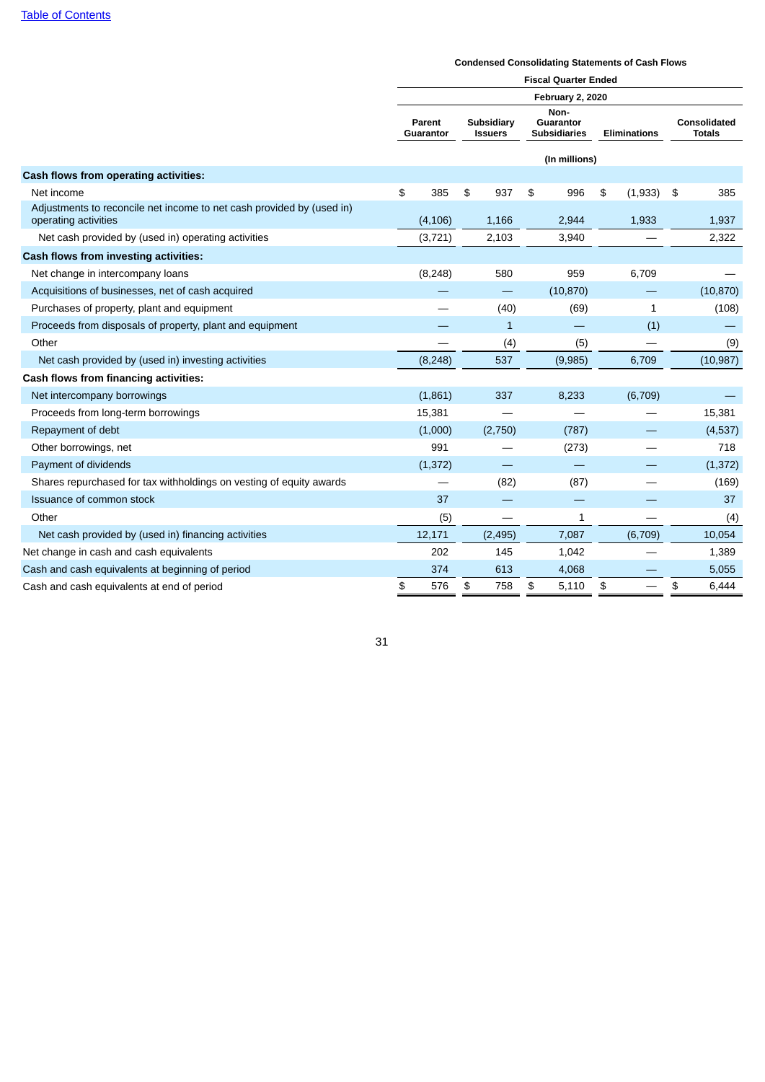|  | <b>Condensed Consolidating Statements of Cash Flows</b> |
|--|---------------------------------------------------------|
|--|---------------------------------------------------------|

|                                                                                               | <b>Fiscal Quarter Ended</b> |                            |    |              |    |                              |                                          |                          |      |                     |  |                                      |
|-----------------------------------------------------------------------------------------------|-----------------------------|----------------------------|----|--------------|----|------------------------------|------------------------------------------|--------------------------|------|---------------------|--|--------------------------------------|
|                                                                                               | <b>February 2, 2020</b>     |                            |    |              |    |                              |                                          |                          |      |                     |  |                                      |
|                                                                                               |                             | <b>Parent</b><br>Guarantor |    |              |    | Subsidiary<br><b>Issuers</b> | Non-<br>Guarantor<br><b>Subsidiaries</b> |                          |      | <b>Eliminations</b> |  | <b>Consolidated</b><br><b>Totals</b> |
|                                                                                               |                             |                            |    |              |    | (In millions)                |                                          |                          |      |                     |  |                                      |
| Cash flows from operating activities:                                                         |                             |                            |    |              |    |                              |                                          |                          |      |                     |  |                                      |
| Net income                                                                                    | \$                          | 385                        | \$ | 937          | \$ | 996                          | \$                                       | (1,933)                  | - \$ | 385                 |  |                                      |
| Adjustments to reconcile net income to net cash provided by (used in)<br>operating activities |                             | (4,106)                    |    | 1,166        |    | 2,944                        |                                          | 1,933                    |      | 1,937               |  |                                      |
| Net cash provided by (used in) operating activities                                           |                             | (3,721)                    |    | 2,103        |    | 3,940                        |                                          |                          |      | 2,322               |  |                                      |
| Cash flows from investing activities:                                                         |                             |                            |    |              |    |                              |                                          |                          |      |                     |  |                                      |
| Net change in intercompany loans                                                              |                             | (8, 248)                   |    | 580          |    | 959                          |                                          | 6,709                    |      |                     |  |                                      |
| Acquisitions of businesses, net of cash acquired                                              |                             |                            |    |              |    | (10, 870)                    |                                          |                          |      | (10, 870)           |  |                                      |
| Purchases of property, plant and equipment                                                    |                             |                            |    | (40)         |    | (69)                         |                                          | $\mathbf{1}$             |      | (108)               |  |                                      |
| Proceeds from disposals of property, plant and equipment                                      |                             |                            |    | $\mathbf{1}$ |    |                              |                                          | (1)                      |      |                     |  |                                      |
| Other                                                                                         |                             |                            |    | (4)          |    | (5)                          |                                          |                          |      | (9)                 |  |                                      |
| Net cash provided by (used in) investing activities                                           |                             | (8, 248)                   |    | 537          |    | (9,985)                      |                                          | 6,709                    |      | (10, 987)           |  |                                      |
| Cash flows from financing activities:                                                         |                             |                            |    |              |    |                              |                                          |                          |      |                     |  |                                      |
| Net intercompany borrowings                                                                   |                             | (1,861)                    |    | 337          |    | 8,233                        |                                          | (6,709)                  |      |                     |  |                                      |
| Proceeds from long-term borrowings                                                            |                             | 15,381                     |    |              |    |                              |                                          |                          |      | 15,381              |  |                                      |
| Repayment of debt                                                                             |                             | (1,000)                    |    | (2,750)      |    | (787)                        |                                          | —                        |      | (4,537)             |  |                                      |
| Other borrowings, net                                                                         |                             | 991                        |    |              |    | (273)                        |                                          |                          |      | 718                 |  |                                      |
| Payment of dividends                                                                          |                             | (1, 372)                   |    |              |    |                              |                                          | -                        |      | (1, 372)            |  |                                      |
| Shares repurchased for tax withholdings on vesting of equity awards                           |                             |                            |    | (82)         |    | (87)                         |                                          |                          |      | (169)               |  |                                      |
| Issuance of common stock                                                                      |                             | 37                         |    | —            |    |                              |                                          |                          |      | 37                  |  |                                      |
| Other                                                                                         |                             | (5)                        |    |              |    | 1                            |                                          |                          |      | (4)                 |  |                                      |
| Net cash provided by (used in) financing activities                                           |                             | 12,171                     |    | (2, 495)     |    | 7,087                        |                                          | (6, 709)                 |      | 10,054              |  |                                      |
| Net change in cash and cash equivalents                                                       |                             | 202                        |    | 145          |    | 1,042                        |                                          |                          |      | 1,389               |  |                                      |
| Cash and cash equivalents at beginning of period                                              |                             | 374                        |    | 613          |    | 4,068                        |                                          |                          |      | 5,055               |  |                                      |
| Cash and cash equivalents at end of period                                                    | \$                          | 576                        | \$ | 758          | \$ | 5,110                        | \$                                       | $\overline{\phantom{0}}$ | \$   | 6,444               |  |                                      |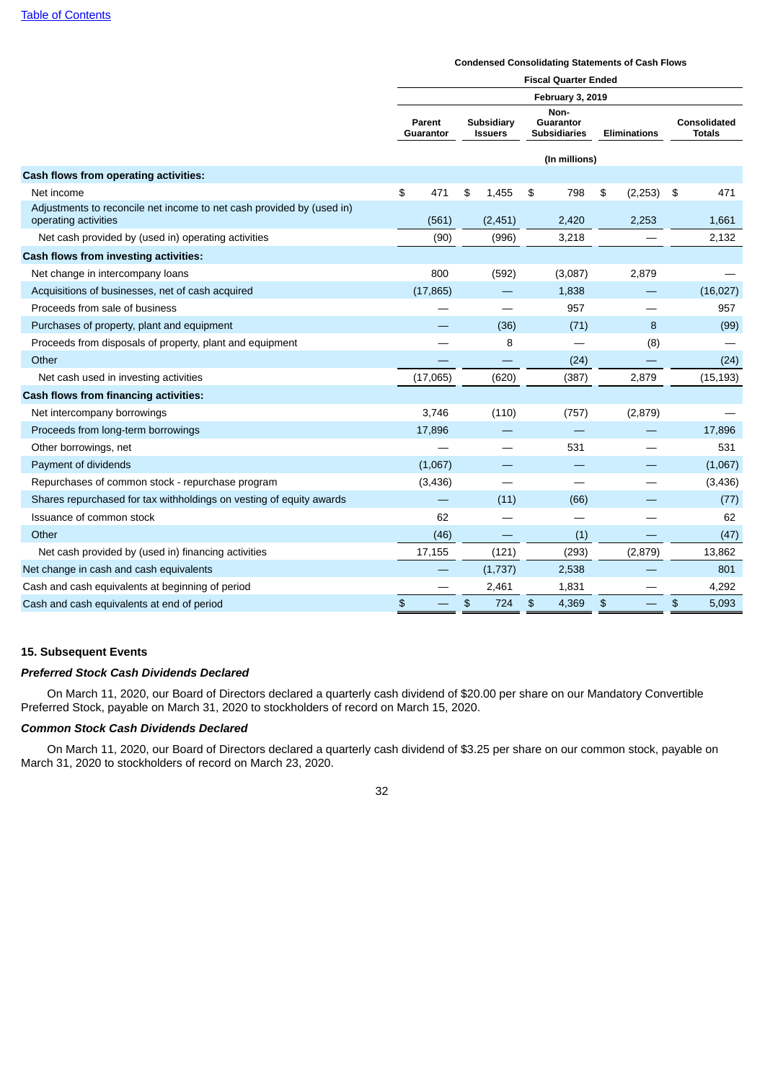|  | <b>Condensed Consolidating Statements of Cash Flows</b> |
|--|---------------------------------------------------------|
|--|---------------------------------------------------------|

|                                                                                               | <b>Fiscal Quarter Ended</b> |                              |                          |                                                           |         |                     |          |                               |           |  |
|-----------------------------------------------------------------------------------------------|-----------------------------|------------------------------|--------------------------|-----------------------------------------------------------|---------|---------------------|----------|-------------------------------|-----------|--|
|                                                                                               | <b>February 3, 2019</b>     |                              |                          |                                                           |         |                     |          |                               |           |  |
|                                                                                               | <b>Parent</b><br>Guarantor  | Subsidiary<br><b>Issuers</b> |                          | Non-<br>Guarantor<br><b>Subsidiaries</b><br>(In millions) |         | <b>Eliminations</b> |          | Consolidated<br><b>Totals</b> |           |  |
|                                                                                               |                             |                              |                          |                                                           |         |                     |          |                               |           |  |
| Cash flows from operating activities:                                                         |                             |                              |                          |                                                           |         |                     |          |                               |           |  |
| Net income                                                                                    | \$<br>471                   | \$                           | 1,455                    | \$                                                        | 798     | \$                  | (2, 253) | \$                            | 471       |  |
| Adjustments to reconcile net income to net cash provided by (used in)<br>operating activities | (561)                       |                              | (2, 451)                 |                                                           | 2,420   |                     | 2,253    |                               | 1,661     |  |
| Net cash provided by (used in) operating activities                                           | (90)                        |                              | (996)                    |                                                           | 3,218   |                     |          |                               | 2,132     |  |
| Cash flows from investing activities:                                                         |                             |                              |                          |                                                           |         |                     |          |                               |           |  |
| Net change in intercompany loans                                                              | 800                         |                              | (592)                    |                                                           | (3,087) |                     | 2,879    |                               |           |  |
| Acquisitions of businesses, net of cash acquired                                              | (17, 865)                   |                              |                          |                                                           | 1,838   |                     |          |                               | (16, 027) |  |
| Proceeds from sale of business                                                                |                             |                              | $\overline{\phantom{0}}$ |                                                           | 957     |                     |          |                               | 957       |  |
| Purchases of property, plant and equipment                                                    |                             |                              | (36)                     |                                                           | (71)    |                     | 8        |                               | (99)      |  |
| Proceeds from disposals of property, plant and equipment                                      |                             |                              | 8                        |                                                           |         |                     | (8)      |                               |           |  |
| Other                                                                                         |                             |                              |                          |                                                           | (24)    |                     |          |                               | (24)      |  |
| Net cash used in investing activities                                                         | (17,065)                    |                              | (620)                    |                                                           | (387)   |                     | 2,879    |                               | (15, 193) |  |
| Cash flows from financing activities:                                                         |                             |                              |                          |                                                           |         |                     |          |                               |           |  |
| Net intercompany borrowings                                                                   | 3,746                       |                              | (110)                    |                                                           | (757)   |                     | (2,879)  |                               |           |  |
| Proceeds from long-term borrowings                                                            | 17,896                      |                              |                          |                                                           |         |                     |          |                               | 17,896    |  |
| Other borrowings, net                                                                         |                             |                              | $\overline{\phantom{0}}$ |                                                           | 531     |                     |          |                               | 531       |  |
| Payment of dividends                                                                          | (1,067)                     |                              |                          |                                                           |         |                     |          |                               | (1,067)   |  |
| Repurchases of common stock - repurchase program                                              | (3,436)                     |                              |                          |                                                           |         |                     |          |                               | (3,436)   |  |
| Shares repurchased for tax withholdings on vesting of equity awards                           |                             |                              | (11)                     |                                                           | (66)    |                     |          |                               | (77)      |  |
| Issuance of common stock                                                                      | 62                          |                              |                          |                                                           |         |                     |          |                               | 62        |  |
| Other                                                                                         | (46)                        |                              |                          |                                                           | (1)     |                     |          |                               | (47)      |  |
| Net cash provided by (used in) financing activities                                           | 17,155                      |                              | (121)                    |                                                           | (293)   |                     | (2,879)  |                               | 13,862    |  |
| Net change in cash and cash equivalents                                                       |                             |                              | (1,737)                  |                                                           | 2,538   |                     |          |                               | 801       |  |
| Cash and cash equivalents at beginning of period                                              |                             |                              | 2,461                    |                                                           | 1,831   |                     |          |                               | 4,292     |  |
| Cash and cash equivalents at end of period                                                    | \$                          | \$                           | 724                      | \$                                                        | 4,369   | $\frac{1}{2}$       |          | \$                            | 5,093     |  |

## **15. Subsequent Events**

## *Preferred Stock Cash Dividends Declared*

On March 11, 2020, our Board of Directors declared a quarterly cash dividend of \$20.00 per share on our Mandatory Convertible Preferred Stock, payable on March 31, 2020 to stockholders of record on March 15, 2020.

## *Common Stock Cash Dividends Declared*

On March 11, 2020, our Board of Directors declared a quarterly cash dividend of \$3.25 per share on our common stock, payable on March 31, 2020 to stockholders of record on March 23, 2020.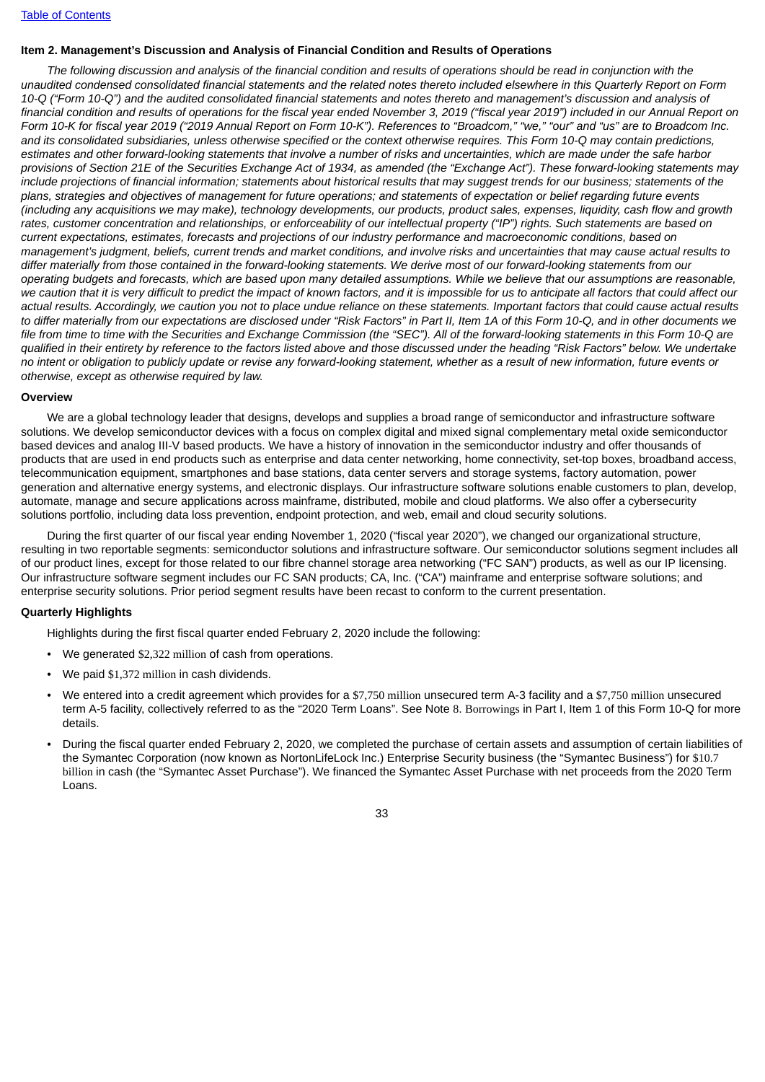#### <span id="page-34-0"></span>**Item 2. Management's Discussion and Analysis of Financial Condition and Results of Operations**

The following discussion and analysis of the financial condition and results of operations should be read in conjunction with the unaudited condensed consolidated financial statements and the related notes thereto included elsewhere in this Quarterly Report on Form 10-Q ("Form 10-Q") and the audited consolidated financial statements and notes thereto and management's discussion and analysis of financial condition and results of operations for the fiscal year ended November 3, 2019 ("fiscal year 2019") included in our Annual Report on Form 10-K for fiscal vear 2019 ("2019 Annual Report on Form 10-K"). References to "Broadcom." "we." "our" and "us" are to Broadcom Inc. and its consolidated subsidiaries, unless otherwise specified or the context otherwise requires. This Form 10-O may contain predictions, estimates and other forward-looking statements that involve a number of risks and uncertainties, which are made under the safe harbor provisions of Section 21E of the Securities Exchange Act of 1934, as amended (the "Exchange Act"). These forward-looking statements may include projections of financial information; statements about historical results that may suggest trends for our business; statements of the plans, strategies and objectives of management for future operations; and statements of expectation or belief regarding future events (including any acquisitions we may make), technology developments, our products, product sales, expenses, liquidity, cash flow and growth rates, customer concentration and relationships, or enforceability of our intellectual property ("IP") rights. Such statements are based on current expectations, estimates, forecasts and projections of our industry performance and macroeconomic conditions, based on management's judgment, beliefs, current trends and market conditions, and involve risks and uncertainties that may cause actual results to differ materially from those contained in the forward-looking statements. We derive most of our forward-looking statements from our operating budgets and forecasts, which are based upon many detailed assumptions. While we believe that our assumptions are reasonable, we caution that it is very difficult to predict the impact of known factors, and it is impossible for us to anticipate all factors that could affect our actual results. Accordingly, we caution you not to place undue reliance on these statements. Important factors that could cause actual results to differ materially from our expectations are disclosed under "Risk Factors" in Part II, Item 1A of this Form 10-O, and in other documents we file from time to time with the Securities and Exchange Commission (the "SEC"). All of the forward-looking statements in this Form 10-Q are qualified in their entirety by reference to the factors listed above and those discussed under the heading "Risk Factors" below. We undertake no intent or obligation to publicly update or revise any forward-looking statement, whether as a result of new information, future events or *otherwise, except as otherwise required by law.*

#### **Overview**

We are a global technology leader that designs, develops and supplies a broad range of semiconductor and infrastructure software solutions. We develop semiconductor devices with a focus on complex digital and mixed signal complementary metal oxide semiconductor based devices and analog III-V based products. We have a history of innovation in the semiconductor industry and offer thousands of products that are used in end products such as enterprise and data center networking, home connectivity, set-top boxes, broadband access, telecommunication equipment, smartphones and base stations, data center servers and storage systems, factory automation, power generation and alternative energy systems, and electronic displays. Our infrastructure software solutions enable customers to plan, develop, automate, manage and secure applications across mainframe, distributed, mobile and cloud platforms. We also offer a cybersecurity solutions portfolio, including data loss prevention, endpoint protection, and web, email and cloud security solutions.

During the first quarter of our fiscal year ending November 1, 2020 ("fiscal year 2020"), we changed our organizational structure, resulting in two reportable segments: semiconductor solutions and infrastructure software. Our semiconductor solutions segment includes all of our product lines, except for those related to our fibre channel storage area networking ("FC SAN") products, as well as our IP licensing. Our infrastructure software segment includes our FC SAN products; CA, Inc. ("CA") mainframe and enterprise software solutions; and enterprise security solutions. Prior period segment results have been recast to conform to the current presentation.

## **Quarterly Highlights**

Highlights during the first fiscal quarter ended February 2, 2020 include the following:

- We generated \$2,322 million of cash from operations.
- We paid \$1,372 million in cash dividends.
- We entered into a credit agreement which provides for a \$7,750 million unsecured term A-3 facility and a \$7,750 million unsecured term A-5 facility, collectively referred to as the "2020 Term Loans". See Note 8. Borrowings in Part I, Item 1 of this Form 10-Q for more details.
- During the fiscal quarter ended February 2, 2020, we completed the purchase of certain assets and assumption of certain liabilities of the Symantec Corporation (now known as NortonLifeLock Inc.) Enterprise Security business (the "Symantec Business") for \$10.7 billion in cash (the "Symantec Asset Purchase"). We financed the Symantec Asset Purchase with net proceeds from the 2020 Term Loans.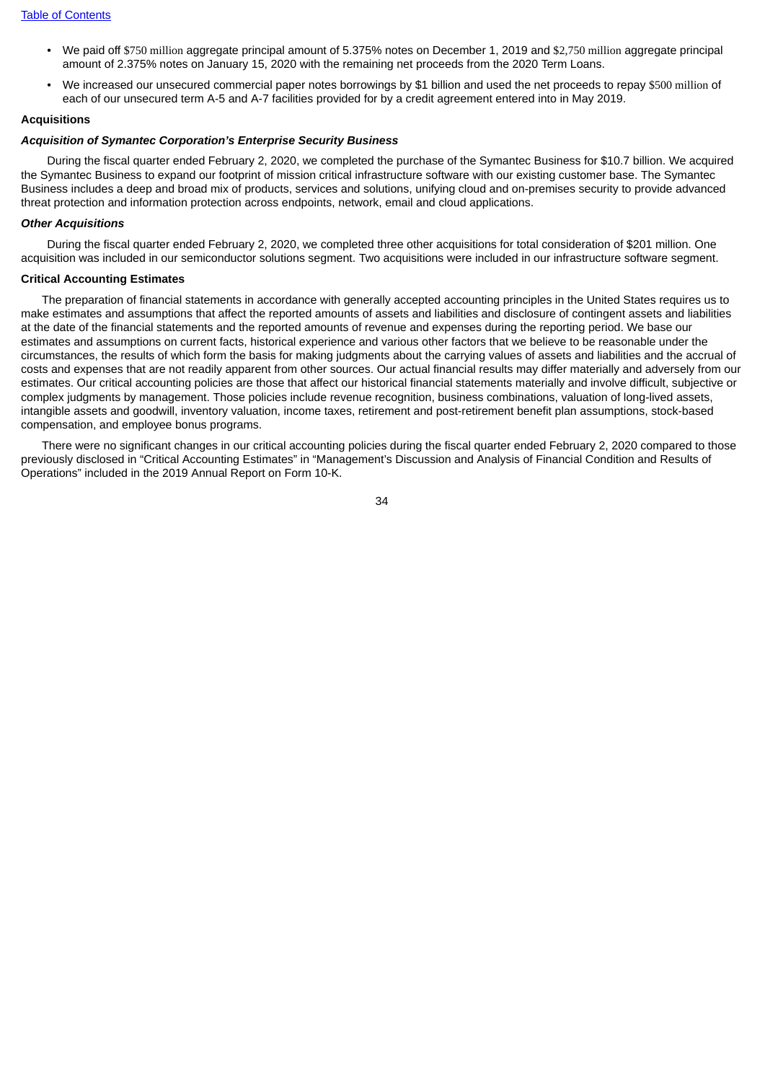- We paid off \$750 million aggregate principal amount of 5.375% notes on December 1, 2019 and \$2,750 million aggregate principal amount of 2.375% notes on January 15, 2020 with the remaining net proceeds from the 2020 Term Loans.
- We increased our unsecured commercial paper notes borrowings by \$1 billion and used the net proceeds to repay \$500 million of each of our unsecured term A-5 and A-7 facilities provided for by a credit agreement entered into in May 2019.

## **Acquisitions**

#### *Acquisition of Symantec Corporation's Enterprise Security Business*

During the fiscal quarter ended February 2, 2020, we completed the purchase of the Symantec Business for \$10.7 billion. We acquired the Symantec Business to expand our footprint of mission critical infrastructure software with our existing customer base. The Symantec Business includes a deep and broad mix of products, services and solutions, unifying cloud and on-premises security to provide advanced threat protection and information protection across endpoints, network, email and cloud applications.

#### *Other Acquisitions*

During the fiscal quarter ended February 2, 2020, we completed three other acquisitions for total consideration of \$201 million. One acquisition was included in our semiconductor solutions segment. Two acquisitions were included in our infrastructure software segment.

#### **Critical Accounting Estimates**

The preparation of financial statements in accordance with generally accepted accounting principles in the United States requires us to make estimates and assumptions that affect the reported amounts of assets and liabilities and disclosure of contingent assets and liabilities at the date of the financial statements and the reported amounts of revenue and expenses during the reporting period. We base our estimates and assumptions on current facts, historical experience and various other factors that we believe to be reasonable under the circumstances, the results of which form the basis for making judgments about the carrying values of assets and liabilities and the accrual of costs and expenses that are not readily apparent from other sources. Our actual financial results may differ materially and adversely from our estimates. Our critical accounting policies are those that affect our historical financial statements materially and involve difficult, subjective or complex judgments by management. Those policies include revenue recognition, business combinations, valuation of long-lived assets, intangible assets and goodwill, inventory valuation, income taxes, retirement and post-retirement benefit plan assumptions, stock-based compensation, and employee bonus programs.

There were no significant changes in our critical accounting policies during the fiscal quarter ended February 2, 2020 compared to those previously disclosed in "Critical Accounting Estimates" in "Management's Discussion and Analysis of Financial Condition and Results of Operations" included in the 2019 Annual Report on Form 10-K.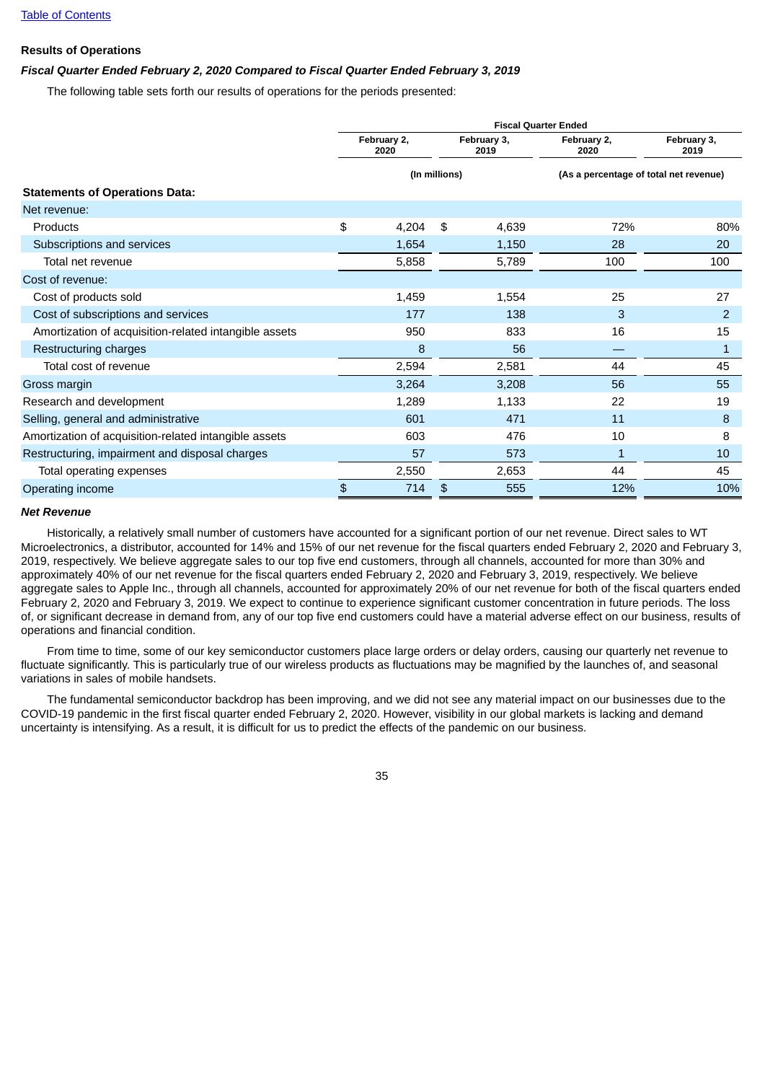## **Results of Operations**

### *Fiscal Quarter Ended February 2, 2020 Compared to Fiscal Quarter Ended February 3, 2019*

The following table sets forth our results of operations for the periods presented:

|                                                       | <b>Fiscal Quarter Ended</b> |                     |                |                     |                                        |                     |  |  |
|-------------------------------------------------------|-----------------------------|---------------------|----------------|---------------------|----------------------------------------|---------------------|--|--|
|                                                       |                             | February 2,<br>2020 |                | February 3,<br>2019 | February 2,<br>2020                    | February 3.<br>2019 |  |  |
|                                                       |                             | (In millions)       |                |                     | (As a percentage of total net revenue) |                     |  |  |
| <b>Statements of Operations Data:</b>                 |                             |                     |                |                     |                                        |                     |  |  |
| Net revenue:                                          |                             |                     |                |                     |                                        |                     |  |  |
| Products                                              | \$                          | 4,204               | \$             | 4,639               | 72%                                    | 80%                 |  |  |
| Subscriptions and services                            |                             | 1,654               |                | 1,150               | 28                                     | 20                  |  |  |
| Total net revenue                                     |                             | 5,858               |                | 5,789               | 100                                    | 100                 |  |  |
| Cost of revenue:                                      |                             |                     |                |                     |                                        |                     |  |  |
| Cost of products sold                                 |                             | 1,459               |                | 1,554               | 25                                     | 27                  |  |  |
| Cost of subscriptions and services                    |                             | 177                 |                | 138                 | 3                                      | 2                   |  |  |
| Amortization of acquisition-related intangible assets |                             | 950                 |                | 833                 | 16                                     | 15                  |  |  |
| Restructuring charges                                 |                             | 8                   |                | 56                  |                                        | $\mathbf{1}$        |  |  |
| Total cost of revenue                                 |                             | 2,594               |                | 2,581               | 44                                     | 45                  |  |  |
| Gross margin                                          |                             | 3,264               |                | 3,208               | 56                                     | 55                  |  |  |
| Research and development                              |                             | 1,289               |                | 1,133               | 22                                     | 19                  |  |  |
| Selling, general and administrative                   |                             | 601                 |                | 471                 | 11                                     | 8                   |  |  |
| Amortization of acquisition-related intangible assets |                             | 603                 |                | 476                 | 10                                     | 8                   |  |  |
| Restructuring, impairment and disposal charges        |                             | 57                  |                | 573                 | $\mathbf{1}$                           | 10                  |  |  |
| Total operating expenses                              |                             | 2,550               |                | 2,653               | 44                                     | 45                  |  |  |
| Operating income                                      | \$                          | 714                 | $\mathfrak{F}$ | 555                 | 12%                                    | 10%                 |  |  |

#### *Net Revenue*

Historically, a relatively small number of customers have accounted for a significant portion of our net revenue. Direct sales to WT Microelectronics, a distributor, accounted for 14% and 15% of our net revenue for the fiscal quarters ended February 2, 2020 and February 3, 2019, respectively. We believe aggregate sales to our top five end customers, through all channels, accounted for more than 30% and approximately 40% of our net revenue for the fiscal quarters ended February 2, 2020 and February 3, 2019, respectively. We believe aggregate sales to Apple Inc., through all channels, accounted for approximately 20% of our net revenue for both of the fiscal quarters ended February 2, 2020 and February 3, 2019. We expect to continue to experience significant customer concentration in future periods. The loss of, or significant decrease in demand from, any of our top five end customers could have a material adverse effect on our business, results of operations and financial condition.

From time to time, some of our key semiconductor customers place large orders or delay orders, causing our quarterly net revenue to fluctuate significantly. This is particularly true of our wireless products as fluctuations may be magnified by the launches of, and seasonal variations in sales of mobile handsets.

The fundamental semiconductor backdrop has been improving, and we did not see any material impact on our businesses due to the COVID-19 pandemic in the first fiscal quarter ended February 2, 2020. However, visibility in our global markets is lacking and demand uncertainty is intensifying. As a result, it is difficult for us to predict the effects of the pandemic on our business.

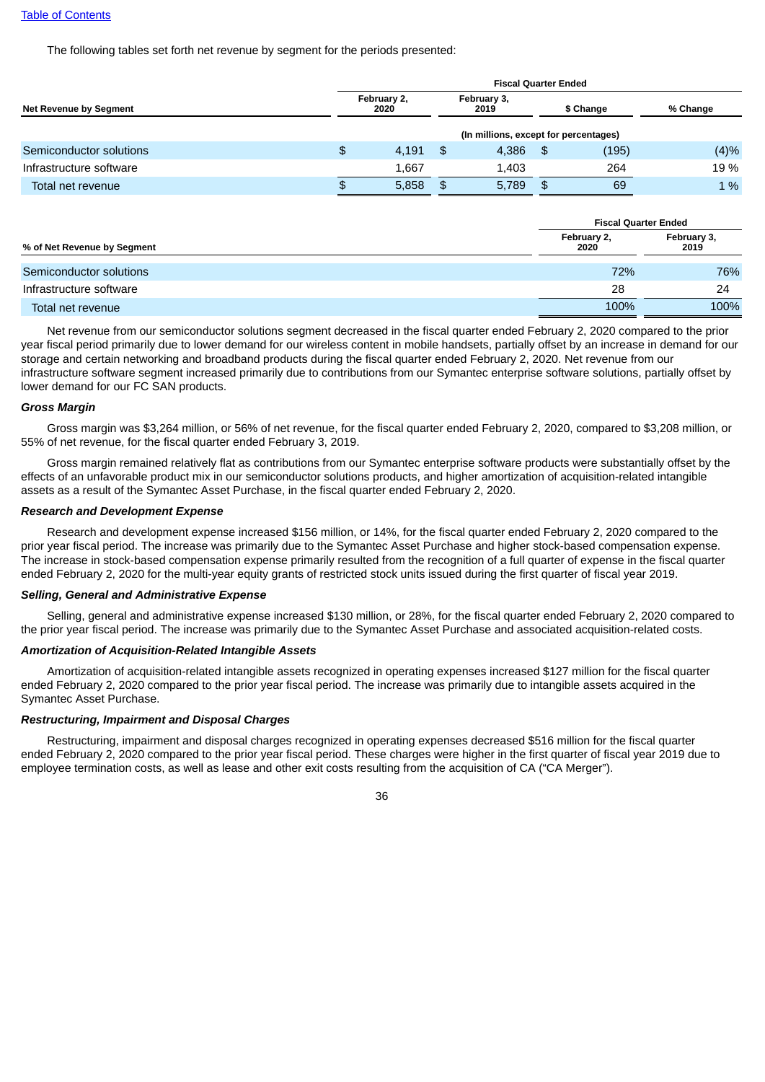The following tables set forth net revenue by segment for the periods presented:

|                               |    | <b>Fiscal Quarter Ended</b>           |     |                     |     |           |          |  |
|-------------------------------|----|---------------------------------------|-----|---------------------|-----|-----------|----------|--|
| <b>Net Revenue by Segment</b> |    | February 2,<br>2020                   |     | February 3,<br>2019 |     | \$ Change | % Change |  |
|                               |    | (In millions, except for percentages) |     |                     |     |           |          |  |
| Semiconductor solutions       | \$ | 4.191                                 | -\$ | 4,386               | -\$ | (195)     | (4)%     |  |
| Infrastructure software       |    | 1.667                                 |     | 1,403               |     | 264       | 19 %     |  |
| Total net revenue             |    | 5,858                                 | -\$ | 5,789               | \$  | 69        | 1 %      |  |

|                             |                     | <b>Fiscal Quarter Ended</b> |  |  |  |  |
|-----------------------------|---------------------|-----------------------------|--|--|--|--|
| % of Net Revenue by Segment | February 2,<br>2020 | February 3,<br>2019         |  |  |  |  |
| Semiconductor solutions     | 72%                 | 76%                         |  |  |  |  |
| Infrastructure software     | 28                  | 24                          |  |  |  |  |
| Total net revenue           | 100%                | 100%                        |  |  |  |  |

Net revenue from our semiconductor solutions segment decreased in the fiscal quarter ended February 2, 2020 compared to the prior year fiscal period primarily due to lower demand for our wireless content in mobile handsets, partially offset by an increase in demand for our storage and certain networking and broadband products during the fiscal quarter ended February 2, 2020. Net revenue from our infrastructure software segment increased primarily due to contributions from our Symantec enterprise software solutions, partially offset by lower demand for our FC SAN products.

### *Gross Margin*

Gross margin was \$3,264 million, or 56% of net revenue, for the fiscal quarter ended February 2, 2020, compared to \$3,208 million, or 55% of net revenue, for the fiscal quarter ended February 3, 2019.

Gross margin remained relatively flat as contributions from our Symantec enterprise software products were substantially offset by the effects of an unfavorable product mix in our semiconductor solutions products, and higher amortization of acquisition-related intangible assets as a result of the Symantec Asset Purchase, in the fiscal quarter ended February 2, 2020.

### *Research and Development Expense*

Research and development expense increased \$156 million, or 14%, for the fiscal quarter ended February 2, 2020 compared to the prior year fiscal period. The increase was primarily due to the Symantec Asset Purchase and higher stock-based compensation expense. The increase in stock-based compensation expense primarily resulted from the recognition of a full quarter of expense in the fiscal quarter ended February 2, 2020 for the multi-year equity grants of restricted stock units issued during the first quarter of fiscal year 2019.

#### *Selling, General and Administrative Expense*

Selling, general and administrative expense increased \$130 million, or 28%, for the fiscal quarter ended February 2, 2020 compared to the prior year fiscal period. The increase was primarily due to the Symantec Asset Purchase and associated acquisition-related costs.

#### *Amortization of Acquisition-Related Intangible Assets*

Amortization of acquisition-related intangible assets recognized in operating expenses increased \$127 million for the fiscal quarter ended February 2, 2020 compared to the prior year fiscal period. The increase was primarily due to intangible assets acquired in the Symantec Asset Purchase.

### *Restructuring, Impairment and Disposal Charges*

Restructuring, impairment and disposal charges recognized in operating expenses decreased \$516 million for the fiscal quarter ended February 2, 2020 compared to the prior year fiscal period. These charges were higher in the first quarter of fiscal year 2019 due to employee termination costs, as well as lease and other exit costs resulting from the acquisition of CA ("CA Merger").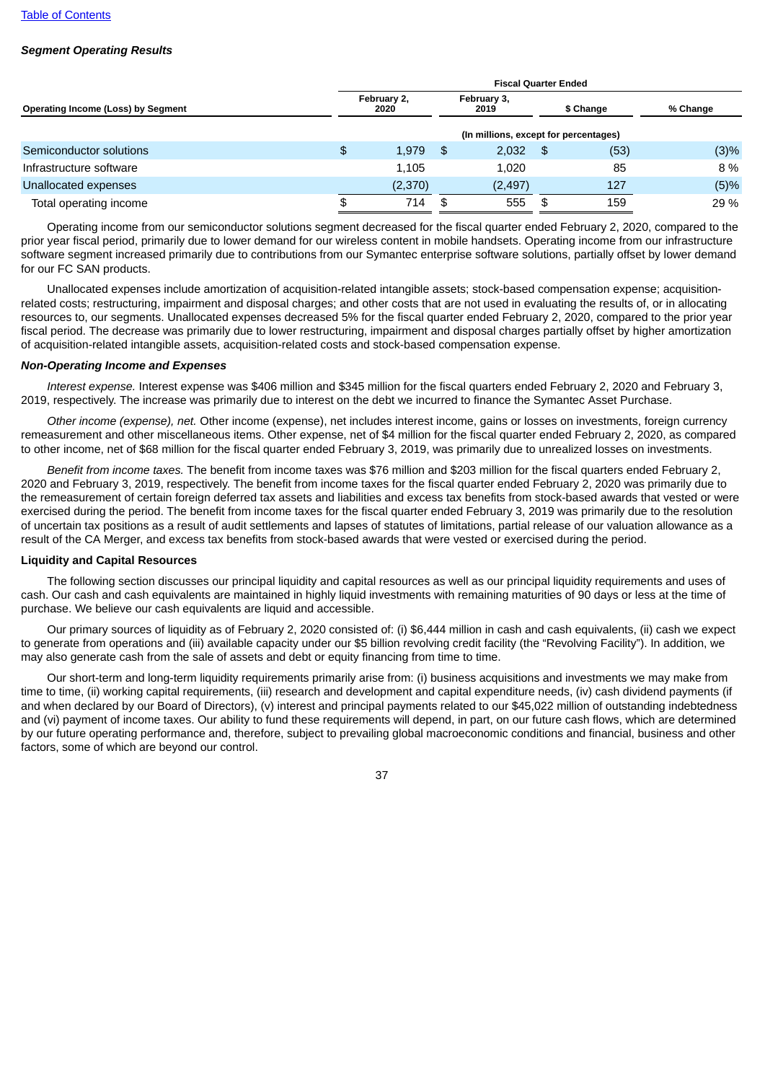## *Segment Operating Results*

|                                           |    | <b>Fiscal Quarter Ended</b> |                     |                                       |           |      |          |  |
|-------------------------------------------|----|-----------------------------|---------------------|---------------------------------------|-----------|------|----------|--|
| <b>Operating Income (Loss) by Segment</b> |    | February 2,<br>2020         | February 3,<br>2019 |                                       | \$ Change |      | % Change |  |
|                                           |    |                             |                     | (In millions, except for percentages) |           |      |          |  |
| Semiconductor solutions                   | \$ | 1,979                       | 8                   | 2,032                                 | -\$       | (53) | (3)%     |  |
| Infrastructure software                   |    | 1.105                       |                     | 1,020                                 |           | 85   | 8%       |  |
| Unallocated expenses                      |    | (2,370)                     |                     | (2, 497)                              |           | 127  | (5)%     |  |
| Total operating income                    | Φ  | 714                         | \$                  | 555                                   | \$        | 159  | 29 %     |  |

Operating income from our semiconductor solutions segment decreased for the fiscal quarter ended February 2, 2020, compared to the prior year fiscal period, primarily due to lower demand for our wireless content in mobile handsets. Operating income from our infrastructure software segment increased primarily due to contributions from our Symantec enterprise software solutions, partially offset by lower demand for our FC SAN products.

Unallocated expenses include amortization of acquisition-related intangible assets; stock-based compensation expense; acquisitionrelated costs; restructuring, impairment and disposal charges; and other costs that are not used in evaluating the results of, or in allocating resources to, our segments. Unallocated expenses decreased 5% for the fiscal quarter ended February 2, 2020, compared to the prior year fiscal period. The decrease was primarily due to lower restructuring, impairment and disposal charges partially offset by higher amortization of acquisition-related intangible assets, acquisition-related costs and stock-based compensation expense.

### *Non-Operating Income and Expenses*

*Interest expense.* Interest expense was \$406 million and \$345 million for the fiscal quarters ended February 2, 2020 and February 3, 2019, respectively. The increase was primarily due to interest on the debt we incurred to finance the Symantec Asset Purchase.

*Other income (expense), net.* Other income (expense), net includes interest income, gains or losses on investments, foreign currency remeasurement and other miscellaneous items. Other expense, net of \$4 million for the fiscal quarter ended February 2, 2020, as compared to other income, net of \$68 million for the fiscal quarter ended February 3, 2019, was primarily due to unrealized losses on investments.

*Benefit from income taxes.* The benefit from income taxes was \$76 million and \$203 million for the fiscal quarters ended February 2, 2020 and February 3, 2019, respectively. The benefit from income taxes for the fiscal quarter ended February 2, 2020 was primarily due to the remeasurement of certain foreign deferred tax assets and liabilities and excess tax benefits from stock-based awards that vested or were exercised during the period. The benefit from income taxes for the fiscal quarter ended February 3, 2019 was primarily due to the resolution of uncertain tax positions as a result of audit settlements and lapses of statutes of limitations, partial release of our valuation allowance as a result of the CA Merger, and excess tax benefits from stock-based awards that were vested or exercised during the period.

## **Liquidity and Capital Resources**

The following section discusses our principal liquidity and capital resources as well as our principal liquidity requirements and uses of cash. Our cash and cash equivalents are maintained in highly liquid investments with remaining maturities of 90 days or less at the time of purchase. We believe our cash equivalents are liquid and accessible.

Our primary sources of liquidity as of February 2, 2020 consisted of: (i) \$6,444 million in cash and cash equivalents, (ii) cash we expect to generate from operations and (iii) available capacity under our \$5 billion revolving credit facility (the "Revolving Facility"). In addition, we may also generate cash from the sale of assets and debt or equity financing from time to time.

Our short-term and long-term liquidity requirements primarily arise from: (i) business acquisitions and investments we may make from time to time, (ii) working capital requirements, (iii) research and development and capital expenditure needs, (iv) cash dividend payments (if and when declared by our Board of Directors), (v) interest and principal payments related to our \$45,022 million of outstanding indebtedness and (vi) payment of income taxes. Our ability to fund these requirements will depend, in part, on our future cash flows, which are determined by our future operating performance and, therefore, subject to prevailing global macroeconomic conditions and financial, business and other factors, some of which are beyond our control.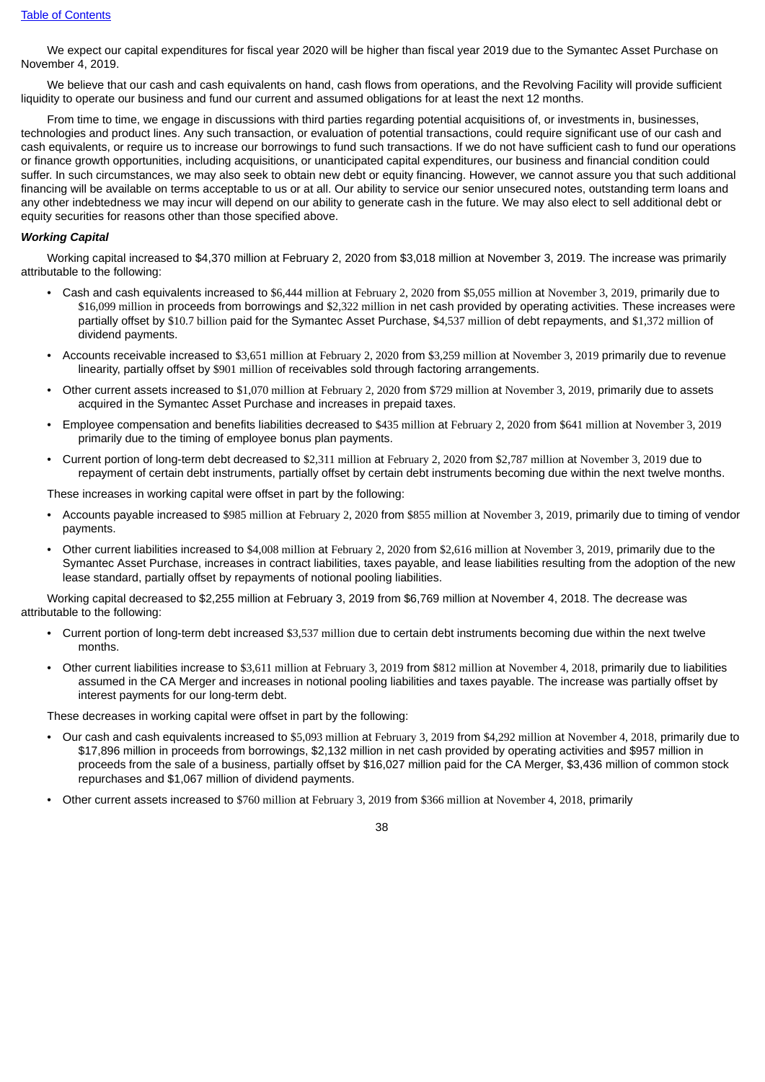We expect our capital expenditures for fiscal year 2020 will be higher than fiscal year 2019 due to the Symantec Asset Purchase on November 4, 2019.

We believe that our cash and cash equivalents on hand, cash flows from operations, and the Revolving Facility will provide sufficient liquidity to operate our business and fund our current and assumed obligations for at least the next 12 months.

From time to time, we engage in discussions with third parties regarding potential acquisitions of, or investments in, businesses, technologies and product lines. Any such transaction, or evaluation of potential transactions, could require significant use of our cash and cash equivalents, or require us to increase our borrowings to fund such transactions. If we do not have sufficient cash to fund our operations or finance growth opportunities, including acquisitions, or unanticipated capital expenditures, our business and financial condition could suffer. In such circumstances, we may also seek to obtain new debt or equity financing. However, we cannot assure you that such additional financing will be available on terms acceptable to us or at all. Our ability to service our senior unsecured notes, outstanding term loans and any other indebtedness we may incur will depend on our ability to generate cash in the future. We may also elect to sell additional debt or equity securities for reasons other than those specified above.

#### *Working Capital*

Working capital increased to \$4,370 million at February 2, 2020 from \$3,018 million at November 3, 2019. The increase was primarily attributable to the following:

- Cash and cash equivalents increased to \$6,444 million at February 2, 2020 from \$5,055 million at November 3, 2019, primarily due to \$16,099 million in proceeds from borrowings and \$2,322 million in net cash provided by operating activities. These increases were partially offset by \$10.7 billion paid for the Symantec Asset Purchase, \$4,537 million of debt repayments, and \$1,372 million of dividend payments.
- Accounts receivable increased to \$3,651 million at February 2, 2020 from \$3,259 million at November 3, 2019 primarily due to revenue linearity, partially offset by \$901 million of receivables sold through factoring arrangements.
- Other current assets increased to \$1,070 million at February 2, 2020 from \$729 million at November 3, 2019, primarily due to assets acquired in the Symantec Asset Purchase and increases in prepaid taxes.
- Employee compensation and benefits liabilities decreased to \$435 million at February 2, 2020 from \$641 million at November 3, 2019 primarily due to the timing of employee bonus plan payments.
- Current portion of long-term debt decreased to \$2,311 million at February 2, 2020 from \$2,787 million at November 3, 2019 due to repayment of certain debt instruments, partially offset by certain debt instruments becoming due within the next twelve months.

These increases in working capital were offset in part by the following:

- Accounts payable increased to \$985 million at February 2, 2020 from \$855 million at November 3, 2019, primarily due to timing of vendor payments.
- Other current liabilities increased to \$4,008 million at February 2, 2020 from \$2,616 million at November 3, 2019, primarily due to the Symantec Asset Purchase, increases in contract liabilities, taxes payable, and lease liabilities resulting from the adoption of the new lease standard, partially offset by repayments of notional pooling liabilities.

Working capital decreased to \$2,255 million at February 3, 2019 from \$6,769 million at November 4, 2018. The decrease was attributable to the following:

- Current portion of long-term debt increased \$3,537 million due to certain debt instruments becoming due within the next twelve months.
- Other current liabilities increase to \$3,611 million at February 3, 2019 from \$812 million at November 4, 2018, primarily due to liabilities assumed in the CA Merger and increases in notional pooling liabilities and taxes payable. The increase was partially offset by interest payments for our long-term debt.

These decreases in working capital were offset in part by the following:

- Our cash and cash equivalents increased to \$5,093 million at February 3, 2019 from \$4,292 million at November 4, 2018, primarily due to \$17,896 million in proceeds from borrowings, \$2,132 million in net cash provided by operating activities and \$957 million in proceeds from the sale of a business, partially offset by \$16,027 million paid for the CA Merger, \$3,436 million of common stock repurchases and \$1,067 million of dividend payments.
- Other current assets increased to \$760 million at February 3, 2019 from \$366 million at November 4, 2018, primarily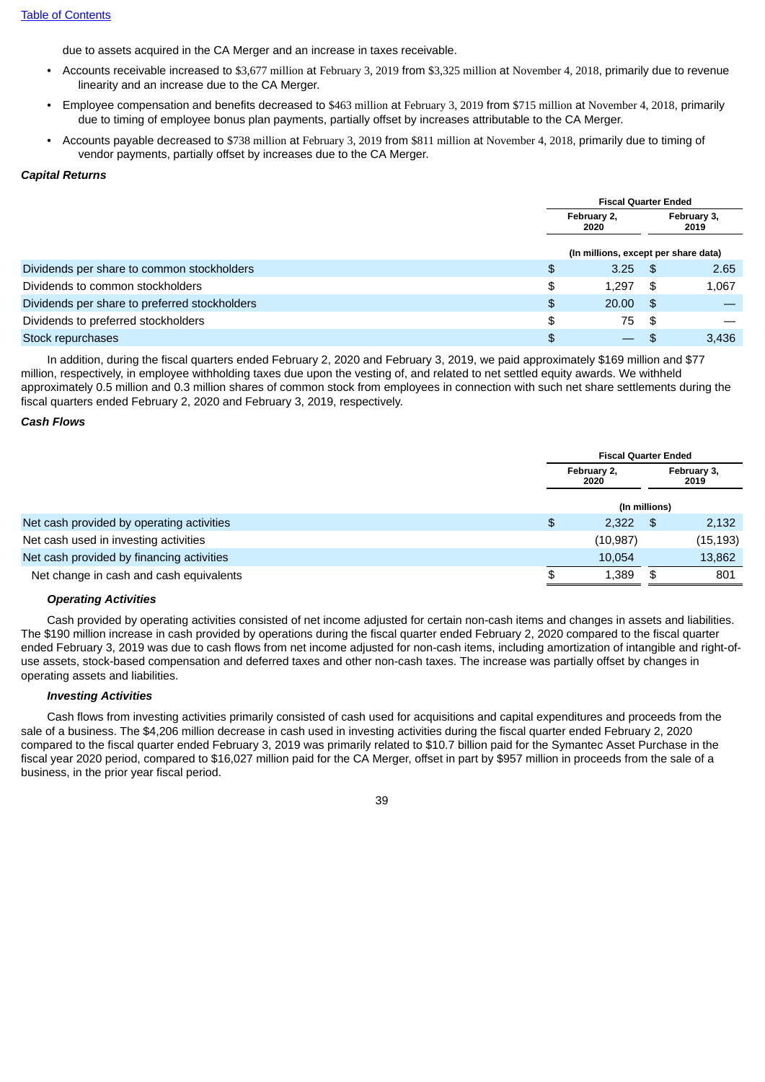due to assets acquired in the CA Merger and an increase in taxes receivable.

- Accounts receivable increased to \$3,677 million at February 3, 2019 from \$3,325 million at November 4, 2018, primarily due to revenue linearity and an increase due to the CA Merger.
- Employee compensation and benefits decreased to \$463 million at February 3, 2019 from \$715 million at November 4, 2018, primarily due to timing of employee bonus plan payments, partially offset by increases attributable to the CA Merger.
- Accounts payable decreased to \$738 million at February 3, 2019 from \$811 million at November 4, 2018, primarily due to timing of vendor payments, partially offset by increases due to the CA Merger.

### *Capital Returns*

|                                               |                     | <b>Fiscal Quarter Ended</b>          |                     |       |
|-----------------------------------------------|---------------------|--------------------------------------|---------------------|-------|
|                                               | February 2,<br>2020 |                                      | February 3,<br>2019 |       |
|                                               |                     | (In millions, except per share data) |                     |       |
| Dividends per share to common stockholders    | \$                  | 3.25                                 | - \$                | 2.65  |
| Dividends to common stockholders              | \$                  | 1.297                                | \$                  | 1.067 |
| Dividends per share to preferred stockholders | \$                  | 20.00                                | -\$                 |       |
| Dividends to preferred stockholders           | \$                  | 75                                   | -\$                 |       |
| Stock repurchases                             | \$                  |                                      | - \$                | 3,436 |

In addition, during the fiscal quarters ended February 2, 2020 and February 3, 2019, we paid approximately \$169 million and \$77 million, respectively, in employee withholding taxes due upon the vesting of, and related to net settled equity awards. We withheld approximately 0.5 million and 0.3 million shares of common stock from employees in connection with such net share settlements during the fiscal quarters ended February 2, 2020 and February 3, 2019, respectively.

### *Cash Flows*

|                                           |                     | <b>Fiscal Quarter Ended</b> |                     |           |  |
|-------------------------------------------|---------------------|-----------------------------|---------------------|-----------|--|
|                                           | February 2,<br>2020 |                             | February 3,<br>2019 |           |  |
|                                           |                     | (In millions)               |                     |           |  |
| Net cash provided by operating activities | \$                  | 2,322                       | -\$                 | 2,132     |  |
| Net cash used in investing activities     |                     | (10, 987)                   |                     | (15, 193) |  |
| Net cash provided by financing activities |                     | 10.054                      |                     | 13,862    |  |
| Net change in cash and cash equivalents   | \$.                 | 1,389                       | \$                  | 801       |  |

## *Operating Activities*

Cash provided by operating activities consisted of net income adjusted for certain non-cash items and changes in assets and liabilities. The \$190 million increase in cash provided by operations during the fiscal quarter ended February 2, 2020 compared to the fiscal quarter ended February 3, 2019 was due to cash flows from net income adjusted for non-cash items, including amortization of intangible and right-ofuse assets, stock-based compensation and deferred taxes and other non-cash taxes. The increase was partially offset by changes in operating assets and liabilities.

#### *Investing Activities*

Cash flows from investing activities primarily consisted of cash used for acquisitions and capital expenditures and proceeds from the sale of a business. The \$4,206 million decrease in cash used in investing activities during the fiscal quarter ended February 2, 2020 compared to the fiscal quarter ended February 3, 2019 was primarily related to \$10.7 billion paid for the Symantec Asset Purchase in the fiscal year 2020 period, compared to \$16,027 million paid for the CA Merger, offset in part by \$957 million in proceeds from the sale of a business, in the prior year fiscal period.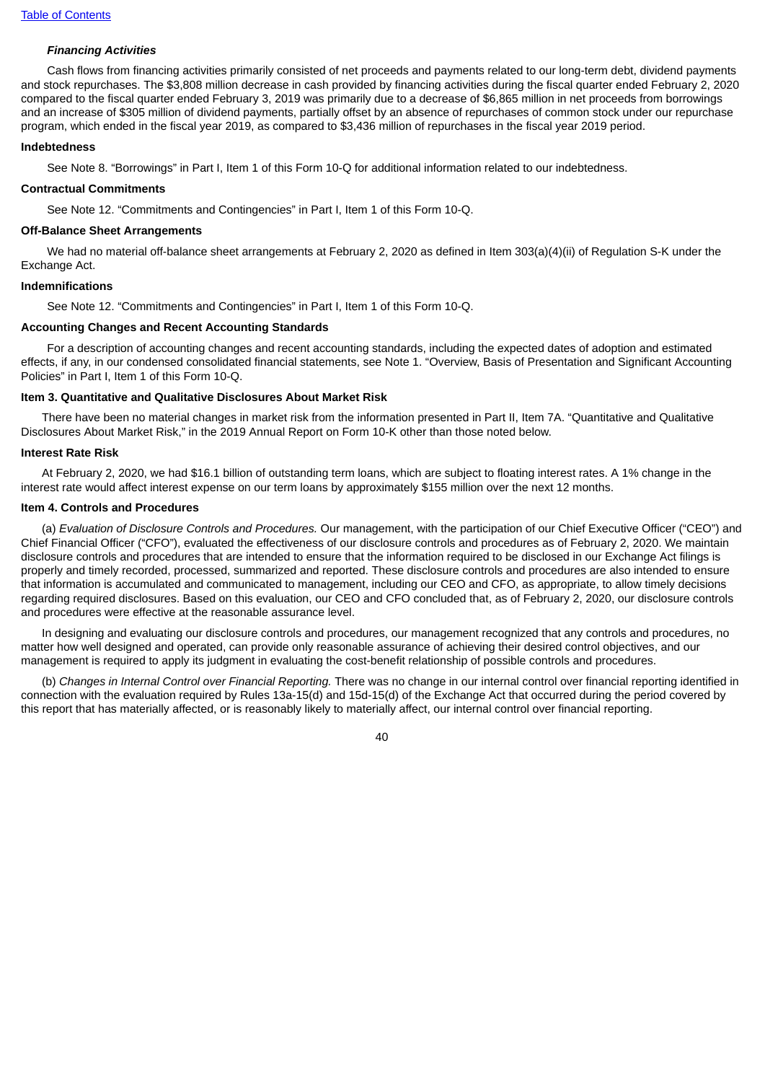### *Financing Activities*

Cash flows from financing activities primarily consisted of net proceeds and payments related to our long-term debt, dividend payments and stock repurchases. The \$3,808 million decrease in cash provided by financing activities during the fiscal quarter ended February 2, 2020 compared to the fiscal quarter ended February 3, 2019 was primarily due to a decrease of \$6,865 million in net proceeds from borrowings and an increase of \$305 million of dividend payments, partially offset by an absence of repurchases of common stock under our repurchase program, which ended in the fiscal year 2019, as compared to \$3,436 million of repurchases in the fiscal year 2019 period.

#### **Indebtedness**

See Note 8. "Borrowings" in Part I, Item 1 of this Form 10-Q for additional information related to our indebtedness.

#### **Contractual Commitments**

See Note 12. "Commitments and Contingencies" in Part I, Item 1 of this Form 10-Q.

### **Off-Balance Sheet Arrangements**

We had no material off-balance sheet arrangements at February 2, 2020 as defined in Item 303(a)(4)(ii) of Regulation S-K under the Exchange Act.

### **Indemnifications**

See Note 12. "Commitments and Contingencies" in Part I, Item 1 of this Form 10-Q.

### **Accounting Changes and Recent Accounting Standards**

For a description of accounting changes and recent accounting standards, including the expected dates of adoption and estimated effects, if any, in our condensed consolidated financial statements, see Note 1. "Overview, Basis of Presentation and Significant Accounting Policies" in Part I, Item 1 of this Form 10-Q.

### **Item 3. Quantitative and Qualitative Disclosures About Market Risk**

There have been no material changes in market risk from the information presented in Part II, Item 7A. "Quantitative and Qualitative Disclosures About Market Risk," in the 2019 Annual Report on Form 10-K other than those noted below.

#### **Interest Rate Risk**

At February 2, 2020, we had \$16.1 billion of outstanding term loans, which are subject to floating interest rates. A 1% change in the interest rate would affect interest expense on our term loans by approximately \$155 million over the next 12 months.

### **Item 4. Controls and Procedures**

(a) *Evaluation of Disclosure Controls and Procedures.* Our management, with the participation of our Chief Executive Officer ("CEO") and Chief Financial Officer ("CFO"), evaluated the effectiveness of our disclosure controls and procedures as of February 2, 2020. We maintain disclosure controls and procedures that are intended to ensure that the information required to be disclosed in our Exchange Act filings is properly and timely recorded, processed, summarized and reported. These disclosure controls and procedures are also intended to ensure that information is accumulated and communicated to management, including our CEO and CFO, as appropriate, to allow timely decisions regarding required disclosures. Based on this evaluation, our CEO and CFO concluded that, as of February 2, 2020, our disclosure controls and procedures were effective at the reasonable assurance level.

In designing and evaluating our disclosure controls and procedures, our management recognized that any controls and procedures, no matter how well designed and operated, can provide only reasonable assurance of achieving their desired control objectives, and our management is required to apply its judgment in evaluating the cost-benefit relationship of possible controls and procedures.

(b) *Changes in Internal Control over Financial Reporting.* There was no change in our internal control over financial reporting identified in connection with the evaluation required by Rules 13a-15(d) and 15d-15(d) of the Exchange Act that occurred during the period covered by this report that has materially affected, or is reasonably likely to materially affect, our internal control over financial reporting.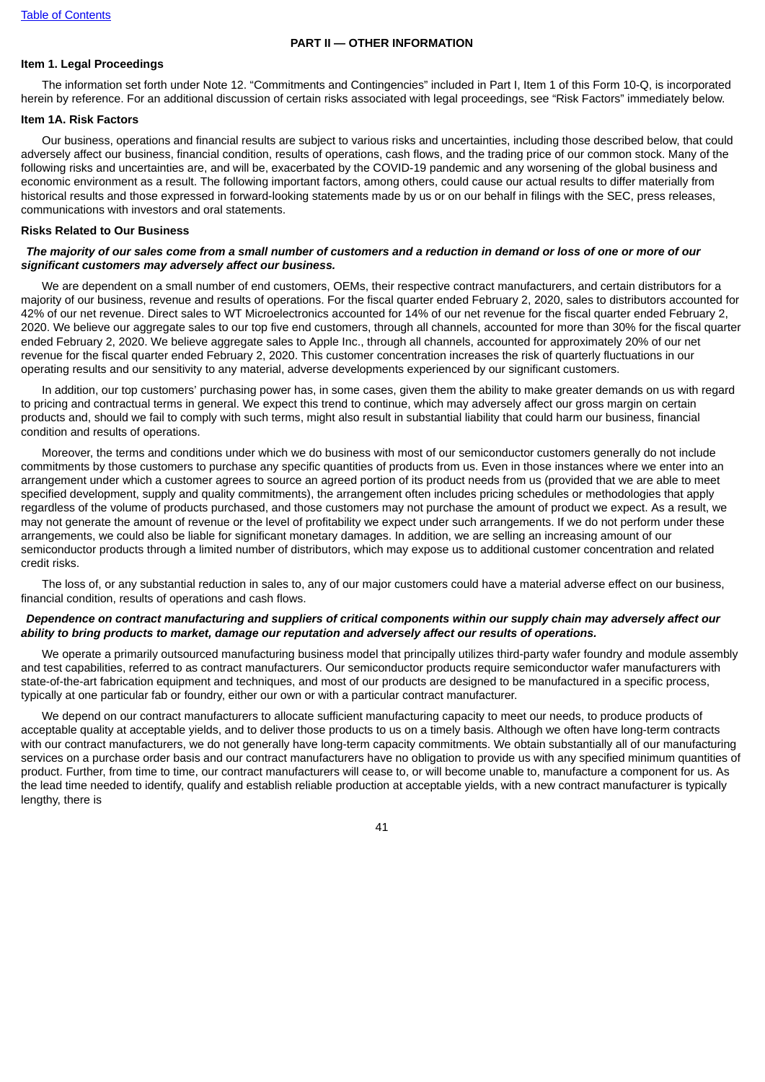### **PART II — OTHER INFORMATION**

## **Item 1. Legal Proceedings**

The information set forth under Note 12. "Commitments and Contingencies" included in Part I, Item 1 of this Form 10-Q, is incorporated herein by reference. For an additional discussion of certain risks associated with legal proceedings, see "Risk Factors" immediately below.

### **Item 1A. Risk Factors**

Our business, operations and financial results are subject to various risks and uncertainties, including those described below, that could adversely affect our business, financial condition, results of operations, cash flows, and the trading price of our common stock. Many of the following risks and uncertainties are, and will be, exacerbated by the COVID-19 pandemic and any worsening of the global business and economic environment as a result. The following important factors, among others, could cause our actual results to differ materially from historical results and those expressed in forward-looking statements made by us or on our behalf in filings with the SEC, press releases, communications with investors and oral statements.

#### **Risks Related to Our Business**

### The majority of our sales come from a small number of customers and a reduction in demand or loss of one or more of our *significant customers may adversely affect our business.*

We are dependent on a small number of end customers, OEMs, their respective contract manufacturers, and certain distributors for a majority of our business, revenue and results of operations. For the fiscal quarter ended February 2, 2020, sales to distributors accounted for 42% of our net revenue. Direct sales to WT Microelectronics accounted for 14% of our net revenue for the fiscal quarter ended February 2, 2020. We believe our aggregate sales to our top five end customers, through all channels, accounted for more than 30% for the fiscal quarter ended February 2, 2020. We believe aggregate sales to Apple Inc., through all channels, accounted for approximately 20% of our net revenue for the fiscal quarter ended February 2, 2020. This customer concentration increases the risk of quarterly fluctuations in our operating results and our sensitivity to any material, adverse developments experienced by our significant customers.

In addition, our top customers' purchasing power has, in some cases, given them the ability to make greater demands on us with regard to pricing and contractual terms in general. We expect this trend to continue, which may adversely affect our gross margin on certain products and, should we fail to comply with such terms, might also result in substantial liability that could harm our business, financial condition and results of operations.

Moreover, the terms and conditions under which we do business with most of our semiconductor customers generally do not include commitments by those customers to purchase any specific quantities of products from us. Even in those instances where we enter into an arrangement under which a customer agrees to source an agreed portion of its product needs from us (provided that we are able to meet specified development, supply and quality commitments), the arrangement often includes pricing schedules or methodologies that apply regardless of the volume of products purchased, and those customers may not purchase the amount of product we expect. As a result, we may not generate the amount of revenue or the level of profitability we expect under such arrangements. If we do not perform under these arrangements, we could also be liable for significant monetary damages. In addition, we are selling an increasing amount of our semiconductor products through a limited number of distributors, which may expose us to additional customer concentration and related credit risks.

The loss of, or any substantial reduction in sales to, any of our major customers could have a material adverse effect on our business, financial condition, results of operations and cash flows.

### Dependence on contract manufacturing and suppliers of critical components within our supply chain may adversely affect our *ability to bring products to market, damage our reputation and adversely affect our results of operations.*

We operate a primarily outsourced manufacturing business model that principally utilizes third-party wafer foundry and module assembly and test capabilities, referred to as contract manufacturers. Our semiconductor products require semiconductor wafer manufacturers with state-of-the-art fabrication equipment and techniques, and most of our products are designed to be manufactured in a specific process, typically at one particular fab or foundry, either our own or with a particular contract manufacturer.

We depend on our contract manufacturers to allocate sufficient manufacturing capacity to meet our needs, to produce products of acceptable quality at acceptable yields, and to deliver those products to us on a timely basis. Although we often have long-term contracts with our contract manufacturers, we do not generally have long-term capacity commitments. We obtain substantially all of our manufacturing services on a purchase order basis and our contract manufacturers have no obligation to provide us with any specified minimum quantities of product. Further, from time to time, our contract manufacturers will cease to, or will become unable to, manufacture a component for us. As the lead time needed to identify, qualify and establish reliable production at acceptable yields, with a new contract manufacturer is typically lengthy, there is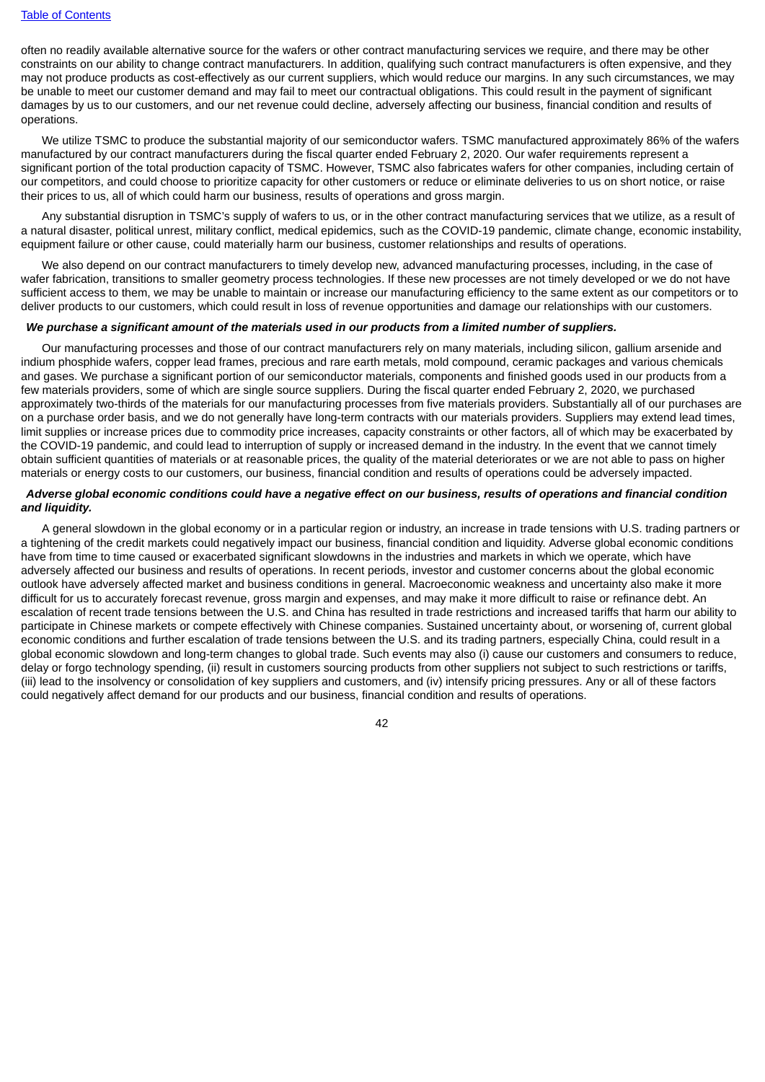often no readily available alternative source for the wafers or other contract manufacturing services we require, and there may be other constraints on our ability to change contract manufacturers. In addition, qualifying such contract manufacturers is often expensive, and they may not produce products as cost-effectively as our current suppliers, which would reduce our margins. In any such circumstances, we may be unable to meet our customer demand and may fail to meet our contractual obligations. This could result in the payment of significant damages by us to our customers, and our net revenue could decline, adversely affecting our business, financial condition and results of operations.

We utilize TSMC to produce the substantial majority of our semiconductor wafers. TSMC manufactured approximately 86% of the wafers manufactured by our contract manufacturers during the fiscal quarter ended February 2, 2020. Our wafer requirements represent a significant portion of the total production capacity of TSMC. However, TSMC also fabricates wafers for other companies, including certain of our competitors, and could choose to prioritize capacity for other customers or reduce or eliminate deliveries to us on short notice, or raise their prices to us, all of which could harm our business, results of operations and gross margin.

Any substantial disruption in TSMC's supply of wafers to us, or in the other contract manufacturing services that we utilize, as a result of a natural disaster, political unrest, military conflict, medical epidemics, such as the COVID-19 pandemic, climate change, economic instability, equipment failure or other cause, could materially harm our business, customer relationships and results of operations.

We also depend on our contract manufacturers to timely develop new, advanced manufacturing processes, including, in the case of wafer fabrication, transitions to smaller geometry process technologies. If these new processes are not timely developed or we do not have sufficient access to them, we may be unable to maintain or increase our manufacturing efficiency to the same extent as our competitors or to deliver products to our customers, which could result in loss of revenue opportunities and damage our relationships with our customers.

#### We purchase a significant amount of the materials used in our products from a limited number of suppliers.

Our manufacturing processes and those of our contract manufacturers rely on many materials, including silicon, gallium arsenide and indium phosphide wafers, copper lead frames, precious and rare earth metals, mold compound, ceramic packages and various chemicals and gases. We purchase a significant portion of our semiconductor materials, components and finished goods used in our products from a few materials providers, some of which are single source suppliers. During the fiscal quarter ended February 2, 2020, we purchased approximately two-thirds of the materials for our manufacturing processes from five materials providers. Substantially all of our purchases are on a purchase order basis, and we do not generally have long-term contracts with our materials providers. Suppliers may extend lead times, limit supplies or increase prices due to commodity price increases, capacity constraints or other factors, all of which may be exacerbated by the COVID-19 pandemic, and could lead to interruption of supply or increased demand in the industry. In the event that we cannot timely obtain sufficient quantities of materials or at reasonable prices, the quality of the material deteriorates or we are not able to pass on higher materials or energy costs to our customers, our business, financial condition and results of operations could be adversely impacted.

## Adverse global economic conditions could have a negative effect on our business, results of operations and financial condition *and liquidity.*

A general slowdown in the global economy or in a particular region or industry, an increase in trade tensions with U.S. trading partners or a tightening of the credit markets could negatively impact our business, financial condition and liquidity. Adverse global economic conditions have from time to time caused or exacerbated significant slowdowns in the industries and markets in which we operate, which have adversely affected our business and results of operations. In recent periods, investor and customer concerns about the global economic outlook have adversely affected market and business conditions in general. Macroeconomic weakness and uncertainty also make it more difficult for us to accurately forecast revenue, gross margin and expenses, and may make it more difficult to raise or refinance debt. An escalation of recent trade tensions between the U.S. and China has resulted in trade restrictions and increased tariffs that harm our ability to participate in Chinese markets or compete effectively with Chinese companies. Sustained uncertainty about, or worsening of, current global economic conditions and further escalation of trade tensions between the U.S. and its trading partners, especially China, could result in a global economic slowdown and long-term changes to global trade. Such events may also (i) cause our customers and consumers to reduce, delay or forgo technology spending, (ii) result in customers sourcing products from other suppliers not subject to such restrictions or tariffs, (iii) lead to the insolvency or consolidation of key suppliers and customers, and (iv) intensify pricing pressures. Any or all of these factors could negatively affect demand for our products and our business, financial condition and results of operations.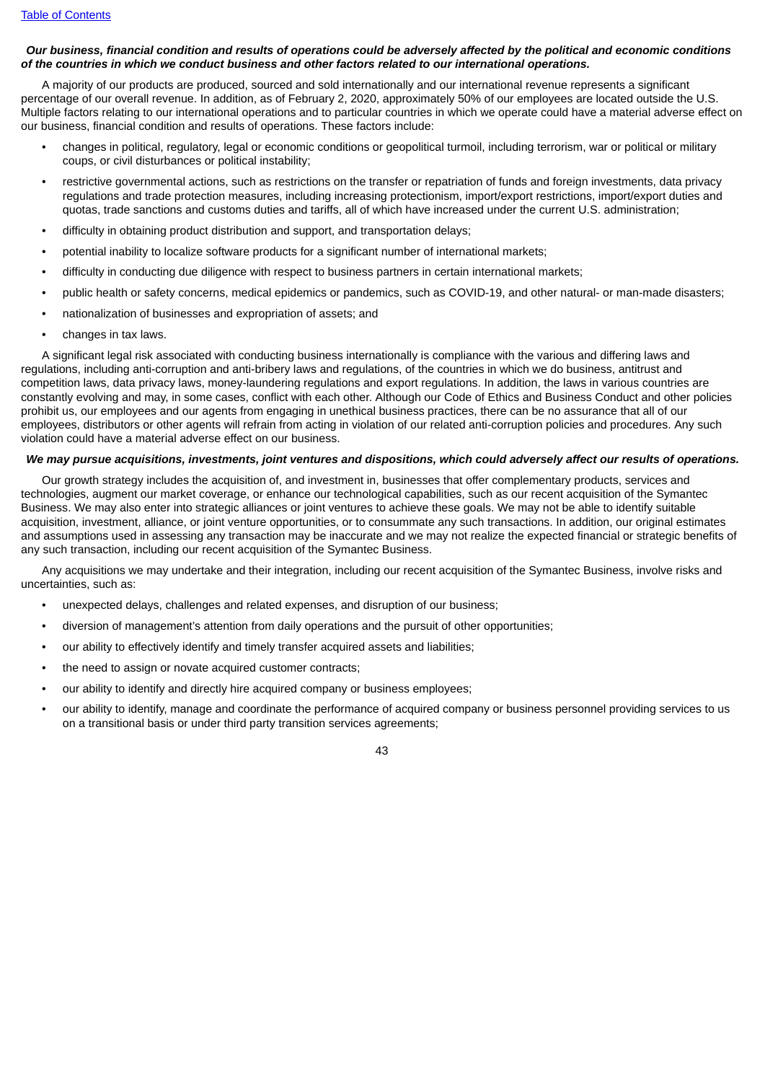## Our business, financial condition and results of operations could be adversely affected by the political and economic conditions *of the countries in which we conduct business and other factors related to our international operations.*

A majority of our products are produced, sourced and sold internationally and our international revenue represents a significant percentage of our overall revenue. In addition, as of February 2, 2020, approximately 50% of our employees are located outside the U.S. Multiple factors relating to our international operations and to particular countries in which we operate could have a material adverse effect on our business, financial condition and results of operations. These factors include:

- changes in political, regulatory, legal or economic conditions or geopolitical turmoil, including terrorism, war or political or military coups, or civil disturbances or political instability;
- restrictive governmental actions, such as restrictions on the transfer or repatriation of funds and foreign investments, data privacy regulations and trade protection measures, including increasing protectionism, import/export restrictions, import/export duties and quotas, trade sanctions and customs duties and tariffs, all of which have increased under the current U.S. administration;
- difficulty in obtaining product distribution and support, and transportation delays;
- potential inability to localize software products for a significant number of international markets;
- difficulty in conducting due diligence with respect to business partners in certain international markets;
- public health or safety concerns, medical epidemics or pandemics, such as COVID-19, and other natural- or man-made disasters;
- nationalization of businesses and expropriation of assets; and
- changes in tax laws.

A significant legal risk associated with conducting business internationally is compliance with the various and differing laws and regulations, including anti-corruption and anti-bribery laws and regulations, of the countries in which we do business, antitrust and competition laws, data privacy laws, money-laundering regulations and export regulations. In addition, the laws in various countries are constantly evolving and may, in some cases, conflict with each other. Although our Code of Ethics and Business Conduct and other policies prohibit us, our employees and our agents from engaging in unethical business practices, there can be no assurance that all of our employees, distributors or other agents will refrain from acting in violation of our related anti-corruption policies and procedures. Any such violation could have a material adverse effect on our business.

## We may pursue acquisitions, investments, joint ventures and dispositions, which could adversely affect our results of operations.

Our growth strategy includes the acquisition of, and investment in, businesses that offer complementary products, services and technologies, augment our market coverage, or enhance our technological capabilities, such as our recent acquisition of the Symantec Business. We may also enter into strategic alliances or joint ventures to achieve these goals. We may not be able to identify suitable acquisition, investment, alliance, or joint venture opportunities, or to consummate any such transactions. In addition, our original estimates and assumptions used in assessing any transaction may be inaccurate and we may not realize the expected financial or strategic benefits of any such transaction, including our recent acquisition of the Symantec Business.

Any acquisitions we may undertake and their integration, including our recent acquisition of the Symantec Business, involve risks and uncertainties, such as:

- unexpected delays, challenges and related expenses, and disruption of our business;
- diversion of management's attention from daily operations and the pursuit of other opportunities;
- our ability to effectively identify and timely transfer acquired assets and liabilities;
- the need to assign or novate acquired customer contracts;
- our ability to identify and directly hire acquired company or business employees;
- our ability to identify, manage and coordinate the performance of acquired company or business personnel providing services to us on a transitional basis or under third party transition services agreements;

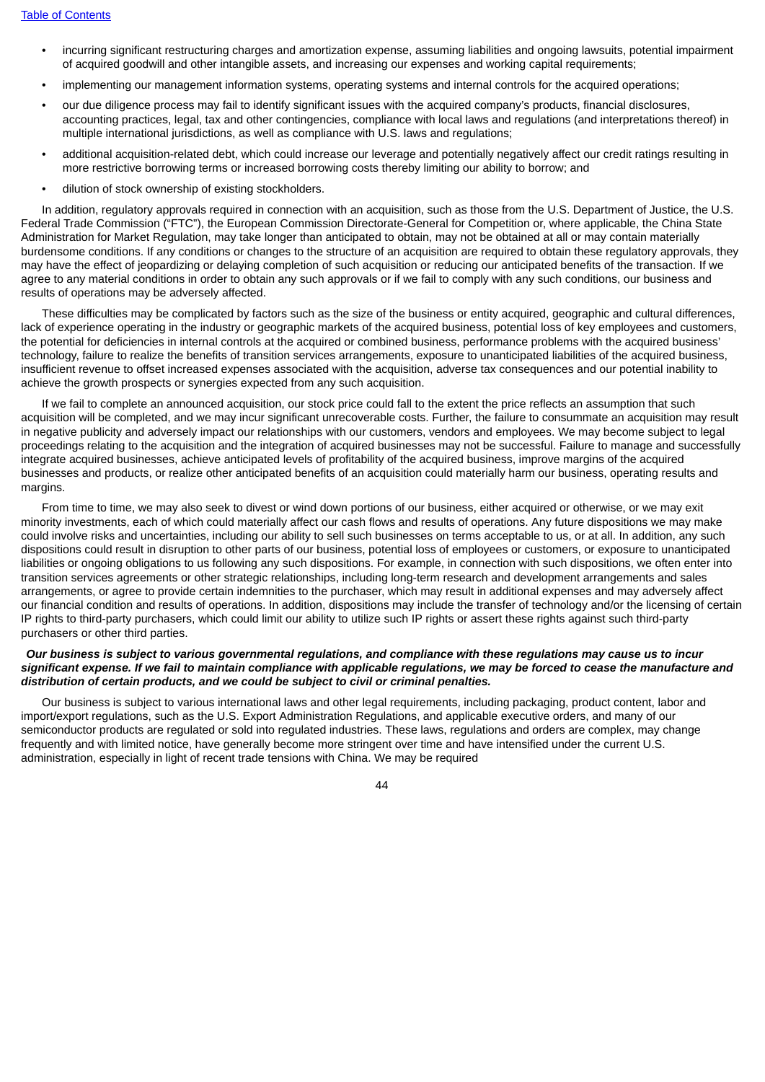- incurring significant restructuring charges and amortization expense, assuming liabilities and ongoing lawsuits, potential impairment of acquired goodwill and other intangible assets, and increasing our expenses and working capital requirements;
- implementing our management information systems, operating systems and internal controls for the acquired operations;
- our due diligence process may fail to identify significant issues with the acquired company's products, financial disclosures, accounting practices, legal, tax and other contingencies, compliance with local laws and regulations (and interpretations thereof) in multiple international jurisdictions, as well as compliance with U.S. laws and regulations;
- additional acquisition-related debt, which could increase our leverage and potentially negatively affect our credit ratings resulting in more restrictive borrowing terms or increased borrowing costs thereby limiting our ability to borrow; and
- dilution of stock ownership of existing stockholders.

In addition, regulatory approvals required in connection with an acquisition, such as those from the U.S. Department of Justice, the U.S. Federal Trade Commission ("FTC"), the European Commission Directorate-General for Competition or, where applicable, the China State Administration for Market Regulation, may take longer than anticipated to obtain, may not be obtained at all or may contain materially burdensome conditions. If any conditions or changes to the structure of an acquisition are required to obtain these regulatory approvals, they may have the effect of jeopardizing or delaying completion of such acquisition or reducing our anticipated benefits of the transaction. If we agree to any material conditions in order to obtain any such approvals or if we fail to comply with any such conditions, our business and results of operations may be adversely affected.

These difficulties may be complicated by factors such as the size of the business or entity acquired, geographic and cultural differences, lack of experience operating in the industry or geographic markets of the acquired business, potential loss of key employees and customers, the potential for deficiencies in internal controls at the acquired or combined business, performance problems with the acquired business' technology, failure to realize the benefits of transition services arrangements, exposure to unanticipated liabilities of the acquired business, insufficient revenue to offset increased expenses associated with the acquisition, adverse tax consequences and our potential inability to achieve the growth prospects or synergies expected from any such acquisition.

If we fail to complete an announced acquisition, our stock price could fall to the extent the price reflects an assumption that such acquisition will be completed, and we may incur significant unrecoverable costs. Further, the failure to consummate an acquisition may result in negative publicity and adversely impact our relationships with our customers, vendors and employees. We may become subject to legal proceedings relating to the acquisition and the integration of acquired businesses may not be successful. Failure to manage and successfully integrate acquired businesses, achieve anticipated levels of profitability of the acquired business, improve margins of the acquired businesses and products, or realize other anticipated benefits of an acquisition could materially harm our business, operating results and margins.

From time to time, we may also seek to divest or wind down portions of our business, either acquired or otherwise, or we may exit minority investments, each of which could materially affect our cash flows and results of operations. Any future dispositions we may make could involve risks and uncertainties, including our ability to sell such businesses on terms acceptable to us, or at all. In addition, any such dispositions could result in disruption to other parts of our business, potential loss of employees or customers, or exposure to unanticipated liabilities or ongoing obligations to us following any such dispositions. For example, in connection with such dispositions, we often enter into transition services agreements or other strategic relationships, including long-term research and development arrangements and sales arrangements, or agree to provide certain indemnities to the purchaser, which may result in additional expenses and may adversely affect our financial condition and results of operations. In addition, dispositions may include the transfer of technology and/or the licensing of certain IP rights to third-party purchasers, which could limit our ability to utilize such IP rights or assert these rights against such third-party purchasers or other third parties.

## Our business is subject to various governmental regulations, and compliance with these regulations may cause us to incur significant expense. If we fail to maintain compliance with applicable regulations, we may be forced to cease the manufacture and *distribution of certain products, and we could be subject to civil or criminal penalties.*

Our business is subject to various international laws and other legal requirements, including packaging, product content, labor and import/export regulations, such as the U.S. Export Administration Regulations, and applicable executive orders, and many of our semiconductor products are regulated or sold into regulated industries. These laws, regulations and orders are complex, may change frequently and with limited notice, have generally become more stringent over time and have intensified under the current U.S. administration, especially in light of recent trade tensions with China. We may be required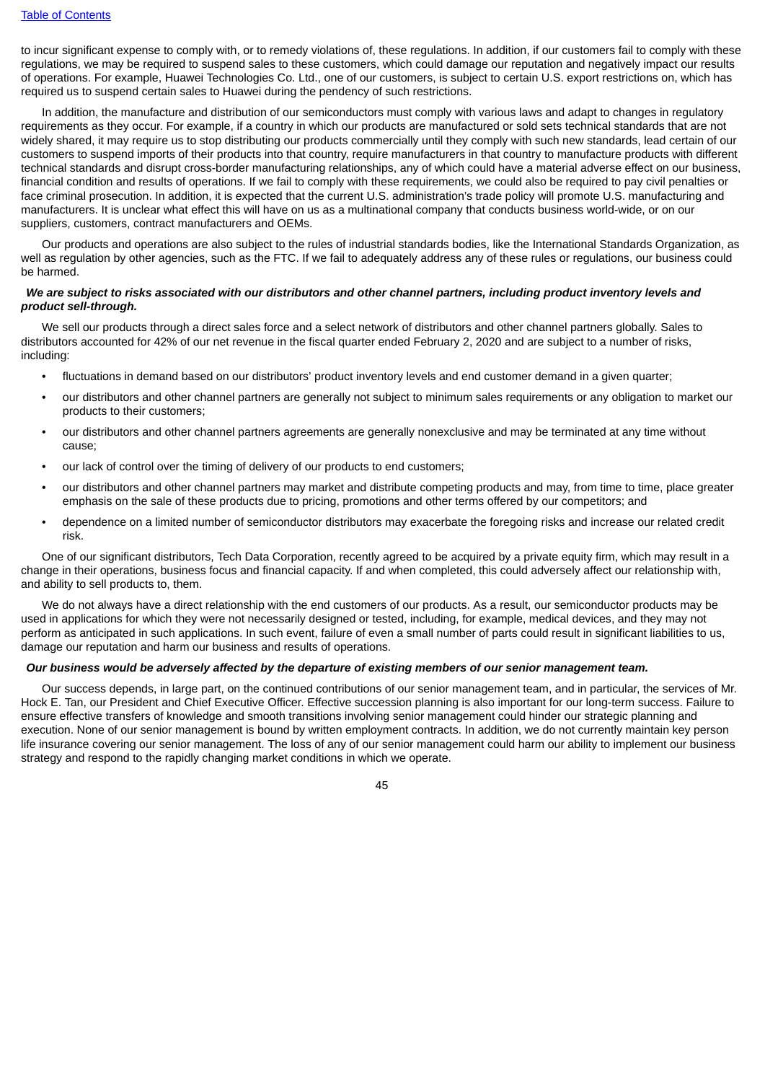to incur significant expense to comply with, or to remedy violations of, these regulations. In addition, if our customers fail to comply with these regulations, we may be required to suspend sales to these customers, which could damage our reputation and negatively impact our results of operations. For example, Huawei Technologies Co. Ltd., one of our customers, is subject to certain U.S. export restrictions on, which has required us to suspend certain sales to Huawei during the pendency of such restrictions.

In addition, the manufacture and distribution of our semiconductors must comply with various laws and adapt to changes in regulatory requirements as they occur. For example, if a country in which our products are manufactured or sold sets technical standards that are not widely shared, it may require us to stop distributing our products commercially until they comply with such new standards, lead certain of our customers to suspend imports of their products into that country, require manufacturers in that country to manufacture products with different technical standards and disrupt cross-border manufacturing relationships, any of which could have a material adverse effect on our business, financial condition and results of operations. If we fail to comply with these requirements, we could also be required to pay civil penalties or face criminal prosecution. In addition, it is expected that the current U.S. administration's trade policy will promote U.S. manufacturing and manufacturers. It is unclear what effect this will have on us as a multinational company that conducts business world-wide, or on our suppliers, customers, contract manufacturers and OEMs.

Our products and operations are also subject to the rules of industrial standards bodies, like the International Standards Organization, as well as regulation by other agencies, such as the FTC. If we fail to adequately address any of these rules or regulations, our business could be harmed.

## We are subject to risks associated with our distributors and other channel partners, including product inventory levels and *product sell-through.*

We sell our products through a direct sales force and a select network of distributors and other channel partners globally. Sales to distributors accounted for 42% of our net revenue in the fiscal quarter ended February 2, 2020 and are subject to a number of risks, including:

- fluctuations in demand based on our distributors' product inventory levels and end customer demand in a given quarter;
- our distributors and other channel partners are generally not subject to minimum sales requirements or any obligation to market our products to their customers;
- our distributors and other channel partners agreements are generally nonexclusive and may be terminated at any time without cause;
- our lack of control over the timing of delivery of our products to end customers;
- our distributors and other channel partners may market and distribute competing products and may, from time to time, place greater emphasis on the sale of these products due to pricing, promotions and other terms offered by our competitors; and
- dependence on a limited number of semiconductor distributors may exacerbate the foregoing risks and increase our related credit risk.

One of our significant distributors, Tech Data Corporation, recently agreed to be acquired by a private equity firm, which may result in a change in their operations, business focus and financial capacity. If and when completed, this could adversely affect our relationship with, and ability to sell products to, them.

We do not always have a direct relationship with the end customers of our products. As a result, our semiconductor products may be used in applications for which they were not necessarily designed or tested, including, for example, medical devices, and they may not perform as anticipated in such applications. In such event, failure of even a small number of parts could result in significant liabilities to us, damage our reputation and harm our business and results of operations.

## Our business would be adversely affected by the departure of existing members of our senior management team.

Our success depends, in large part, on the continued contributions of our senior management team, and in particular, the services of Mr. Hock E. Tan, our President and Chief Executive Officer. Effective succession planning is also important for our long-term success. Failure to ensure effective transfers of knowledge and smooth transitions involving senior management could hinder our strategic planning and execution. None of our senior management is bound by written employment contracts. In addition, we do not currently maintain key person life insurance covering our senior management. The loss of any of our senior management could harm our ability to implement our business strategy and respond to the rapidly changing market conditions in which we operate.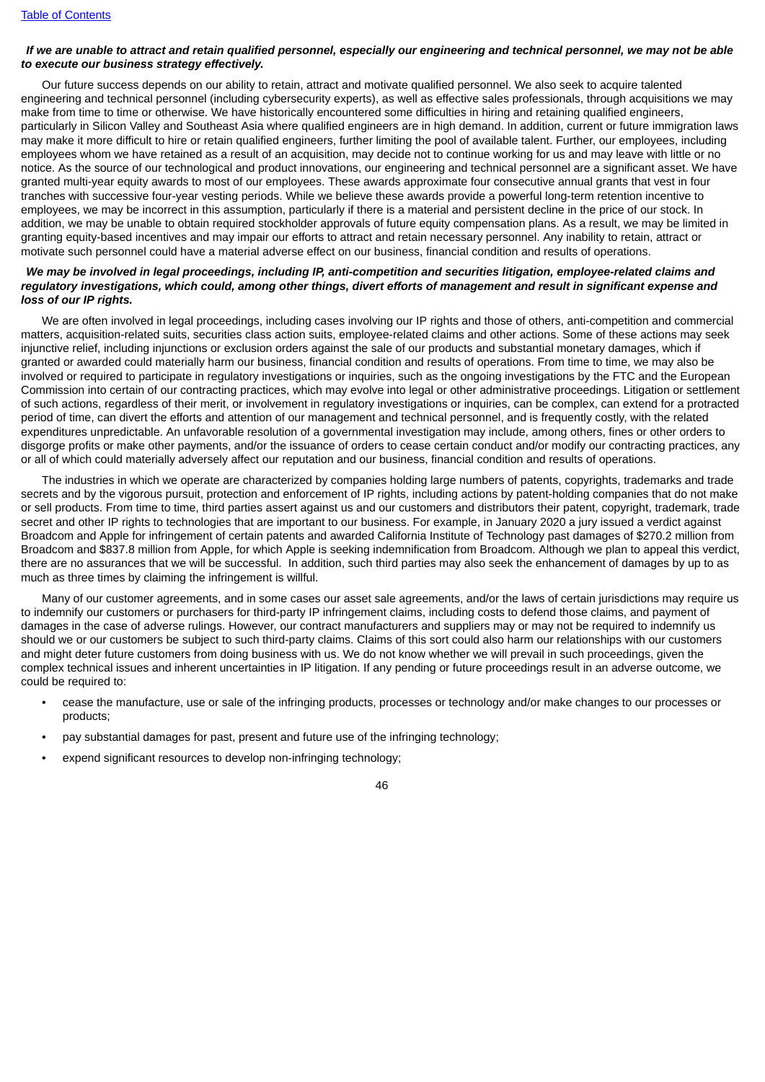### If we are unable to attract and retain qualified personnel, especially our engineering and technical personnel, we may not be able *to execute our business strategy effectively.*

Our future success depends on our ability to retain, attract and motivate qualified personnel. We also seek to acquire talented engineering and technical personnel (including cybersecurity experts), as well as effective sales professionals, through acquisitions we may make from time to time or otherwise. We have historically encountered some difficulties in hiring and retaining qualified engineers. particularly in Silicon Valley and Southeast Asia where qualified engineers are in high demand. In addition, current or future immigration laws may make it more difficult to hire or retain qualified engineers, further limiting the pool of available talent. Further, our employees, including employees whom we have retained as a result of an acquisition, may decide not to continue working for us and may leave with little or no notice. As the source of our technological and product innovations, our engineering and technical personnel are a significant asset. We have granted multi-year equity awards to most of our employees. These awards approximate four consecutive annual grants that vest in four tranches with successive four-year vesting periods. While we believe these awards provide a powerful long-term retention incentive to employees, we may be incorrect in this assumption, particularly if there is a material and persistent decline in the price of our stock. In addition, we may be unable to obtain required stockholder approvals of future equity compensation plans. As a result, we may be limited in granting equity-based incentives and may impair our efforts to attract and retain necessary personnel. Any inability to retain, attract or motivate such personnel could have a material adverse effect on our business, financial condition and results of operations.

### We may be involved in legal proceedings, including IP, anti-competition and securities litigation, employee-related claims and regulatory investigations, which could, among other things, divert efforts of management and result in significant expense and *loss of our IP rights.*

We are often involved in legal proceedings, including cases involving our IP rights and those of others, anti-competition and commercial matters, acquisition-related suits, securities class action suits, employee-related claims and other actions. Some of these actions may seek injunctive relief, including injunctions or exclusion orders against the sale of our products and substantial monetary damages, which if granted or awarded could materially harm our business, financial condition and results of operations. From time to time, we may also be involved or required to participate in regulatory investigations or inquiries, such as the ongoing investigations by the FTC and the European Commission into certain of our contracting practices, which may evolve into legal or other administrative proceedings. Litigation or settlement of such actions, regardless of their merit, or involvement in regulatory investigations or inquiries, can be complex, can extend for a protracted period of time, can divert the efforts and attention of our management and technical personnel, and is frequently costly, with the related expenditures unpredictable. An unfavorable resolution of a governmental investigation may include, among others, fines or other orders to disgorge profits or make other payments, and/or the issuance of orders to cease certain conduct and/or modify our contracting practices, any or all of which could materially adversely affect our reputation and our business, financial condition and results of operations.

The industries in which we operate are characterized by companies holding large numbers of patents, copyrights, trademarks and trade secrets and by the vigorous pursuit, protection and enforcement of IP rights, including actions by patent-holding companies that do not make or sell products. From time to time, third parties assert against us and our customers and distributors their patent, copyright, trademark, trade secret and other IP rights to technologies that are important to our business. For example, in January 2020 a jury issued a verdict against Broadcom and Apple for infringement of certain patents and awarded California Institute of Technology past damages of \$270.2 million from Broadcom and \$837.8 million from Apple, for which Apple is seeking indemnification from Broadcom. Although we plan to appeal this verdict, there are no assurances that we will be successful. In addition, such third parties may also seek the enhancement of damages by up to as much as three times by claiming the infringement is willful.

Many of our customer agreements, and in some cases our asset sale agreements, and/or the laws of certain jurisdictions may require us to indemnify our customers or purchasers for third-party IP infringement claims, including costs to defend those claims, and payment of damages in the case of adverse rulings. However, our contract manufacturers and suppliers may or may not be required to indemnify us should we or our customers be subject to such third-party claims. Claims of this sort could also harm our relationships with our customers and might deter future customers from doing business with us. We do not know whether we will prevail in such proceedings, given the complex technical issues and inherent uncertainties in IP litigation. If any pending or future proceedings result in an adverse outcome, we could be required to:

- cease the manufacture, use or sale of the infringing products, processes or technology and/or make changes to our processes or products;
- pay substantial damages for past, present and future use of the infringing technology;
- expend significant resources to develop non-infringing technology;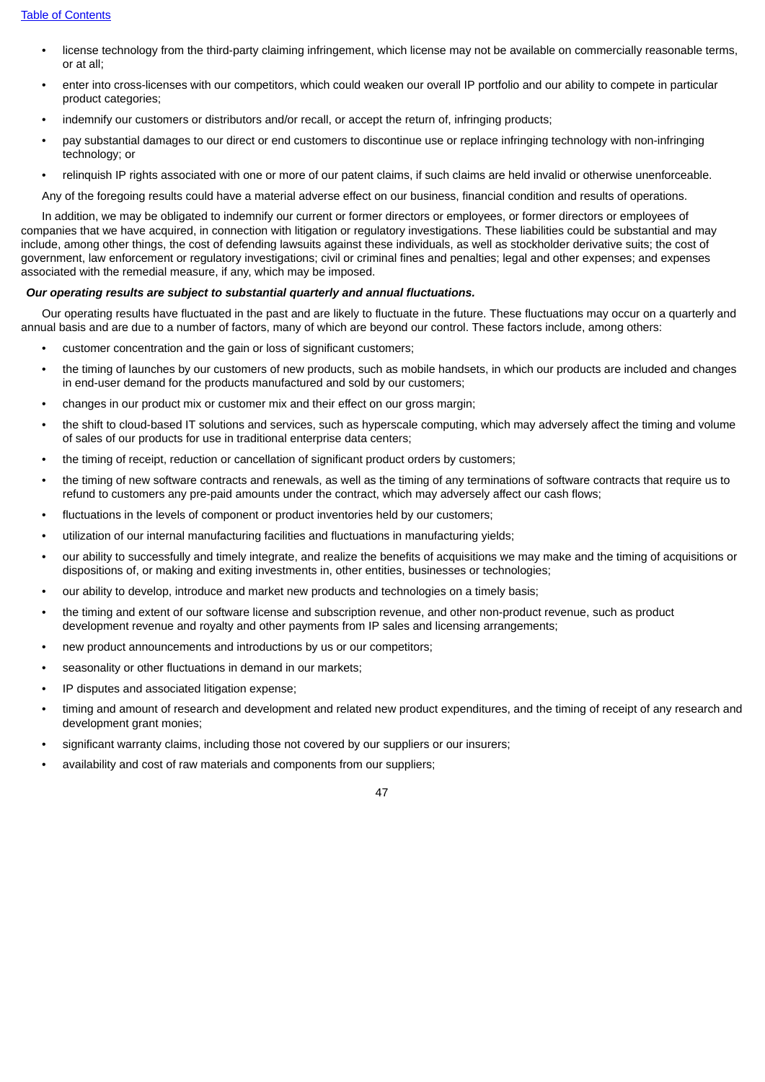- license technology from the third-party claiming infringement, which license may not be available on commercially reasonable terms, or at all;
- enter into cross-licenses with our competitors, which could weaken our overall IP portfolio and our ability to compete in particular product categories;
- indemnify our customers or distributors and/or recall, or accept the return of, infringing products;
- pay substantial damages to our direct or end customers to discontinue use or replace infringing technology with non-infringing technology; or
- relinquish IP rights associated with one or more of our patent claims, if such claims are held invalid or otherwise unenforceable.

Any of the foregoing results could have a material adverse effect on our business, financial condition and results of operations.

In addition, we may be obligated to indemnify our current or former directors or employees, or former directors or employees of companies that we have acquired, in connection with litigation or regulatory investigations. These liabilities could be substantial and may include, among other things, the cost of defending lawsuits against these individuals, as well as stockholder derivative suits; the cost of government, law enforcement or regulatory investigations; civil or criminal fines and penalties; legal and other expenses; and expenses associated with the remedial measure, if any, which may be imposed.

## *Our operating results are subject to substantial quarterly and annual fluctuations.*

Our operating results have fluctuated in the past and are likely to fluctuate in the future. These fluctuations may occur on a quarterly and annual basis and are due to a number of factors, many of which are beyond our control. These factors include, among others:

- customer concentration and the gain or loss of significant customers;
- the timing of launches by our customers of new products, such as mobile handsets, in which our products are included and changes in end-user demand for the products manufactured and sold by our customers;
- changes in our product mix or customer mix and their effect on our gross margin;
- the shift to cloud-based IT solutions and services, such as hyperscale computing, which may adversely affect the timing and volume of sales of our products for use in traditional enterprise data centers;
- the timing of receipt, reduction or cancellation of significant product orders by customers;
- the timing of new software contracts and renewals, as well as the timing of any terminations of software contracts that require us to refund to customers any pre-paid amounts under the contract, which may adversely affect our cash flows;
- fluctuations in the levels of component or product inventories held by our customers;
- utilization of our internal manufacturing facilities and fluctuations in manufacturing yields;
- our ability to successfully and timely integrate, and realize the benefits of acquisitions we may make and the timing of acquisitions or dispositions of, or making and exiting investments in, other entities, businesses or technologies;
- our ability to develop, introduce and market new products and technologies on a timely basis;
- the timing and extent of our software license and subscription revenue, and other non-product revenue, such as product development revenue and royalty and other payments from IP sales and licensing arrangements;
- new product announcements and introductions by us or our competitors;
- seasonality or other fluctuations in demand in our markets;
- IP disputes and associated litigation expense;
- timing and amount of research and development and related new product expenditures, and the timing of receipt of any research and development grant monies;
- significant warranty claims, including those not covered by our suppliers or our insurers;
- availability and cost of raw materials and components from our suppliers;

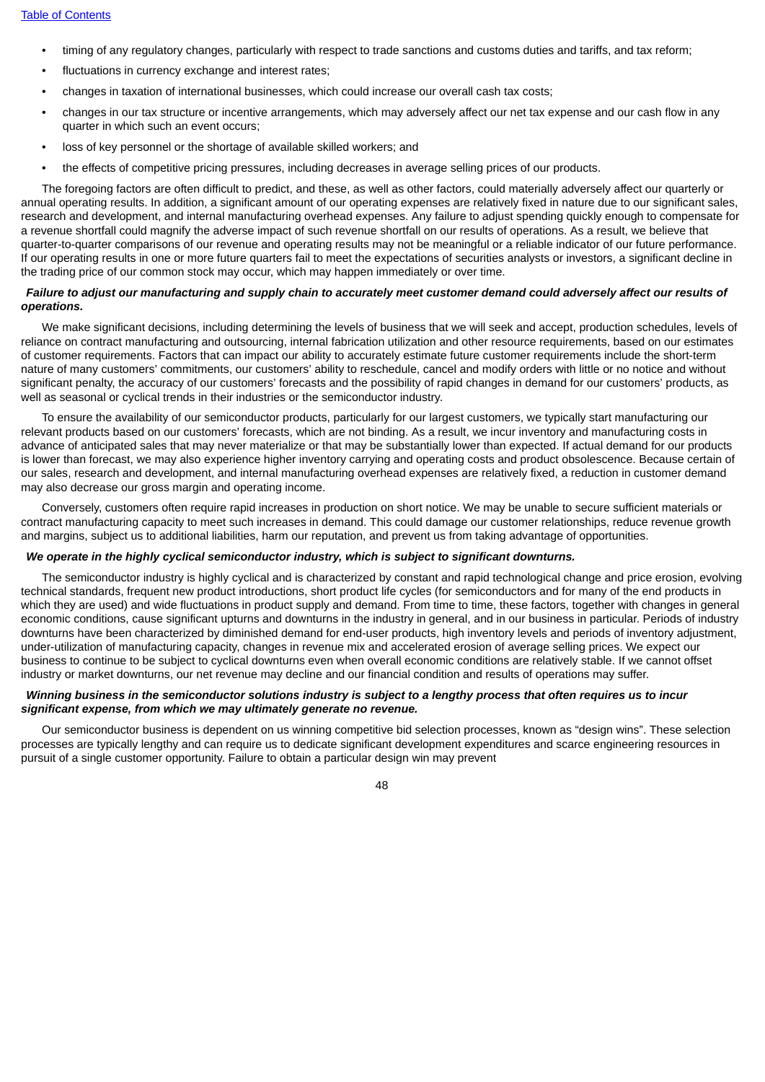- timing of any regulatory changes, particularly with respect to trade sanctions and customs duties and tariffs, and tax reform;
- fluctuations in currency exchange and interest rates;
- changes in taxation of international businesses, which could increase our overall cash tax costs;
- changes in our tax structure or incentive arrangements, which may adversely affect our net tax expense and our cash flow in any quarter in which such an event occurs;
- loss of key personnel or the shortage of available skilled workers; and
- the effects of competitive pricing pressures, including decreases in average selling prices of our products.

The foregoing factors are often difficult to predict, and these, as well as other factors, could materially adversely affect our quarterly or annual operating results. In addition, a significant amount of our operating expenses are relatively fixed in nature due to our significant sales, research and development, and internal manufacturing overhead expenses. Any failure to adjust spending quickly enough to compensate for a revenue shortfall could magnify the adverse impact of such revenue shortfall on our results of operations. As a result, we believe that quarter-to-quarter comparisons of our revenue and operating results may not be meaningful or a reliable indicator of our future performance. If our operating results in one or more future quarters fail to meet the expectations of securities analysts or investors, a significant decline in the trading price of our common stock may occur, which may happen immediately or over time.

## Failure to adjust our manufacturing and supply chain to accurately meet customer demand could adversely affect our results of *operations.*

We make significant decisions, including determining the levels of business that we will seek and accept, production schedules, levels of reliance on contract manufacturing and outsourcing, internal fabrication utilization and other resource requirements, based on our estimates of customer requirements. Factors that can impact our ability to accurately estimate future customer requirements include the short-term nature of many customers' commitments, our customers' ability to reschedule, cancel and modify orders with little or no notice and without significant penalty, the accuracy of our customers' forecasts and the possibility of rapid changes in demand for our customers' products, as well as seasonal or cyclical trends in their industries or the semiconductor industry.

To ensure the availability of our semiconductor products, particularly for our largest customers, we typically start manufacturing our relevant products based on our customers' forecasts, which are not binding. As a result, we incur inventory and manufacturing costs in advance of anticipated sales that may never materialize or that may be substantially lower than expected. If actual demand for our products is lower than forecast, we may also experience higher inventory carrying and operating costs and product obsolescence. Because certain of our sales, research and development, and internal manufacturing overhead expenses are relatively fixed, a reduction in customer demand may also decrease our gross margin and operating income.

Conversely, customers often require rapid increases in production on short notice. We may be unable to secure sufficient materials or contract manufacturing capacity to meet such increases in demand. This could damage our customer relationships, reduce revenue growth and margins, subject us to additional liabilities, harm our reputation, and prevent us from taking advantage of opportunities.

## *We operate in the highly cyclical semiconductor industry, which is subject to significant downturns.*

The semiconductor industry is highly cyclical and is characterized by constant and rapid technological change and price erosion, evolving technical standards, frequent new product introductions, short product life cycles (for semiconductors and for many of the end products in which they are used) and wide fluctuations in product supply and demand. From time to time, these factors, together with changes in general economic conditions, cause significant upturns and downturns in the industry in general, and in our business in particular. Periods of industry downturns have been characterized by diminished demand for end-user products, high inventory levels and periods of inventory adjustment, under-utilization of manufacturing capacity, changes in revenue mix and accelerated erosion of average selling prices. We expect our business to continue to be subject to cyclical downturns even when overall economic conditions are relatively stable. If we cannot offset industry or market downturns, our net revenue may decline and our financial condition and results of operations may suffer.

### Winning business in the semiconductor solutions industry is subject to a lengthy process that often requires us to incur *significant expense, from which we may ultimately generate no revenue.*

Our semiconductor business is dependent on us winning competitive bid selection processes, known as "design wins". These selection processes are typically lengthy and can require us to dedicate significant development expenditures and scarce engineering resources in pursuit of a single customer opportunity. Failure to obtain a particular design win may prevent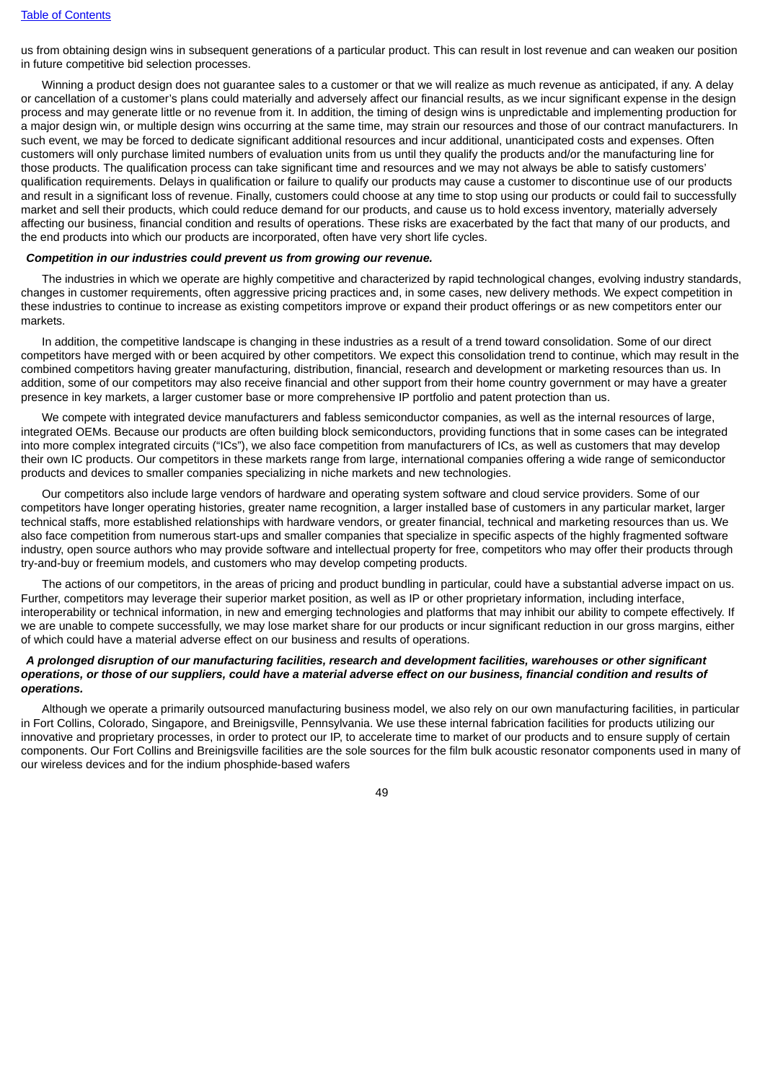us from obtaining design wins in subsequent generations of a particular product. This can result in lost revenue and can weaken our position in future competitive bid selection processes.

Winning a product design does not guarantee sales to a customer or that we will realize as much revenue as anticipated, if any. A delay or cancellation of a customer's plans could materially and adversely affect our financial results, as we incur significant expense in the design process and may generate little or no revenue from it. In addition, the timing of design wins is unpredictable and implementing production for a major design win, or multiple design wins occurring at the same time, may strain our resources and those of our contract manufacturers. In such event, we may be forced to dedicate significant additional resources and incur additional, unanticipated costs and expenses. Often customers will only purchase limited numbers of evaluation units from us until they qualify the products and/or the manufacturing line for those products. The qualification process can take significant time and resources and we may not always be able to satisfy customers' qualification requirements. Delays in qualification or failure to qualify our products may cause a customer to discontinue use of our products and result in a significant loss of revenue. Finally, customers could choose at any time to stop using our products or could fail to successfully market and sell their products, which could reduce demand for our products, and cause us to hold excess inventory, materially adversely affecting our business, financial condition and results of operations. These risks are exacerbated by the fact that many of our products, and the end products into which our products are incorporated, often have very short life cycles.

### *Competition in our industries could prevent us from growing our revenue.*

The industries in which we operate are highly competitive and characterized by rapid technological changes, evolving industry standards, changes in customer requirements, often aggressive pricing practices and, in some cases, new delivery methods. We expect competition in these industries to continue to increase as existing competitors improve or expand their product offerings or as new competitors enter our markets.

In addition, the competitive landscape is changing in these industries as a result of a trend toward consolidation. Some of our direct competitors have merged with or been acquired by other competitors. We expect this consolidation trend to continue, which may result in the combined competitors having greater manufacturing, distribution, financial, research and development or marketing resources than us. In addition, some of our competitors may also receive financial and other support from their home country government or may have a greater presence in key markets, a larger customer base or more comprehensive IP portfolio and patent protection than us.

We compete with integrated device manufacturers and fabless semiconductor companies, as well as the internal resources of large, integrated OEMs. Because our products are often building block semiconductors, providing functions that in some cases can be integrated into more complex integrated circuits ("ICs"), we also face competition from manufacturers of ICs, as well as customers that may develop their own IC products. Our competitors in these markets range from large, international companies offering a wide range of semiconductor products and devices to smaller companies specializing in niche markets and new technologies.

Our competitors also include large vendors of hardware and operating system software and cloud service providers. Some of our competitors have longer operating histories, greater name recognition, a larger installed base of customers in any particular market, larger technical staffs, more established relationships with hardware vendors, or greater financial, technical and marketing resources than us. We also face competition from numerous start-ups and smaller companies that specialize in specific aspects of the highly fragmented software industry, open source authors who may provide software and intellectual property for free, competitors who may offer their products through try-and-buy or freemium models, and customers who may develop competing products.

The actions of our competitors, in the areas of pricing and product bundling in particular, could have a substantial adverse impact on us. Further, competitors may leverage their superior market position, as well as IP or other proprietary information, including interface, interoperability or technical information, in new and emerging technologies and platforms that may inhibit our ability to compete effectively. If we are unable to compete successfully, we may lose market share for our products or incur significant reduction in our gross margins, either of which could have a material adverse effect on our business and results of operations.

## A prolonged disruption of our manufacturing facilities, research and development facilities, warehouses or other significant operations, or those of our suppliers, could have a material adverse effect on our business, financial condition and results of *operations.*

Although we operate a primarily outsourced manufacturing business model, we also rely on our own manufacturing facilities, in particular in Fort Collins, Colorado, Singapore, and Breinigsville, Pennsylvania. We use these internal fabrication facilities for products utilizing our innovative and proprietary processes, in order to protect our IP, to accelerate time to market of our products and to ensure supply of certain components. Our Fort Collins and Breinigsville facilities are the sole sources for the film bulk acoustic resonator components used in many of our wireless devices and for the indium phosphide-based wafers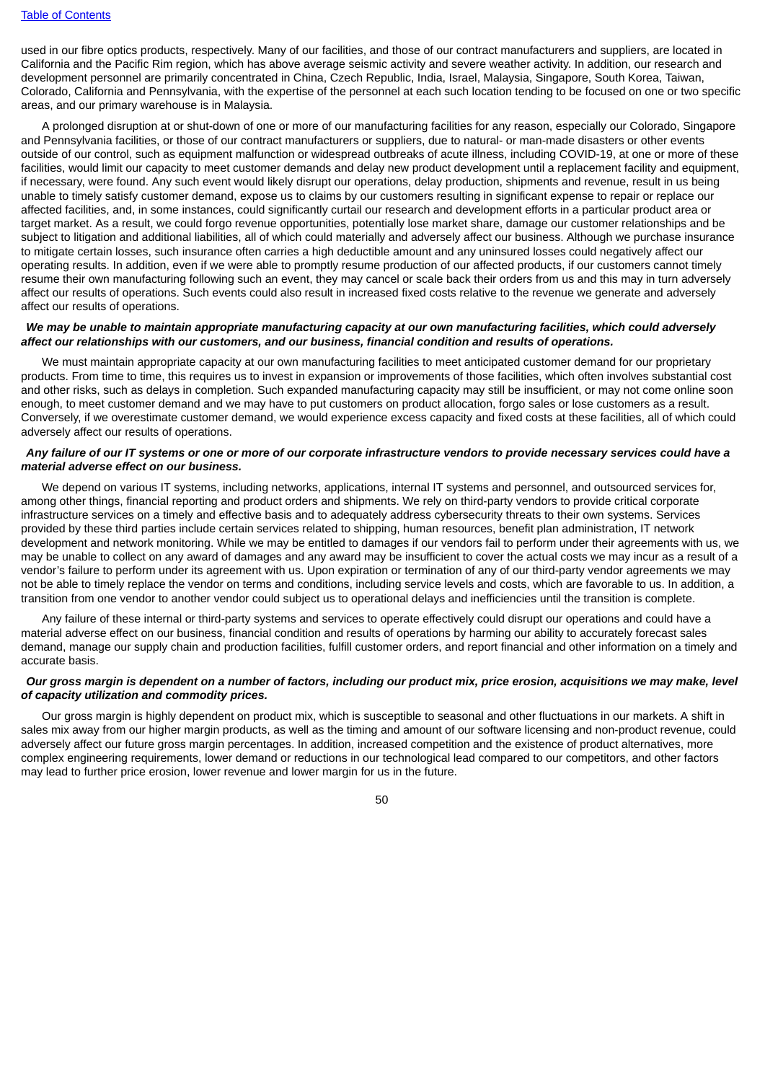used in our fibre optics products, respectively. Many of our facilities, and those of our contract manufacturers and suppliers, are located in California and the Pacific Rim region, which has above average seismic activity and severe weather activity. In addition, our research and development personnel are primarily concentrated in China, Czech Republic, India, Israel, Malaysia, Singapore, South Korea, Taiwan, Colorado, California and Pennsylvania, with the expertise of the personnel at each such location tending to be focused on one or two specific areas, and our primary warehouse is in Malaysia.

A prolonged disruption at or shut-down of one or more of our manufacturing facilities for any reason, especially our Colorado, Singapore and Pennsylvania facilities, or those of our contract manufacturers or suppliers, due to natural- or man-made disasters or other events outside of our control, such as equipment malfunction or widespread outbreaks of acute illness, including COVID-19, at one or more of these facilities, would limit our capacity to meet customer demands and delay new product development until a replacement facility and equipment, if necessary, were found. Any such event would likely disrupt our operations, delay production, shipments and revenue, result in us being unable to timely satisfy customer demand, expose us to claims by our customers resulting in significant expense to repair or replace our affected facilities, and, in some instances, could significantly curtail our research and development efforts in a particular product area or target market. As a result, we could forgo revenue opportunities, potentially lose market share, damage our customer relationships and be subject to litigation and additional liabilities, all of which could materially and adversely affect our business. Although we purchase insurance to mitigate certain losses, such insurance often carries a high deductible amount and any uninsured losses could negatively affect our operating results. In addition, even if we were able to promptly resume production of our affected products, if our customers cannot timely resume their own manufacturing following such an event, they may cancel or scale back their orders from us and this may in turn adversely affect our results of operations. Such events could also result in increased fixed costs relative to the revenue we generate and adversely affect our results of operations.

### We may be unable to maintain appropriate manufacturing capacity at our own manufacturing facilities, which could adversely *affect our relationships with our customers, and our business, financial condition and results of operations.*

We must maintain appropriate capacity at our own manufacturing facilities to meet anticipated customer demand for our proprietary products. From time to time, this requires us to invest in expansion or improvements of those facilities, which often involves substantial cost and other risks, such as delays in completion. Such expanded manufacturing capacity may still be insufficient, or may not come online soon enough, to meet customer demand and we may have to put customers on product allocation, forgo sales or lose customers as a result. Conversely, if we overestimate customer demand, we would experience excess capacity and fixed costs at these facilities, all of which could adversely affect our results of operations.

### Any failure of our IT systems or one or more of our corporate infrastructure vendors to provide necessary services could have a *material adverse effect on our business.*

We depend on various IT systems, including networks, applications, internal IT systems and personnel, and outsourced services for, among other things, financial reporting and product orders and shipments. We rely on third-party vendors to provide critical corporate infrastructure services on a timely and effective basis and to adequately address cybersecurity threats to their own systems. Services provided by these third parties include certain services related to shipping, human resources, benefit plan administration, IT network development and network monitoring. While we may be entitled to damages if our vendors fail to perform under their agreements with us, we may be unable to collect on any award of damages and any award may be insufficient to cover the actual costs we may incur as a result of a vendor's failure to perform under its agreement with us. Upon expiration or termination of any of our third-party vendor agreements we may not be able to timely replace the vendor on terms and conditions, including service levels and costs, which are favorable to us. In addition, a transition from one vendor to another vendor could subject us to operational delays and inefficiencies until the transition is complete.

Any failure of these internal or third-party systems and services to operate effectively could disrupt our operations and could have a material adverse effect on our business, financial condition and results of operations by harming our ability to accurately forecast sales demand, manage our supply chain and production facilities, fulfill customer orders, and report financial and other information on a timely and accurate basis.

## Our gross margin is dependent on a number of factors, including our product mix, price erosion, acquisitions we may make, level *of capacity utilization and commodity prices.*

Our gross margin is highly dependent on product mix, which is susceptible to seasonal and other fluctuations in our markets. A shift in sales mix away from our higher margin products, as well as the timing and amount of our software licensing and non-product revenue, could adversely affect our future gross margin percentages. In addition, increased competition and the existence of product alternatives, more complex engineering requirements, lower demand or reductions in our technological lead compared to our competitors, and other factors may lead to further price erosion, lower revenue and lower margin for us in the future.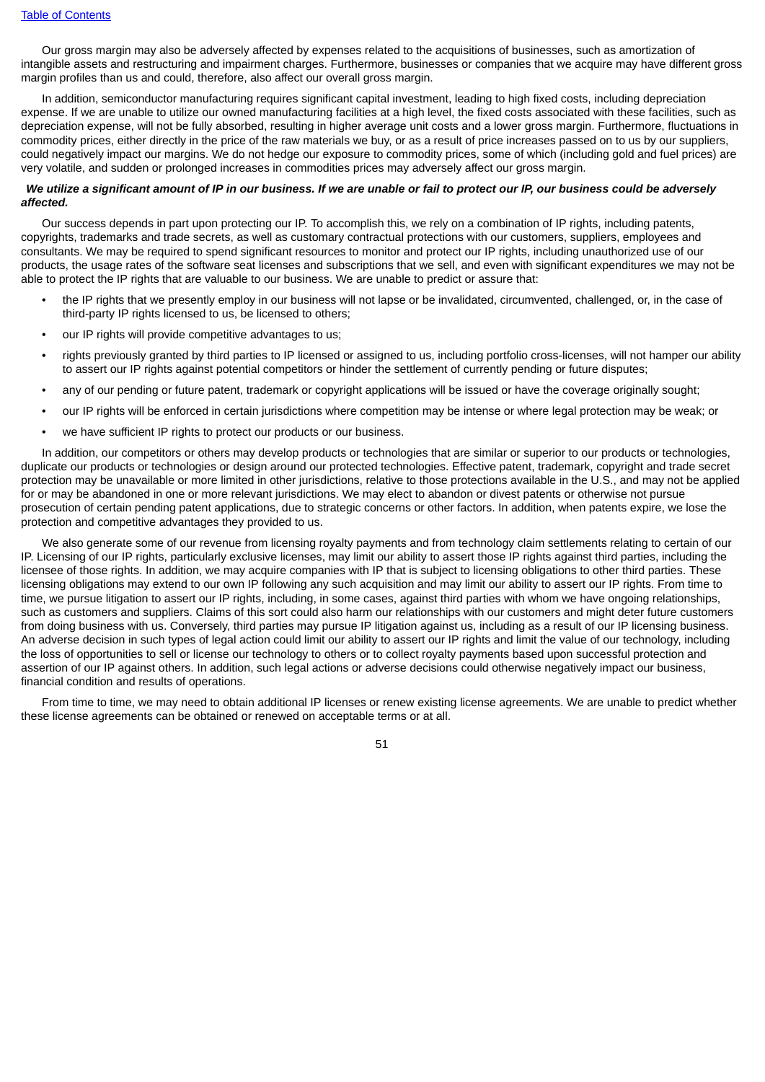Our gross margin may also be adversely affected by expenses related to the acquisitions of businesses, such as amortization of intangible assets and restructuring and impairment charges. Furthermore, businesses or companies that we acquire may have different gross margin profiles than us and could, therefore, also affect our overall gross margin.

In addition, semiconductor manufacturing requires significant capital investment, leading to high fixed costs, including depreciation expense. If we are unable to utilize our owned manufacturing facilities at a high level, the fixed costs associated with these facilities, such as depreciation expense, will not be fully absorbed, resulting in higher average unit costs and a lower gross margin. Furthermore, fluctuations in commodity prices, either directly in the price of the raw materials we buy, or as a result of price increases passed on to us by our suppliers, could negatively impact our margins. We do not hedge our exposure to commodity prices, some of which (including gold and fuel prices) are very volatile, and sudden or prolonged increases in commodities prices may adversely affect our gross margin.

## We utilize a significant amount of IP in our business. If we are unable or fail to protect our IP, our business could be adversely *affected.*

Our success depends in part upon protecting our IP. To accomplish this, we rely on a combination of IP rights, including patents, copyrights, trademarks and trade secrets, as well as customary contractual protections with our customers, suppliers, employees and consultants. We may be required to spend significant resources to monitor and protect our IP rights, including unauthorized use of our products, the usage rates of the software seat licenses and subscriptions that we sell, and even with significant expenditures we may not be able to protect the IP rights that are valuable to our business. We are unable to predict or assure that:

- the IP rights that we presently employ in our business will not lapse or be invalidated, circumvented, challenged, or, in the case of third-party IP rights licensed to us, be licensed to others;
- our IP rights will provide competitive advantages to us:
- rights previously granted by third parties to IP licensed or assigned to us, including portfolio cross-licenses, will not hamper our ability to assert our IP rights against potential competitors or hinder the settlement of currently pending or future disputes;
- any of our pending or future patent, trademark or copyright applications will be issued or have the coverage originally sought;
- our IP rights will be enforced in certain jurisdictions where competition may be intense or where legal protection may be weak; or
- we have sufficient IP rights to protect our products or our business.

In addition, our competitors or others may develop products or technologies that are similar or superior to our products or technologies, duplicate our products or technologies or design around our protected technologies. Effective patent, trademark, copyright and trade secret protection may be unavailable or more limited in other jurisdictions, relative to those protections available in the U.S., and may not be applied for or may be abandoned in one or more relevant jurisdictions. We may elect to abandon or divest patents or otherwise not pursue prosecution of certain pending patent applications, due to strategic concerns or other factors. In addition, when patents expire, we lose the protection and competitive advantages they provided to us.

We also generate some of our revenue from licensing royalty payments and from technology claim settlements relating to certain of our IP. Licensing of our IP rights, particularly exclusive licenses, may limit our ability to assert those IP rights against third parties, including the licensee of those rights. In addition, we may acquire companies with IP that is subject to licensing obligations to other third parties. These licensing obligations may extend to our own IP following any such acquisition and may limit our ability to assert our IP rights. From time to time, we pursue litigation to assert our IP rights, including, in some cases, against third parties with whom we have ongoing relationships, such as customers and suppliers. Claims of this sort could also harm our relationships with our customers and might deter future customers from doing business with us. Conversely, third parties may pursue IP litigation against us, including as a result of our IP licensing business. An adverse decision in such types of legal action could limit our ability to assert our IP rights and limit the value of our technology, including the loss of opportunities to sell or license our technology to others or to collect royalty payments based upon successful protection and assertion of our IP against others. In addition, such legal actions or adverse decisions could otherwise negatively impact our business, financial condition and results of operations.

From time to time, we may need to obtain additional IP licenses or renew existing license agreements. We are unable to predict whether these license agreements can be obtained or renewed on acceptable terms or at all.

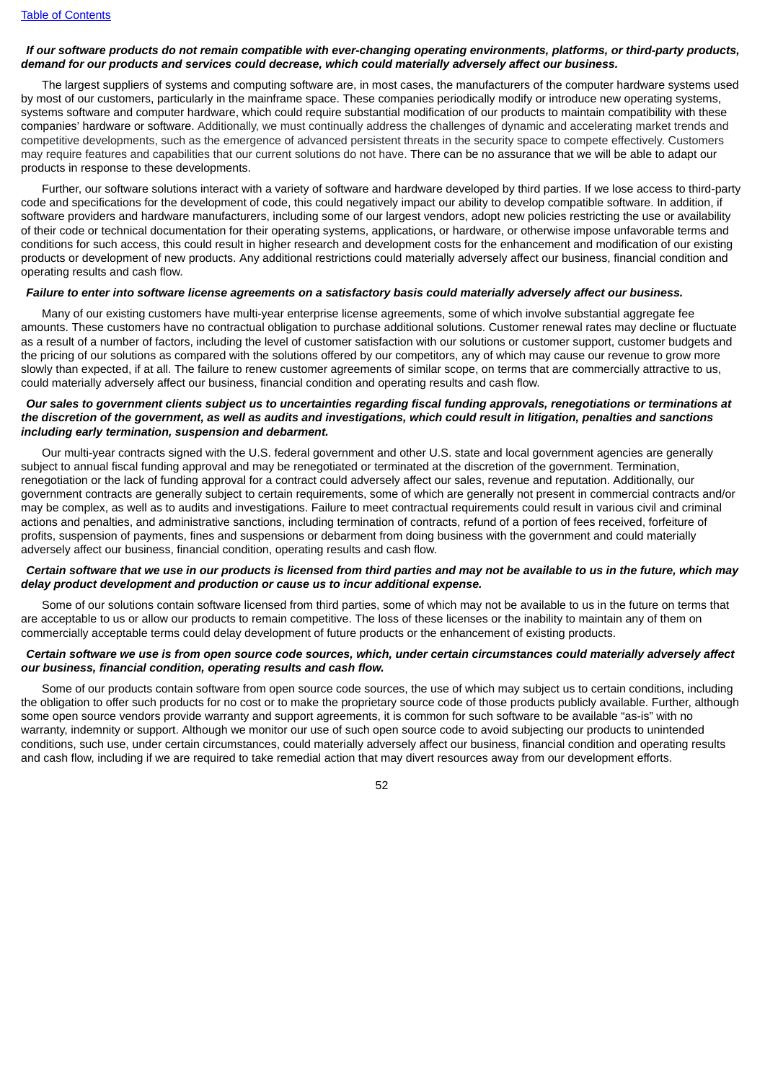### If our software products do not remain compatible with ever-changing operating environments, platforms, or third-party products, *demand for our products and services could decrease, which could materially adversely affect our business.*

The largest suppliers of systems and computing software are, in most cases, the manufacturers of the computer hardware systems used by most of our customers, particularly in the mainframe space. These companies periodically modify or introduce new operating systems, systems software and computer hardware, which could require substantial modification of our products to maintain compatibility with these companies' hardware or software. Additionally, we must continually address the challenges of dynamic and accelerating market trends and competitive developments, such as the emergence of advanced persistent threats in the security space to compete effectively. Customers may require features and capabilities that our current solutions do not have. There can be no assurance that we will be able to adapt our products in response to these developments.

Further, our software solutions interact with a variety of software and hardware developed by third parties. If we lose access to third-party code and specifications for the development of code, this could negatively impact our ability to develop compatible software. In addition, if software providers and hardware manufacturers, including some of our largest vendors, adopt new policies restricting the use or availability of their code or technical documentation for their operating systems, applications, or hardware, or otherwise impose unfavorable terms and conditions for such access, this could result in higher research and development costs for the enhancement and modification of our existing products or development of new products. Any additional restrictions could materially adversely affect our business, financial condition and operating results and cash flow.

## Failure to enter into software license agreements on a satisfactory basis could materially adversely affect our business.

Many of our existing customers have multi-year enterprise license agreements, some of which involve substantial aggregate fee amounts. These customers have no contractual obligation to purchase additional solutions. Customer renewal rates may decline or fluctuate as a result of a number of factors, including the level of customer satisfaction with our solutions or customer support, customer budgets and the pricing of our solutions as compared with the solutions offered by our competitors, any of which may cause our revenue to grow more slowly than expected, if at all. The failure to renew customer agreements of similar scope, on terms that are commercially attractive to us, could materially adversely affect our business, financial condition and operating results and cash flow.

## Our sales to government clients subject us to uncertainties regarding fiscal funding approvals, renegotiations or terminations at the discretion of the government, as well as audits and investigations, which could result in litigation, penalties and sanctions *including early termination, suspension and debarment.*

Our multi-year contracts signed with the U.S. federal government and other U.S. state and local government agencies are generally subject to annual fiscal funding approval and may be renegotiated or terminated at the discretion of the government. Termination, renegotiation or the lack of funding approval for a contract could adversely affect our sales, revenue and reputation. Additionally, our government contracts are generally subject to certain requirements, some of which are generally not present in commercial contracts and/or may be complex, as well as to audits and investigations. Failure to meet contractual requirements could result in various civil and criminal actions and penalties, and administrative sanctions, including termination of contracts, refund of a portion of fees received, forfeiture of profits, suspension of payments, fines and suspensions or debarment from doing business with the government and could materially adversely affect our business, financial condition, operating results and cash flow.

## Certain software that we use in our products is licensed from third parties and may not be available to us in the future, which may *delay product development and production or cause us to incur additional expense.*

Some of our solutions contain software licensed from third parties, some of which may not be available to us in the future on terms that are acceptable to us or allow our products to remain competitive. The loss of these licenses or the inability to maintain any of them on commercially acceptable terms could delay development of future products or the enhancement of existing products.

## Certain software we use is from open source code sources, which, under certain circumstances could materially adversely affect *our business, financial condition, operating results and cash flow.*

Some of our products contain software from open source code sources, the use of which may subject us to certain conditions, including the obligation to offer such products for no cost or to make the proprietary source code of those products publicly available. Further, although some open source vendors provide warranty and support agreements, it is common for such software to be available "as-is" with no warranty, indemnity or support. Although we monitor our use of such open source code to avoid subjecting our products to unintended conditions, such use, under certain circumstances, could materially adversely affect our business, financial condition and operating results and cash flow, including if we are required to take remedial action that may divert resources away from our development efforts.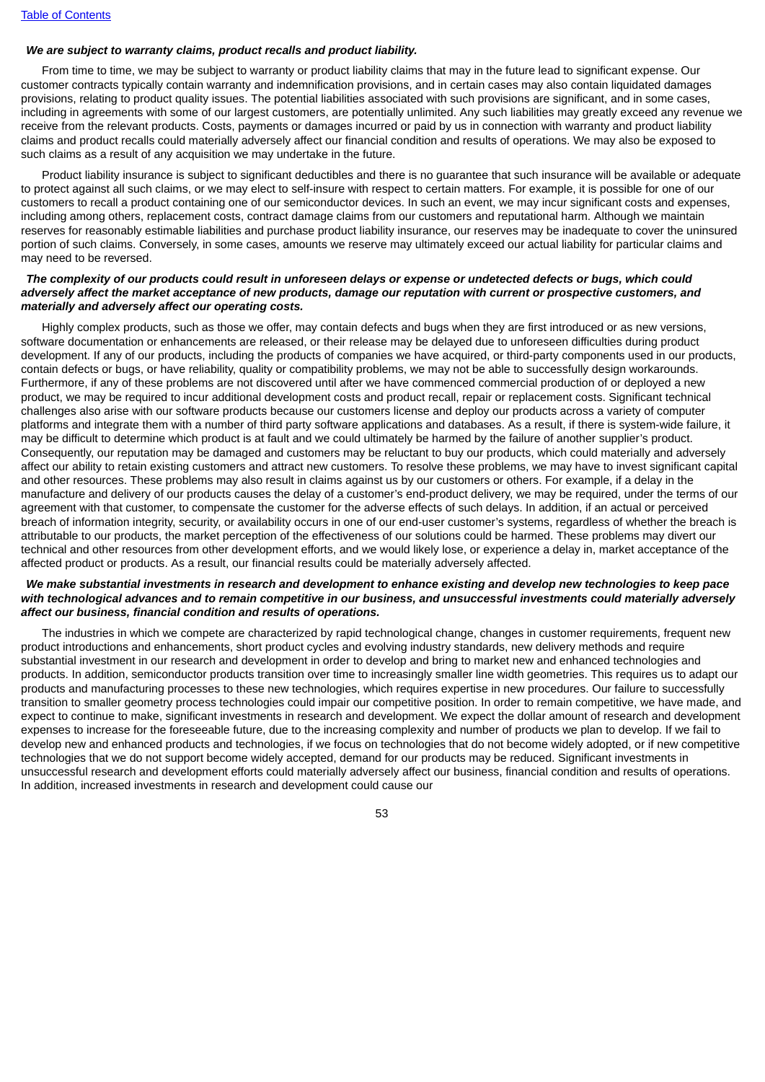### *We are subject to warranty claims, product recalls and product liability.*

From time to time, we may be subject to warranty or product liability claims that may in the future lead to significant expense. Our customer contracts typically contain warranty and indemnification provisions, and in certain cases may also contain liquidated damages provisions, relating to product quality issues. The potential liabilities associated with such provisions are significant, and in some cases, including in agreements with some of our largest customers, are potentially unlimited. Any such liabilities may greatly exceed any revenue we receive from the relevant products. Costs, payments or damages incurred or paid by us in connection with warranty and product liability claims and product recalls could materially adversely affect our financial condition and results of operations. We may also be exposed to such claims as a result of any acquisition we may undertake in the future.

Product liability insurance is subject to significant deductibles and there is no guarantee that such insurance will be available or adequate to protect against all such claims, or we may elect to self-insure with respect to certain matters. For example, it is possible for one of our customers to recall a product containing one of our semiconductor devices. In such an event, we may incur significant costs and expenses, including among others, replacement costs, contract damage claims from our customers and reputational harm. Although we maintain reserves for reasonably estimable liabilities and purchase product liability insurance, our reserves may be inadequate to cover the uninsured portion of such claims. Conversely, in some cases, amounts we reserve may ultimately exceed our actual liability for particular claims and may need to be reversed.

## The complexity of our products could result in unforeseen delays or expense or undetected defects or bugs, which could adversely affect the market acceptance of new products, damage our reputation with current or prospective customers, and *materially and adversely affect our operating costs.*

Highly complex products, such as those we offer, may contain defects and bugs when they are first introduced or as new versions, software documentation or enhancements are released, or their release may be delayed due to unforeseen difficulties during product development. If any of our products, including the products of companies we have acquired, or third-party components used in our products, contain defects or bugs, or have reliability, quality or compatibility problems, we may not be able to successfully design workarounds. Furthermore, if any of these problems are not discovered until after we have commenced commercial production of or deployed a new product, we may be required to incur additional development costs and product recall, repair or replacement costs. Significant technical challenges also arise with our software products because our customers license and deploy our products across a variety of computer platforms and integrate them with a number of third party software applications and databases. As a result, if there is system-wide failure, it may be difficult to determine which product is at fault and we could ultimately be harmed by the failure of another supplier's product. Consequently, our reputation may be damaged and customers may be reluctant to buy our products, which could materially and adversely affect our ability to retain existing customers and attract new customers. To resolve these problems, we may have to invest significant capital and other resources. These problems may also result in claims against us by our customers or others. For example, if a delay in the manufacture and delivery of our products causes the delay of a customer's end-product delivery, we may be required, under the terms of our agreement with that customer, to compensate the customer for the adverse effects of such delays. In addition, if an actual or perceived breach of information integrity, security, or availability occurs in one of our end-user customer's systems, regardless of whether the breach is attributable to our products, the market perception of the effectiveness of our solutions could be harmed. These problems may divert our technical and other resources from other development efforts, and we would likely lose, or experience a delay in, market acceptance of the affected product or products. As a result, our financial results could be materially adversely affected.

## We make substantial investments in research and development to enhance existing and develop new technologies to keep pace with technological advances and to remain competitive in our business, and unsuccessful investments could materially adversely *affect our business, financial condition and results of operations.*

The industries in which we compete are characterized by rapid technological change, changes in customer requirements, frequent new product introductions and enhancements, short product cycles and evolving industry standards, new delivery methods and require substantial investment in our research and development in order to develop and bring to market new and enhanced technologies and products. In addition, semiconductor products transition over time to increasingly smaller line width geometries. This requires us to adapt our products and manufacturing processes to these new technologies, which requires expertise in new procedures. Our failure to successfully transition to smaller geometry process technologies could impair our competitive position. In order to remain competitive, we have made, and expect to continue to make, significant investments in research and development. We expect the dollar amount of research and development expenses to increase for the foreseeable future, due to the increasing complexity and number of products we plan to develop. If we fail to develop new and enhanced products and technologies, if we focus on technologies that do not become widely adopted, or if new competitive technologies that we do not support become widely accepted, demand for our products may be reduced. Significant investments in unsuccessful research and development efforts could materially adversely affect our business, financial condition and results of operations. In addition, increased investments in research and development could cause our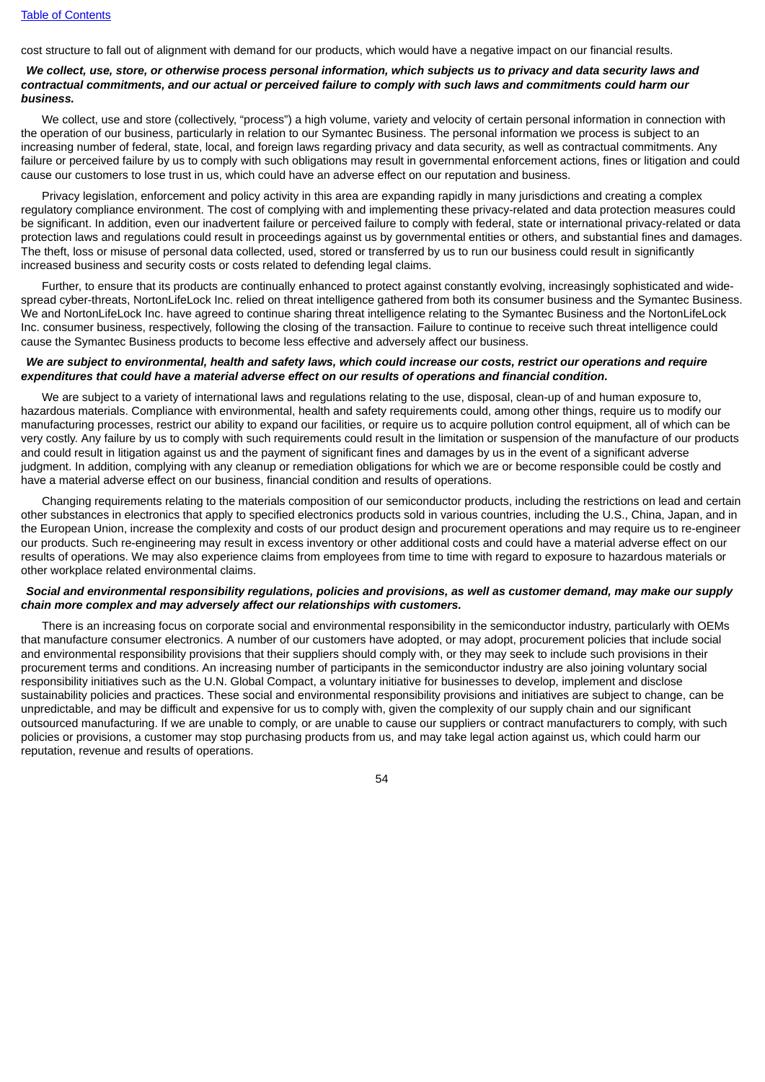cost structure to fall out of alignment with demand for our products, which would have a negative impact on our financial results.

### We collect, use, store, or otherwise process personal information, which subjects us to privacy and data security laws and contractual commitments, and our actual or perceived failure to comply with such laws and commitments could harm our *business.*

We collect, use and store (collectively, "process") a high volume, variety and velocity of certain personal information in connection with the operation of our business, particularly in relation to our Symantec Business. The personal information we process is subject to an increasing number of federal, state, local, and foreign laws regarding privacy and data security, as well as contractual commitments. Any failure or perceived failure by us to comply with such obligations may result in governmental enforcement actions, fines or litigation and could cause our customers to lose trust in us, which could have an adverse effect on our reputation and business.

Privacy legislation, enforcement and policy activity in this area are expanding rapidly in many jurisdictions and creating a complex regulatory compliance environment. The cost of complying with and implementing these privacy-related and data protection measures could be significant. In addition, even our inadvertent failure or perceived failure to comply with federal, state or international privacy-related or data protection laws and regulations could result in proceedings against us by governmental entities or others, and substantial fines and damages. The theft, loss or misuse of personal data collected, used, stored or transferred by us to run our business could result in significantly increased business and security costs or costs related to defending legal claims.

Further, to ensure that its products are continually enhanced to protect against constantly evolving, increasingly sophisticated and widespread cyber-threats, NortonLifeLock Inc. relied on threat intelligence gathered from both its consumer business and the Symantec Business. We and NortonLifeLock Inc. have agreed to continue sharing threat intelligence relating to the Symantec Business and the NortonLifeLock Inc. consumer business, respectively, following the closing of the transaction. Failure to continue to receive such threat intelligence could cause the Symantec Business products to become less effective and adversely affect our business.

## We are subject to environmental, health and safety laws, which could increase our costs, restrict our operations and require *expenditures that could have a material adverse effect on our results of operations and financial condition.*

We are subject to a variety of international laws and regulations relating to the use, disposal, clean-up of and human exposure to, hazardous materials. Compliance with environmental, health and safety requirements could, among other things, require us to modify our manufacturing processes, restrict our ability to expand our facilities, or require us to acquire pollution control equipment, all of which can be very costly. Any failure by us to comply with such requirements could result in the limitation or suspension of the manufacture of our products and could result in litigation against us and the payment of significant fines and damages by us in the event of a significant adverse judgment. In addition, complying with any cleanup or remediation obligations for which we are or become responsible could be costly and have a material adverse effect on our business, financial condition and results of operations.

Changing requirements relating to the materials composition of our semiconductor products, including the restrictions on lead and certain other substances in electronics that apply to specified electronics products sold in various countries, including the U.S., China, Japan, and in the European Union, increase the complexity and costs of our product design and procurement operations and may require us to re-engineer our products. Such re-engineering may result in excess inventory or other additional costs and could have a material adverse effect on our results of operations. We may also experience claims from employees from time to time with regard to exposure to hazardous materials or other workplace related environmental claims.

### Social and environmental responsibility regulations, policies and provisions, as well as customer demand, may make our supply *chain more complex and may adversely affect our relationships with customers.*

There is an increasing focus on corporate social and environmental responsibility in the semiconductor industry, particularly with OEMs that manufacture consumer electronics. A number of our customers have adopted, or may adopt, procurement policies that include social and environmental responsibility provisions that their suppliers should comply with, or they may seek to include such provisions in their procurement terms and conditions. An increasing number of participants in the semiconductor industry are also joining voluntary social responsibility initiatives such as the U.N. Global Compact, a voluntary initiative for businesses to develop, implement and disclose sustainability policies and practices. These social and environmental responsibility provisions and initiatives are subject to change, can be unpredictable, and may be difficult and expensive for us to comply with, given the complexity of our supply chain and our significant outsourced manufacturing. If we are unable to comply, or are unable to cause our suppliers or contract manufacturers to comply, with such policies or provisions, a customer may stop purchasing products from us, and may take legal action against us, which could harm our reputation, revenue and results of operations.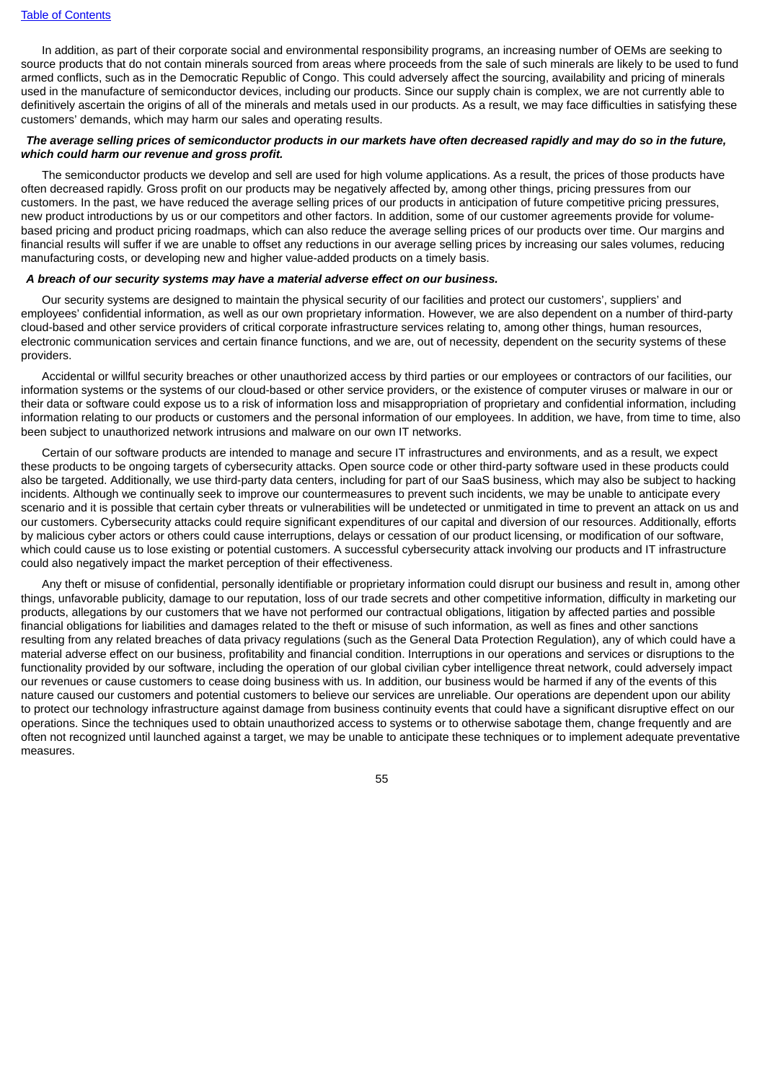In addition, as part of their corporate social and environmental responsibility programs, an increasing number of OEMs are seeking to source products that do not contain minerals sourced from areas where proceeds from the sale of such minerals are likely to be used to fund armed conflicts, such as in the Democratic Republic of Congo. This could adversely affect the sourcing, availability and pricing of minerals used in the manufacture of semiconductor devices, including our products. Since our supply chain is complex, we are not currently able to definitively ascertain the origins of all of the minerals and metals used in our products. As a result, we may face difficulties in satisfying these customers' demands, which may harm our sales and operating results.

### The average selling prices of semiconductor products in our markets have often decreased rapidly and may do so in the future, *which could harm our revenue and gross profit.*

The semiconductor products we develop and sell are used for high volume applications. As a result, the prices of those products have often decreased rapidly. Gross profit on our products may be negatively affected by, among other things, pricing pressures from our customers. In the past, we have reduced the average selling prices of our products in anticipation of future competitive pricing pressures, new product introductions by us or our competitors and other factors. In addition, some of our customer agreements provide for volumebased pricing and product pricing roadmaps, which can also reduce the average selling prices of our products over time. Our margins and financial results will suffer if we are unable to offset any reductions in our average selling prices by increasing our sales volumes, reducing manufacturing costs, or developing new and higher value-added products on a timely basis.

#### *A breach of our security systems may have a material adverse effect on our business.*

Our security systems are designed to maintain the physical security of our facilities and protect our customers', suppliers' and employees' confidential information, as well as our own proprietary information. However, we are also dependent on a number of third-party cloud-based and other service providers of critical corporate infrastructure services relating to, among other things, human resources, electronic communication services and certain finance functions, and we are, out of necessity, dependent on the security systems of these providers.

Accidental or willful security breaches or other unauthorized access by third parties or our employees or contractors of our facilities, our information systems or the systems of our cloud-based or other service providers, or the existence of computer viruses or malware in our or their data or software could expose us to a risk of information loss and misappropriation of proprietary and confidential information, including information relating to our products or customers and the personal information of our employees. In addition, we have, from time to time, also been subject to unauthorized network intrusions and malware on our own IT networks.

Certain of our software products are intended to manage and secure IT infrastructures and environments, and as a result, we expect these products to be ongoing targets of cybersecurity attacks. Open source code or other third-party software used in these products could also be targeted. Additionally, we use third-party data centers, including for part of our SaaS business, which may also be subject to hacking incidents. Although we continually seek to improve our countermeasures to prevent such incidents, we may be unable to anticipate every scenario and it is possible that certain cyber threats or vulnerabilities will be undetected or unmitigated in time to prevent an attack on us and our customers. Cybersecurity attacks could require significant expenditures of our capital and diversion of our resources. Additionally, efforts by malicious cyber actors or others could cause interruptions, delays or cessation of our product licensing, or modification of our software, which could cause us to lose existing or potential customers. A successful cybersecurity attack involving our products and IT infrastructure could also negatively impact the market perception of their effectiveness.

Any theft or misuse of confidential, personally identifiable or proprietary information could disrupt our business and result in, among other things, unfavorable publicity, damage to our reputation, loss of our trade secrets and other competitive information, difficulty in marketing our products, allegations by our customers that we have not performed our contractual obligations, litigation by affected parties and possible financial obligations for liabilities and damages related to the theft or misuse of such information, as well as fines and other sanctions resulting from any related breaches of data privacy regulations (such as the General Data Protection Regulation), any of which could have a material adverse effect on our business, profitability and financial condition. Interruptions in our operations and services or disruptions to the functionality provided by our software, including the operation of our global civilian cyber intelligence threat network, could adversely impact our revenues or cause customers to cease doing business with us. In addition, our business would be harmed if any of the events of this nature caused our customers and potential customers to believe our services are unreliable. Our operations are dependent upon our ability to protect our technology infrastructure against damage from business continuity events that could have a significant disruptive effect on our operations. Since the techniques used to obtain unauthorized access to systems or to otherwise sabotage them, change frequently and are often not recognized until launched against a target, we may be unable to anticipate these techniques or to implement adequate preventative measures.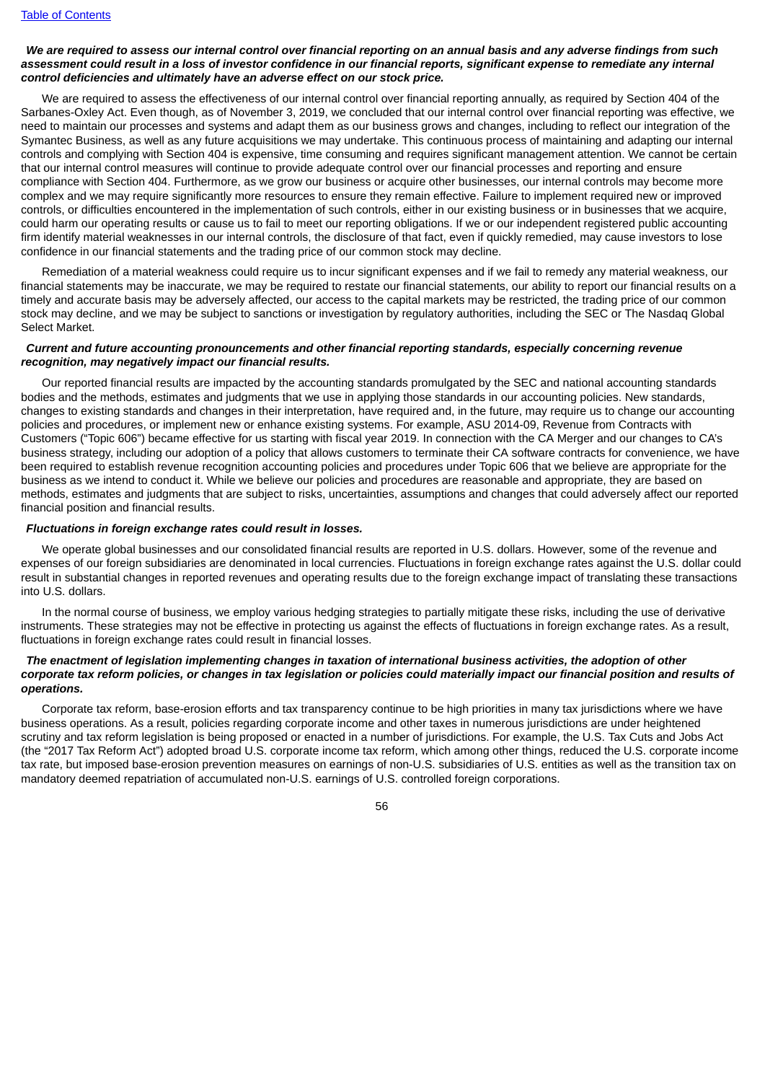## We are required to assess our internal control over financial reporting on an annual basis and any adverse findings from such assessment could result in a loss of investor confidence in our financial reports, significant expense to remediate any internal *control deficiencies and ultimately have an adverse effect on our stock price.*

We are required to assess the effectiveness of our internal control over financial reporting annually, as required by Section 404 of the Sarbanes-Oxley Act. Even though, as of November 3, 2019, we concluded that our internal control over financial reporting was effective, we need to maintain our processes and systems and adapt them as our business grows and changes, including to reflect our integration of the Symantec Business, as well as any future acquisitions we may undertake. This continuous process of maintaining and adapting our internal controls and complying with Section 404 is expensive, time consuming and requires significant management attention. We cannot be certain that our internal control measures will continue to provide adequate control over our financial processes and reporting and ensure compliance with Section 404. Furthermore, as we grow our business or acquire other businesses, our internal controls may become more complex and we may require significantly more resources to ensure they remain effective. Failure to implement required new or improved controls, or difficulties encountered in the implementation of such controls, either in our existing business or in businesses that we acquire, could harm our operating results or cause us to fail to meet our reporting obligations. If we or our independent registered public accounting firm identify material weaknesses in our internal controls, the disclosure of that fact, even if quickly remedied, may cause investors to lose confidence in our financial statements and the trading price of our common stock may decline.

Remediation of a material weakness could require us to incur significant expenses and if we fail to remedy any material weakness, our financial statements may be inaccurate, we may be required to restate our financial statements, our ability to report our financial results on a timely and accurate basis may be adversely affected, our access to the capital markets may be restricted, the trading price of our common stock may decline, and we may be subject to sanctions or investigation by regulatory authorities, including the SEC or The Nasdaq Global Select Market.

### *Current and future accounting pronouncements and other financial reporting standards, especially concerning revenue recognition, may negatively impact our financial results.*

Our reported financial results are impacted by the accounting standards promulgated by the SEC and national accounting standards bodies and the methods, estimates and judgments that we use in applying those standards in our accounting policies. New standards, changes to existing standards and changes in their interpretation, have required and, in the future, may require us to change our accounting policies and procedures, or implement new or enhance existing systems. For example, ASU 2014-09, Revenue from Contracts with Customers ("Topic 606") became effective for us starting with fiscal year 2019. In connection with the CA Merger and our changes to CA's business strategy, including our adoption of a policy that allows customers to terminate their CA software contracts for convenience, we have been required to establish revenue recognition accounting policies and procedures under Topic 606 that we believe are appropriate for the business as we intend to conduct it. While we believe our policies and procedures are reasonable and appropriate, they are based on methods, estimates and judgments that are subject to risks, uncertainties, assumptions and changes that could adversely affect our reported financial position and financial results.

### *Fluctuations in foreign exchange rates could result in losses.*

We operate global businesses and our consolidated financial results are reported in U.S. dollars. However, some of the revenue and expenses of our foreign subsidiaries are denominated in local currencies. Fluctuations in foreign exchange rates against the U.S. dollar could result in substantial changes in reported revenues and operating results due to the foreign exchange impact of translating these transactions into U.S. dollars.

In the normal course of business, we employ various hedging strategies to partially mitigate these risks, including the use of derivative instruments. These strategies may not be effective in protecting us against the effects of fluctuations in foreign exchange rates. As a result, fluctuations in foreign exchange rates could result in financial losses.

## The enactment of legislation implementing changes in taxation of international business activities, the adoption of other corporate tax reform policies, or changes in tax legislation or policies could materially impact our financial position and results of *operations.*

Corporate tax reform, base-erosion efforts and tax transparency continue to be high priorities in many tax jurisdictions where we have business operations. As a result, policies regarding corporate income and other taxes in numerous jurisdictions are under heightened scrutiny and tax reform legislation is being proposed or enacted in a number of jurisdictions. For example, the U.S. Tax Cuts and Jobs Act (the "2017 Tax Reform Act") adopted broad U.S. corporate income tax reform, which among other things, reduced the U.S. corporate income tax rate, but imposed base-erosion prevention measures on earnings of non-U.S. subsidiaries of U.S. entities as well as the transition tax on mandatory deemed repatriation of accumulated non-U.S. earnings of U.S. controlled foreign corporations.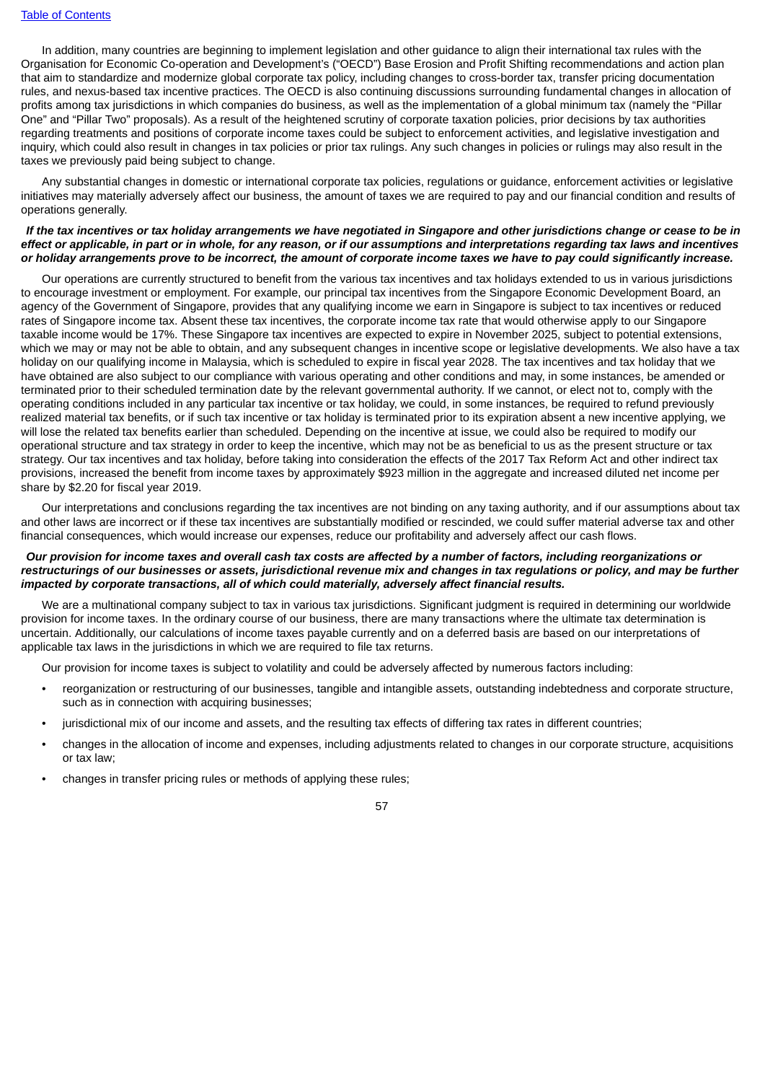In addition, many countries are beginning to implement legislation and other guidance to align their international tax rules with the Organisation for Economic Co-operation and Development's ("OECD") Base Erosion and Profit Shifting recommendations and action plan that aim to standardize and modernize global corporate tax policy, including changes to cross-border tax, transfer pricing documentation rules, and nexus-based tax incentive practices. The OECD is also continuing discussions surrounding fundamental changes in allocation of profits among tax jurisdictions in which companies do business, as well as the implementation of a global minimum tax (namely the "Pillar One" and "Pillar Two" proposals). As a result of the heightened scrutiny of corporate taxation policies, prior decisions by tax authorities regarding treatments and positions of corporate income taxes could be subject to enforcement activities, and legislative investigation and inquiry, which could also result in changes in tax policies or prior tax rulings. Any such changes in policies or rulings may also result in the taxes we previously paid being subject to change.

Any substantial changes in domestic or international corporate tax policies, regulations or guidance, enforcement activities or legislative initiatives may materially adversely affect our business, the amount of taxes we are required to pay and our financial condition and results of operations generally.

## If the tax incentives or tax holiday arrangements we have negotiated in Singapore and other jurisdictions change or cease to be in effect or applicable, in part or in whole, for any reason, or if our assumptions and interpretations regarding tax laws and incentives or holiday arrangements prove to be incorrect, the amount of corporate income taxes we have to pay could significantly increase.

Our operations are currently structured to benefit from the various tax incentives and tax holidays extended to us in various jurisdictions to encourage investment or employment. For example, our principal tax incentives from the Singapore Economic Development Board, an agency of the Government of Singapore, provides that any qualifying income we earn in Singapore is subject to tax incentives or reduced rates of Singapore income tax. Absent these tax incentives, the corporate income tax rate that would otherwise apply to our Singapore taxable income would be 17%. These Singapore tax incentives are expected to expire in November 2025, subject to potential extensions, which we may or may not be able to obtain, and any subsequent changes in incentive scope or legislative developments. We also have a tax holiday on our qualifying income in Malaysia, which is scheduled to expire in fiscal year 2028. The tax incentives and tax holiday that we have obtained are also subject to our compliance with various operating and other conditions and may, in some instances, be amended or terminated prior to their scheduled termination date by the relevant governmental authority. If we cannot, or elect not to, comply with the operating conditions included in any particular tax incentive or tax holiday, we could, in some instances, be required to refund previously realized material tax benefits, or if such tax incentive or tax holiday is terminated prior to its expiration absent a new incentive applying, we will lose the related tax benefits earlier than scheduled. Depending on the incentive at issue, we could also be required to modify our operational structure and tax strategy in order to keep the incentive, which may not be as beneficial to us as the present structure or tax strategy. Our tax incentives and tax holiday, before taking into consideration the effects of the 2017 Tax Reform Act and other indirect tax provisions, increased the benefit from income taxes by approximately \$923 million in the aggregate and increased diluted net income per share by \$2.20 for fiscal year 2019.

Our interpretations and conclusions regarding the tax incentives are not binding on any taxing authority, and if our assumptions about tax and other laws are incorrect or if these tax incentives are substantially modified or rescinded, we could suffer material adverse tax and other financial consequences, which would increase our expenses, reduce our profitability and adversely affect our cash flows.

## Our provision for income taxes and overall cash tax costs are affected by a number of factors, including reorganizations or restructurings of our businesses or assets, jurisdictional revenue mix and changes in tax regulations or policy, and may be further *impacted by corporate transactions, all of which could materially, adversely affect financial results.*

We are a multinational company subject to tax in various tax jurisdictions. Significant judgment is required in determining our worldwide provision for income taxes. In the ordinary course of our business, there are many transactions where the ultimate tax determination is uncertain. Additionally, our calculations of income taxes payable currently and on a deferred basis are based on our interpretations of applicable tax laws in the jurisdictions in which we are required to file tax returns.

Our provision for income taxes is subject to volatility and could be adversely affected by numerous factors including:

- reorganization or restructuring of our businesses, tangible and intangible assets, outstanding indebtedness and corporate structure, such as in connection with acquiring businesses;
- jurisdictional mix of our income and assets, and the resulting tax effects of differing tax rates in different countries;
- changes in the allocation of income and expenses, including adjustments related to changes in our corporate structure, acquisitions or tax law;
- changes in transfer pricing rules or methods of applying these rules;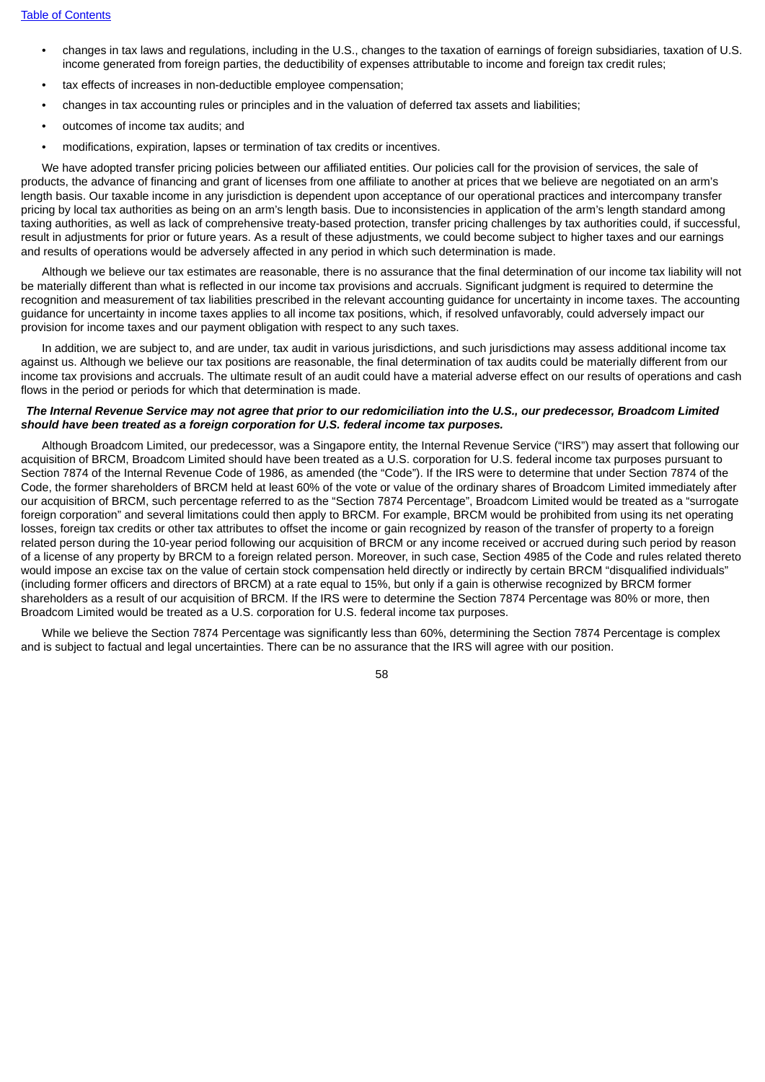- changes in tax laws and regulations, including in the U.S., changes to the taxation of earnings of foreign subsidiaries, taxation of U.S. income generated from foreign parties, the deductibility of expenses attributable to income and foreign tax credit rules;
- tax effects of increases in non-deductible employee compensation;
- changes in tax accounting rules or principles and in the valuation of deferred tax assets and liabilities;
- outcomes of income tax audits; and
- modifications, expiration, lapses or termination of tax credits or incentives.

We have adopted transfer pricing policies between our affiliated entities. Our policies call for the provision of services, the sale of products, the advance of financing and grant of licenses from one affiliate to another at prices that we believe are negotiated on an arm's length basis. Our taxable income in any jurisdiction is dependent upon acceptance of our operational practices and intercompany transfer pricing by local tax authorities as being on an arm's length basis. Due to inconsistencies in application of the arm's length standard among taxing authorities, as well as lack of comprehensive treaty-based protection, transfer pricing challenges by tax authorities could, if successful, result in adjustments for prior or future years. As a result of these adjustments, we could become subject to higher taxes and our earnings and results of operations would be adversely affected in any period in which such determination is made.

Although we believe our tax estimates are reasonable, there is no assurance that the final determination of our income tax liability will not be materially different than what is reflected in our income tax provisions and accruals. Significant judgment is required to determine the recognition and measurement of tax liabilities prescribed in the relevant accounting guidance for uncertainty in income taxes. The accounting guidance for uncertainty in income taxes applies to all income tax positions, which, if resolved unfavorably, could adversely impact our provision for income taxes and our payment obligation with respect to any such taxes.

In addition, we are subject to, and are under, tax audit in various jurisdictions, and such jurisdictions may assess additional income tax against us. Although we believe our tax positions are reasonable, the final determination of tax audits could be materially different from our income tax provisions and accruals. The ultimate result of an audit could have a material adverse effect on our results of operations and cash flows in the period or periods for which that determination is made.

### The Internal Revenue Service may not agree that prior to our redomiciliation into the U.S., our predecessor, Broadcom Limited *should have been treated as a foreign corporation for U.S. federal income tax purposes.*

Although Broadcom Limited, our predecessor, was a Singapore entity, the Internal Revenue Service ("IRS") may assert that following our acquisition of BRCM, Broadcom Limited should have been treated as a U.S. corporation for U.S. federal income tax purposes pursuant to Section 7874 of the Internal Revenue Code of 1986, as amended (the "Code"). If the IRS were to determine that under Section 7874 of the Code, the former shareholders of BRCM held at least 60% of the vote or value of the ordinary shares of Broadcom Limited immediately after our acquisition of BRCM, such percentage referred to as the "Section 7874 Percentage", Broadcom Limited would be treated as a "surrogate foreign corporation" and several limitations could then apply to BRCM. For example, BRCM would be prohibited from using its net operating losses, foreign tax credits or other tax attributes to offset the income or gain recognized by reason of the transfer of property to a foreign related person during the 10-year period following our acquisition of BRCM or any income received or accrued during such period by reason of a license of any property by BRCM to a foreign related person. Moreover, in such case, Section 4985 of the Code and rules related thereto would impose an excise tax on the value of certain stock compensation held directly or indirectly by certain BRCM "disqualified individuals" (including former officers and directors of BRCM) at a rate equal to 15%, but only if a gain is otherwise recognized by BRCM former shareholders as a result of our acquisition of BRCM. If the IRS were to determine the Section 7874 Percentage was 80% or more, then Broadcom Limited would be treated as a U.S. corporation for U.S. federal income tax purposes.

While we believe the Section 7874 Percentage was significantly less than 60%, determining the Section 7874 Percentage is complex and is subject to factual and legal uncertainties. There can be no assurance that the IRS will agree with our position.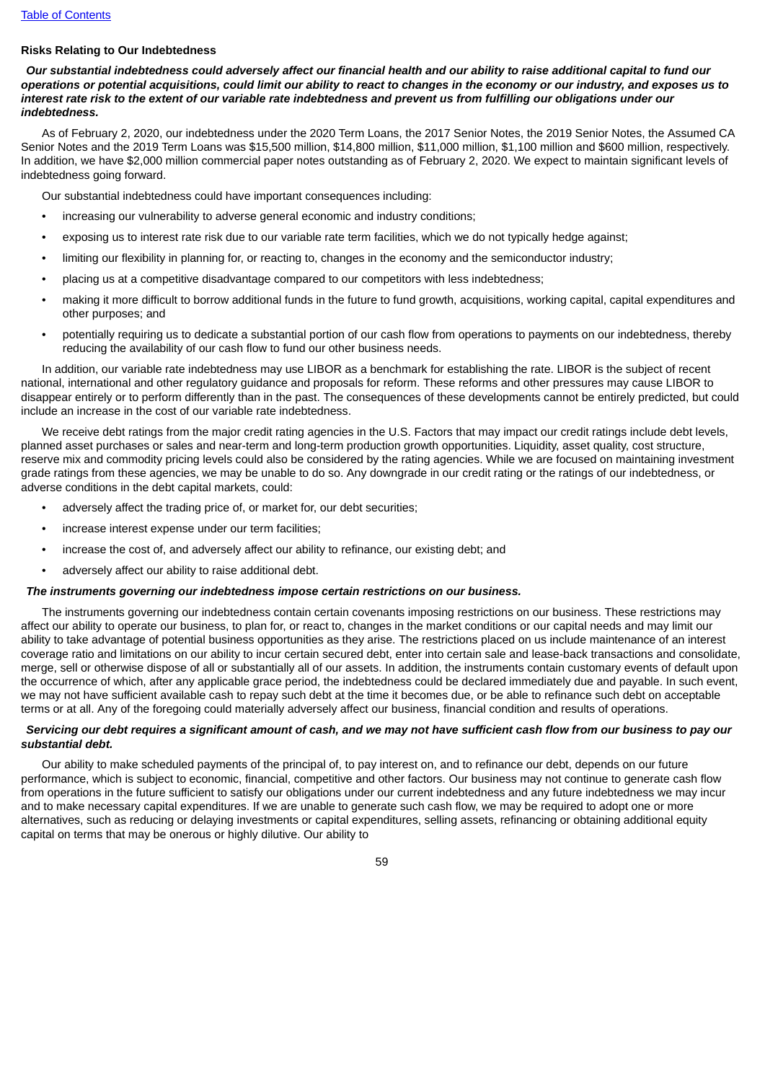### **Risks Relating to Our Indebtedness**

### Our substantial indebtedness could adversely affect our financial health and our ability to raise additional capital to fund our operations or potential acquisitions, could limit our ability to react to changes in the economy or our industry, and exposes us to interest rate risk to the extent of our variable rate indebtedness and prevent us from fulfilling our obligations under our *indebtedness.*

As of February 2, 2020, our indebtedness under the 2020 Term Loans, the 2017 Senior Notes, the 2019 Senior Notes, the Assumed CA Senior Notes and the 2019 Term Loans was \$15,500 million, \$14,800 million, \$11,000 million, \$1,100 million and \$600 million, respectively. In addition, we have \$2,000 million commercial paper notes outstanding as of February 2, 2020. We expect to maintain significant levels of indebtedness going forward.

Our substantial indebtedness could have important consequences including:

- increasing our vulnerability to adverse general economic and industry conditions;
- exposing us to interest rate risk due to our variable rate term facilities, which we do not typically hedge against;
- limiting our flexibility in planning for, or reacting to, changes in the economy and the semiconductor industry;
- placing us at a competitive disadvantage compared to our competitors with less indebtedness;
- making it more difficult to borrow additional funds in the future to fund growth, acquisitions, working capital, capital expenditures and other purposes; and
- potentially requiring us to dedicate a substantial portion of our cash flow from operations to payments on our indebtedness, thereby reducing the availability of our cash flow to fund our other business needs.

In addition, our variable rate indebtedness may use LIBOR as a benchmark for establishing the rate. LIBOR is the subject of recent national, international and other regulatory guidance and proposals for reform. These reforms and other pressures may cause LIBOR to disappear entirely or to perform differently than in the past. The consequences of these developments cannot be entirely predicted, but could include an increase in the cost of our variable rate indebtedness.

We receive debt ratings from the major credit rating agencies in the U.S. Factors that may impact our credit ratings include debt levels. planned asset purchases or sales and near-term and long-term production growth opportunities. Liquidity, asset quality, cost structure, reserve mix and commodity pricing levels could also be considered by the rating agencies. While we are focused on maintaining investment grade ratings from these agencies, we may be unable to do so. Any downgrade in our credit rating or the ratings of our indebtedness, or adverse conditions in the debt capital markets, could:

- adversely affect the trading price of, or market for, our debt securities;
- increase interest expense under our term facilities;
- increase the cost of, and adversely affect our ability to refinance, our existing debt; and
- adversely affect our ability to raise additional debt.

### *The instruments governing our indebtedness impose certain restrictions on our business.*

The instruments governing our indebtedness contain certain covenants imposing restrictions on our business. These restrictions may affect our ability to operate our business, to plan for, or react to, changes in the market conditions or our capital needs and may limit our ability to take advantage of potential business opportunities as they arise. The restrictions placed on us include maintenance of an interest coverage ratio and limitations on our ability to incur certain secured debt, enter into certain sale and lease-back transactions and consolidate, merge, sell or otherwise dispose of all or substantially all of our assets. In addition, the instruments contain customary events of default upon the occurrence of which, after any applicable grace period, the indebtedness could be declared immediately due and payable. In such event, we may not have sufficient available cash to repay such debt at the time it becomes due, or be able to refinance such debt on acceptable terms or at all. Any of the foregoing could materially adversely affect our business, financial condition and results of operations.

### Servicing our debt requires a significant amount of cash, and we may not have sufficient cash flow from our business to pay our *substantial debt.*

Our ability to make scheduled payments of the principal of, to pay interest on, and to refinance our debt, depends on our future performance, which is subject to economic, financial, competitive and other factors. Our business may not continue to generate cash flow from operations in the future sufficient to satisfy our obligations under our current indebtedness and any future indebtedness we may incur and to make necessary capital expenditures. If we are unable to generate such cash flow, we may be required to adopt one or more alternatives, such as reducing or delaying investments or capital expenditures, selling assets, refinancing or obtaining additional equity capital on terms that may be onerous or highly dilutive. Our ability to

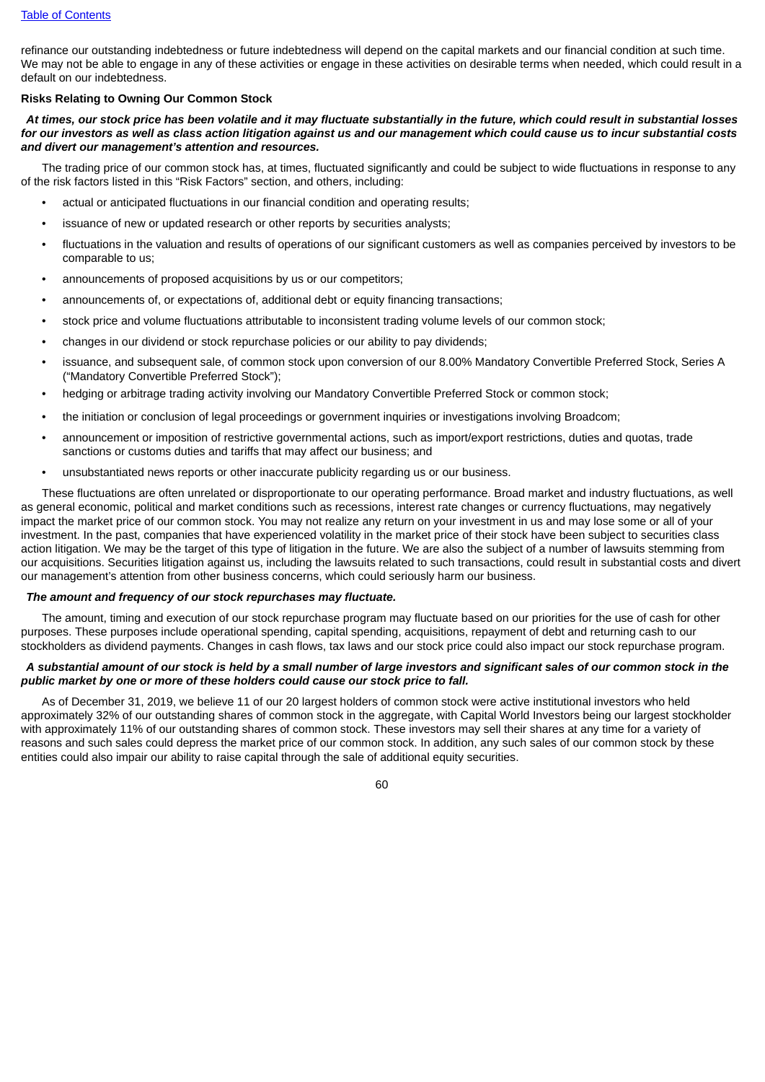refinance our outstanding indebtedness or future indebtedness will depend on the capital markets and our financial condition at such time. We may not be able to engage in any of these activities or engage in these activities on desirable terms when needed, which could result in a default on our indebtedness.

### **Risks Relating to Owning Our Common Stock**

At times, our stock price has been volatile and it may fluctuate substantially in the future, which could result in substantial losses for our investors as well as class action litigation against us and our management which could cause us to incur substantial costs *and divert our management's attention and resources.*

The trading price of our common stock has, at times, fluctuated significantly and could be subject to wide fluctuations in response to any of the risk factors listed in this "Risk Factors" section, and others, including:

- actual or anticipated fluctuations in our financial condition and operating results;
- issuance of new or updated research or other reports by securities analysts;
- fluctuations in the valuation and results of operations of our significant customers as well as companies perceived by investors to be comparable to us;
- announcements of proposed acquisitions by us or our competitors;
- announcements of, or expectations of, additional debt or equity financing transactions;
- stock price and volume fluctuations attributable to inconsistent trading volume levels of our common stock;
- changes in our dividend or stock repurchase policies or our ability to pay dividends;
- issuance, and subsequent sale, of common stock upon conversion of our 8.00% Mandatory Convertible Preferred Stock, Series A ("Mandatory Convertible Preferred Stock");
- hedging or arbitrage trading activity involving our Mandatory Convertible Preferred Stock or common stock;
- the initiation or conclusion of legal proceedings or government inquiries or investigations involving Broadcom;
- announcement or imposition of restrictive governmental actions, such as import/export restrictions, duties and quotas, trade sanctions or customs duties and tariffs that may affect our business; and
- unsubstantiated news reports or other inaccurate publicity regarding us or our business.

These fluctuations are often unrelated or disproportionate to our operating performance. Broad market and industry fluctuations, as well as general economic, political and market conditions such as recessions, interest rate changes or currency fluctuations, may negatively impact the market price of our common stock. You may not realize any return on your investment in us and may lose some or all of your investment. In the past, companies that have experienced volatility in the market price of their stock have been subject to securities class action litigation. We may be the target of this type of litigation in the future. We are also the subject of a number of lawsuits stemming from our acquisitions. Securities litigation against us, including the lawsuits related to such transactions, could result in substantial costs and divert our management's attention from other business concerns, which could seriously harm our business.

### *The amount and frequency of our stock repurchases may fluctuate.*

The amount, timing and execution of our stock repurchase program may fluctuate based on our priorities for the use of cash for other purposes. These purposes include operational spending, capital spending, acquisitions, repayment of debt and returning cash to our stockholders as dividend payments. Changes in cash flows, tax laws and our stock price could also impact our stock repurchase program.

## A substantial amount of our stock is held by a small number of large investors and significant sales of our common stock in the *public market by one or more of these holders could cause our stock price to fall.*

As of December 31, 2019, we believe 11 of our 20 largest holders of common stock were active institutional investors who held approximately 32% of our outstanding shares of common stock in the aggregate, with Capital World Investors being our largest stockholder with approximately 11% of our outstanding shares of common stock. These investors may sell their shares at any time for a variety of reasons and such sales could depress the market price of our common stock. In addition, any such sales of our common stock by these entities could also impair our ability to raise capital through the sale of additional equity securities.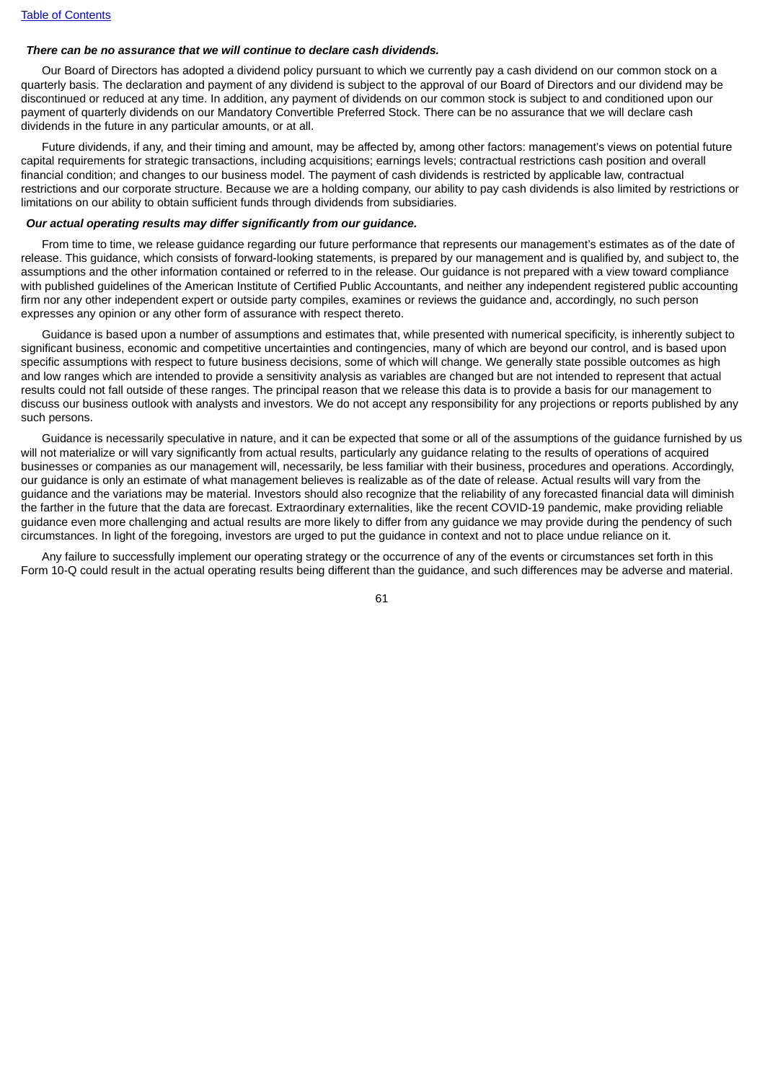### *There can be no assurance that we will continue to declare cash dividends.*

Our Board of Directors has adopted a dividend policy pursuant to which we currently pay a cash dividend on our common stock on a quarterly basis. The declaration and payment of any dividend is subject to the approval of our Board of Directors and our dividend may be discontinued or reduced at any time. In addition, any payment of dividends on our common stock is subject to and conditioned upon our payment of quarterly dividends on our Mandatory Convertible Preferred Stock. There can be no assurance that we will declare cash dividends in the future in any particular amounts, or at all.

Future dividends, if any, and their timing and amount, may be affected by, among other factors: management's views on potential future capital requirements for strategic transactions, including acquisitions; earnings levels; contractual restrictions cash position and overall financial condition; and changes to our business model. The payment of cash dividends is restricted by applicable law, contractual restrictions and our corporate structure. Because we are a holding company, our ability to pay cash dividends is also limited by restrictions or limitations on our ability to obtain sufficient funds through dividends from subsidiaries.

#### *Our actual operating results may differ significantly from our guidance.*

From time to time, we release guidance regarding our future performance that represents our management's estimates as of the date of release. This guidance, which consists of forward-looking statements, is prepared by our management and is qualified by, and subject to, the assumptions and the other information contained or referred to in the release. Our guidance is not prepared with a view toward compliance with published quidelines of the American Institute of Certified Public Accountants, and neither any independent registered public accounting firm nor any other independent expert or outside party compiles, examines or reviews the guidance and, accordingly, no such person expresses any opinion or any other form of assurance with respect thereto.

Guidance is based upon a number of assumptions and estimates that, while presented with numerical specificity, is inherently subject to significant business, economic and competitive uncertainties and contingencies, many of which are beyond our control, and is based upon specific assumptions with respect to future business decisions, some of which will change. We generally state possible outcomes as high and low ranges which are intended to provide a sensitivity analysis as variables are changed but are not intended to represent that actual results could not fall outside of these ranges. The principal reason that we release this data is to provide a basis for our management to discuss our business outlook with analysts and investors. We do not accept any responsibility for any projections or reports published by any such persons.

Guidance is necessarily speculative in nature, and it can be expected that some or all of the assumptions of the guidance furnished by us will not materialize or will vary significantly from actual results, particularly any guidance relating to the results of operations of acquired businesses or companies as our management will, necessarily, be less familiar with their business, procedures and operations. Accordingly, our guidance is only an estimate of what management believes is realizable as of the date of release. Actual results will vary from the guidance and the variations may be material. Investors should also recognize that the reliability of any forecasted financial data will diminish the farther in the future that the data are forecast. Extraordinary externalities, like the recent COVID-19 pandemic, make providing reliable guidance even more challenging and actual results are more likely to differ from any guidance we may provide during the pendency of such circumstances. In light of the foregoing, investors are urged to put the guidance in context and not to place undue reliance on it.

Any failure to successfully implement our operating strategy or the occurrence of any of the events or circumstances set forth in this Form 10-Q could result in the actual operating results being different than the guidance, and such differences may be adverse and material.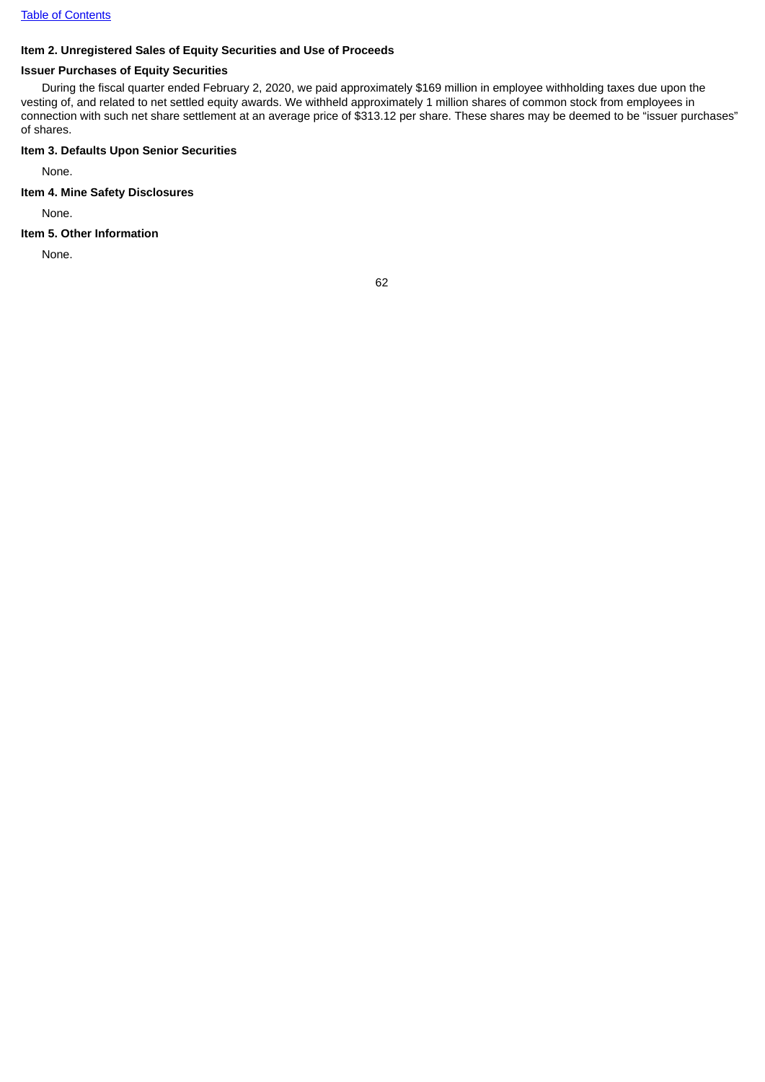## **Item 2. Unregistered Sales of Equity Securities and Use of Proceeds**

### **Issuer Purchases of Equity Securities**

During the fiscal quarter ended February 2, 2020, we paid approximately \$169 million in employee withholding taxes due upon the vesting of, and related to net settled equity awards. We withheld approximately 1 million shares of common stock from employees in connection with such net share settlement at an average price of \$313.12 per share. These shares may be deemed to be "issuer purchases" of shares.

## **Item 3. Defaults Upon Senior Securities**

None.

# **Item 4. Mine Safety Disclosures**

None.

## **Item 5. Other Information**

None.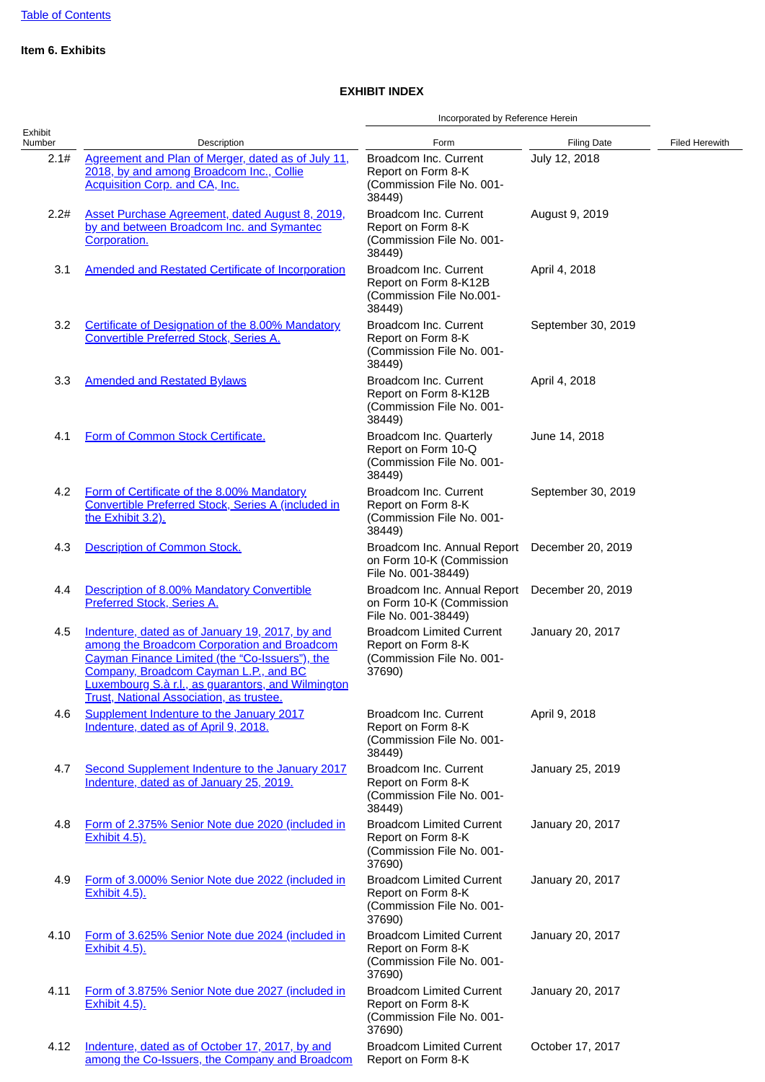## **Item 6. Exhibits**

## **EXHIBIT INDEX**

Incorporated by Reference Herein Exhibit Number Description Form Filing Date Filed Herewith 2.1# [Agreement](http://www.sec.gov/Archives/edgar/data/1730168/000119312518216419/d431012dex21.htm) and Plan of Merger, dated as of July 11, 2018, by and among Broadcom Inc., Collie Acquisition Corp. and CA, Inc. Broadcom Inc. Current Report on Form 8-K (Commission File No. 001- 38449) July 12, 2018 2.2# Asset Purchase Agreement, dated August 8, 2019, by and between Broadcom Inc. and Symantec [Corporation.](http://www.sec.gov/Archives/edgar/data/1730168/000119312519217369/d790567dex21.htm) Broadcom Inc. Current Report on Form 8-K (Commission File No. 001- 38449) August 9, 2019 3.1 Amended and Restated Certificate of [Incorporation](http://www.sec.gov/Archives/edgar/data/1730168/000119312518107559/d562806dex31.htm) Broadcom Inc. Current Report on Form 8-K12B (Commission File No.001- 38449) April 4, 2018 3.2 Certificate of [Designation](http://www.sec.gov/Archives/edgar/data/1730168/000119312519258822/d779141dex31.htm) of the 8.00% Mandatory Convertible Preferred Stock, Series A. Broadcom Inc. Current Report on Form 8-K (Commission File No. 001- 38449) September 30, 2019 3.3 [Amended](http://www.sec.gov/Archives/edgar/data/1730168/000119312518107559/d562806dex32.htm) and Restated Bylaws Broadcom Inc. Current Report on Form 8-K12B (Commission File No. 001- 38449) April 4, 2018 4.1 Form of Common Stock [Certificate.](http://www.sec.gov/Archives/edgar/data/1730168/000173016818000019/ex41formofstockcertificate.htm) Broadcom Inc. Quarterly Report on Form 10-Q (Commission File No. 001- 38449) June 14, 2018 4.2 Form of Certificate of the 8.00% Mandatory [Convertible](http://www.sec.gov/Archives/edgar/data/1730168/000119312519258822/d779141dex31.htm) Preferred Stock, Series A (included in the Exhibit 3.2). Broadcom Inc. Current Report on Form 8-K (Commission File No. 001- 38449) September 30, 2019 4.3 [Description](http://www.sec.gov/Archives/edgar/data/1730168/000173016819000144/ex43descriptionofcommo.htm) of Common Stock. Broadcom Inc. Annual Report on Form 10-K (Commission File No. 001-38449) December 20, 2019 4.4 Description of 8.00% Mandatory [Convertible](http://www.sec.gov/Archives/edgar/data/1730168/000173016819000144/ex44descriptionofprefe.htm) Preferred Stock, Series A. Broadcom Inc. Annual Report on Form 10-K (Commission File No. 001-38449) December 20, 2019 4.5 Indenture, dated as of January 19, 2017, by and among the Broadcom Corporation and Broadcom Cayman Finance Limited (the ["Co-Issuers"\),](http://www.sec.gov/Archives/edgar/data/1649338/000119312517013399/d332675dex41.htm) the Company, Broadcom Cayman L.P., and BC Luxembourg S.à r.l., as guarantors, and Wilmington Trust, National Association, as trustee. Broadcom Limited Current Report on Form 8-K (Commission File No. 001- 37690) January 20, 2017 4.6 [Supplement](http://www.sec.gov/Archives/edgar/data/1730168/000119312518111706/d562929dex41.htm) Indenture to the January 2017 Indenture, dated as of April 9, 2018. Broadcom Inc. Current Report on Form 8-K (Commission File No. 001- 38449) April 9, 2018 4.7 Second [Supplement](http://www.sec.gov/Archives/edgar/data/1730168/000119312519017097/d684347dex41.htm) Indenture to the January 2017 Indenture, dated as of January 25, 2019. Broadcom Inc. Current Report on Form 8-K (Commission File No. 001- 38449) January 25, 2019 4.8 Form of 2.375% Senior Note due 2020 [\(included](http://www.sec.gov/Archives/edgar/data/1649338/000119312517013399/d332675dex41.htm) in Exhibit 4.5). Broadcom Limited Current Report on Form 8-K (Commission File No. 001- 37690) January 20, 2017 4.9 Form of 3.000% Senior Note due 2022 [\(included](http://www.sec.gov/Archives/edgar/data/1649338/000119312517013399/d332675dex41.htm) in Exhibit 4.5). Broadcom Limited Current Report on Form 8-K (Commission File No. 001- 37690) January 20, 2017 4.10 Form of 3.625% Senior Note due 2024 [\(included](http://www.sec.gov/Archives/edgar/data/1649338/000119312517013399/d332675dex41.htm) in Exhibit  $4.5$ ). Broadcom Limited Current Report on Form 8-K (Commission File No. 001- 37690) January 20, 2017 4.11 Form of 3.875% Senior Note due 2027 [\(included](http://www.sec.gov/Archives/edgar/data/1649338/000119312517013399/d332675dex41.htm) in **Exhibit 4.5).** Broadcom Limited Current Report on Form 8-K (Commission File No. 001- 37690) January 20, 2017 4.12 Indenture, dated as of October 17, 2017, by and among the [Co-Issuers,](http://www.sec.gov/Archives/edgar/data/1649338/000119312517311851/d472495dex41.htm) the Company and Broadcom Broadcom Limited Current Report on Form 8-K October 17, 2017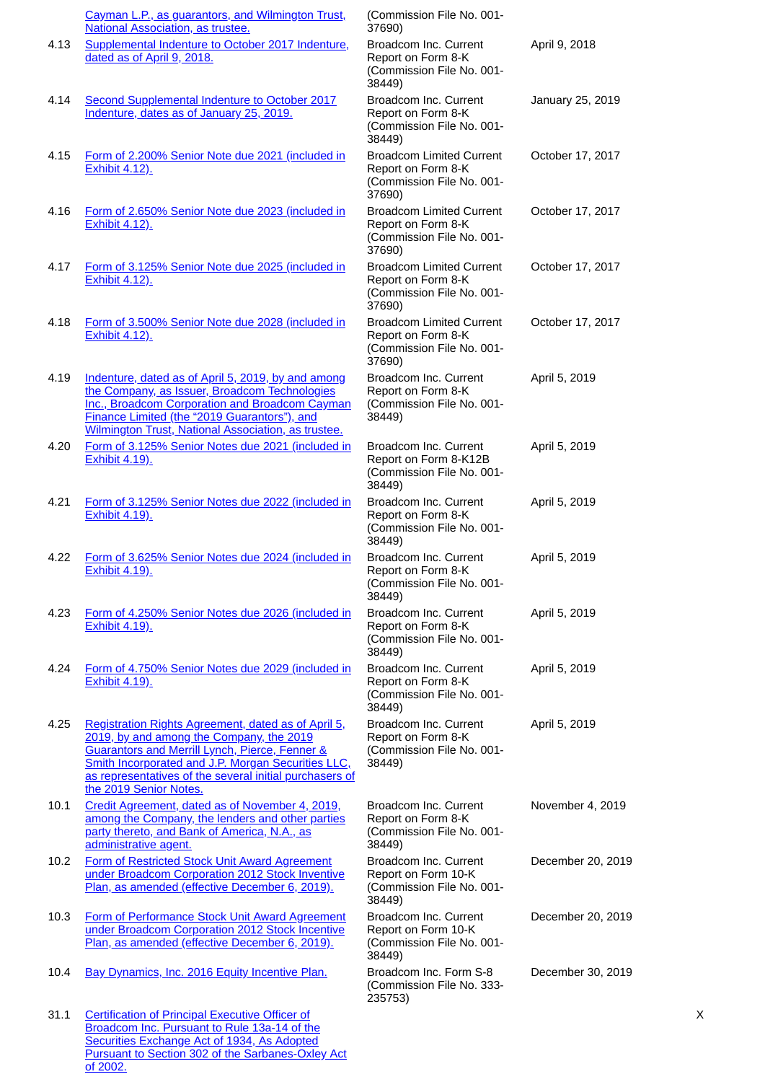|      | Cayman L.P., as guarantors, and Wilmington Trust,<br><b>National Association, as trustee.</b>                                                                                                                                                                                                | (Commission File No. 001-<br>37690)                                                          |                   |
|------|----------------------------------------------------------------------------------------------------------------------------------------------------------------------------------------------------------------------------------------------------------------------------------------------|----------------------------------------------------------------------------------------------|-------------------|
| 4.13 | Supplemental Indenture to October 2017 Indenture.<br>dated as of April 9, 2018.                                                                                                                                                                                                              | Broadcom Inc. Current<br>Report on Form 8-K<br>(Commission File No. 001-<br>38449)           | April 9, 2018     |
| 4.14 | Second Supplemental Indenture to October 2017<br>Indenture, dates as of January 25, 2019.                                                                                                                                                                                                    | Broadcom Inc. Current<br>Report on Form 8-K<br>(Commission File No. 001-<br>38449)           | January 25, 2019  |
| 4.15 | Form of 2.200% Senior Note due 2021 (included in<br><b>Exhibit 4.12).</b>                                                                                                                                                                                                                    | <b>Broadcom Limited Current</b><br>Report on Form 8-K<br>(Commission File No. 001-<br>37690) | October 17, 2017  |
| 4.16 | Form of 2.650% Senior Note due 2023 (included in<br><b>Exhibit 4.12).</b>                                                                                                                                                                                                                    | <b>Broadcom Limited Current</b><br>Report on Form 8-K<br>(Commission File No. 001-<br>37690) | October 17, 2017  |
| 4.17 | Form of 3.125% Senior Note due 2025 (included in<br><b>Exhibit 4.12).</b>                                                                                                                                                                                                                    | <b>Broadcom Limited Current</b><br>Report on Form 8-K<br>(Commission File No. 001-<br>37690) | October 17, 2017  |
| 4.18 | Form of 3.500% Senior Note due 2028 (included in<br><b>Exhibit 4.12).</b>                                                                                                                                                                                                                    | <b>Broadcom Limited Current</b><br>Report on Form 8-K<br>(Commission File No. 001-<br>37690) | October 17, 2017  |
| 4.19 | Indenture, dated as of April 5, 2019, by and among<br>the Company, as Issuer, Broadcom Technologies<br>Inc., Broadcom Corporation and Broadcom Cayman<br>Finance Limited (the "2019 Guarantors"), and<br>Wilmington Trust, National Association, as trustee.                                 | Broadcom Inc. Current<br>Report on Form 8-K<br>(Commission File No. 001-<br>38449)           | April 5, 2019     |
| 4.20 | Form of 3.125% Senior Notes due 2021 (included in<br><b>Exhibit 4.19).</b>                                                                                                                                                                                                                   | Broadcom Inc. Current<br>Report on Form 8-K12B<br>(Commission File No. 001-<br>38449)        | April 5, 2019     |
| 4.21 | Form of 3.125% Senior Notes due 2022 (included in<br><b>Exhibit 4.19).</b>                                                                                                                                                                                                                   | Broadcom Inc. Current<br>Report on Form 8-K<br>(Commission File No. 001-<br>38449)           | April 5, 2019     |
| 4.22 | Form of 3.625% Senior Notes due 2024 (included in<br><b>Exhibit 4.19).</b>                                                                                                                                                                                                                   | Broadcom Inc. Current<br>Report on Form 8-K<br>(Commission File No. 001-<br>38449)           | April 5, 2019     |
| 4.23 | Form of 4.250% Senior Notes due 2026 (included in<br><b>Exhibit 4.19).</b>                                                                                                                                                                                                                   | Broadcom Inc. Current<br>Report on Form 8-K<br>(Commission File No. 001-<br>38449)           | April 5, 2019     |
| 4.24 | Form of 4.750% Senior Notes due 2029 (included in<br><b>Exhibit 4.19).</b>                                                                                                                                                                                                                   | Broadcom Inc. Current<br>Report on Form 8-K<br>(Commission File No. 001-<br>38449)           | April 5, 2019     |
| 4.25 | Registration Rights Agreement, dated as of April 5,<br>2019, by and among the Company, the 2019<br>Guarantors and Merrill Lynch, Pierce, Fenner &<br>Smith Incorporated and J.P. Morgan Securities LLC,<br>as representatives of the several initial purchasers of<br>the 2019 Senior Notes. | Broadcom Inc. Current<br>Report on Form 8-K<br>(Commission File No. 001-<br>38449)           | April 5, 2019     |
| 10.1 | Credit Agreement, dated as of November 4, 2019,<br>among the Company, the lenders and other parties<br>party thereto, and Bank of America, N.A., as<br>administrative agent.                                                                                                                 | Broadcom Inc. Current<br>Report on Form 8-K<br>(Commission File No. 001-<br>38449)           | November 4, 2019  |
| 10.2 | Form of Restricted Stock Unit Award Agreement<br>under Broadcom Corporation 2012 Stock Inventive<br>Plan, as amended (effective December 6, 2019).                                                                                                                                           | Broadcom Inc. Current<br>Report on Form 10-K<br>(Commission File No. 001-<br>38449)          | December 20, 2019 |
| 10.3 | Form of Performance Stock Unit Award Agreement<br>under Broadcom Corporation 2012 Stock Incentive<br>Plan, as amended (effective December 6, 2019).                                                                                                                                          | Broadcom Inc. Current<br>Report on Form 10-K<br>(Commission File No. 001-<br>38449)          | December 20, 2019 |
| 10.4 | Bay Dynamics, Inc. 2016 Equity Incentive Plan.                                                                                                                                                                                                                                               | Broadcom Inc. Form S-8<br>(Commission File No. 333-<br>235753)                               | December 30, 2019 |
| 31.1 | <b>Certification of Principal Executive Officer of</b><br>Broadcom Inc. Pursuant to Rule 13a-14 of the<br>Securities Exchange Act of 1934, As Adopted<br>Pursuant to Section 302 of the Sarbanes-Oxley Act                                                                                   |                                                                                              |                   |

of 2002.

X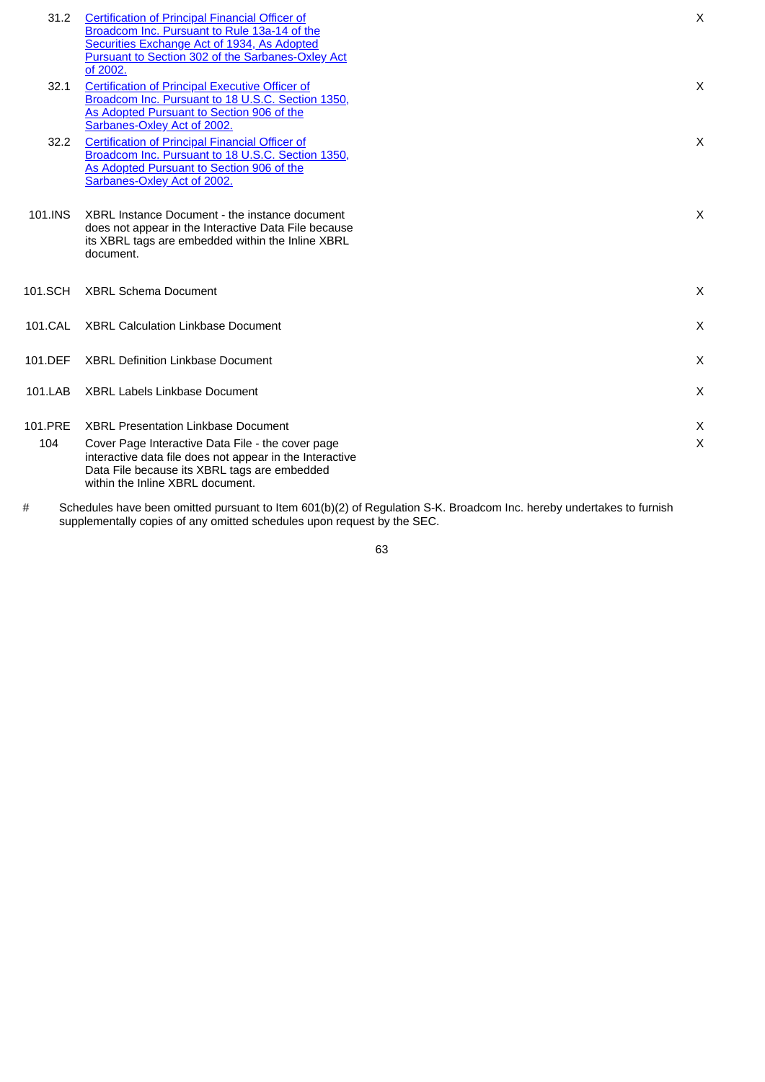| 31.2           | <b>Certification of Principal Financial Officer of</b><br>Broadcom Inc. Pursuant to Rule 13a-14 of the<br>Securities Exchange Act of 1934, As Adopted<br><b>Pursuant to Section 302 of the Sarbanes-Oxley Act</b>                               | X        |
|----------------|-------------------------------------------------------------------------------------------------------------------------------------------------------------------------------------------------------------------------------------------------|----------|
| 32.1           | of 2002.<br><b>Certification of Principal Executive Officer of</b><br>Broadcom Inc. Pursuant to 18 U.S.C. Section 1350,<br>As Adopted Pursuant to Section 906 of the                                                                            | $\times$ |
| 32.2           | Sarbanes-Oxley Act of 2002.<br><b>Certification of Principal Financial Officer of</b><br>Broadcom Inc. Pursuant to 18 U.S.C. Section 1350,<br>As Adopted Pursuant to Section 906 of the<br>Sarbanes-Oxley Act of 2002.                          | X        |
| 101.INS        | XBRL Instance Document - the instance document<br>does not appear in the Interactive Data File because<br>its XBRL tags are embedded within the Inline XBRL<br>document.                                                                        | X        |
|                | 101.SCH XBRL Schema Document                                                                                                                                                                                                                    | $\times$ |
|                | 101.CAL XBRL Calculation Linkbase Document                                                                                                                                                                                                      | X        |
| 101.DEF        | <b>XBRL Definition Linkbase Document</b>                                                                                                                                                                                                        | X        |
| 101.LAB        | XBRL Labels Linkbase Document                                                                                                                                                                                                                   | Χ        |
| 101.PRE<br>104 | <b>XBRL Presentation Linkbase Document</b><br>Cover Page Interactive Data File - the cover page<br>interactive data file does not appear in the Interactive<br>Data File because its XBRL tags are embedded<br>within the Inline XBRL document. | Χ<br>X   |

# Schedules have been omitted pursuant to Item 601(b)(2) of Regulation S-K. Broadcom Inc. hereby undertakes to furnish supplementally copies of any omitted schedules upon request by the SEC.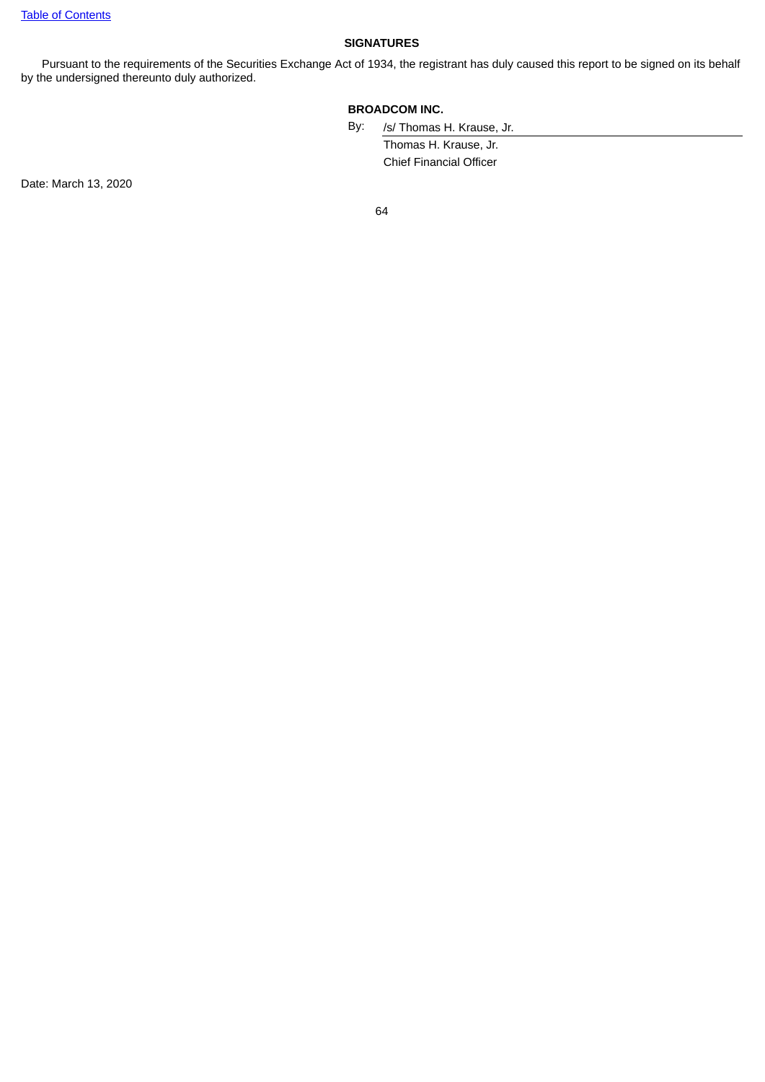### **SIGNATURES**

Pursuant to the requirements of the Securities Exchange Act of 1934, the registrant has duly caused this report to be signed on its behalf by the undersigned thereunto duly authorized.

# **BROADCOM INC.**

By: /s/ Thomas H. Krause, Jr.

Thomas H. Krause, Jr. Chief Financial Officer

Date: March 13, 2020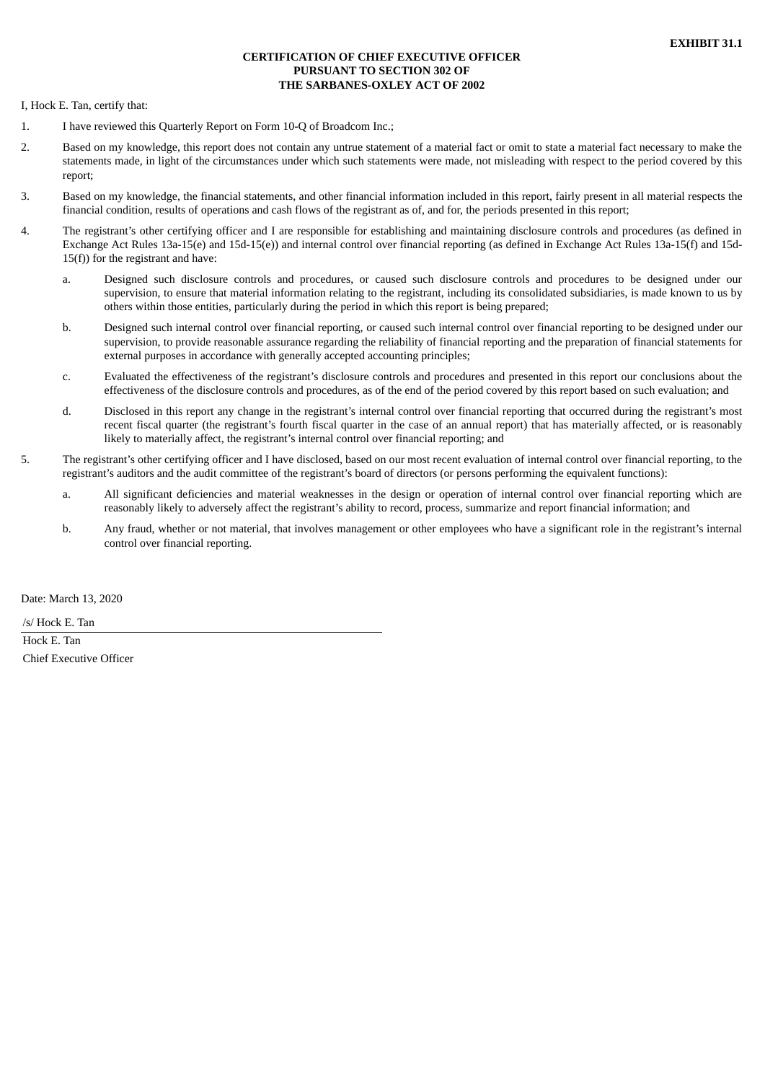### **CERTIFICATION OF CHIEF EXECUTIVE OFFICER PURSUANT TO SECTION 302 OF THE SARBANES-OXLEY ACT OF 2002**

<span id="page-68-0"></span>I, Hock E. Tan, certify that:

- 1. I have reviewed this Quarterly Report on Form 10-Q of Broadcom Inc.;
- 2. Based on my knowledge, this report does not contain any untrue statement of a material fact or omit to state a material fact necessary to make the statements made, in light of the circumstances under which such statements were made, not misleading with respect to the period covered by this report;
- 3. Based on my knowledge, the financial statements, and other financial information included in this report, fairly present in all material respects the financial condition, results of operations and cash flows of the registrant as of, and for, the periods presented in this report;
- 4. The registrant's other certifying officer and I are responsible for establishing and maintaining disclosure controls and procedures (as defined in Exchange Act Rules 13a-15(e) and 15d-15(e)) and internal control over financial reporting (as defined in Exchange Act Rules 13a-15(f) and 15d-15(f)) for the registrant and have:
	- a. Designed such disclosure controls and procedures, or caused such disclosure controls and procedures to be designed under our supervision, to ensure that material information relating to the registrant, including its consolidated subsidiaries, is made known to us by others within those entities, particularly during the period in which this report is being prepared;
	- b. Designed such internal control over financial reporting, or caused such internal control over financial reporting to be designed under our supervision, to provide reasonable assurance regarding the reliability of financial reporting and the preparation of financial statements for external purposes in accordance with generally accepted accounting principles;
	- c. Evaluated the effectiveness of the registrant's disclosure controls and procedures and presented in this report our conclusions about the effectiveness of the disclosure controls and procedures, as of the end of the period covered by this report based on such evaluation; and
	- d. Disclosed in this report any change in the registrant's internal control over financial reporting that occurred during the registrant's most recent fiscal quarter (the registrant's fourth fiscal quarter in the case of an annual report) that has materially affected, or is reasonably likely to materially affect, the registrant's internal control over financial reporting; and
- 5. The registrant's other certifying officer and I have disclosed, based on our most recent evaluation of internal control over financial reporting, to the registrant's auditors and the audit committee of the registrant's board of directors (or persons performing the equivalent functions):
	- a. All significant deficiencies and material weaknesses in the design or operation of internal control over financial reporting which are reasonably likely to adversely affect the registrant's ability to record, process, summarize and report financial information; and
	- b. Any fraud, whether or not material, that involves management or other employees who have a significant role in the registrant's internal control over financial reporting.

Date: March 13, 2020

/s/ Hock E. Tan

Hock E. Tan Chief Executive Officer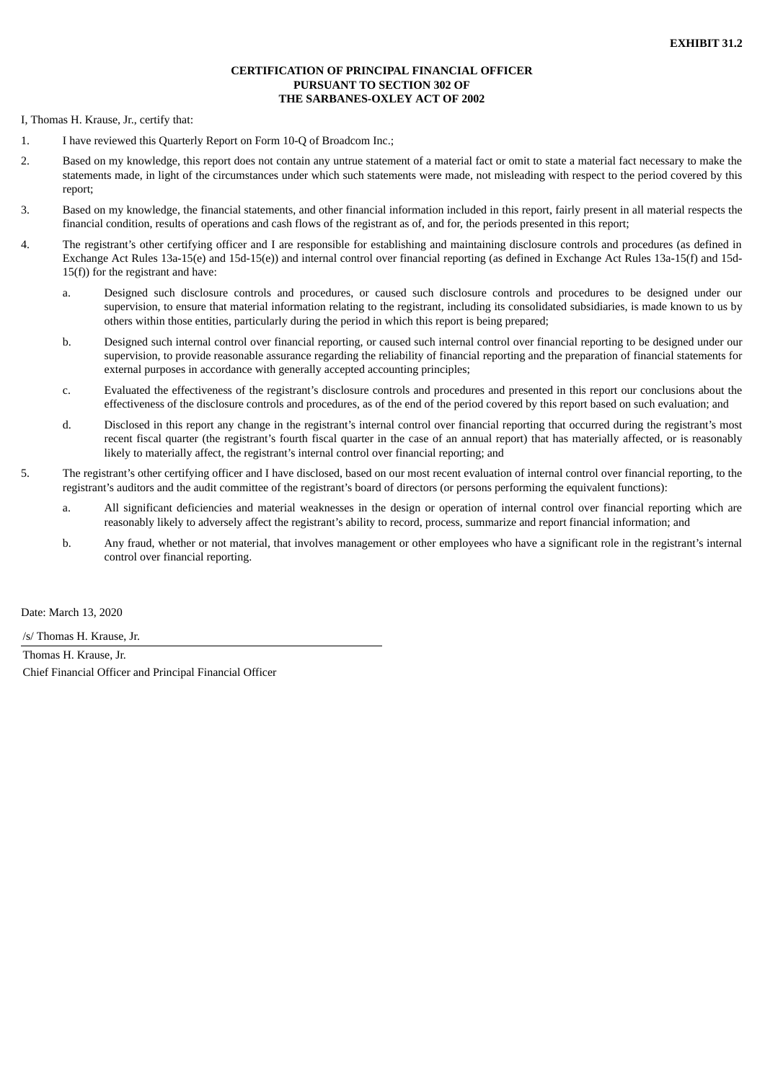### **CERTIFICATION OF PRINCIPAL FINANCIAL OFFICER PURSUANT TO SECTION 302 OF THE SARBANES-OXLEY ACT OF 2002**

<span id="page-69-0"></span>I, Thomas H. Krause, Jr., certify that:

- 1. I have reviewed this Quarterly Report on Form 10-Q of Broadcom Inc.;
- 2. Based on my knowledge, this report does not contain any untrue statement of a material fact or omit to state a material fact necessary to make the statements made, in light of the circumstances under which such statements were made, not misleading with respect to the period covered by this report;
- 3. Based on my knowledge, the financial statements, and other financial information included in this report, fairly present in all material respects the financial condition, results of operations and cash flows of the registrant as of, and for, the periods presented in this report;
- 4. The registrant's other certifying officer and I are responsible for establishing and maintaining disclosure controls and procedures (as defined in Exchange Act Rules 13a-15(e) and 15d-15(e)) and internal control over financial reporting (as defined in Exchange Act Rules 13a-15(f) and 15d-15(f)) for the registrant and have:
	- a. Designed such disclosure controls and procedures, or caused such disclosure controls and procedures to be designed under our supervision, to ensure that material information relating to the registrant, including its consolidated subsidiaries, is made known to us by others within those entities, particularly during the period in which this report is being prepared;
	- b. Designed such internal control over financial reporting, or caused such internal control over financial reporting to be designed under our supervision, to provide reasonable assurance regarding the reliability of financial reporting and the preparation of financial statements for external purposes in accordance with generally accepted accounting principles;
	- c. Evaluated the effectiveness of the registrant's disclosure controls and procedures and presented in this report our conclusions about the effectiveness of the disclosure controls and procedures, as of the end of the period covered by this report based on such evaluation; and
	- d. Disclosed in this report any change in the registrant's internal control over financial reporting that occurred during the registrant's most recent fiscal quarter (the registrant's fourth fiscal quarter in the case of an annual report) that has materially affected, or is reasonably likely to materially affect, the registrant's internal control over financial reporting; and
- 5. The registrant's other certifying officer and I have disclosed, based on our most recent evaluation of internal control over financial reporting, to the registrant's auditors and the audit committee of the registrant's board of directors (or persons performing the equivalent functions):
	- a. All significant deficiencies and material weaknesses in the design or operation of internal control over financial reporting which are reasonably likely to adversely affect the registrant's ability to record, process, summarize and report financial information; and
	- b. Any fraud, whether or not material, that involves management or other employees who have a significant role in the registrant's internal control over financial reporting.

Date: March 13, 2020

/s/ Thomas H. Krause, Jr.

Thomas H. Krause, Jr. Chief Financial Officer and Principal Financial Officer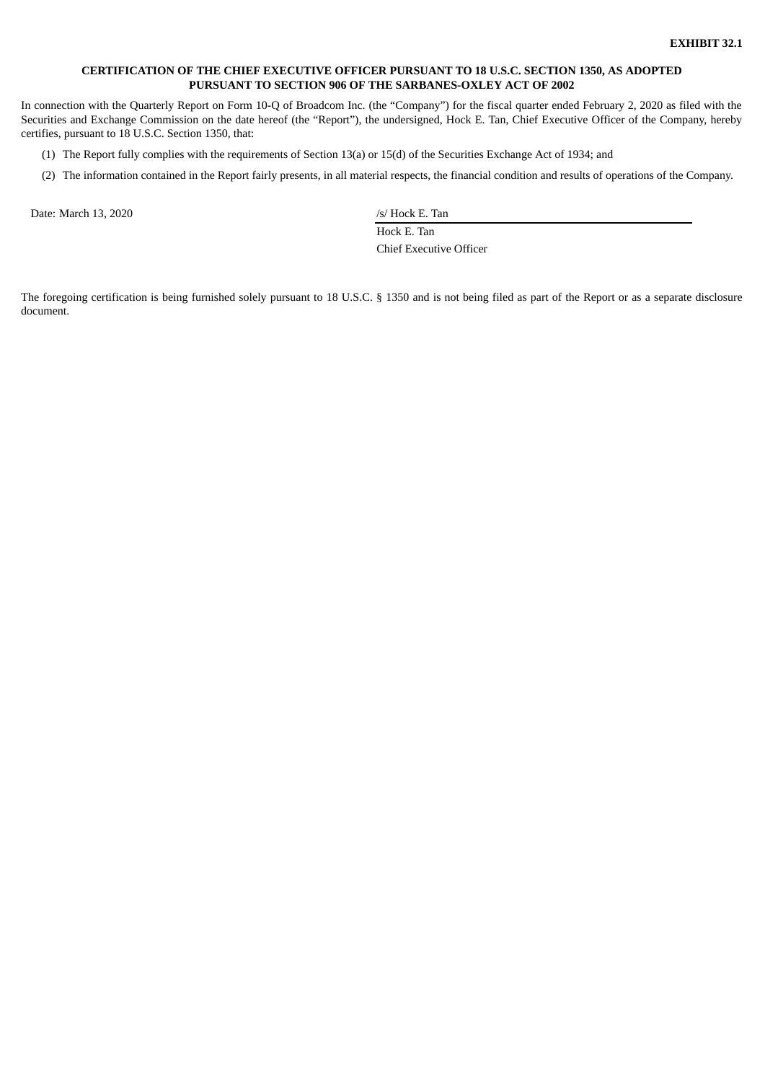### <span id="page-70-0"></span>**CERTIFICATION OF THE CHIEF EXECUTIVE OFFICER PURSUANT TO 18 U.S.C. SECTION 1350, AS ADOPTED PURSUANT TO SECTION 906 OF THE SARBANES-OXLEY ACT OF 2002**

In connection with the Quarterly Report on Form 10-Q of Broadcom Inc. (the "Company") for the fiscal quarter ended February 2, 2020 as filed with the Securities and Exchange Commission on the date hereof (the "Report"), the undersigned, Hock E. Tan, Chief Executive Officer of the Company, hereby certifies, pursuant to 18 U.S.C. Section 1350, that:

- (1) The Report fully complies with the requirements of Section 13(a) or 15(d) of the Securities Exchange Act of 1934; and
- (2) The information contained in the Report fairly presents, in all material respects, the financial condition and results of operations of the Company.

Date: March 13, 2020 /s/ Hock E. Tan

Hock E. Tan Chief Executive Officer

The foregoing certification is being furnished solely pursuant to 18 U.S.C. § 1350 and is not being filed as part of the Report or as a separate disclosure document.